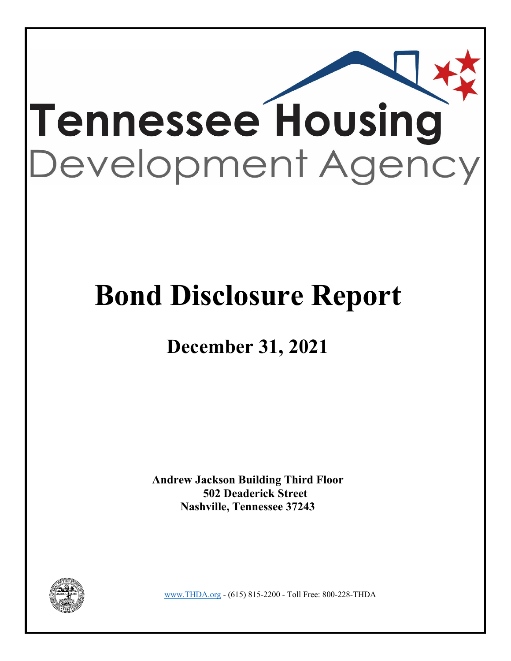

# **Bond Disclosure Report**

## **December 31, 2021**

**Andrew Jackson Building Third Floor 502 Deaderick Street Nashville, Tennessee 37243** 



www.THDA.org - (615) 815-2200 - Toll Free: 800-228-THDA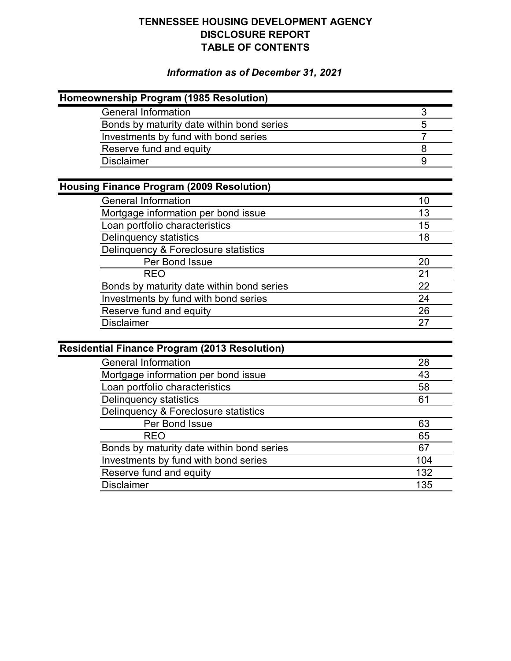### **TENNESSEE HOUSING DEVELOPMENT AGENCY DISCLOSURE REPORT TABLE OF CONTENTS**

### *Information as of December 31, 2021*

| Homeownership Program (1985 Resolution)              |                |
|------------------------------------------------------|----------------|
| <b>General Information</b>                           | 3              |
| Bonds by maturity date within bond series            | 5              |
| Investments by fund with bond series                 | $\overline{7}$ |
| Reserve fund and equity                              | $\overline{8}$ |
| <b>Disclaimer</b>                                    | 9              |
|                                                      |                |
| <b>Housing Finance Program (2009 Resolution)</b>     |                |
| <b>General Information</b>                           | 10             |
| Mortgage information per bond issue                  | 13             |
| Loan portfolio characteristics                       | 15             |
| Delinquency statistics                               | 18             |
| Delinquency & Foreclosure statistics                 |                |
| Per Bond Issue                                       | 20             |
| <b>REO</b>                                           | 21             |
| Bonds by maturity date within bond series            | 22             |
| Investments by fund with bond series                 | 24             |
| Reserve fund and equity                              | 26             |
| <b>Disclaimer</b>                                    | 27             |
|                                                      |                |
| <b>Residential Finance Program (2013 Resolution)</b> |                |
| <b>General Information</b>                           | 28             |
| Mortgage information per bond issue                  | 43             |
| Loan portfolio characteristics                       | 58             |
| <b>Delinquency statistics</b>                        | 61             |
| Delinquency & Foreclosure statistics                 |                |
| Per Bond Issue                                       | 63             |
| <b>REO</b>                                           | 65             |
| Bonds by maturity date within bond series            | 67             |
| Investments by fund with bond series                 | 104            |
| Reserve fund and equity                              | 132            |
| <b>Disclaimer</b>                                    | 135            |
|                                                      |                |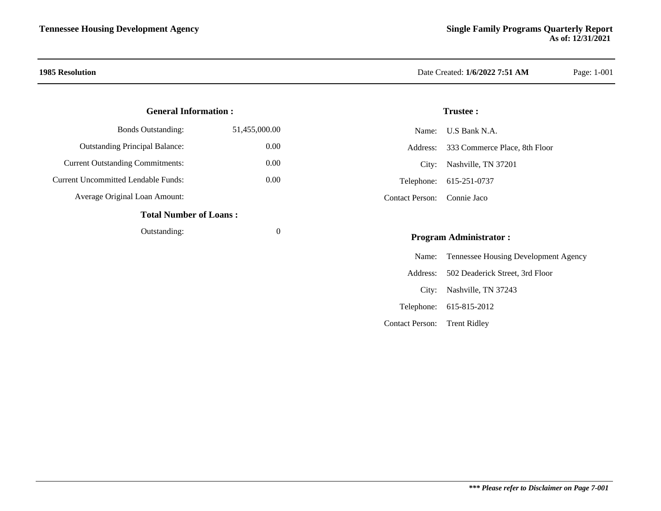#### **General Information :**

| <b>Bonds Outstanding:</b>               | 51,455,000.00 |
|-----------------------------------------|---------------|
| <b>Outstanding Principal Balance:</b>   | 0.00          |
| <b>Current Outstanding Commitments:</b> | (0.00)        |
| Current Uncommitted Lendable Funds:     | (0.00)        |
| Average Original Loan Amount:           |               |
| <b>Total Number of Loans:</b>           |               |
| Outstanding:                            |               |

### **1985 Resolution** Date Created: **1/6/2022 7:51 AM** Page: 1-001

#### **Trustee :**

|                             | Name: U.S Bank N.A.                    |
|-----------------------------|----------------------------------------|
|                             | Address: 333 Commerce Place, 8th Floor |
|                             | City: Nashville, TN 37201              |
|                             | Telephone: 615-251-0737                |
| Contact Person: Connie Jaco |                                        |

#### **Program Administrator :**

|                              | Name: Tennessee Housing Development Agency |
|------------------------------|--------------------------------------------|
|                              | Address: 502 Deaderick Street, 3rd Floor   |
|                              | City: Nashville, TN 37243                  |
|                              | Telephone: 615-815-2012                    |
| Contact Person: Trent Ridley |                                            |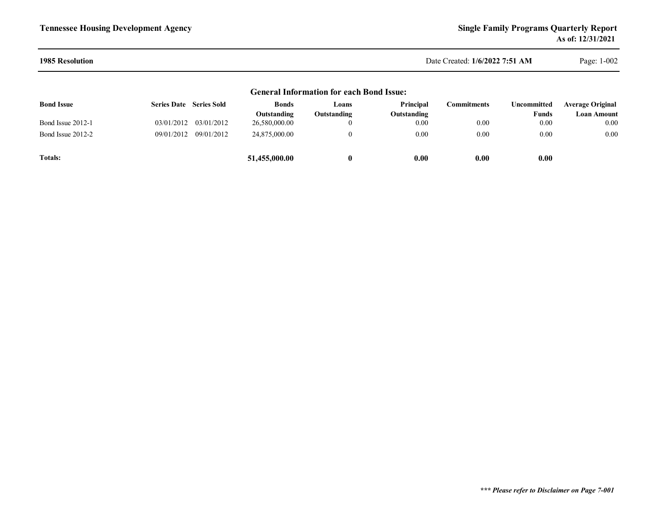#### **1985 Resolution**

Date Created: **1/6/2022 7:51 AM**

Page: 1-002

#### **General Information for each Bond Issue:**

| <b>Bond Issue</b> | <b>Series Date</b> Series Sold |                       | <b>Bonds</b>  | Loans       | Principal   | Commitments | Uncommitted | <b>Average Original</b> |
|-------------------|--------------------------------|-----------------------|---------------|-------------|-------------|-------------|-------------|-------------------------|
|                   |                                |                       | Outstanding   | Outstanding | Outstanding |             | Funds       | Loan Amount             |
| Bond Issue 2012-1 |                                | 03/01/2012 03/01/2012 | 26,580,000.00 | 0           | 0.00        | 0.00        | 0.00        | 0.00 <sub>1</sub>       |
| Bond Issue 2012-2 | 09/01/2012                     | 09/01/2012            | 24,875,000.00 |             | 0.00        | 0.00        | $0.00\,$    | $0.00\,$                |
| <b>Totals:</b>    |                                |                       | 51,455,000.00 |             | 0.00        | 0.00        | 0.00        |                         |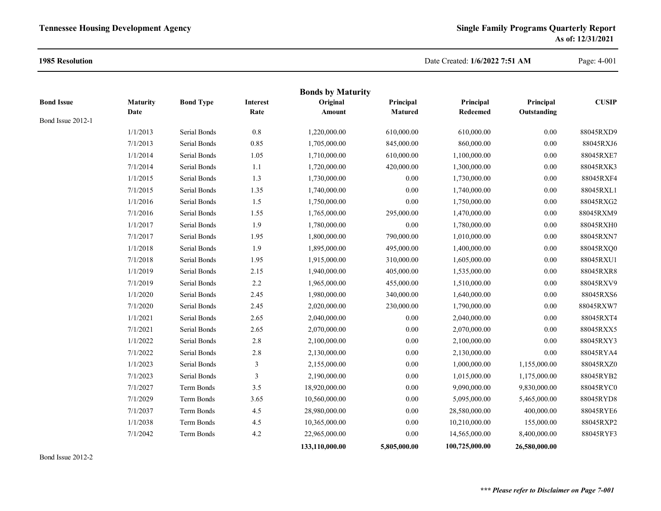#### **1985 Resolution**

#### Date Created: **1/6/2022 7:51 AM**

Page: 4-001

|                   |                 |                  |                 | <b>Bonds by Maturity</b> |                |                 |               |              |
|-------------------|-----------------|------------------|-----------------|--------------------------|----------------|-----------------|---------------|--------------|
| <b>Bond Issue</b> | <b>Maturity</b> | <b>Bond Type</b> | <b>Interest</b> | Original                 | Principal      | Principal       | Principal     | <b>CUSIP</b> |
| Bond Issue 2012-1 | Date            |                  | Rate            | Amount                   | <b>Matured</b> | <b>Redeemed</b> | Outstanding   |              |
|                   | 1/1/2013        | Serial Bonds     | $0.8\,$         | 1,220,000.00             | 610,000.00     | 610,000.00      | 0.00          | 88045RXD9    |
|                   | 7/1/2013        | Serial Bonds     | 0.85            | 1,705,000.00             | 845,000.00     | 860,000.00      | 0.00          | 88045RXJ6    |
|                   | 1/1/2014        | Serial Bonds     | 1.05            | 1,710,000.00             | 610,000.00     | 1,100,000.00    | 0.00          | 88045RXE7    |
|                   | 7/1/2014        | Serial Bonds     | 1.1             | 1,720,000.00             | 420,000.00     | 1,300,000.00    | 0.00          | 88045RXK3    |
|                   | 1/1/2015        | Serial Bonds     | 1.3             | 1,730,000.00             | 0.00           | 1,730,000.00    | 0.00          | 88045RXF4    |
|                   | 7/1/2015        | Serial Bonds     | 1.35            | 1,740,000.00             | 0.00           | 1,740,000.00    | 0.00          | 88045RXL1    |
|                   | 1/1/2016        | Serial Bonds     | 1.5             | 1,750,000.00             | 0.00           | 1,750,000.00    | 0.00          | 88045RXG2    |
|                   | 7/1/2016        | Serial Bonds     | 1.55            | 1,765,000.00             | 295,000.00     | 1,470,000.00    | $0.00\,$      | 88045RXM9    |
|                   | 1/1/2017        | Serial Bonds     | 1.9             | 1,780,000.00             | 0.00           | 1,780,000.00    | 0.00          | 88045RXH0    |
|                   | 7/1/2017        | Serial Bonds     | 1.95            | 1,800,000.00             | 790,000.00     | 1,010,000.00    | 0.00          | 88045RXN7    |
|                   | 1/1/2018        | Serial Bonds     | 1.9             | 1,895,000.00             | 495,000.00     | 1,400,000.00    | 0.00          | 88045RXQ0    |
|                   | 7/1/2018        | Serial Bonds     | 1.95            | 1,915,000.00             | 310,000.00     | 1,605,000.00    | $0.00\,$      | 88045RXU1    |
|                   | 1/1/2019        | Serial Bonds     | 2.15            | 1,940,000.00             | 405,000.00     | 1,535,000.00    | 0.00          | 88045RXR8    |
|                   | 7/1/2019        | Serial Bonds     | 2.2             | 1,965,000.00             | 455,000.00     | 1,510,000.00    | 0.00          | 88045RXV9    |
|                   | 1/1/2020        | Serial Bonds     | 2.45            | 1,980,000.00             | 340,000.00     | 1,640,000.00    | 0.00          | 88045RXS6    |
|                   | 7/1/2020        | Serial Bonds     | 2.45            | 2,020,000.00             | 230,000.00     | 1,790,000.00    | 0.00          | 88045RXW7    |
|                   | 1/1/2021        | Serial Bonds     | 2.65            | 2,040,000.00             | 0.00           | 2,040,000.00    | 0.00          | 88045RXT4    |
|                   | 7/1/2021        | Serial Bonds     | 2.65            | 2,070,000.00             | 0.00           | 2,070,000.00    | 0.00          | 88045RXX5    |
|                   | 1/1/2022        | Serial Bonds     | 2.8             | 2,100,000.00             | 0.00           | 2,100,000.00    | 0.00          | 88045RXY3    |
|                   | 7/1/2022        | Serial Bonds     | $2.8\,$         | 2,130,000.00             | 0.00           | 2,130,000.00    | 0.00          | 88045RYA4    |
|                   | 1/1/2023        | Serial Bonds     | $\mathfrak{Z}$  | 2,155,000.00             | 0.00           | 1,000,000.00    | 1,155,000.00  | 88045RXZ0    |
|                   | 7/1/2023        | Serial Bonds     | $\mathfrak{Z}$  | 2,190,000.00             | 0.00           | 1,015,000.00    | 1,175,000.00  | 88045RYB2    |
|                   | 7/1/2027        | Term Bonds       | 3.5             | 18,920,000.00            | 0.00           | 9,090,000.00    | 9,830,000.00  | 88045RYC0    |
|                   | 7/1/2029        | Term Bonds       | 3.65            | 10,560,000.00            | 0.00           | 5,095,000.00    | 5,465,000.00  | 88045RYD8    |
|                   | 7/1/2037        | Term Bonds       | 4.5             | 28,980,000.00            | 0.00           | 28,580,000.00   | 400,000.00    | 88045RYE6    |
|                   | 1/1/2038        | Term Bonds       | 4.5             | 10,365,000.00            | 0.00           | 10,210,000.00   | 155,000.00    | 88045RXP2    |
|                   | 7/1/2042        | Term Bonds       | $4.2\,$         | 22,965,000.00            | 0.00           | 14,565,000.00   | 8,400,000.00  | 88045RYF3    |
|                   |                 |                  |                 | 133,110,000.00           | 5,805,000.00   | 100,725,000.00  | 26,580,000.00 |              |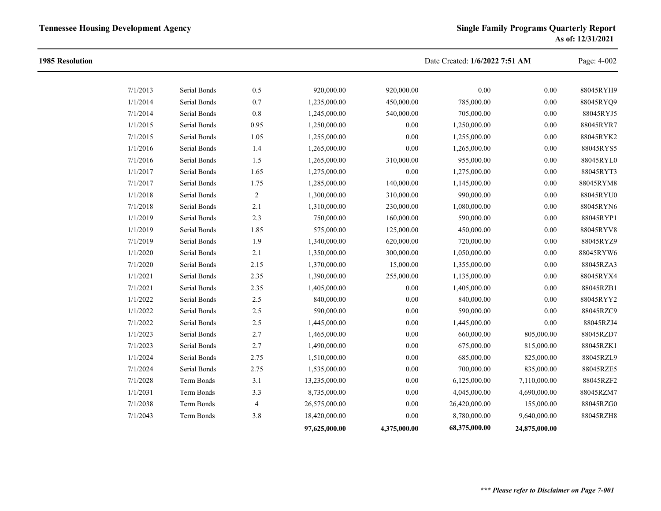| <b>1985 Resolution</b> |          |              |                |               |              | Date Created: 1/6/2022 7:51 AM |               | Page: 4-002 |
|------------------------|----------|--------------|----------------|---------------|--------------|--------------------------------|---------------|-------------|
|                        | 7/1/2013 | Serial Bonds | 0.5            | 920,000.00    | 920,000.00   | 0.00                           | 0.00          | 88045RYH9   |
|                        | 1/1/2014 | Serial Bonds | $0.7\,$        | 1,235,000.00  | 450,000.00   | 785,000.00                     | $0.00\,$      | 88045RYQ9   |
|                        | 7/1/2014 | Serial Bonds | $0.8\,$        | 1,245,000.00  | 540,000.00   | 705,000.00                     | 0.00          | 88045RYJ5   |
|                        | 1/1/2015 | Serial Bonds | 0.95           | 1,250,000.00  | 0.00         | 1,250,000.00                   | $0.00\,$      | 88045RYR7   |
|                        | 7/1/2015 | Serial Bonds | 1.05           | 1,255,000.00  | 0.00         | 1,255,000.00                   | $0.00\,$      | 88045RYK2   |
|                        | 1/1/2016 | Serial Bonds | 1.4            | 1,265,000.00  | 0.00         | 1,265,000.00                   | 0.00          | 88045RYS5   |
|                        | 7/1/2016 | Serial Bonds | 1.5            | 1,265,000.00  | 310,000.00   | 955,000.00                     | 0.00          | 88045RYL0   |
|                        | 1/1/2017 | Serial Bonds | 1.65           | 1,275,000.00  | 0.00         | 1,275,000.00                   | $0.00\,$      | 88045RYT3   |
|                        | 7/1/2017 | Serial Bonds | 1.75           | 1,285,000.00  | 140,000.00   | 1,145,000.00                   | 0.00          | 88045RYM8   |
|                        | 1/1/2018 | Serial Bonds | $\overline{c}$ | 1,300,000.00  | 310,000.00   | 990,000.00                     | 0.00          | 88045RYU0   |
|                        | 7/1/2018 | Serial Bonds | 2.1            | 1,310,000.00  | 230,000.00   | 1,080,000.00                   | $0.00\,$      | 88045RYN6   |
|                        | 1/1/2019 | Serial Bonds | 2.3            | 750,000.00    | 160,000.00   | 590,000.00                     | 0.00          | 88045RYP1   |
|                        | 1/1/2019 | Serial Bonds | 1.85           | 575,000.00    | 125,000.00   | 450,000.00                     | 0.00          | 88045RYV8   |
|                        | 7/1/2019 | Serial Bonds | 1.9            | 1,340,000.00  | 620,000.00   | 720,000.00                     | 0.00          | 88045RYZ9   |
|                        | 1/1/2020 | Serial Bonds | 2.1            | 1,350,000.00  | 300,000.00   | 1,050,000.00                   | 0.00          | 88045RYW6   |
|                        | 7/1/2020 | Serial Bonds | 2.15           | 1,370,000.00  | 15,000.00    | 1,355,000.00                   | 0.00          | 88045RZA3   |
|                        | 1/1/2021 | Serial Bonds | 2.35           | 1,390,000.00  | 255,000.00   | 1,135,000.00                   | $0.00\,$      | 88045RYX4   |
|                        | 7/1/2021 | Serial Bonds | 2.35           | 1,405,000.00  | 0.00         | 1,405,000.00                   | 0.00          | 88045RZB1   |
|                        | 1/1/2022 | Serial Bonds | 2.5            | 840,000.00    | 0.00         | 840,000.00                     | 0.00          | 88045RYY2   |
|                        | 1/1/2022 | Serial Bonds | $2.5\,$        | 590,000.00    | $0.00\,$     | 590,000.00                     | $0.00\,$      | 88045RZC9   |
|                        | 7/1/2022 | Serial Bonds | $2.5\,$        | 1,445,000.00  | 0.00         | 1,445,000.00                   | 0.00          | 88045RZJ4   |
|                        | 1/1/2023 | Serial Bonds | 2.7            | 1,465,000.00  | $0.00\,$     | 660,000.00                     | 805,000.00    | 88045RZD7   |
|                        | 7/1/2023 | Serial Bonds | 2.7            | 1,490,000.00  | 0.00         | 675,000.00                     | 815,000.00    | 88045RZK1   |
|                        | 1/1/2024 | Serial Bonds | 2.75           | 1,510,000.00  | 0.00         | 685,000.00                     | 825,000.00    | 88045RZL9   |
|                        | 7/1/2024 | Serial Bonds | 2.75           | 1,535,000.00  | 0.00         | 700,000.00                     | 835,000.00    | 88045RZE5   |
|                        | 7/1/2028 | Term Bonds   | 3.1            | 13,235,000.00 | $0.00\,$     | 6,125,000.00                   | 7,110,000.00  | 88045RZF2   |
|                        | 1/1/2031 | Term Bonds   | 3.3            | 8,735,000.00  | 0.00         | 4,045,000.00                   | 4,690,000.00  | 88045RZM7   |
|                        | 7/1/2038 | Term Bonds   | 4              | 26,575,000.00 | 0.00         | 26,420,000.00                  | 155,000.00    | 88045RZG0   |
|                        | 7/1/2043 | Term Bonds   | $3.8\,$        | 18,420,000.00 | 0.00         | 8,780,000.00                   | 9,640,000.00  | 88045RZH8   |
|                        |          |              |                | 97,625,000.00 | 4,375,000.00 | 68,375,000.00                  | 24,875,000.00 |             |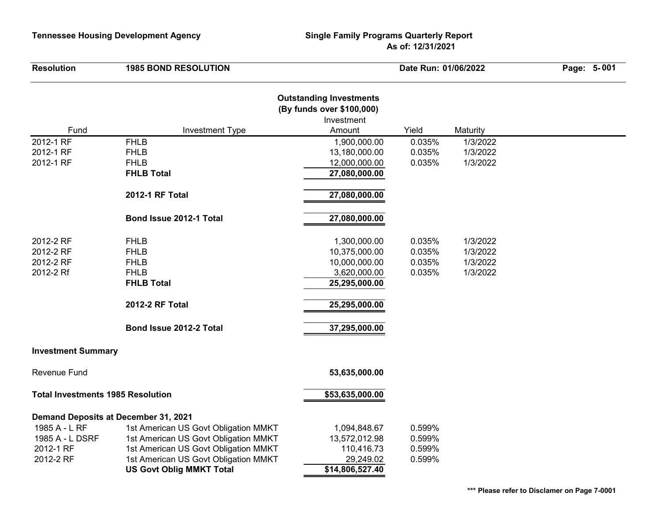| <b>Resolution</b>                        | <b>1985 BOND RESOLUTION</b>          |                                                                                     | Date Run: 01/06/2022 |          | Page: 5-001 |
|------------------------------------------|--------------------------------------|-------------------------------------------------------------------------------------|----------------------|----------|-------------|
| Fund                                     | <b>Investment Type</b>               | <b>Outstanding Investments</b><br>(By funds over \$100,000)<br>Investment<br>Amount | Yield                | Maturity |             |
| 2012-1 RF                                | <b>FHLB</b>                          | 1,900,000.00                                                                        | 0.035%               | 1/3/2022 |             |
| 2012-1 RF                                | <b>FHLB</b>                          | 13,180,000.00                                                                       | 0.035%               | 1/3/2022 |             |
| 2012-1 RF                                | <b>FHLB</b>                          | 12,000,000.00                                                                       | 0.035%               | 1/3/2022 |             |
|                                          | <b>FHLB Total</b>                    | 27,080,000.00                                                                       |                      |          |             |
|                                          | 2012-1 RF Total                      | 27,080,000.00                                                                       |                      |          |             |
|                                          | Bond Issue 2012-1 Total              | 27,080,000.00                                                                       |                      |          |             |
| 2012-2 RF                                | <b>FHLB</b>                          | 1,300,000.00                                                                        | 0.035%               | 1/3/2022 |             |
| 2012-2 RF                                | <b>FHLB</b>                          | 10,375,000.00                                                                       | 0.035%               | 1/3/2022 |             |
| 2012-2 RF                                | <b>FHLB</b>                          | 10,000,000.00                                                                       | 0.035%               | 1/3/2022 |             |
| 2012-2 Rf                                | <b>FHLB</b>                          | 3,620,000.00                                                                        | 0.035%               | 1/3/2022 |             |
|                                          | <b>FHLB Total</b>                    | 25,295,000.00                                                                       |                      |          |             |
|                                          | 2012-2 RF Total                      | 25,295,000.00                                                                       |                      |          |             |
|                                          | Bond Issue 2012-2 Total              | 37,295,000.00                                                                       |                      |          |             |
| <b>Investment Summary</b>                |                                      |                                                                                     |                      |          |             |
| <b>Revenue Fund</b>                      |                                      | 53,635,000.00                                                                       |                      |          |             |
| <b>Total Investments 1985 Resolution</b> |                                      | \$53,635,000.00                                                                     |                      |          |             |
|                                          | Demand Deposits at December 31, 2021 |                                                                                     |                      |          |             |
| 1985 A - L RF                            | 1st American US Govt Obligation MMKT | 1,094,848.67                                                                        | 0.599%               |          |             |
| 1985 A - L DSRF                          | 1st American US Govt Obligation MMKT | 13,572,012.98                                                                       | 0.599%               |          |             |
| 2012-1 RF                                | 1st American US Govt Obligation MMKT | 110,416.73                                                                          | 0.599%               |          |             |
| 2012-2 RF                                | 1st American US Govt Obligation MMKT | 29,249.02                                                                           | 0.599%               |          |             |
|                                          | <b>US Govt Oblig MMKT Total</b>      | \$14,806,527.40                                                                     |                      |          |             |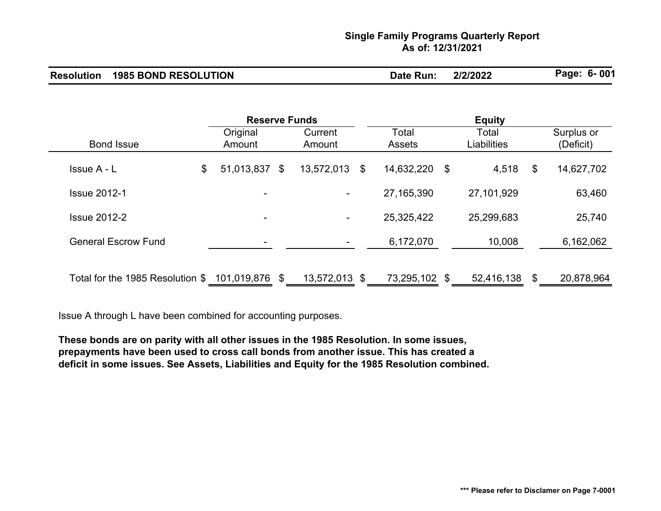### **Single Family Programs Quarterly Report As of: 12/31/2021**

| <b>Resolution 1985 BOND RESOLUTION</b> | Date Run: | 2/2/2022 | Page: 6-001 |
|----------------------------------------|-----------|----------|-------------|
|                                        |           |          |             |

|                                                 | <b>Reserve Funds</b> |                          | <b>Equity</b>     |                  |     |                      |    |                         |
|-------------------------------------------------|----------------------|--------------------------|-------------------|------------------|-----|----------------------|----|-------------------------|
| <b>Bond Issue</b>                               |                      | Original<br>Amount       | Current<br>Amount | Total<br>Assets  |     | Total<br>Liabilities |    | Surplus or<br>(Deficit) |
| Issue A - L                                     | \$                   | 51,013,837 \$            | 13,572,013        | \$<br>14,632,220 | -\$ | 4,518                | \$ | 14,627,702              |
| <b>Issue 2012-1</b>                             |                      | -                        | ۰                 | 27, 165, 390     |     | 27,101,929           |    | 63,460                  |
| <b>Issue 2012-2</b>                             |                      | $\overline{\phantom{0}}$ | ۰                 | 25,325,422       |     | 25,299,683           |    | 25,740                  |
| <b>General Escrow Fund</b>                      |                      | ۰                        | ۰                 | 6,172,070        |     | 10,008               |    | 6,162,062               |
| Total for the 1985 Resolution \$ 101,019,876 \$ |                      |                          | 13,572,013 \$     | 73,295,102 \$    |     | 52,416,138           | \$ | 20,878,964              |

Issue A through L have been combined for accounting purposes.

**These bonds are on parity with all other issues in the 1985 Resolution. In some issues, prepayments have been used to cross call bonds from another issue. This has created a deficit in some issues. See Assets, Liabilities and Equity for the 1985 Resolution combined.**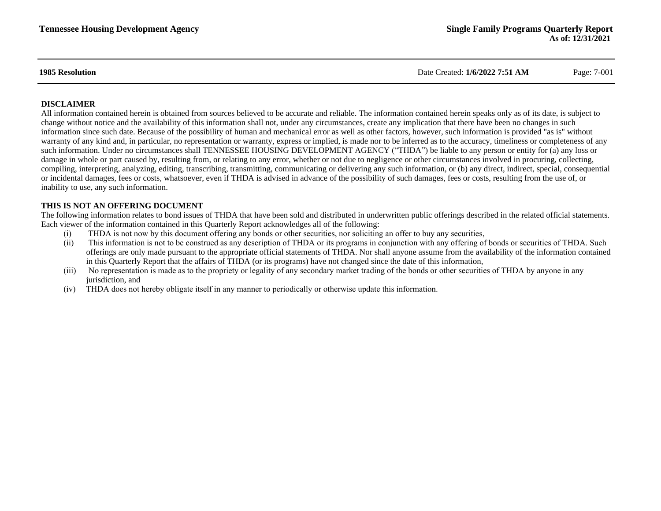**1985 Resolution** Date Created: **1/6/2022 7:51 AM** Page: 7-001

#### **DISCLAIMER**

All information contained herein is obtained from sources believed to be accurate and reliable. The information contained herein speaks only as of its date, is subject to change without notice and the availability of this information shall not, under any circumstances, create any implication that there have been no changes in such information since such date. Because of the possibility of human and mechanical error as well as other factors, however, such information is provided "as is" without warranty of any kind and, in particular, no representation or warranty, express or implied, is made nor to be inferred as to the accuracy, timeliness or completeness of any such information. Under no circumstances shall TENNESSEE HOUSING DEVELOPMENT AGENCY ("THDA") be liable to any person or entity for (a) any loss or damage in whole or part caused by, resulting from, or relating to any error, whether or not due to negligence or other circumstances involved in procuring, collecting, compiling, interpreting, analyzing, editing, transcribing, transmitting, communicating or delivering any such information, or (b) any direct, indirect, special, consequential or incidental damages, fees or costs, whatsoever, even if THDA is advised in advance of the possibility of such damages, fees or costs, resulting from the use of, or inability to use, any such information.

#### **THIS IS NOT AN OFFERING DOCUMENT**

The following information relates to bond issues of THDA that have been sold and distributed in underwritten public offerings described in the related official statements. Each viewer of the information contained in this Quarterly Report acknowledges all of the following:

- (i) THDA is not now by this document offering any bonds or other securities, nor soliciting an offer to buy any securities,
- (ii) This information is not to be construed as any description of THDA or its programs in conjunction with any offering of bonds or securities of THDA. Such offerings are only made pursuant to the appropriate official statements of THDA. Nor shall anyone assume from the availability of the information contained in this Quarterly Report that the affairs of THDA (or its programs) have not changed since the date of this information,
- (iii) No representation is made as to the propriety or legality of any secondary market trading of the bonds or other securities of THDA by anyone in any jurisdiction, and
- (iv) THDA does not hereby obligate itself in any manner to periodically or otherwise update this information.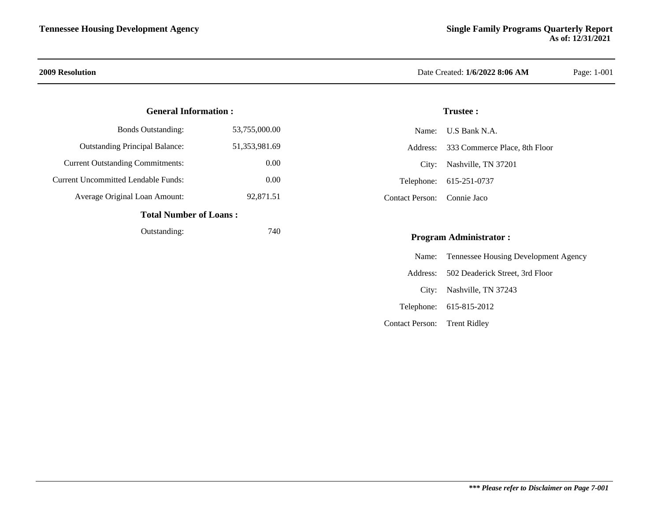#### **General Information :**

| <b>Total Number of Loans:</b>           |                  |  |  |  |
|-----------------------------------------|------------------|--|--|--|
| Average Original Loan Amount:           | 92,871.51        |  |  |  |
| Current Uncommitted Lendable Funds:     | 0.00             |  |  |  |
| <b>Current Outstanding Commitments:</b> | 0.00             |  |  |  |
| <b>Outstanding Principal Balance:</b>   | 51, 353, 981. 69 |  |  |  |
| <b>Bonds Outstanding:</b>               | 53,755,000.00    |  |  |  |

#### **Total Number of Loans :**

| Outstanding: | 740 |
|--------------|-----|
|              |     |

### **2009 Resolution** Date Created: **1/6/2022 8:06 AM** Page: 1-001

#### **Trustee :**

|                             | Name: U.S Bank N.A.                    |
|-----------------------------|----------------------------------------|
|                             | Address: 333 Commerce Place, 8th Floor |
|                             | City: Nashville, TN 37201              |
|                             | Telephone: 615-251-0737                |
| Contact Person: Connie Jaco |                                        |

#### **Program Administrator :**

|                              | Name: Tennessee Housing Development Agency |
|------------------------------|--------------------------------------------|
|                              | Address: 502 Deaderick Street, 3rd Floor   |
|                              | City: Nashville, TN 37243                  |
|                              | Telephone: 615-815-2012                    |
| Contact Person: Trent Ridley |                                            |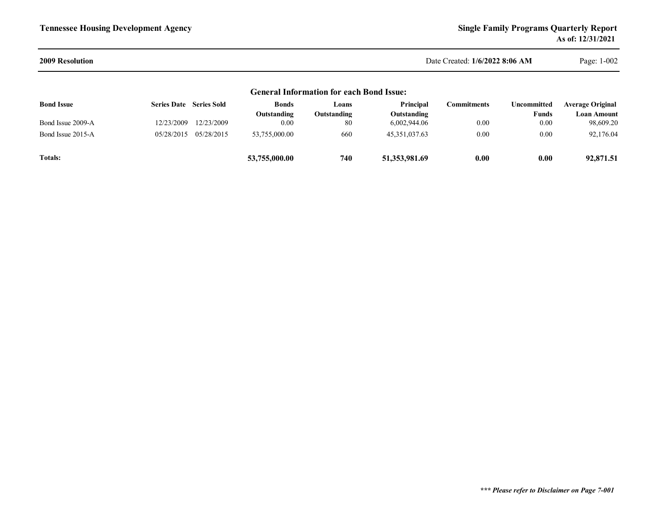#### **2009 Resolution**

 Date Created: **1/6/2022 8:06 AM**Page: 1-002

| <b>General Information for each Bond Issue:</b> |                                |            |                             |                      |                          |                     |                      |                                        |
|-------------------------------------------------|--------------------------------|------------|-----------------------------|----------------------|--------------------------|---------------------|----------------------|----------------------------------------|
| <b>Bond Issue</b>                               | <b>Series Date</b> Series Sold |            | <b>Bonds</b><br>Outstanding | Loans<br>Outstanding | Principal<br>Outstanding | C <b>ommitments</b> | Uncommitted<br>Funds | <b>Average Original</b><br>Loan Amount |
| Bond Issue 2009-A                               | 12/23/2009                     | 12/23/2009 | 0.00                        | 80                   | 6,002,944.06             | 0.00                | 0.00                 | 98,609.20                              |
| Bond Issue 2015-A                               | 05/28/2015                     | 05/28/2015 | 53,755,000.00               | 660                  | 45.351.037.63            | 0.00                | 0.00                 | 92,176.04                              |
| <b>Totals:</b>                                  |                                |            | 53,755,000.00               | 740                  | 51,353,981.69            | 0.00                | 0.00                 | 92,871.51                              |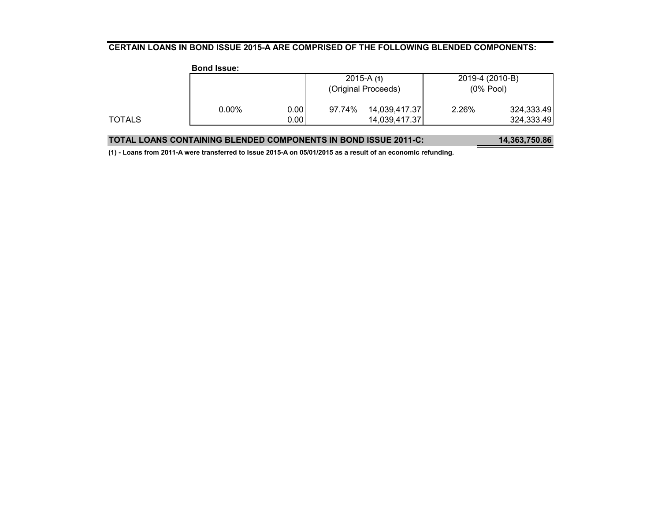#### **CERTAIN LOANS IN BOND ISSUE 2015-A ARE COMPRISED OF THE FOLLOWING BLENDED COMPONENTS:**

|        | <b>Bond Issue:</b> |      |                     |               |                 |            |
|--------|--------------------|------|---------------------|---------------|-----------------|------------|
|        |                    |      |                     | $2015-A(1)$   | 2019-4 (2010-B) |            |
|        |                    |      | (Original Proceeds) |               | $(0%$ Pool)     |            |
|        | $0.00\%$           | 0.00 | 97.74%              | 14,039,417.37 | 2.26%           | 324,333.49 |
| TOTALS |                    | 0.00 |                     | 14,039,417.37 |                 | 324,333.49 |
|        |                    |      |                     |               |                 |            |

| <b>TOTAL LOANS CONTAINING BLENDED COMPONENTS IN BOND ISSUE 2011-C:</b> | 14,363,750.86 |
|------------------------------------------------------------------------|---------------|
|------------------------------------------------------------------------|---------------|

**(1) - Loans from 2011-A were transferred to Issue 2015-A on 05/01/2015 as a result of an economic refunding.**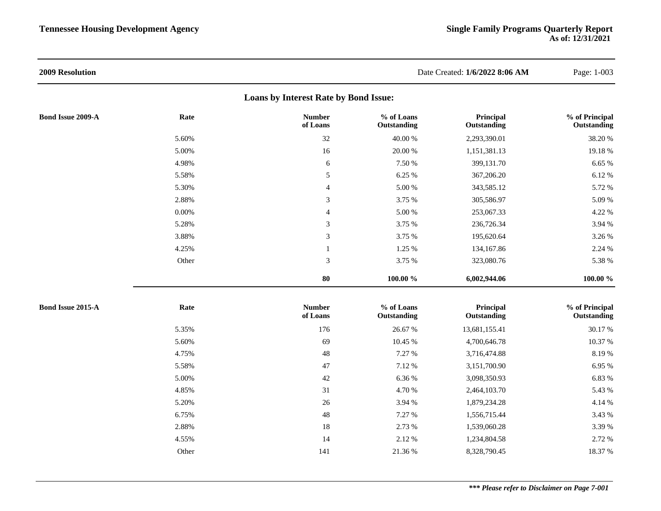| 2009 Resolution          |          |                                       |                           | Date Created: 1/6/2022 8:06 AM | Page: 1-003                   |
|--------------------------|----------|---------------------------------------|---------------------------|--------------------------------|-------------------------------|
|                          |          | Loans by Interest Rate by Bond Issue: |                           |                                |                               |
| <b>Bond Issue 2009-A</b> | Rate     | <b>Number</b><br>of Loans             | % of Loans<br>Outstanding | Principal<br>Outstanding       | % of Principal<br>Outstanding |
|                          | 5.60%    | 32                                    | 40.00 %                   | 2,293,390.01                   | 38.20%                        |
|                          | 5.00%    | 16                                    | $20.00~\%$                | 1,151,381.13                   | 19.18%                        |
|                          | 4.98%    | 6                                     | 7.50 %                    | 399,131.70                     | 6.65 %                        |
|                          | 5.58%    | $\sqrt{5}$                            | 6.25 %                    | 367,206.20                     | 6.12%                         |
|                          | 5.30%    | $\overline{4}$                        | $5.00\ \%$                | 343,585.12                     | 5.72 %                        |
|                          | 2.88%    | 3                                     | 3.75 %                    | 305,586.97                     | 5.09 %                        |
|                          | $0.00\%$ | $\overline{4}$                        | $5.00\ \%$                | 253,067.33                     | 4.22 %                        |
|                          | 5.28%    | $\mathfrak{Z}$                        | 3.75 %                    | 236,726.34                     | 3.94 %                        |
|                          | 3.88%    | $\mathfrak{Z}$                        | 3.75 %                    | 195,620.64                     | 3.26 %                        |
|                          | 4.25%    | $\mathbf{1}$                          | 1.25 %                    | 134,167.86                     | 2.24 %                        |
|                          | Other    | $\mathfrak{Z}$                        | 3.75 %                    | 323,080.76                     | 5.38 %                        |
|                          |          | 80                                    | 100.00 %                  | 6,002,944.06                   | 100.00 %                      |
| <b>Bond Issue 2015-A</b> | Rate     | <b>Number</b><br>of Loans             | % of Loans<br>Outstanding | Principal<br>Outstanding       | % of Principal<br>Outstanding |
|                          | 5.35%    | 176                                   | 26.67 %                   | 13,681,155.41                  | 30.17 %                       |
|                          | 5.60%    | 69                                    | 10.45 %                   | 4,700,646.78                   | 10.37 %                       |
|                          | 4.75%    | 48                                    | 7.27 %                    | 3,716,474.88                   | 8.19%                         |
|                          | 5.58%    | $47\,$                                | 7.12 %                    | 3,151,700.90                   | 6.95 %                        |
|                          | 5.00%    | $42\,$                                | 6.36 %                    | 3,098,350.93                   | 6.83 %                        |
|                          | 4.85%    | 31                                    | 4.70 %                    | 2,464,103.70                   | 5.43 %                        |
|                          | 5.20%    | 26                                    | 3.94 %                    | 1,879,234.28                   | 4.14 %                        |
|                          | 6.75%    | 48                                    | 7.27 %                    | 1,556,715.44                   | 3.43 %                        |
|                          | 2.88%    | 18                                    | 2.73 %                    | 1,539,060.28                   | 3.39 %                        |
|                          | 4.55%    | 14                                    | 2.12 %                    | 1,234,804.58                   | 2.72 %                        |
|                          | Other    | 141                                   | 21.36 %                   | 8,328,790.45                   | 18.37 %                       |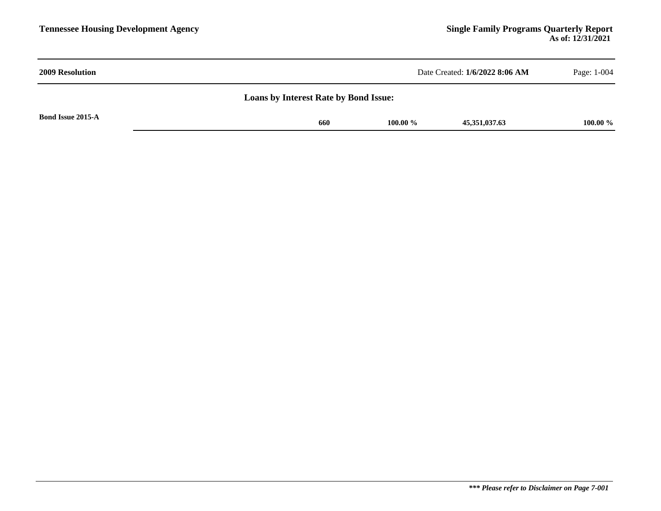| <b>2009 Resolution</b>                       | Date Created: 1/6/2022 8:06 AM      | Page: 1-004 |  |  |  |  |
|----------------------------------------------|-------------------------------------|-------------|--|--|--|--|
| <b>Loans by Interest Rate by Bond Issue:</b> |                                     |             |  |  |  |  |
| <b>Bond Issue 2015-A</b>                     | 100.00 $\%$<br>660<br>45,351,037.63 | 100.00 %    |  |  |  |  |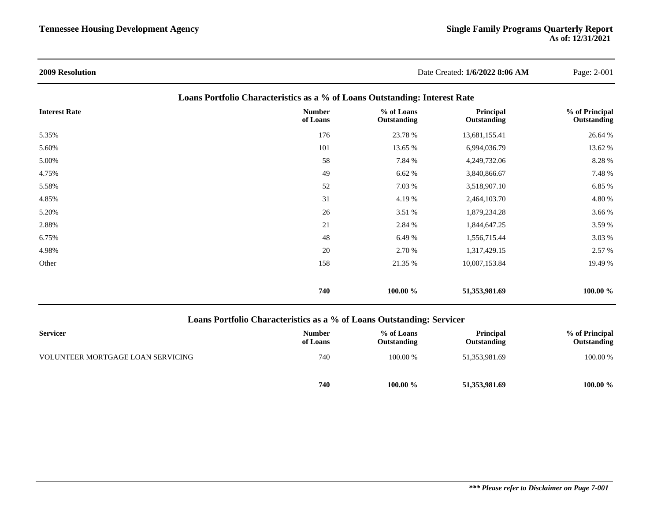| <b>2009 Resolution</b> |                                                                            | Date Created: 1/6/2022 8:06 AM |                          | Page: 2-001                   |
|------------------------|----------------------------------------------------------------------------|--------------------------------|--------------------------|-------------------------------|
|                        | Loans Portfolio Characteristics as a % of Loans Outstanding: Interest Rate |                                |                          |                               |
| <b>Interest Rate</b>   | <b>Number</b><br>of Loans                                                  | % of Loans<br>Outstanding      | Principal<br>Outstanding | % of Principal<br>Outstanding |
| 5.35%                  | 176                                                                        | 23.78 %                        | 13,681,155.41            | 26.64 %                       |
| 5.60%                  | 101                                                                        | 13.65 %                        | 6,994,036.79             | 13.62 %                       |
| 5.00%                  | 58                                                                         | 7.84 %                         | 4,249,732.06             | 8.28 %                        |
| 4.75%                  | 49                                                                         | 6.62 %                         | 3,840,866.67             | 7.48 %                        |
| 5.58%                  | 52                                                                         | 7.03 %                         | 3,518,907.10             | 6.85 %                        |
| 4.85%                  | 31                                                                         | 4.19%                          | 2,464,103.70             | 4.80 %                        |
| 5.20%                  | 26                                                                         | 3.51 %                         | 1,879,234.28             | 3.66 %                        |
| 2.88%                  | 21                                                                         | 2.84 %                         | 1,844,647.25             | 3.59 %                        |
| 6.75%                  | 48                                                                         | 6.49 %                         | 1,556,715.44             | 3.03 %                        |
| 4.98%                  | 20                                                                         | 2.70 %                         | 1,317,429.15             | 2.57 %                        |
| Other                  | 158                                                                        | 21.35 %                        | 10,007,153.84            | 19.49 %                       |
|                        | 740                                                                        | 100.00 %                       | 51,353,981.69            | 100.00 %                      |

### **Loans Portfolio Characteristics as a % of Loans Outstanding: Servicer**

| <b>Servicer</b>                   | <b>Number</b><br>of Loans | % of Loans<br>Outstanding | <b>Principal</b><br>Outstanding | % of Principal<br>Outstanding |
|-----------------------------------|---------------------------|---------------------------|---------------------------------|-------------------------------|
| VOLUNTEER MORTGAGE LOAN SERVICING | 740                       | 100.00 %                  | 51,353,981.69                   | 100.00 %                      |
|                                   | 740                       | 100.00 %                  | 51,353,981.69                   | $100.00 \%$                   |

#### *\*\*\* Please refer to Disclaimer on Page 7-001*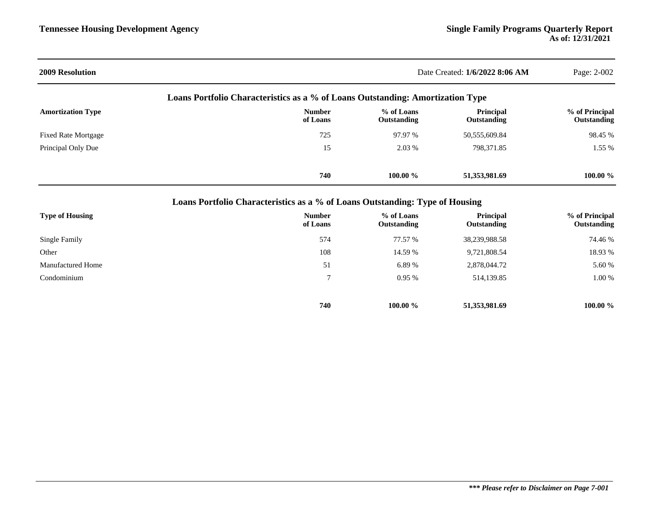| <b>2009 Resolution</b>                                                         |                                                                              | Date Created: 1/6/2022 8:06 AM |                          |                               |  |  |
|--------------------------------------------------------------------------------|------------------------------------------------------------------------------|--------------------------------|--------------------------|-------------------------------|--|--|
| Loans Portfolio Characteristics as a % of Loans Outstanding: Amortization Type |                                                                              |                                |                          |                               |  |  |
| <b>Amortization Type</b>                                                       | <b>Number</b><br>of Loans                                                    | % of Loans<br>Outstanding      | Principal<br>Outstanding | % of Principal<br>Outstanding |  |  |
| <b>Fixed Rate Mortgage</b>                                                     | 725                                                                          | 97.97 %                        | 50,555,609.84            | 98.45 %                       |  |  |
| Principal Only Due                                                             | 15                                                                           | 2.03 %                         | 798,371.85               | 1.55 %                        |  |  |
|                                                                                | 740                                                                          | $100.00 \%$                    | 51,353,981.69            | 100.00 %                      |  |  |
|                                                                                | Loans Portfolio Characteristics as a % of Loans Outstanding: Type of Housing |                                |                          |                               |  |  |
|                                                                                |                                                                              |                                |                          |                               |  |  |

| <b>Type of Housing</b>   | <b>Number</b><br>of Loans | % of Loans<br>Outstanding | <b>Principal</b><br>Outstanding | % of Principal<br>Outstanding |
|--------------------------|---------------------------|---------------------------|---------------------------------|-------------------------------|
| Single Family            | 574                       | 77.57 %                   | 38,239,988.58                   | 74.46 %                       |
| Other                    | 108                       | 14.59 %                   | 9,721,808.54                    | 18.93 %                       |
| <b>Manufactured Home</b> | 51                        | 6.89%                     | 2,878,044.72                    | 5.60 %                        |
| Condominium              |                           | 0.95%                     | 514,139.85                      | 1.00 %                        |
|                          | 740                       | $100.00 \%$               | 51,353,981.69                   | $100.00 \%$                   |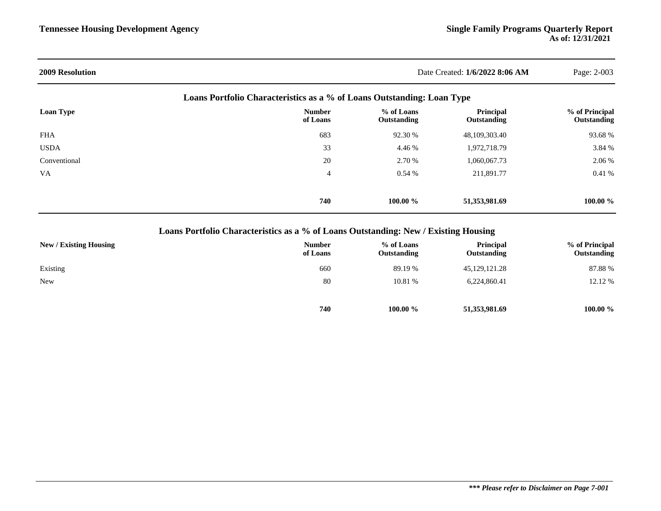|                           |                           |                          | Page: 2-003                                                                                              |
|---------------------------|---------------------------|--------------------------|----------------------------------------------------------------------------------------------------------|
|                           |                           |                          |                                                                                                          |
| <b>Number</b><br>of Loans | % of Loans<br>Outstanding | Principal<br>Outstanding | % of Principal<br>Outstanding                                                                            |
| 683                       | 92.30 %                   | 48,109,303.40            | 93.68%                                                                                                   |
| 33                        | 4.46 %                    | 1,972,718.79             | 3.84 %                                                                                                   |
| 20                        | 2.70 %                    | 1,060,067.73             | 2.06 %                                                                                                   |
| 4                         | 0.54%                     | 211,891.77               | 0.41%                                                                                                    |
| 740                       | 100.00 $\%$               | 51,353,981.69            | 100.00 $\%$                                                                                              |
|                           |                           |                          | Date Created: 1/6/2022 8:06 AM<br>Loans Portfolio Characteristics as a % of Loans Outstanding: Loan Type |

### **Loans Portfolio Characteristics as a % of Loans Outstanding: New / Existing Housing**

| <b>New / Existing Housing</b> | <b>Number</b><br>of Loans | % of Loans<br>Outstanding | <b>Principal</b><br>Outstanding | % of Principal<br>Outstanding |
|-------------------------------|---------------------------|---------------------------|---------------------------------|-------------------------------|
| Existing                      | 660                       | 89.19 %                   | 45, 129, 121. 28                | 87.88%                        |
| <b>New</b>                    | 80                        | 10.81 %                   | 6,224,860.41                    | 12.12 %                       |
|                               |                           |                           |                                 |                               |
|                               | 740                       | 100.00 %                  | 51,353,981.69                   | 100.00 %                      |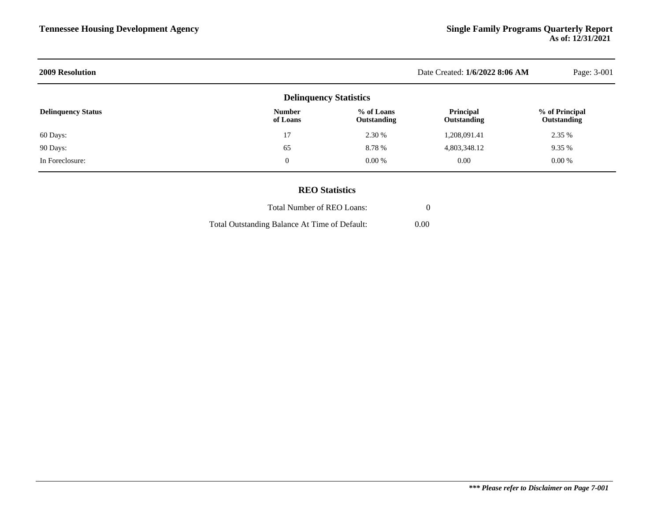| <b>2009 Resolution</b>    | Date Created: 1/6/2022 8:06 AM | Page: 3-001                      |                          |                               |
|---------------------------|--------------------------------|----------------------------------|--------------------------|-------------------------------|
|                           | <b>Delinquency Statistics</b>  |                                  |                          |                               |
| <b>Delinquency Status</b> | <b>Number</b><br>of Loans      | % of Loans<br><b>Outstanding</b> | Principal<br>Outstanding | % of Principal<br>Outstanding |
| 60 Days:                  | 17                             | 2.30 %                           | 1,208,091.41             | 2.35 %                        |
| 90 Days:                  | 65                             | 8.78%                            | 4,803,348.12             | 9.35 %                        |
| In Foreclosure:           | $\mathbf{0}$                   | 0.00 %                           | 0.00                     | $0.00\%$                      |
|                           |                                |                                  |                          |                               |

### **REO Statistics**

| Total Number of REO Loans:                    |      |  |
|-----------------------------------------------|------|--|
| Total Outstanding Balance At Time of Default: | 0.00 |  |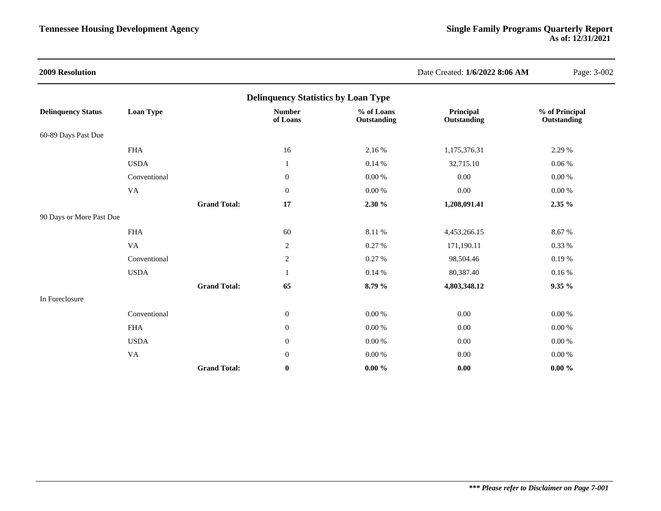| <b>2009 Resolution</b>                     |                  |                     |                           |                           | Date Created: 1/6/2022 8:06 AM  | Page: 3-002                   |  |  |  |  |
|--------------------------------------------|------------------|---------------------|---------------------------|---------------------------|---------------------------------|-------------------------------|--|--|--|--|
| <b>Delinquency Statistics by Loan Type</b> |                  |                     |                           |                           |                                 |                               |  |  |  |  |
| <b>Delinquency Status</b>                  | <b>Loan Type</b> |                     | <b>Number</b><br>of Loans | % of Loans<br>Outstanding | Principal<br><b>Outstanding</b> | % of Principal<br>Outstanding |  |  |  |  |
| 60-89 Days Past Due                        |                  |                     |                           |                           |                                 |                               |  |  |  |  |
|                                            | <b>FHA</b>       |                     | $16\,$                    | 2.16 %                    | 1,175,376.31                    | 2.29 %                        |  |  |  |  |
|                                            | <b>USDA</b>      |                     | 1                         | 0.14%                     | 32,715.10                       | 0.06%                         |  |  |  |  |
|                                            | Conventional     |                     | $\boldsymbol{0}$          | $0.00\ \%$                | $0.00\,$                        | $0.00\ \%$                    |  |  |  |  |
|                                            | VA               |                     | $\boldsymbol{0}$          | $0.00\ \%$                | $0.00\,$                        | $0.00\ \%$                    |  |  |  |  |
|                                            |                  | <b>Grand Total:</b> | 17                        | 2.30 %                    | 1,208,091.41                    | $2.35\%$                      |  |  |  |  |
| 90 Days or More Past Due                   |                  |                     |                           |                           |                                 |                               |  |  |  |  |
|                                            | <b>FHA</b>       |                     | 60                        | 8.11 %                    | 4,453,266.15                    | 8.67%                         |  |  |  |  |
|                                            | VA               |                     | $\sqrt{2}$                | 0.27 %                    | 171,190.11                      | 0.33 %                        |  |  |  |  |
|                                            | Conventional     |                     | $\sqrt{2}$                | 0.27 %                    | 98,504.46                       | 0.19%                         |  |  |  |  |
|                                            | <b>USDA</b>      |                     | 1                         | 0.14%                     | 80,387.40                       | 0.16%                         |  |  |  |  |
|                                            |                  | <b>Grand Total:</b> | 65                        | 8.79 %                    | 4,803,348.12                    | 9.35%                         |  |  |  |  |
| In Foreclosure                             |                  |                     |                           |                           |                                 |                               |  |  |  |  |
|                                            | Conventional     |                     | $\boldsymbol{0}$          | 0.00 %                    | 0.00                            | 0.00 %                        |  |  |  |  |
|                                            | <b>FHA</b>       |                     | $\boldsymbol{0}$          | 0.00 %                    | 0.00                            | 0.00 %                        |  |  |  |  |
|                                            | <b>USDA</b>      |                     | $\mathbf{0}$              | 0.00 %                    | 0.00                            | $0.00\ \%$                    |  |  |  |  |
|                                            | VA               |                     | $\mathbf{0}$              | $0.00\ \%$                | $0.00\,$                        | $0.00\ \%$                    |  |  |  |  |
|                                            |                  | <b>Grand Total:</b> | $\bf{0}$                  | $0.00 \%$                 | 0.00                            | $0.00 \%$                     |  |  |  |  |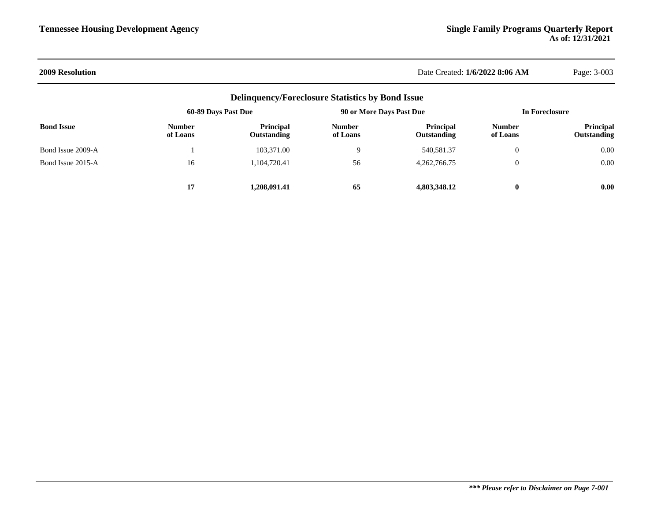#### **2009 Resolution** Date Created: **1/6/2022 8:06 AM** Page: 3-003

| <b>Delinquency/Foreclosure Statistics by Bond Issue</b> |                           |                                        |                           |                                 |                           |                                 |  |  |  |
|---------------------------------------------------------|---------------------------|----------------------------------------|---------------------------|---------------------------------|---------------------------|---------------------------------|--|--|--|
|                                                         | 60-89 Days Past Due       |                                        | 90 or More Days Past Due  |                                 |                           | In Foreclosure                  |  |  |  |
| <b>Bond Issue</b>                                       | <b>Number</b><br>of Loans | <b>Principal</b><br><b>Outstanding</b> | <b>Number</b><br>of Loans | Principal<br><b>Outstanding</b> | <b>Number</b><br>of Loans | <b>Principal</b><br>Outstanding |  |  |  |
| Bond Issue 2009-A                                       |                           | 103,371.00                             |                           | 540,581.37                      | $\theta$                  | 0.00                            |  |  |  |
| Bond Issue 2015-A                                       | 16                        | 1.104.720.41                           | 56                        | 4,262,766.75                    | $\overline{0}$            | 0.00                            |  |  |  |
|                                                         | 17                        | 1.208.091.41                           | 65                        | 4,803,348.12                    | $\bf{0}$                  | 0.00                            |  |  |  |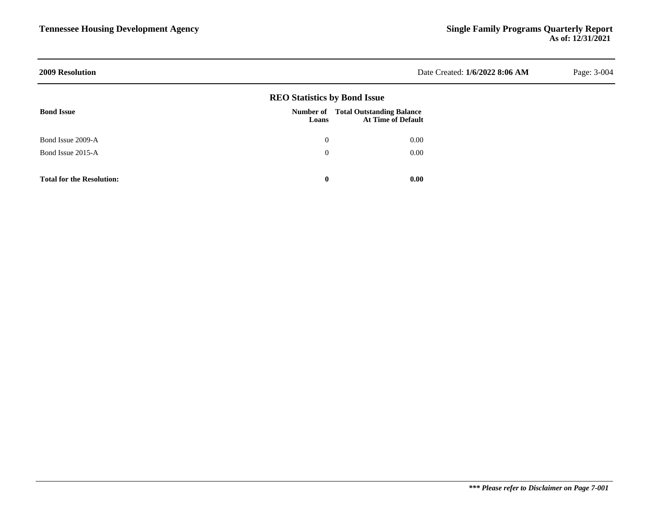| <b>2009 Resolution</b>           |                                     |                                                               | Date Created: 1/6/2022 8:06 AM | Page: 3-004 |
|----------------------------------|-------------------------------------|---------------------------------------------------------------|--------------------------------|-------------|
|                                  | <b>REO Statistics by Bond Issue</b> |                                                               |                                |             |
| <b>Bond Issue</b>                | Number of<br>Loans                  | <b>Total Outstanding Balance</b><br><b>At Time of Default</b> |                                |             |
| Bond Issue 2009-A                | $\mathbf{0}$                        | 0.00                                                          |                                |             |
| Bond Issue 2015-A                | $\theta$                            | 0.00                                                          |                                |             |
| <b>Total for the Resolution:</b> | $\bf{0}$                            | 0.00                                                          |                                |             |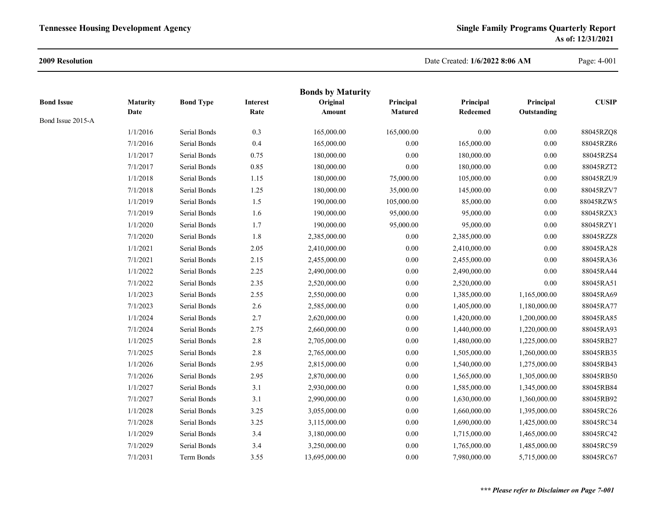#### **2009 Resolution**

### Date Created: **1/6/2022 8:06 AM**

Page: 4-001

|                   |                 |                  |                 | <b>Bonds by Maturity</b> |            |              |              |              |
|-------------------|-----------------|------------------|-----------------|--------------------------|------------|--------------|--------------|--------------|
| <b>Bond Issue</b> | <b>Maturity</b> | <b>Bond Type</b> | <b>Interest</b> | Original                 | Principal  | Principal    | Principal    | <b>CUSIP</b> |
| Bond Issue 2015-A | Date            |                  | Rate            | Amount                   | Matured    | Redeemed     | Outstanding  |              |
|                   | 1/1/2016        | Serial Bonds     | 0.3             | 165,000.00               | 165,000.00 | 0.00         | $0.00\,$     | 88045RZQ8    |
|                   | 7/1/2016        | Serial Bonds     | 0.4             | 165,000.00               | $0.00\,$   | 165,000.00   | $0.00\,$     | 88045RZR6    |
|                   | 1/1/2017        | Serial Bonds     | 0.75            | 180,000.00               | $0.00\,$   | 180,000.00   | 0.00         | 88045RZS4    |
|                   | 7/1/2017        | Serial Bonds     | 0.85            | 180,000.00               | $0.00\,$   | 180,000.00   | 0.00         | 88045RZT2    |
|                   | 1/1/2018        | Serial Bonds     | 1.15            | 180,000.00               | 75,000.00  | 105,000.00   | $0.00\,$     | 88045RZU9    |
|                   | 7/1/2018        | Serial Bonds     | 1.25            | 180,000.00               | 35,000.00  | 145,000.00   | $0.00\,$     | 88045RZV7    |
|                   | 1/1/2019        | Serial Bonds     | 1.5             | 190,000.00               | 105,000.00 | 85,000.00    | $0.00\,$     | 88045RZW5    |
|                   | 7/1/2019        | Serial Bonds     | 1.6             | 190,000.00               | 95,000.00  | 95,000.00    | 0.00         | 88045RZX3    |
|                   | 1/1/2020        | Serial Bonds     | 1.7             | 190,000.00               | 95,000.00  | 95,000.00    | $0.00\,$     | 88045RZY1    |
|                   | 7/1/2020        | Serial Bonds     | 1.8             | 2,385,000.00             | $0.00\,$   | 2,385,000.00 | 0.00         | 88045RZZ8    |
|                   | 1/1/2021        | Serial Bonds     | 2.05            | 2,410,000.00             | $0.00\,$   | 2,410,000.00 | 0.00         | 88045RA28    |
|                   | 7/1/2021        | Serial Bonds     | 2.15            | 2,455,000.00             | $0.00\,$   | 2,455,000.00 | $0.00\,$     | 88045RA36    |
|                   | 1/1/2022        | Serial Bonds     | 2.25            | 2,490,000.00             | $0.00\,$   | 2,490,000.00 | 0.00         | 88045RA44    |
|                   | 7/1/2022        | Serial Bonds     | 2.35            | 2,520,000.00             | $0.00\,$   | 2,520,000.00 | 0.00         | 88045RA51    |
|                   | 1/1/2023        | Serial Bonds     | 2.55            | 2,550,000.00             | $0.00\,$   | 1,385,000.00 | 1,165,000.00 | 88045RA69    |
|                   | 7/1/2023        | Serial Bonds     | $2.6\,$         | 2,585,000.00             | $0.00\,$   | 1,405,000.00 | 1,180,000.00 | 88045RA77    |
|                   | 1/1/2024        | Serial Bonds     | 2.7             | 2,620,000.00             | $0.00\,$   | 1,420,000.00 | 1,200,000.00 | 88045RA85    |
|                   | 7/1/2024        | Serial Bonds     | 2.75            | 2,660,000.00             | $0.00\,$   | 1,440,000.00 | 1,220,000.00 | 88045RA93    |
|                   | 1/1/2025        | Serial Bonds     | $2.8\,$         | 2,705,000.00             | $0.00\,$   | 1,480,000.00 | 1,225,000.00 | 88045RB27    |
|                   | 7/1/2025        | Serial Bonds     | $2.8\,$         | 2,765,000.00             | $0.00\,$   | 1,505,000.00 | 1,260,000.00 | 88045RB35    |
|                   | 1/1/2026        | Serial Bonds     | 2.95            | 2,815,000.00             | $0.00\,$   | 1,540,000.00 | 1,275,000.00 | 88045RB43    |
|                   | 7/1/2026        | Serial Bonds     | 2.95            | 2,870,000.00             | $0.00\,$   | 1,565,000.00 | 1,305,000.00 | 88045RB50    |
|                   | 1/1/2027        | Serial Bonds     | 3.1             | 2,930,000.00             | $0.00\,$   | 1,585,000.00 | 1,345,000.00 | 88045RB84    |
|                   | 7/1/2027        | Serial Bonds     | 3.1             | 2,990,000.00             | $0.00\,$   | 1,630,000.00 | 1,360,000.00 | 88045RB92    |
|                   | 1/1/2028        | Serial Bonds     | 3.25            | 3,055,000.00             | $0.00\,$   | 1,660,000.00 | 1,395,000.00 | 88045RC26    |
|                   | 7/1/2028        | Serial Bonds     | 3.25            | 3,115,000.00             | $0.00\,$   | 1,690,000.00 | 1,425,000.00 | 88045RC34    |
|                   | 1/1/2029        | Serial Bonds     | 3.4             | 3,180,000.00             | $0.00\,$   | 1,715,000.00 | 1,465,000.00 | 88045RC42    |
|                   | 7/1/2029        | Serial Bonds     | 3.4             | 3,250,000.00             | 0.00       | 1,765,000.00 | 1,485,000.00 | 88045RC59    |
|                   | 7/1/2031        | Term Bonds       | 3.55            | 13,695,000.00            | 0.00       | 7,980,000.00 | 5,715,000.00 | 88045RC67    |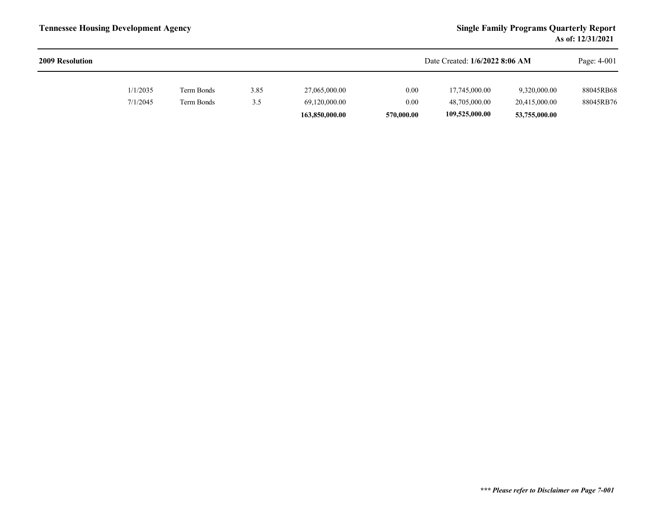| <b>2009 Resolution</b> |          |            |      |                |            | Date Created: 1/6/2022 8:06 AM |               | Page: 4-001 |
|------------------------|----------|------------|------|----------------|------------|--------------------------------|---------------|-------------|
|                        | 1/1/2035 | Term Bonds | 3.85 | 27,065,000.00  | 0.00       | 17,745,000.00                  | 9,320,000.00  | 88045RB68   |
|                        | 7/1/2045 | Term Bonds | 3.5  | 69,120,000.00  | 0.00       | 48,705,000.00                  | 20,415,000.00 | 88045RB76   |
|                        |          |            |      | 163,850,000.00 | 570,000.00 | 109,525,000.00                 | 53,755,000.00 |             |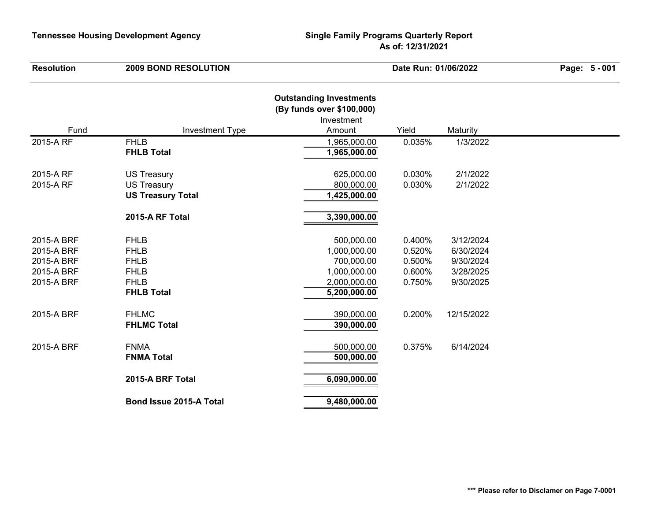| <b>Resolution</b>                                                  | <b>2009 BOND RESOLUTION</b>                                                                  |                                                                                          | Date Run: 01/06/2022                           |                                                               |  |
|--------------------------------------------------------------------|----------------------------------------------------------------------------------------------|------------------------------------------------------------------------------------------|------------------------------------------------|---------------------------------------------------------------|--|
| Fund                                                               |                                                                                              | <b>Outstanding Investments</b><br>(By funds over \$100,000)<br>Investment<br>Amount      | Yield                                          |                                                               |  |
|                                                                    | <b>Investment Type</b><br><b>FHLB</b>                                                        |                                                                                          |                                                | Maturity                                                      |  |
| 2015-A RF                                                          | <b>FHLB Total</b>                                                                            | 1,965,000.00<br>1,965,000.00                                                             | 0.035%                                         | 1/3/2022                                                      |  |
| 2015-A RF<br>2015-A RF                                             | <b>US Treasury</b><br><b>US Treasury</b><br><b>US Treasury Total</b>                         | 625,000.00<br>800,000.00<br>1,425,000.00                                                 | 0.030%<br>0.030%                               | 2/1/2022<br>2/1/2022                                          |  |
|                                                                    | 2015-A RF Total                                                                              | 3,390,000.00                                                                             |                                                |                                                               |  |
| 2015-A BRF<br>2015-A BRF<br>2015-A BRF<br>2015-A BRF<br>2015-A BRF | <b>FHLB</b><br><b>FHLB</b><br><b>FHLB</b><br><b>FHLB</b><br><b>FHLB</b><br><b>FHLB Total</b> | 500,000.00<br>1,000,000.00<br>700,000.00<br>1,000,000.00<br>2,000,000.00<br>5,200,000.00 | 0.400%<br>0.520%<br>0.500%<br>0.600%<br>0.750% | 3/12/2024<br>6/30/2024<br>9/30/2024<br>3/28/2025<br>9/30/2025 |  |
| 2015-A BRF                                                         | <b>FHLMC</b><br><b>FHLMC Total</b>                                                           | 390,000.00<br>390,000.00                                                                 | 0.200%                                         | 12/15/2022                                                    |  |
| 2015-A BRF                                                         | <b>FNMA</b><br><b>FNMA Total</b>                                                             | 500,000.00<br>500,000.00                                                                 | 0.375%                                         | 6/14/2024                                                     |  |
|                                                                    | 2015-A BRF Total                                                                             | 6,090,000.00                                                                             |                                                |                                                               |  |
|                                                                    | Bond Issue 2015-A Total                                                                      | 9,480,000.00                                                                             |                                                |                                                               |  |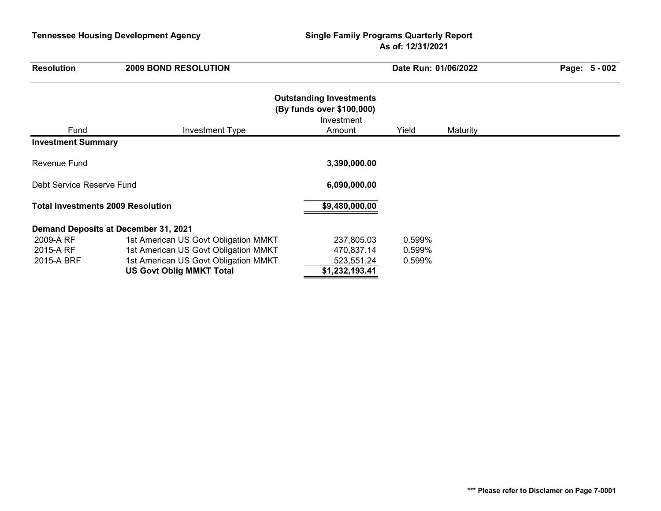| <b>Resolution</b>                        | <b>2009 BOND RESOLUTION</b>          |                                                                                     | Date Run: 01/06/2022 |          | Page: 5 - 002 |
|------------------------------------------|--------------------------------------|-------------------------------------------------------------------------------------|----------------------|----------|---------------|
| Fund                                     | Investment Type                      | <b>Outstanding Investments</b><br>(By funds over \$100,000)<br>Investment<br>Amount | Yield                | Maturity |               |
| <b>Investment Summary</b>                |                                      |                                                                                     |                      |          |               |
| <b>Revenue Fund</b>                      |                                      | 3,390,000.00                                                                        |                      |          |               |
| Debt Service Reserve Fund                |                                      | 6,090,000.00                                                                        |                      |          |               |
| <b>Total Investments 2009 Resolution</b> |                                      | \$9,480,000.00                                                                      |                      |          |               |
|                                          | Demand Deposits at December 31, 2021 |                                                                                     |                      |          |               |
| 2009-A RF                                | 1st American US Govt Obligation MMKT | 237,805.03                                                                          | 0.599%               |          |               |
| 2015-A RF                                | 1st American US Govt Obligation MMKT | 470,837.14                                                                          | 0.599%               |          |               |
| 2015-A BRF                               | 1st American US Govt Obligation MMKT | 523,551.24                                                                          | 0.599%               |          |               |
|                                          | <b>US Govt Oblig MMKT Total</b>      | \$1,232,193.41                                                                      |                      |          |               |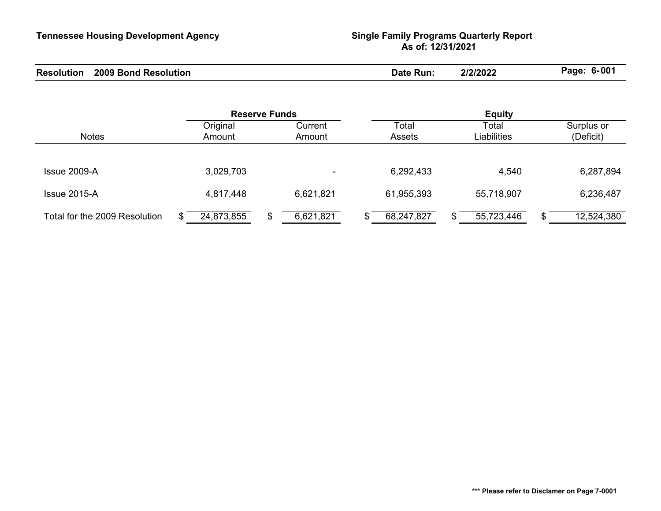| <b>Resolution</b><br>2009<br><b>Bond</b><br>Resolution | Kun.<br>Jat | רחרורור<br>BUZZ | $o-00''$<br>Page |
|--------------------------------------------------------|-------------|-----------------|------------------|
|--------------------------------------------------------|-------------|-----------------|------------------|

|                               |                 | <b>Reserve Funds</b> |               | <b>Equity</b> |                  |
|-------------------------------|-----------------|----------------------|---------------|---------------|------------------|
|                               | Original        | Current              | Total         | Total         | Surplus or       |
| <b>Notes</b>                  | Amount          | Amount               | <b>Assets</b> | Liabilities   | (Deficit)        |
|                               |                 |                      |               |               |                  |
| Issue 2009-A                  | 3,029,703       | $\sim$               | 6,292,433     | 4,540         | 6,287,894        |
| $Is sue 2015-A$               | 4,817,448       | 6,621,821            | 61,955,393    | 55,718,907    | 6,236,487        |
| Total for the 2009 Resolution | 24,873,855<br>S | 6,621,821            | 68,247,827    | 55,723,446    | 12,524,380<br>\$ |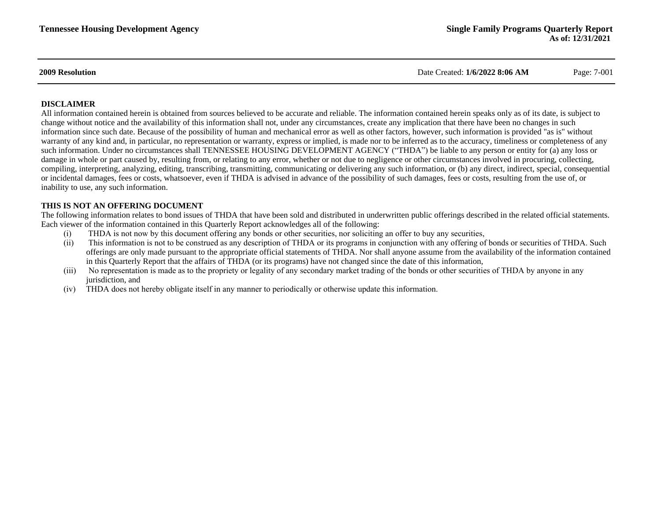**2009 Resolution** Date Created: **1/6/2022 8:06 AM** Page: 7-001

#### **DISCLAIMER**

All information contained herein is obtained from sources believed to be accurate and reliable. The information contained herein speaks only as of its date, is subject to change without notice and the availability of this information shall not, under any circumstances, create any implication that there have been no changes in such information since such date. Because of the possibility of human and mechanical error as well as other factors, however, such information is provided "as is" without warranty of any kind and, in particular, no representation or warranty, express or implied, is made nor to be inferred as to the accuracy, timeliness or completeness of any such information. Under no circumstances shall TENNESSEE HOUSING DEVELOPMENT AGENCY ("THDA") be liable to any person or entity for (a) any loss or damage in whole or part caused by, resulting from, or relating to any error, whether or not due to negligence or other circumstances involved in procuring, collecting, compiling, interpreting, analyzing, editing, transcribing, transmitting, communicating or delivering any such information, or (b) any direct, indirect, special, consequential or incidental damages, fees or costs, whatsoever, even if THDA is advised in advance of the possibility of such damages, fees or costs, resulting from the use of, or inability to use, any such information.

#### **THIS IS NOT AN OFFERING DOCUMENT**

The following information relates to bond issues of THDA that have been sold and distributed in underwritten public offerings described in the related official statements. Each viewer of the information contained in this Quarterly Report acknowledges all of the following:

- (i) THDA is not now by this document offering any bonds or other securities, nor soliciting an offer to buy any securities,
- (ii) This information is not to be construed as any description of THDA or its programs in conjunction with any offering of bonds or securities of THDA. Such offerings are only made pursuant to the appropriate official statements of THDA. Nor shall anyone assume from the availability of the information contained in this Quarterly Report that the affairs of THDA (or its programs) have not changed since the date of this information,
- (iii) No representation is made as to the propriety or legality of any secondary market trading of the bonds or other securities of THDA by anyone in any jurisdiction, and
- (iv) THDA does not hereby obligate itself in any manner to periodically or otherwise update this information.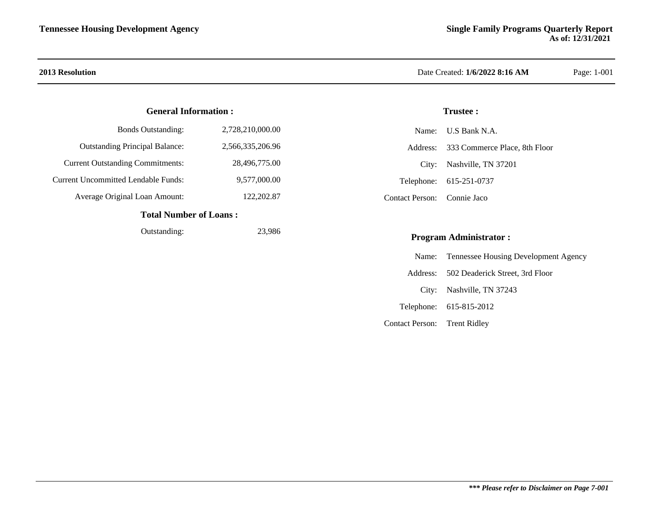#### **General Information :**

| Total Number of Loope.                     |                  |  |  |  |  |  |
|--------------------------------------------|------------------|--|--|--|--|--|
| Average Original Loan Amount:              | 122,202.87       |  |  |  |  |  |
| <b>Current Uncommitted Lendable Funds:</b> | 9,577,000.00     |  |  |  |  |  |
| <b>Current Outstanding Commitments:</b>    | 28,496,775.00    |  |  |  |  |  |
| <b>Outstanding Principal Balance:</b>      | 2,566,335,206.96 |  |  |  |  |  |
| <b>Bonds Outstanding:</b>                  | 2,728,210,000.00 |  |  |  |  |  |

#### **Total Number of Loans :**

Outstanding: 23,986

#### **2013 Resolution** Date Created: **1/6/2022 8:16 AM** Page: 1-001

#### **Trustee :**

|                             | Name: U.S Bank N.A.                    |
|-----------------------------|----------------------------------------|
|                             | Address: 333 Commerce Place, 8th Floor |
|                             | City: Nashville, TN 37201              |
|                             | Telephone: 615-251-0737                |
| Contact Person: Connie Jaco |                                        |

#### **Program Administrator :**

|                              | Name: Tennessee Housing Development Agency |
|------------------------------|--------------------------------------------|
|                              | Address: 502 Deaderick Street, 3rd Floor   |
|                              | City: Nashville, TN 37243                  |
|                              | Telephone: 615-815-2012                    |
| Contact Person: Trent Ridley |                                            |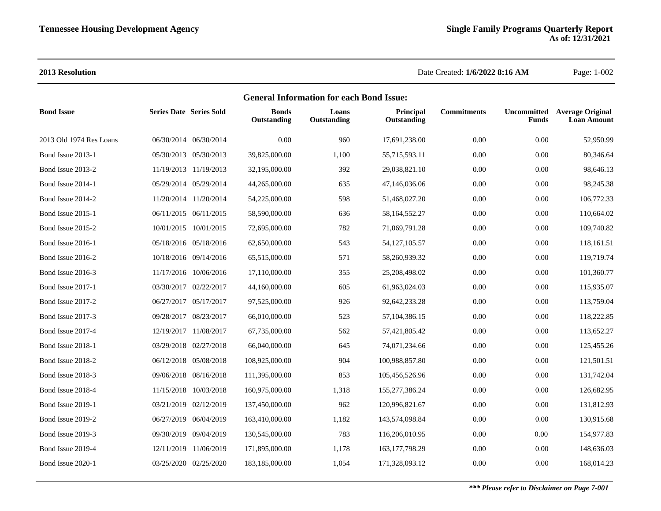**2013 Resolution** Date Created: **1/6/2022 8:16 AM** Page: 1-002

| <b>General Information for each Bond Issue:</b> |                                |                       |                             |                      |                          |                    |              |                                                           |  |
|-------------------------------------------------|--------------------------------|-----------------------|-----------------------------|----------------------|--------------------------|--------------------|--------------|-----------------------------------------------------------|--|
| <b>Bond Issue</b>                               | <b>Series Date Series Sold</b> |                       | <b>Bonds</b><br>Outstanding | Loans<br>Outstanding | Principal<br>Outstanding | <b>Commitments</b> | <b>Funds</b> | <b>Uncommitted</b> Average Original<br><b>Loan Amount</b> |  |
| 2013 Old 1974 Res Loans                         |                                | 06/30/2014 06/30/2014 | 0.00                        | 960                  | 17,691,238.00            | 0.00               | $0.00\,$     | 52,950.99                                                 |  |
| Bond Issue 2013-1                               |                                | 05/30/2013 05/30/2013 | 39,825,000.00               | 1,100                | 55,715,593.11            | 0.00               | 0.00         | 80,346.64                                                 |  |
| Bond Issue 2013-2                               |                                | 11/19/2013 11/19/2013 | 32,195,000.00               | 392                  | 29,038,821.10            | 0.00               | $0.00\,$     | 98,646.13                                                 |  |
| Bond Issue 2014-1                               |                                | 05/29/2014 05/29/2014 | 44,265,000.00               | 635                  | 47,146,036.06            | 0.00               | 0.00         | 98,245.38                                                 |  |
| Bond Issue 2014-2                               |                                | 11/20/2014 11/20/2014 | 54,225,000.00               | 598                  | 51,468,027.20            | 0.00               | 0.00         | 106,772.33                                                |  |
| Bond Issue 2015-1                               |                                | 06/11/2015 06/11/2015 | 58,590,000.00               | 636                  | 58,164,552.27            | 0.00               | 0.00         | 110,664.02                                                |  |
| Bond Issue 2015-2                               |                                | 10/01/2015 10/01/2015 | 72,695,000.00               | 782                  | 71,069,791.28            | 0.00               | 0.00         | 109,740.82                                                |  |
| Bond Issue 2016-1                               |                                | 05/18/2016 05/18/2016 | 62,650,000.00               | 543                  | 54, 127, 105. 57         | 0.00               | $0.00\,$     | 118,161.51                                                |  |
| Bond Issue 2016-2                               |                                | 10/18/2016 09/14/2016 | 65,515,000.00               | 571                  | 58,260,939.32            | 0.00               | 0.00         | 119,719.74                                                |  |
| Bond Issue 2016-3                               |                                | 11/17/2016 10/06/2016 | 17,110,000.00               | 355                  | 25,208,498.02            | 0.00               | 0.00         | 101,360.77                                                |  |
| Bond Issue 2017-1                               |                                | 03/30/2017 02/22/2017 | 44,160,000.00               | 605                  | 61,963,024.03            | 0.00               | 0.00         | 115,935.07                                                |  |
| Bond Issue 2017-2                               |                                | 06/27/2017 05/17/2017 | 97,525,000.00               | 926                  | 92,642,233.28            | 0.00               | 0.00         | 113,759.04                                                |  |
| Bond Issue 2017-3                               |                                | 09/28/2017 08/23/2017 | 66,010,000.00               | 523                  | 57, 104, 386. 15         | 0.00               | $0.00\,$     | 118,222.85                                                |  |
| Bond Issue 2017-4                               |                                | 12/19/2017 11/08/2017 | 67,735,000.00               | 562                  | 57,421,805.42            | 0.00               | 0.00         | 113,652.27                                                |  |
| Bond Issue 2018-1                               |                                | 03/29/2018 02/27/2018 | 66,040,000.00               | 645                  | 74,071,234.66            | 0.00               | $0.00\,$     | 125,455.26                                                |  |
| Bond Issue 2018-2                               |                                | 06/12/2018 05/08/2018 | 108,925,000.00              | 904                  | 100,988,857.80           | 0.00               | 0.00         | 121,501.51                                                |  |
| Bond Issue 2018-3                               |                                | 09/06/2018 08/16/2018 | 111,395,000.00              | 853                  | 105,456,526.96           | 0.00               | 0.00         | 131,742.04                                                |  |
| Bond Issue 2018-4                               |                                | 11/15/2018 10/03/2018 | 160,975,000.00              | 1,318                | 155,277,386.24           | 0.00               | 0.00         | 126,682.95                                                |  |
| Bond Issue 2019-1                               |                                | 03/21/2019 02/12/2019 | 137,450,000.00              | 962                  | 120,996,821.67           | 0.00               | 0.00         | 131,812.93                                                |  |
| Bond Issue 2019-2                               |                                | 06/27/2019 06/04/2019 | 163,410,000.00              | 1,182                | 143,574,098.84           | 0.00               | $0.00\,$     | 130,915.68                                                |  |
| Bond Issue 2019-3                               |                                | 09/30/2019 09/04/2019 | 130,545,000.00              | 783                  | 116,206,010.95           | 0.00               | 0.00         | 154,977.83                                                |  |
| Bond Issue 2019-4                               |                                | 12/11/2019 11/06/2019 | 171,895,000.00              | 1,178                | 163, 177, 798. 29        | 0.00               | $0.00\,$     | 148,636.03                                                |  |
| Bond Issue 2020-1                               |                                | 03/25/2020 02/25/2020 | 183,185,000.00              | 1,054                | 171,328,093.12           | 0.00               | 0.00         | 168,014.23                                                |  |
|                                                 |                                |                       |                             |                      |                          |                    |              |                                                           |  |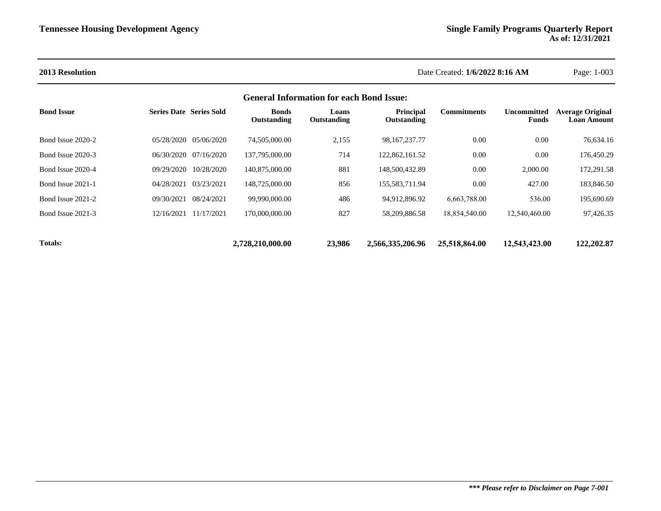#### **2013 Resolution** Date Created: **1/6/2022 8:16 AM** Page: 1-003

#### **General Information for each Bond Issue:**

| <b>Bond Issue</b> | <b>Series Date Series Sold</b> |            | <b>Bonds</b><br>Outstanding | Loans<br>Outstanding | <b>Principal</b><br>Outstanding | Commitments   | <b>Uncommitted</b><br><b>Funds</b> | <b>Average Original</b><br><b>Loan Amount</b> |
|-------------------|--------------------------------|------------|-----------------------------|----------------------|---------------------------------|---------------|------------------------------------|-----------------------------------------------|
| Bond Issue 2020-2 | 05/28/2020 05/06/2020          |            | 74,505,000.00               | 2,155                | 98.167.237.77                   | 0.00          | 0.00                               | 76.634.16                                     |
| Bond Issue 2020-3 | 06/30/2020 07/16/2020          |            | 137,795,000.00              | 714                  | 122,862,161.52                  | 0.00          | 0.00                               | 176,450.29                                    |
| Bond Issue 2020-4 | 09/29/2020                     | 10/28/2020 | 140,875,000.00              | 881                  | 148,500,432.89                  | 0.00          | 2,000.00                           | 172,291.58                                    |
| Bond Issue 2021-1 | 04/28/2021                     | 03/23/2021 | 148,725,000.00              | 856                  | 155.583.711.94                  | 0.00          | 427.00                             | 183,846.50                                    |
| Bond Issue 2021-2 | 09/30/2021                     | 08/24/2021 | 99.990.000.00               | 486                  | 94.912.896.92                   | 6.663.788.00  | 536.00                             | 195,690.69                                    |
| Bond Issue 2021-3 | 12/16/2021                     | 11/17/2021 | 170,000,000.00              | 827                  | 58.209.886.58                   | 18,854,540.00 | 12,540,460.00                      | 97,426.35                                     |
|                   |                                |            |                             |                      |                                 |               |                                    |                                               |
| <b>Totals:</b>    |                                |            | 2,728,210,000.00            | 23,986               | 2,566,335,206.96                | 25,518,864.00 | 12,543,423,00                      | 122,202.87                                    |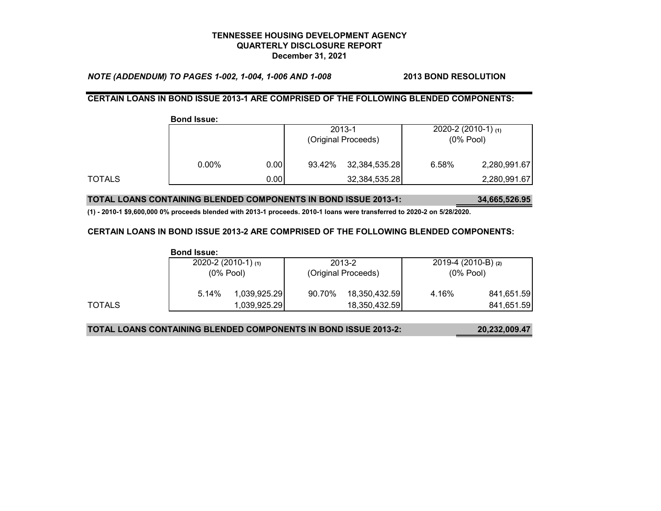*NOTE (ADDENDUM) TO PAGES 1-002, 1-004, 1-006 AND 1-008* **2013 BOND RESOLUTION**

#### **CERTAIN LOANS IN BOND ISSUE 2013-1 ARE COMPRISED OF THE FOLLOWING BLENDED COMPONENTS:**

|        | <b>Bond Issue:</b> |      |        |                     |                          |              |
|--------|--------------------|------|--------|---------------------|--------------------------|--------------|
|        |                    |      |        | 2013-1              | $2020 - 2(2010 - 1)$ (1) |              |
|        |                    |      |        | (Original Proceeds) | $(0%$ Pool)              |              |
|        | $0.00\%$           | 0.00 | 93.42% | 32,384,535.28       | 6.58%                    | 2,280,991.67 |
| TOTALS |                    | 0.00 |        | 32,384,535.28       |                          | 2,280,991.67 |

#### **TOTAL LOANS CONTAINING BLENDED COMPONENTS IN BOND ISSUE 2013-1: 34,665,526.95**

**(1) - 2010-1 \$9,600,000 0% proceeds blended with 2013-1 proceeds. 2010-1 loans were transferred to 2020-2 on 5/28/2020.**

#### **CERTAIN LOANS IN BOND ISSUE 2013-2 ARE COMPRISED OF THE FOLLOWING BLENDED COMPONENTS:**

|        | <b>Bond Issue:</b>       |              |                     |               |                       |            |
|--------|--------------------------|--------------|---------------------|---------------|-----------------------|------------|
|        | $2020 - 2(2010 - 1)$ (1) |              |                     | 2013-2        | 2019-4 (2010-B) $(2)$ |            |
|        | $(0\%$ Pool)             |              | (Original Proceeds) |               | $(0\%$ Pool)          |            |
|        | 5.14%                    | 1,039,925.29 | 90.70%              | 18,350,432.59 | 4.16%                 | 841,651.59 |
| TOTALS |                          | 1,039,925.29 |                     | 18,350,432.59 |                       | 841,651.59 |

#### **TOTAL LOANS CONTAINING BLENDED COMPONENTS IN BOND ISSUE 2013-2: 20,232,009.47**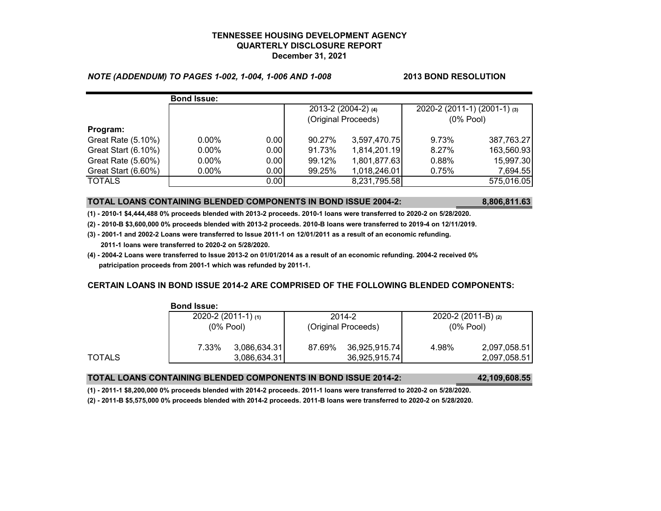#### *NOTE (ADDENDUM) TO PAGES 1-002, 1-004, 1-006 AND 1-008* **2013 BOND RESOLUTION**

|                     | <b>Bond Issue:</b> |       |                     |              |                              |            |
|---------------------|--------------------|-------|---------------------|--------------|------------------------------|------------|
|                     |                    |       | 2013-2 (2004-2) (4) |              | 2020-2 (2011-1) (2001-1) (3) |            |
|                     |                    |       | (Original Proceeds) |              | $(0%$ Pool)                  |            |
| Program:            |                    |       |                     |              |                              |            |
| Great Rate (5.10%)  | $0.00\%$           | 0.00  | 90.27%              | 3,597,470.75 | 9.73%                        | 387,763.27 |
| Great Start (6.10%) | $0.00\%$           | 0.00  | 91.73%              | 1,814,201.19 | 8.27%                        | 163,560.93 |
| Great Rate (5.60%)  | $0.00\%$           | 0.001 | 99.12%              | 1,801,877.63 | 0.88%                        | 15,997.30  |
| Great Start (6.60%) | $0.00\%$           | 0.00  | 99.25%              | 1,018,246.01 | 0.75%                        | 7,694.55   |
| <b>TOTALS</b>       |                    | 0.00  |                     | 8,231,795.58 |                              | 575,016.05 |

#### **TOTAL LOANS CONTAINING BLENDED COMPONENTS IN BOND ISSUE 2004-2: 8,806,811.63**

**(1) - 2010-1 \$4,444,488 0% proceeds blended with 2013-2 proceeds. 2010-1 loans were transferred to 2020-2 on 5/28/2020.**

**(2) - 2010-B \$3,600,000 0% proceeds blended with 2013-2 proceeds. 2010-B loans were transferred to 2019-4 on 12/11/2019.**

- **(3) 2001-1 and 2002-2 Loans were transferred to Issue 2011-1 on 12/01/2011 as a result of an economic refunding. 2011-1 loans were transferred to 2020-2 on 5/28/2020.**
- **(4) 2004-2 Loans were transferred to Issue 2013-2 on 01/01/2014 as a result of an economic refunding. 2004-2 received 0% patricipation proceeds from 2001-1 which was refunded by 2011-1.**

#### **CERTAIN LOANS IN BOND ISSUE 2014-2 ARE COMPRISED OF THE FOLLOWING BLENDED COMPONENTS:**

|        | POIN 19946.                              |              |                               |               |                                        |              |  |  |  |  |
|--------|------------------------------------------|--------------|-------------------------------|---------------|----------------------------------------|--------------|--|--|--|--|
|        | $2020 - 2(2011 - 1)$ (1)<br>$(0\%$ Pool) |              | 2014-2<br>(Original Proceeds) |               | 2020-2 $(2011-B)$ $(2)$<br>$(0%$ Pool) |              |  |  |  |  |
|        |                                          |              |                               |               |                                        |              |  |  |  |  |
|        | 7.33%                                    | 3,086,634.31 | 87.69%                        | 36,925,915.74 | 4.98%                                  | 2,097,058.51 |  |  |  |  |
| TOTALS |                                          | 3,086,634.31 |                               | 36,925,915.74 |                                        | 2,097,058.51 |  |  |  |  |

**Bond Issue:**

#### **TOTAL LOANS CONTAINING BLENDED COMPONENTS IN BOND ISSUE 2014-2: 42,109,608.55**

**(1) - 2011-1 \$8,200,000 0% proceeds blended with 2014-2 proceeds. 2011-1 loans were transferred to 2020-2 on 5/28/2020.**

**(2) - 2011-B \$5,575,000 0% proceeds blended with 2014-2 proceeds. 2011-B loans were transferred to 2020-2 on 5/28/2020.**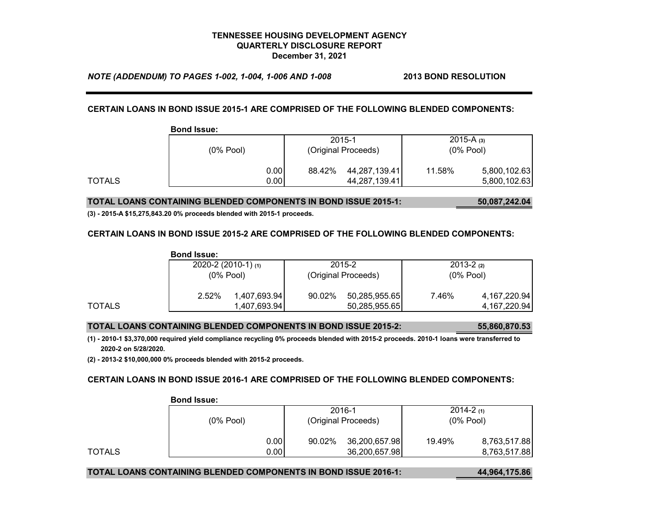*NOTE (ADDENDUM) TO PAGES 1-002, 1-004, 1-006 AND 1-008* **2013 BOND RESOLUTION**

#### **CERTAIN LOANS IN BOND ISSUE 2015-1 ARE COMPRISED OF THE FOLLOWING BLENDED COMPONENTS:**

|        | <b>Bond Issue:</b> |      |                     |               |              |              |
|--------|--------------------|------|---------------------|---------------|--------------|--------------|
|        |                    |      |                     | 2015-1        | 2015-A $(3)$ |              |
|        | $(0%$ Pool)        |      | (Original Proceeds) |               | $(0%$ Pool)  |              |
|        |                    | 0.00 | 88.42%              | 44,287,139.41 | 11.58%       | 5,800,102.63 |
| TOTALS |                    | 0.00 |                     | 44,287,139.41 |              | 5,800,102.63 |

#### **TOTAL LOANS CONTAINING BLENDED COMPONENTS IN BOND ISSUE 2015-1: 50,087,242.04**

**(3) - 2015-A \$15,275,843.20 0% proceeds blended with 2015-1 proceeds.**

#### **CERTAIN LOANS IN BOND ISSUE 2015-2 ARE COMPRISED OF THE FOLLOWING BLENDED COMPONENTS:**

|        | <b>Bond Issue:</b> |                          |        |                     |               |                 |
|--------|--------------------|--------------------------|--------|---------------------|---------------|-----------------|
|        |                    | $2020 - 2(2010 - 1)$ (1) | 2015-2 |                     | $2013 - 2(2)$ |                 |
|        |                    | $(0\%$ Pool)             |        | (Original Proceeds) |               | $(0%$ Pool)     |
|        | 2.52%              | 1,407,693.94             | 90.02% | 50,285,955.65       | 7.46%         | 4, 167, 220.94  |
| TOTALS |                    | 1,407,693.94             |        | 50,285,955.65       |               | 4, 167, 220. 94 |

#### **TOTAL LOANS CONTAINING BLENDED COMPONENTS IN BOND ISSUE 2015-2: 55,860,870.53**

**(1) - 2010-1 \$3,370,000 required yield compliance recycling 0% proceeds blended with 2015-2 proceeds. 2010-1 loans were transferred to 2020-2 on 5/28/2020.**

**(2) - 2013-2 \$10,000,000 0% proceeds blended with 2015-2 proceeds.**

#### **CERTAIN LOANS IN BOND ISSUE 2016-1 ARE COMPRISED OF THE FOLLOWING BLENDED COMPONENTS:**

|        | PUIN IVUUVI |                     |               |               |              |  |  |  |  |
|--------|-------------|---------------------|---------------|---------------|--------------|--|--|--|--|
|        |             | 2016-1              |               | $2014 - 2(1)$ |              |  |  |  |  |
|        | $(0%$ Pool) | (Original Proceeds) |               | $(0%$ Pool)   |              |  |  |  |  |
|        | 0.00        | 90.02%              | 36,200,657.98 | 19.49%        | 8,763,517.88 |  |  |  |  |
| TOTALS | 0.00        |                     | 36,200,657.98 |               | 8,763,517.88 |  |  |  |  |

#### **Bond Issue:**

#### **TOTAL LOANS CONTAINING BLENDED COMPONENTS IN BOND ISSUE 2016-1: 44,964,175.86**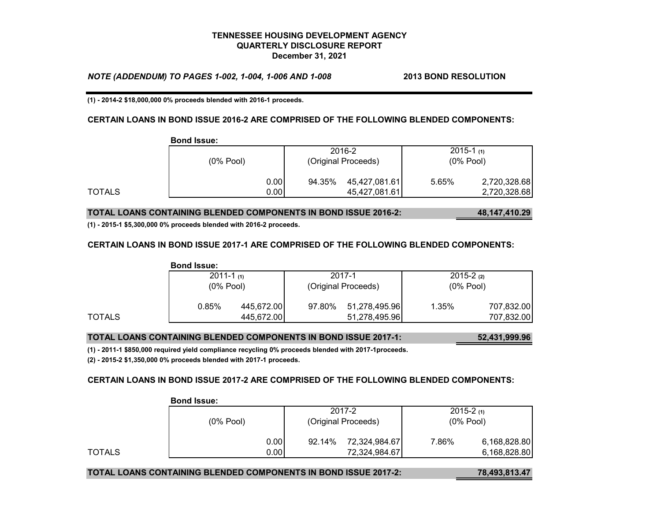*NOTE (ADDENDUM) TO PAGES 1-002, 1-004, 1-006 AND 1-008* **2013 BOND RESOLUTION**

**(1) - 2014-2 \$18,000,000 0% proceeds blended with 2016-1 proceeds.**

#### **CERTAIN LOANS IN BOND ISSUE 2016-2 ARE COMPRISED OF THE FOLLOWING BLENDED COMPONENTS:**

|        | <b>Bond Issue:</b> |              |        |                                |                                |                              |
|--------|--------------------|--------------|--------|--------------------------------|--------------------------------|------------------------------|
|        | $(0\%$ Pool)       |              |        | 2016-2<br>(Original Proceeds)  | $2015 - 1$ (1)<br>$(0\%$ Pool) |                              |
| TOTALS |                    | 0.00<br>0.00 | 94.35% | 45,427,081.61<br>45,427,081.61 | 5.65%                          | 2,720,328.68<br>2,720,328.68 |

### **TOTAL LOANS CONTAINING BLENDED COMPONENTS IN BOND ISSUE 2016-2: 48,147,410.29**

**(1) - 2015-1 \$5,300,000 0% proceeds blended with 2016-2 proceeds.**

#### **CERTAIN LOANS IN BOND ISSUE 2017-1 ARE COMPRISED OF THE FOLLOWING BLENDED COMPONENTS:**

|        | <b>Bond Issue:</b> |            |                     |               |               |            |
|--------|--------------------|------------|---------------------|---------------|---------------|------------|
|        | $2011 - 1$ (1)     |            |                     | 2017-1        | $2015 - 2(2)$ |            |
|        | $(0\%$ Pool)       |            | (Original Proceeds) |               | $(0%$ Pool)   |            |
|        | 0.85%              | 445,672.00 | 97.80%              | 51,278,495.96 | 1.35%         | 707,832.00 |
| TOTALS |                    | 445,672.00 |                     | 51,278,495.96 |               | 707,832.00 |

#### **TOTAL LOANS CONTAINING BLENDED COMPONENTS IN BOND ISSUE 2017-1: 52,431,999.96**

**(1) - 2011-1 \$850,000 required yield compliance recycling 0% proceeds blended with 2017-1proceeds.**

**(2) - 2015-2 \$1,350,000 0% proceeds blended with 2017-1 proceeds.**

**Bond Issue:**

#### **CERTAIN LOANS IN BOND ISSUE 2017-2 ARE COMPRISED OF THE FOLLOWING BLENDED COMPONENTS:**

|        | DUIIU ISSUG. |                     |               |             |               |
|--------|--------------|---------------------|---------------|-------------|---------------|
|        |              |                     | 2017-2        |             | $2015 - 2(1)$ |
|        | $(0%$ Pool)  | (Original Proceeds) |               | $(0%$ Pool) |               |
|        | 0.00         | 92.14%              | 72,324,984.67 | 7.86%       | 6,168,828.80  |
| TOTALS | 0.00         |                     | 72,324,984.67 |             | 6,168,828.80  |

#### **TOTAL LOANS CONTAINING BLENDED COMPONENTS IN BOND ISSUE 2017-2: 78,493,813.47**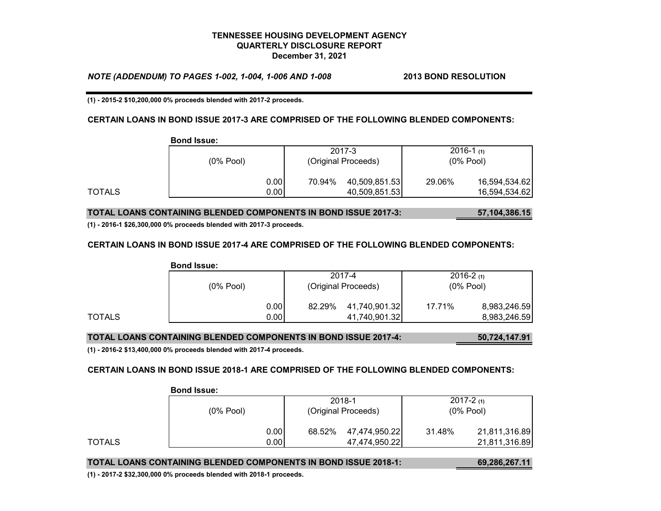*NOTE (ADDENDUM) TO PAGES 1-002, 1-004, 1-006 AND 1-008* **2013 BOND RESOLUTION**

**(1) - 2015-2 \$10,200,000 0% proceeds blended with 2017-2 proceeds.**

#### **CERTAIN LOANS IN BOND ISSUE 2017-3 ARE COMPRISED OF THE FOLLOWING BLENDED COMPONENTS:**

|        | <b>Bond Issue:</b> |      |                               |               |                                |               |
|--------|--------------------|------|-------------------------------|---------------|--------------------------------|---------------|
|        | $(0\%$ Pool)       |      | 2017-3<br>(Original Proceeds) |               | $2016 - 1$ (1)<br>$(0\%$ Pool) |               |
|        |                    |      |                               |               |                                |               |
|        |                    | 0.00 | 70.94%                        | 40,509,851.53 | 29.06%                         | 16,594,534.62 |
| TOTALS |                    | 0.00 |                               | 40,509,851.53 |                                | 16,594,534.62 |

#### **TOTAL LOANS CONTAINING BLENDED COMPONENTS IN BOND ISSUE 2017-3: 57,104,386.15**

**(1) - 2016-1 \$26,300,000 0% proceeds blended with 2017-3 proceeds.**

#### **CERTAIN LOANS IN BOND ISSUE 2017-4 ARE COMPRISED OF THE FOLLOWING BLENDED COMPONENTS:**

|        | <b>Bond Issue:</b> |      |                     |               |              |               |
|--------|--------------------|------|---------------------|---------------|--------------|---------------|
|        |                    |      |                     | 2017-4        |              | $2016 - 2(1)$ |
|        | $(0%$ Pool)        |      | (Original Proceeds) |               | $(0\%$ Pool) |               |
|        |                    | 0.00 | 82.29%              | 41,740,901.32 | 17.71%       | 8,983,246.59  |
| TOTALS |                    | 0.00 |                     | 41,740,901.32 |              | 8,983,246.59  |

#### **TOTAL LOANS CONTAINING BLENDED COMPONENTS IN BOND ISSUE 2017-4: 50,724,147.91**

**(1) - 2016-2 \$13,400,000 0% proceeds blended with 2017-4 proceeds.**

#### **CERTAIN LOANS IN BOND ISSUE 2018-1 ARE COMPRISED OF THE FOLLOWING BLENDED COMPONENTS:**

|        | <b>Bond Issue:</b> |      |                     |               |             |               |
|--------|--------------------|------|---------------------|---------------|-------------|---------------|
|        |                    |      |                     | 2018-1        |             | $2017 - 2(1)$ |
|        | $(0%$ Pool)        |      | (Original Proceeds) |               | $(0%$ Pool) |               |
|        |                    | 0.00 | 68.52%              | 47,474,950.22 | 31.48%      | 21,811,316.89 |
| TOTALS |                    | 0.00 |                     | 47,474,950.22 |             | 21,811,316.89 |

#### **TOTAL LOANS CONTAINING BLENDED COMPONENTS IN BOND ISSUE 2018-1: 69,286,267.11**

**(1) - 2017-2 \$32,300,000 0% proceeds blended with 2018-1 proceeds.**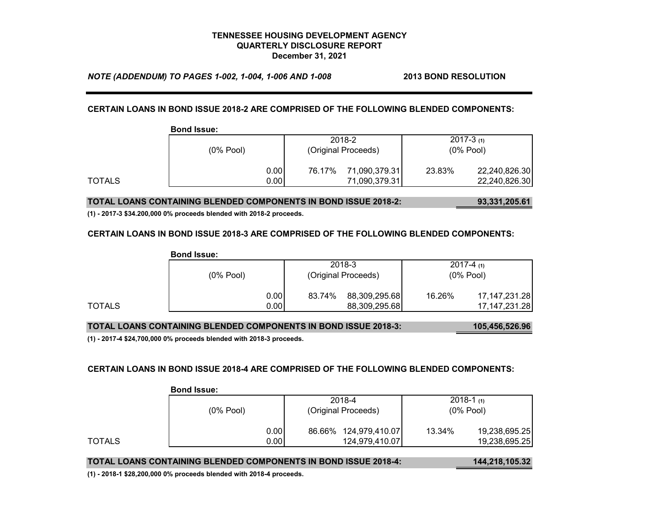*NOTE (ADDENDUM) TO PAGES 1-002, 1-004, 1-006 AND 1-008* **2013 BOND RESOLUTION**

#### **CERTAIN LOANS IN BOND ISSUE 2018-2 ARE COMPRISED OF THE FOLLOWING BLENDED COMPONENTS:**

|        | <b>Bond Issue:</b> |      |                     |               |             |               |
|--------|--------------------|------|---------------------|---------------|-------------|---------------|
|        |                    |      |                     | 2018-2        |             | $2017 - 3(1)$ |
|        | $(0\%$ Pool)       |      | (Original Proceeds) |               | $(0%$ Pool) |               |
|        |                    | 0.00 | 76.17%              | 71,090,379.31 | 23.83%      | 22,240,826.30 |
| TOTALS |                    | 0.00 |                     | 71,090,379.31 |             | 22,240,826.30 |

#### **TOTAL LOANS CONTAINING BLENDED COMPONENTS IN BOND ISSUE 2018-2: 93,331,205.61**

**(1) - 2017-3 \$34.200,000 0% proceeds blended with 2018-2 proceeds.**

#### **CERTAIN LOANS IN BOND ISSUE 2018-3 ARE COMPRISED OF THE FOLLOWING BLENDED COMPONENTS:**

|        | <b>Bond Issue:</b> |      |                     |               |             |                  |
|--------|--------------------|------|---------------------|---------------|-------------|------------------|
|        |                    |      |                     | 2018-3        |             | $2017-4(1)$      |
|        | $(0%$ Pool)        |      | (Original Proceeds) |               | $(0%$ Pool) |                  |
|        |                    | 0.00 | 83.74%              | 88,309,295.68 | 16.26%      | 17,147,231.28    |
| TOTALS |                    | 0.00 |                     | 88,309,295.68 |             | 17, 147, 231. 28 |

#### **TOTAL LOANS CONTAINING BLENDED COMPONENTS IN BOND ISSUE 2018-3: 105,456,526.96**

**(1) - 2017-4 \$24,700,000 0% proceeds blended with 2018-3 proceeds.**

#### **CERTAIN LOANS IN BOND ISSUE 2018-4 ARE COMPRISED OF THE FOLLOWING BLENDED COMPONENTS:**

|        | <b>Bond Issue:</b> |                          |                         |  |
|--------|--------------------|--------------------------|-------------------------|--|
|        |                    | 2018-4                   | $2018-1$ (1)            |  |
|        | $(0\%$ Pool)       | (Original Proceeds)      | $(0%$ Pool)             |  |
|        | 0.00               | 124,979,410.07<br>86.66% | 19,238,695.25<br>13.34% |  |
| TOTALS | 0.00               | 124,979,410.07           | 19,238,695.25           |  |

#### **TOTAL LOANS CONTAINING BLENDED COMPONENTS IN BOND ISSUE 2018-4: 144,218,105.32**

**(1) - 2018-1 \$28,200,000 0% proceeds blended with 2018-4 proceeds.**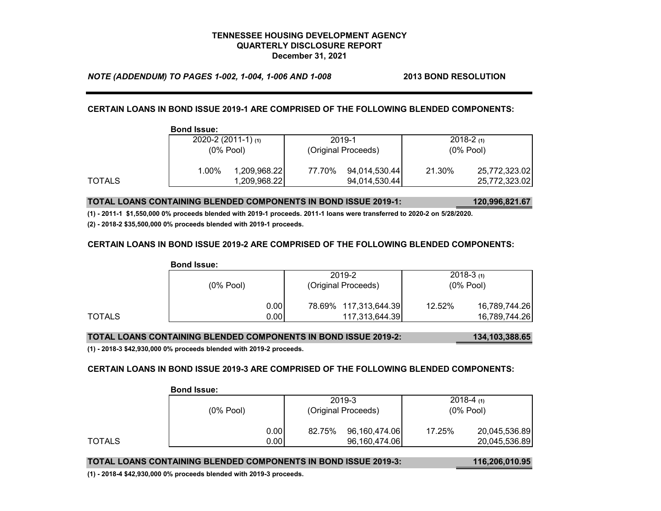*NOTE (ADDENDUM) TO PAGES 1-002, 1-004, 1-006 AND 1-008* **2013 BOND RESOLUTION**

**CERTAIN LOANS IN BOND ISSUE 2019-1 ARE COMPRISED OF THE FOLLOWING BLENDED COMPONENTS:**

|        | <b>Bond Issue:</b> |                          |        |                     |        |               |  |
|--------|--------------------|--------------------------|--------|---------------------|--------|---------------|--|
|        |                    | $2020 - 2(2011 - 1)$ (1) |        | 2019-1              |        | $2018 - 2(1)$ |  |
|        |                    | $(0%$ Pool)              |        | (Original Proceeds) |        | $(0\%$ Pool)  |  |
|        | 1.00%              | 1,209,968.22             | 77.70% | 94,014,530.44       | 21.30% | 25,772,323.02 |  |
| TOTALS |                    | 1,209,968.22             |        | 94,014,530.44       |        | 25,772,323.02 |  |

**TOTAL LOANS CONTAINING BLENDED COMPONENTS IN BOND ISSUE 2019-1: 120,996,821.67**

**(1) - 2011-1 \$1,550,000 0% proceeds blended with 2019-1 proceeds. 2011-1 loans were transferred to 2020-2 on 5/28/2020.**

**(2) - 2018-2 \$35,500,000 0% proceeds blended with 2019-1 proceeds.**

## **CERTAIN LOANS IN BOND ISSUE 2019-2 ARE COMPRISED OF THE FOLLOWING BLENDED COMPONENTS:**

|        | <b>Bond Issue:</b> |      |                       |                         |  |
|--------|--------------------|------|-----------------------|-------------------------|--|
|        |                    |      | 2019-2                | $2018-3(1)$             |  |
|        | $(0%$ Pool)        |      | (Original Proceeds)   | $(0%$ Pool)             |  |
|        |                    | 0.00 | 78.69% 117,313,644.39 | 16,789,744.26<br>12.52% |  |
| TOTALS |                    | 0.00 | 117,313,644.39        | 16,789,744.26           |  |

# **TOTAL LOANS CONTAINING BLENDED COMPONENTS IN BOND ISSUE 2019-2: 134,103,388.65**

**(1) - 2018-3 \$42,930,000 0% proceeds blended with 2019-2 proceeds.**

### **CERTAIN LOANS IN BOND ISSUE 2019-3 ARE COMPRISED OF THE FOLLOWING BLENDED COMPONENTS:**

|        | PONG ROUGH.  |      |        |                     |        |               |  |
|--------|--------------|------|--------|---------------------|--------|---------------|--|
|        |              |      | 2019-3 |                     |        | $2018-4(1)$   |  |
|        | $(0\%$ Pool) |      |        | (Original Proceeds) |        | $(0%$ Pool)   |  |
|        |              | 0.00 | 82.75% | 96,160,474.06       | 17.25% | 20,045,536.89 |  |
| TOTALS |              | 0.00 |        | 96,160,474.06       |        | 20,045,536.89 |  |

# **Bond Issue:**

**TOTAL LOANS CONTAINING BLENDED COMPONENTS IN BOND ISSUE 2019-3: 116,206,010.95**

**(1) - 2018-4 \$42,930,000 0% proceeds blended with 2019-3 proceeds.**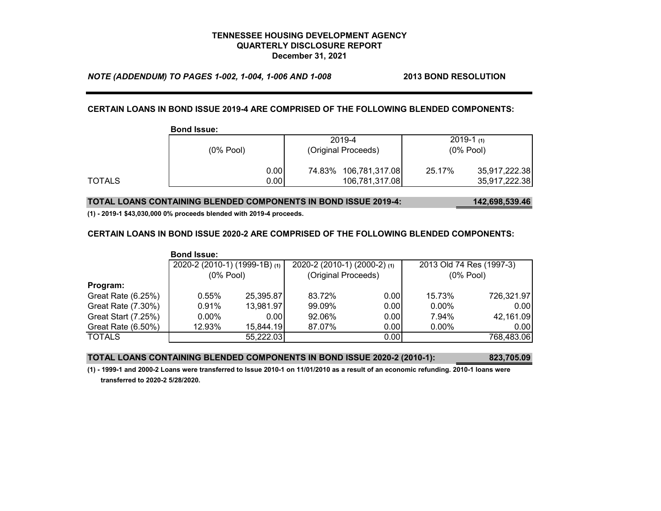*NOTE (ADDENDUM) TO PAGES 1-002, 1-004, 1-006 AND 1-008* **2013 BOND RESOLUTION**

# **CERTAIN LOANS IN BOND ISSUE 2019-4 ARE COMPRISED OF THE FOLLOWING BLENDED COMPONENTS:**

|        | <b>Bond Issue:</b> |      |        |                       |              |               |
|--------|--------------------|------|--------|-----------------------|--------------|---------------|
|        |                    |      | 2019-4 |                       |              | $2019-1$ (1)  |
|        | $(0%$ Pool)        |      |        | (Original Proceeds)   | $(0\%$ Pool) |               |
|        |                    | 0.00 |        | 74.83% 106,781,317.08 | 25.17%       | 35,917,222.38 |
| TOTALS |                    | 0.00 |        | 106,781,317.08        |              | 35,917,222.38 |

#### **TOTAL LOANS CONTAINING BLENDED COMPONENTS IN BOND ISSUE 2019-4: 142,698,539.46**

**(1) - 2019-1 \$43,030,000 0% proceeds blended with 2019-4 proceeds.**

#### **CERTAIN LOANS IN BOND ISSUE 2020-2 ARE COMPRISED OF THE FOLLOWING BLENDED COMPONENTS:**

|                     | <b>Bond Issue:</b>            |           |                              |      |                          |            |
|---------------------|-------------------------------|-----------|------------------------------|------|--------------------------|------------|
|                     | 2020-2 (2010-1) (1999-1B) (1) |           | 2020-2 (2010-1) (2000-2) (1) |      | 2013 Old 74 Res (1997-3) |            |
|                     | $(0%$ Pool)                   |           | (Original Proceeds)          |      | $(0%$ Pool)              |            |
| Program:            |                               |           |                              |      |                          |            |
| Great Rate (6.25%)  | $0.55\%$                      | 25,395.87 | 83.72%                       | 0.00 | 15.73%                   | 726,321.97 |
| Great Rate (7.30%)  | 0.91%                         | 13,981.97 | 99.09%                       | 0.00 | $0.00\%$                 | 0.00       |
| Great Start (7.25%) | $0.00\%$                      | 0.00      | 92.06%                       | 0.00 | 7.94%                    | 42,161.09  |
| Great Rate (6.50%)  | 12.93%                        | 15,844.19 | 87.07%                       | 0.00 | $0.00\%$                 | 0.00       |
| <b>TOTALS</b>       |                               | 55,222.03 |                              | 0.00 |                          | 768,483.06 |

#### **TOTAL LOANS CONTAINING BLENDED COMPONENTS IN BOND ISSUE 2020-2 (2010-1): 823,705.09**

**(1) - 1999-1 and 2000-2 Loans were transferred to Issue 2010-1 on 11/01/2010 as a result of an economic refunding. 2010-1 loans were transferred to 2020-2 5/28/2020.**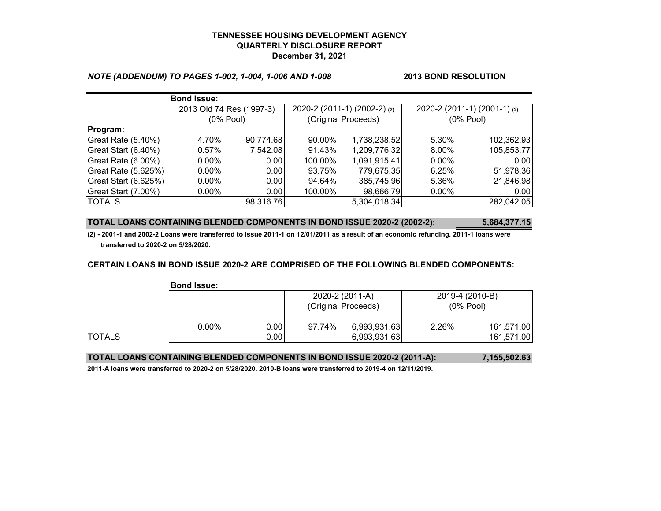## *NOTE (ADDENDUM) TO PAGES 1-002, 1-004, 1-006 AND 1-008* **2013 BOND RESOLUTION**

|                      | <b>Bond Issue:</b>       |           |         |                              |                              |            |
|----------------------|--------------------------|-----------|---------|------------------------------|------------------------------|------------|
|                      | 2013 Old 74 Res (1997-3) |           |         | 2020-2 (2011-1) (2002-2) (2) | 2020-2 (2011-1) (2001-1) (2) |            |
|                      | $(0%$ Pool)              |           |         | (Original Proceeds)          | $(0%$ Pool)                  |            |
| Program:             |                          |           |         |                              |                              |            |
| Great Rate (5.40%)   | 4.70%                    | 90,774.68 | 90.00%  | 1,738,238.52                 | 5.30%                        | 102,362.93 |
| Great Start (6.40%)  | 0.57%                    | 7,542.08  | 91.43%  | 1,209,776.32                 | 8.00%                        | 105,853.77 |
| Great Rate (6.00%)   | $0.00\%$                 | 0.00      | 100.00% | 1,091,915.41                 | $0.00\%$                     | 0.001      |
| Great Rate (5.625%)  | $0.00\%$                 | 0.00      | 93.75%  | 779,675.35                   | 6.25%                        | 51,978.36  |
| Great Start (6.625%) | $0.00\%$                 | 0.00      | 94.64%  | 385,745.96                   | 5.36%                        | 21,846.98  |
| Great Start (7.00%)  | $0.00\%$                 | 0.00      | 100.00% | 98,666.79                    | $0.00\%$                     | 0.00       |
| <b>TOTALS</b>        |                          | 98,316.76 |         | 5,304,018.34                 |                              | 282,042.05 |

### **TOTAL LOANS CONTAINING BLENDED COMPONENTS IN BOND ISSUE 2020-2 (2002-2): 5,684,377.15**

**(2) - 2001-1 and 2002-2 Loans were transferred to Issue 2011-1 on 12/01/2011 as a result of an economic refunding. 2011-1 loans were transferred to 2020-2 on 5/28/2020.**

### **CERTAIN LOANS IN BOND ISSUE 2020-2 ARE COMPRISED OF THE FOLLOWING BLENDED COMPONENTS:**

|        | <b>Bond Issue:</b> |      |                 |                     |                 |            |
|--------|--------------------|------|-----------------|---------------------|-----------------|------------|
|        |                    |      | 2020-2 (2011-A) |                     | 2019-4 (2010-B) |            |
|        |                    |      |                 | (Original Proceeds) | $(0%$ Pool)     |            |
|        | $0.00\%$           | 0.00 | 97.74%          | 6,993,931.63        | 2.26%           | 161,571.00 |
| TOTALS |                    | 0.00 |                 | 6,993,931.63        |                 | 161,571.00 |

## **TOTAL LOANS CONTAINING BLENDED COMPONENTS IN BOND ISSUE 2020-2 (2011-A): 7,155,502.63**

**2011-A loans were transferred to 2020-2 on 5/28/2020. 2010-B loans were transferred to 2019-4 on 12/11/2019.**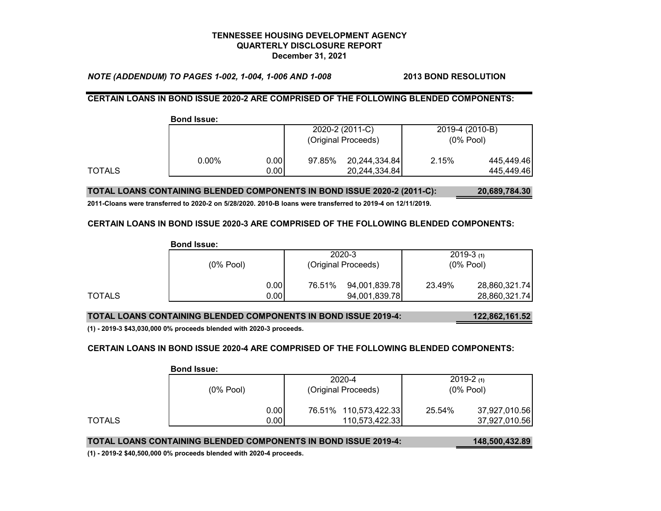*NOTE (ADDENDUM) TO PAGES 1-002, 1-004, 1-006 AND 1-008* **2013 BOND RESOLUTION**

# **CERTAIN LOANS IN BOND ISSUE 2020-2 ARE COMPRISED OF THE FOLLOWING BLENDED COMPONENTS:**

|        | <b>Bond Issue:</b> |      |        |                     |                 |            |
|--------|--------------------|------|--------|---------------------|-----------------|------------|
|        |                    |      |        | 2020-2 (2011-C)     | 2019-4 (2010-B) |            |
|        |                    |      |        | (Original Proceeds) | $(0%$ Pool)     |            |
|        | $0.00\%$           | 0.00 | 97.85% | 20,244,334.84       | 2.15%           | 445,449.46 |
| TOTALS |                    | 0.00 |        | 20,244,334.84       |                 | 445,449.46 |

## **TOTAL LOANS CONTAINING BLENDED COMPONENTS IN BOND ISSUE 2020-2 (2011-C): 20,689,784.30**

**2011-Cloans were transferred to 2020-2 on 5/28/2020. 2010-B loans were transferred to 2019-4 on 12/11/2019.**

### **CERTAIN LOANS IN BOND ISSUE 2020-3 ARE COMPRISED OF THE FOLLOWING BLENDED COMPONENTS:**

|        | <b>Bond Issue:</b> |               |                     |               |             |               |
|--------|--------------------|---------------|---------------------|---------------|-------------|---------------|
|        |                    |               |                     | 2020-3        |             | $2019-3(1)$   |
|        | $(0\%$ Pool)       |               | (Original Proceeds) |               | $(0%$ Pool) |               |
|        |                    | 0.001         | 76.51%              | 94,001,839.78 | 23.49%      | 28,860,321.74 |
| TOTALS |                    | $0.00$ $\mid$ |                     | 94,001,839.78 |             | 28,860,321.74 |

# **TOTAL LOANS CONTAINING BLENDED COMPONENTS IN BOND ISSUE 2019-4: 122,862,161.52**

**(1) - 2019-3 \$43,030,000 0% proceeds blended with 2020-3 proceeds.**

### **CERTAIN LOANS IN BOND ISSUE 2020-4 ARE COMPRISED OF THE FOLLOWING BLENDED COMPONENTS:**

|        | <b>Bond Issue:</b> |      |  |                       |             |               |
|--------|--------------------|------|--|-----------------------|-------------|---------------|
|        |                    |      |  | 2020-4                |             | $2019-2(1)$   |
|        | $(0%$ Pool)        |      |  | (Original Proceeds)   | $(0%$ Pool) |               |
|        |                    | 0.00 |  | 76.51% 110,573,422.33 | 25.54%      | 37,927,010.56 |
| TOTALS |                    | 0.00 |  | 110,573,422.33        |             | 37,927,010.56 |

**TOTAL LOANS CONTAINING BLENDED COMPONENTS IN BOND ISSUE 2019-4: 148,500,432.89**

**(1) - 2019-2 \$40,500,000 0% proceeds blended with 2020-4 proceeds.**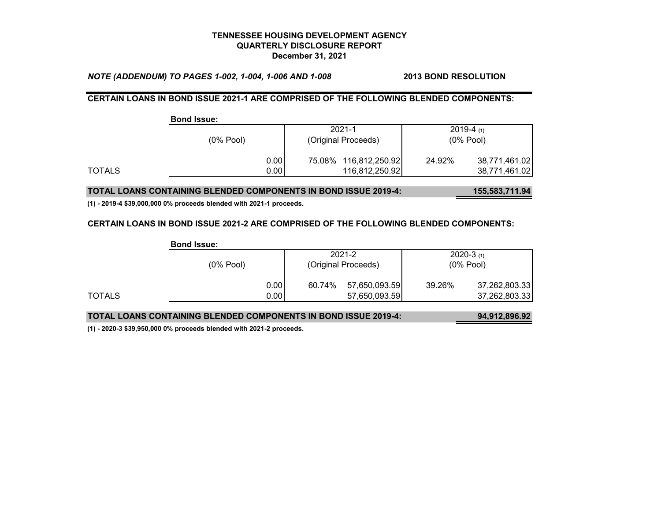*NOTE (ADDENDUM) TO PAGES 1-002, 1-004, 1-006 AND 1-008* **2013 BOND RESOLUTION**

# **CERTAIN LOANS IN BOND ISSUE 2021-1 ARE COMPRISED OF THE FOLLOWING BLENDED COMPONENTS:**

|        | <b>Bond Issue:</b> |                       |                         |  |
|--------|--------------------|-----------------------|-------------------------|--|
|        |                    | $2021 - 1$            | $2019-4(1)$             |  |
|        | $(0%$ Pool)        | (Original Proceeds)   | $(0%$ Pool)             |  |
|        | 0.00               | 75.08% 116,812,250.92 | 24.92%<br>38,771,461.02 |  |
| TOTALS | 0.00               | 116,812,250.92        | 38,771,461.02           |  |

### **TOTAL LOANS CONTAINING BLENDED COMPONENTS IN BOND ISSUE 2019-4: 155,583,711.94**

**(1) - 2019-4 \$39,000,000 0% proceeds blended with 2021-1 proceeds.**

### **CERTAIN LOANS IN BOND ISSUE 2021-2 ARE COMPRISED OF THE FOLLOWING BLENDED COMPONENTS:**

|        | <b>Bond Issue:</b> |               |                     |               |             |               |
|--------|--------------------|---------------|---------------------|---------------|-------------|---------------|
|        |                    |               |                     | 2021-2        |             | $2020-3(1)$   |
|        | $(0\%$ Pool)       |               | (Original Proceeds) |               | $(0%$ Pool) |               |
|        |                    | 0.00          | 60.74%              | 57,650,093.59 | 39.26%      | 37,262,803.33 |
| TOTALS |                    | $0.00$ $\mid$ |                     | 57,650,093.59 |             | 37,262,803.33 |

# **TOTAL LOANS CONTAINING BLENDED COMPONENTS IN BOND ISSUE 2019-4: 94,912,896.92**

**(1) - 2020-3 \$39,950,000 0% proceeds blended with 2021-2 proceeds.**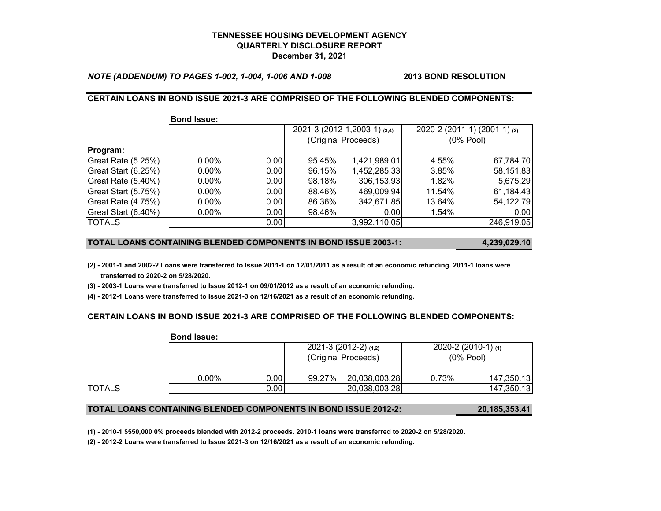*NOTE (ADDENDUM) TO PAGES 1-002, 1-004, 1-006 AND 1-008* **2013 BOND RESOLUTION**

## **CERTAIN LOANS IN BOND ISSUE 2021-3 ARE COMPRISED OF THE FOLLOWING BLENDED COMPONENTS:**

|                     | <b>Bond Issue:</b> |       |        |                              |                              |             |
|---------------------|--------------------|-------|--------|------------------------------|------------------------------|-------------|
|                     |                    |       |        | 2021-3 (2012-1,2003-1) (3,4) | 2020-2 (2011-1) (2001-1) (2) |             |
|                     |                    |       |        | (Original Proceeds)          |                              | $(0%$ Pool) |
| Program:            |                    |       |        |                              |                              |             |
| Great Rate (5.25%)  | $0.00\%$           | 0.001 | 95.45% | 1,421,989.01                 | 4.55%                        | 67,784.70   |
| Great Start (6.25%) | $0.00\%$           | 0.00  | 96.15% | 1,452,285.33                 | 3.85%                        | 58,151.83   |
| Great Rate (5.40%)  | $0.00\%$           | 0.001 | 98.18% | 306,153.93                   | 1.82%                        | 5,675.29    |
| Great Start (5.75%) | $0.00\%$           | 0.00  | 88.46% | 469,009.94                   | 11.54%                       | 61,184.43   |
| Great Rate (4.75%)  | $0.00\%$           | 0.00  | 86.36% | 342,671.85                   | 13.64%                       | 54,122.79   |
| Great Start (6.40%) | $0.00\%$           | 0.00  | 98.46% | 0.00                         | 1.54%                        | 0.00        |
| <b>TOTALS</b>       |                    | 0.00  |        | 3,992,110.05                 |                              | 246,919.05  |

#### **TOTAL LOANS CONTAINING BLENDED COMPONENTS IN BOND ISSUE 2003-1: 4,239,029.10**

**(2) - 2001-1 and 2002-2 Loans were transferred to Issue 2011-1 on 12/01/2011 as a result of an economic refunding. 2011-1 loans were transferred to 2020-2 on 5/28/2020.**

**(3) - 2003-1 Loans were transferred to Issue 2012-1 on 09/01/2012 as a result of an economic refunding.**

**(4) - 2012-1 Loans were transferred to Issue 2021-3 on 12/16/2021 as a result of an economic refunding.**

**Bond Issue:**

### **CERTAIN LOANS IN BOND ISSUE 2021-3 ARE COMPRISED OF THE FOLLOWING BLENDED COMPONENTS:**

|        | DUIIU ISSUG. |      |                        |               |                          |            |
|--------|--------------|------|------------------------|---------------|--------------------------|------------|
|        |              |      | $2021-3(2012-2)$ (1,2) |               | $2020 - 2(2010 - 1)$ (1) |            |
|        |              |      | (Original Proceeds)    |               | $(0\%$ Pool)             |            |
|        | $0.00\%$     | 0.00 | 99.27%                 | 20,038,003.28 | 0.73%                    | 147,350.13 |
| TOTALS |              | 0.00 |                        | 20,038,003.28 |                          | 147,350.13 |

### **TOTAL LOANS CONTAINING BLENDED COMPONENTS IN BOND ISSUE 2012-2: 20,185,353.41**

**(1) - 2010-1 \$550,000 0% proceeds blended with 2012-2 proceeds. 2010-1 loans were transferred to 2020-2 on 5/28/2020.**

**(2) - 2012-2 Loans were transferred to Issue 2021-3 on 12/16/2021 as a result of an economic refunding.**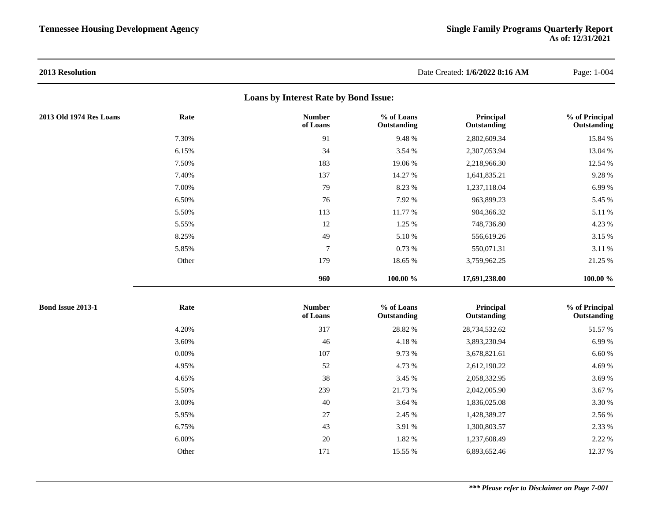| 2013 Resolution          |       |                                              |                           | Date Created: 1/6/2022 8:16 AM | Page: 1-004                   |
|--------------------------|-------|----------------------------------------------|---------------------------|--------------------------------|-------------------------------|
|                          |       | <b>Loans by Interest Rate by Bond Issue:</b> |                           |                                |                               |
| 2013 Old 1974 Res Loans  | Rate  | <b>Number</b><br>of Loans                    | % of Loans<br>Outstanding | Principal<br>Outstanding       | % of Principal<br>Outstanding |
|                          | 7.30% | 91                                           | 9.48 %                    | 2,802,609.34                   | 15.84 %                       |
|                          | 6.15% | 34                                           | 3.54 %                    | 2,307,053.94                   | 13.04 %                       |
|                          | 7.50% | 183                                          | 19.06%                    | 2,218,966.30                   | 12.54 %                       |
|                          | 7.40% | 137                                          | 14.27 %                   | 1,641,835.21                   | 9.28 %                        |
|                          | 7.00% | 79                                           | 8.23 %                    | 1,237,118.04                   | 6.99%                         |
|                          | 6.50% | 76                                           | 7.92 %                    | 963,899.23                     | 5.45 %                        |
|                          | 5.50% | 113                                          | 11.77 %                   | 904,366.32                     | 5.11 %                        |
|                          | 5.55% | 12                                           | 1.25 %                    | 748,736.80                     | 4.23 %                        |
|                          | 8.25% | 49                                           | 5.10 %                    | 556,619.26                     | 3.15 %                        |
|                          | 5.85% | $\tau$                                       | 0.73%                     | 550,071.31                     | 3.11 %                        |
|                          | Other | 179                                          | 18.65 %                   | 3,759,962.25                   | 21.25 %                       |
|                          |       | 960                                          | 100.00 %                  | 17,691,238.00                  | 100.00 %                      |
| <b>Bond Issue 2013-1</b> | Rate  | <b>Number</b><br>of Loans                    | % of Loans<br>Outstanding | Principal<br>Outstanding       | % of Principal<br>Outstanding |
|                          | 4.20% | 317                                          | 28.82 %                   | 28,734,532.62                  | 51.57 %                       |
|                          | 3.60% | 46                                           | 4.18%                     | 3,893,230.94                   | 6.99%                         |
|                          | 0.00% | 107                                          | 9.73 %                    | 3,678,821.61                   | 6.60%                         |
|                          | 4.95% | 52                                           | 4.73 %                    | 2,612,190.22                   | 4.69%                         |
|                          | 4.65% | 38                                           | 3.45 %                    | 2,058,332.95                   | 3.69%                         |
|                          | 5.50% | 239                                          | 21.73 %                   | 2,042,005.90                   | 3.67 %                        |
|                          | 3.00% | 40                                           | 3.64 %                    | 1,836,025.08                   | 3.30 %                        |
|                          | 5.95% | $27\,$                                       | 2.45 %                    | 1,428,389.27                   | 2.56 %                        |
|                          | 6.75% | 43                                           | 3.91 %                    | 1,300,803.57                   | 2.33 %                        |
|                          | 6.00% | 20                                           | 1.82 %                    | 1,237,608.49                   | 2.22 %                        |
|                          | Other | 171                                          | 15.55 %                   | 6,893,652.46                   | 12.37 %                       |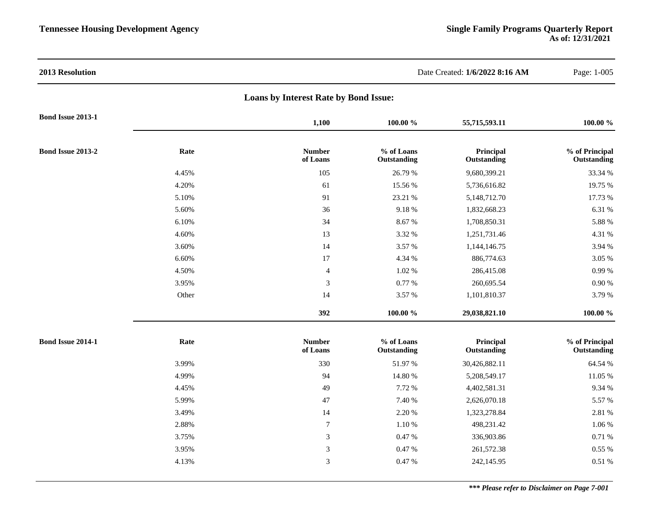| 2013 Resolution          |       |                                       |                           | Date Created: 1/6/2022 8:16 AM | Page: 1-005                   |
|--------------------------|-------|---------------------------------------|---------------------------|--------------------------------|-------------------------------|
|                          |       | Loans by Interest Rate by Bond Issue: |                           |                                |                               |
| <b>Bond Issue 2013-1</b> |       | 1,100                                 | 100.00 %                  | 55,715,593.11                  | 100.00 %                      |
| Bond Issue 2013-2        | Rate  | <b>Number</b><br>of Loans             | % of Loans<br>Outstanding | Principal<br>Outstanding       | % of Principal<br>Outstanding |
|                          | 4.45% | 105                                   | 26.79 %                   | 9,680,399.21                   | 33.34 %                       |
|                          | 4.20% | 61                                    | 15.56 %                   | 5,736,616.82                   | 19.75 %                       |
|                          | 5.10% | 91                                    | 23.21 %                   | 5,148,712.70                   | 17.73 %                       |
|                          | 5.60% | 36                                    | 9.18%                     | 1,832,668.23                   | 6.31 %                        |
|                          | 6.10% | 34                                    | 8.67%                     | 1,708,850.31                   | 5.88 %                        |
|                          | 4.60% | 13                                    | 3.32 %                    | 1,251,731.46                   | 4.31 %                        |
|                          | 3.60% | 14                                    | 3.57 %                    | 1,144,146.75                   | 3.94 %                        |
|                          | 6.60% | $17\,$                                | 4.34 %                    | 886,774.63                     | 3.05 %                        |
|                          | 4.50% | $\overline{\mathcal{L}}$              | 1.02 %                    | 286,415.08                     | 0.99%                         |
|                          | 3.95% | $\sqrt{3}$                            | 0.77 %                    | 260,695.54                     | 0.90%                         |
|                          | Other | 14                                    | 3.57 %                    | 1,101,810.37                   | 3.79 %                        |
|                          |       | 392                                   | 100.00 %                  | 29,038,821.10                  | $100.00 \%$                   |
| Bond Issue 2014-1        | Rate  | <b>Number</b><br>of Loans             | % of Loans<br>Outstanding | Principal<br>Outstanding       | % of Principal<br>Outstanding |
|                          | 3.99% | 330                                   | 51.97 %                   | 30,426,882.11                  | 64.54 %                       |
|                          | 4.99% | 94                                    | 14.80 %                   | 5,208,549.17                   | 11.05 %                       |
|                          | 4.45% | 49                                    | 7.72 %                    | 4,402,581.31                   | 9.34 %                        |
|                          | 5.99% | 47                                    | 7.40 %                    | 2,626,070.18                   | 5.57 %                        |
|                          | 3.49% | 14                                    | 2.20 %                    | 1,323,278.84                   | 2.81 %                        |
|                          | 2.88% | $\boldsymbol{7}$                      | 1.10 %                    | 498,231.42                     | 1.06 %                        |
|                          | 3.75% | 3                                     | 0.47%                     | 336,903.86                     | 0.71 %                        |
|                          | 3.95% | 3                                     | 0.47 %                    | 261,572.38                     | 0.55 %                        |
|                          | 4.13% | 3                                     | 0.47%                     | 242,145.95                     | 0.51%                         |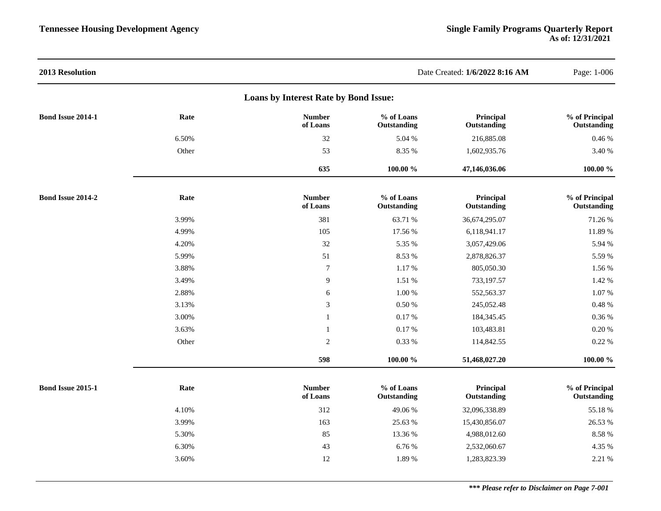| 2013 Resolution          |       |                                       |                           | Date Created: 1/6/2022 8:16 AM | Page: 1-006                   |
|--------------------------|-------|---------------------------------------|---------------------------|--------------------------------|-------------------------------|
|                          |       | Loans by Interest Rate by Bond Issue: |                           |                                |                               |
| Bond Issue 2014-1        | Rate  | <b>Number</b><br>of Loans             | % of Loans<br>Outstanding | Principal<br>Outstanding       | % of Principal<br>Outstanding |
|                          | 6.50% | $32\,$                                | 5.04 %                    | 216,885.08                     | 0.46 %                        |
|                          | Other | 53                                    | 8.35 %                    | 1,602,935.76                   | 3.40 %                        |
|                          |       | 635                                   | 100.00 %                  | 47,146,036.06                  | $100.00 \%$                   |
| <b>Bond Issue 2014-2</b> | Rate  | <b>Number</b><br>of Loans             | % of Loans<br>Outstanding | Principal<br>Outstanding       | % of Principal<br>Outstanding |
|                          | 3.99% | 381                                   | 63.71 %                   | 36,674,295.07                  | 71.26 %                       |
|                          | 4.99% | 105                                   | 17.56 %                   | 6,118,941.17                   | 11.89 %                       |
|                          | 4.20% | 32                                    | 5.35 %                    | 3,057,429.06                   | 5.94 %                        |
|                          | 5.99% | 51                                    | 8.53 %                    | 2,878,826.37                   | 5.59 %                        |
|                          | 3.88% | $\boldsymbol{7}$                      | 1.17 %                    | 805,050.30                     | 1.56 %                        |
|                          | 3.49% | 9                                     | 1.51 %                    | 733,197.57                     | 1.42 %                        |
|                          | 2.88% | 6                                     | 1.00 %                    | 552,563.37                     | 1.07%                         |
|                          | 3.13% | $\mathfrak{Z}$                        | $0.50\ \%$                | 245,052.48                     | 0.48 %                        |
|                          | 3.00% | $\mathbf{1}$                          | 0.17 %                    | 184,345.45                     | 0.36 %                        |
|                          | 3.63% | 1                                     | 0.17%                     | 103,483.81                     | 0.20%                         |
|                          | Other | $\overline{2}$                        | 0.33 %                    | 114,842.55                     | 0.22 %                        |
|                          |       | 598                                   | 100.00 %                  | 51,468,027.20                  | $100.00~\%$                   |
| <b>Bond Issue 2015-1</b> | Rate  | <b>Number</b><br>of Loans             | % of Loans<br>Outstanding | Principal<br>Outstanding       | % of Principal<br>Outstanding |
|                          | 4.10% | 312                                   | 49.06%                    | 32,096,338.89                  | 55.18%                        |
|                          | 3.99% | 163                                   | 25.63 %                   | 15,430,856.07                  | 26.53 %                       |
|                          | 5.30% | 85                                    | 13.36 %                   | 4,988,012.60                   | 8.58 %                        |
|                          | 6.30% | 43                                    | 6.76 %                    | 2,532,060.67                   | 4.35 %                        |
|                          | 3.60% | 12                                    | 1.89 %                    | 1,283,823.39                   | 2.21 %                        |
|                          |       |                                       |                           |                                |                               |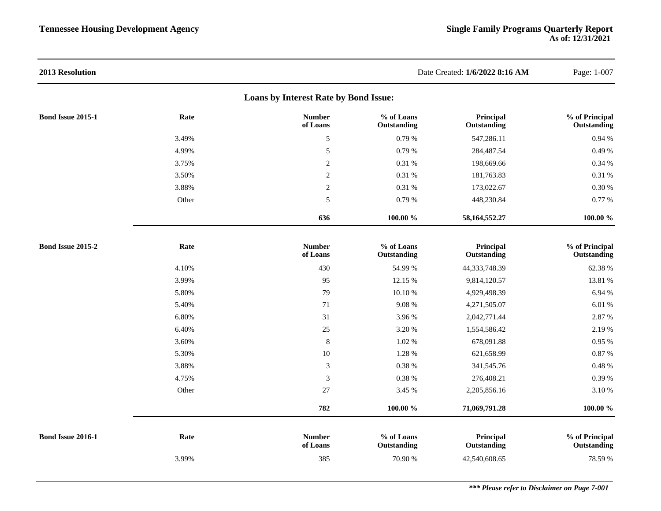| 2013 Resolution          |       |                                       |                           | Date Created: 1/6/2022 8:16 AM | Page: 1-007                   |
|--------------------------|-------|---------------------------------------|---------------------------|--------------------------------|-------------------------------|
|                          |       | Loans by Interest Rate by Bond Issue: |                           |                                |                               |
| <b>Bond Issue 2015-1</b> | Rate  | <b>Number</b><br>of Loans             | % of Loans<br>Outstanding | Principal<br>Outstanding       | % of Principal<br>Outstanding |
|                          | 3.49% | $\sqrt{5}$                            | 0.79%                     | 547,286.11                     | 0.94 %                        |
|                          | 4.99% | 5                                     | 0.79%                     | 284,487.54                     | 0.49 %                        |
|                          | 3.75% | $\overline{2}$                        | 0.31 %                    | 198,669.66                     | 0.34 %                        |
|                          | 3.50% | $\overline{2}$                        | 0.31 %                    | 181,763.83                     | 0.31 %                        |
|                          | 3.88% | $\overline{2}$                        | 0.31 %                    | 173,022.67                     | 0.30 %                        |
|                          | Other | 5                                     | 0.79%                     | 448,230.84                     | 0.77 %                        |
|                          |       | 636                                   | 100.00 %                  | 58, 164, 552. 27               | $100.00 \%$                   |
| <b>Bond Issue 2015-2</b> | Rate  | <b>Number</b><br>of Loans             | % of Loans<br>Outstanding | Principal<br>Outstanding       | % of Principal<br>Outstanding |
|                          | 4.10% | 430                                   | 54.99 %                   | 44,333,748.39                  | 62.38 %                       |
|                          | 3.99% | 95                                    | 12.15 %                   | 9,814,120.57                   | 13.81 %                       |
|                          | 5.80% | 79                                    | 10.10%                    | 4,929,498.39                   | 6.94 %                        |
|                          | 5.40% | $71\,$                                | 9.08%                     | 4,271,505.07                   | 6.01 %                        |
|                          | 6.80% | 31                                    | 3.96 %                    | 2,042,771.44                   | 2.87 %                        |
|                          | 6.40% | $25\,$                                | 3.20 %                    | 1,554,586.42                   | 2.19 %                        |
|                          | 3.60% | $\,8\,$                               | 1.02 %                    | 678,091.88                     | 0.95 %                        |
|                          | 5.30% | $10\,$                                | 1.28 %                    | 621,658.99                     | 0.87 %                        |
|                          | 3.88% | 3                                     | $0.38~\%$                 | 341,545.76                     | 0.48 %                        |
|                          | 4.75% | 3                                     | $0.38~\%$                 | 276,408.21                     | 0.39%                         |
|                          | Other | 27                                    | 3.45 %                    | 2,205,856.16                   | 3.10 %                        |
|                          |       | 782                                   | $100.00 \%$               | 71,069,791.28                  | $100.00 \%$                   |
| Bond Issue 2016-1        | Rate  | <b>Number</b><br>of Loans             | % of Loans<br>Outstanding | Principal<br>Outstanding       | % of Principal<br>Outstanding |
|                          | 3.99% | 385                                   | 70.90 %                   | 42,540,608.65                  | 78.59 %                       |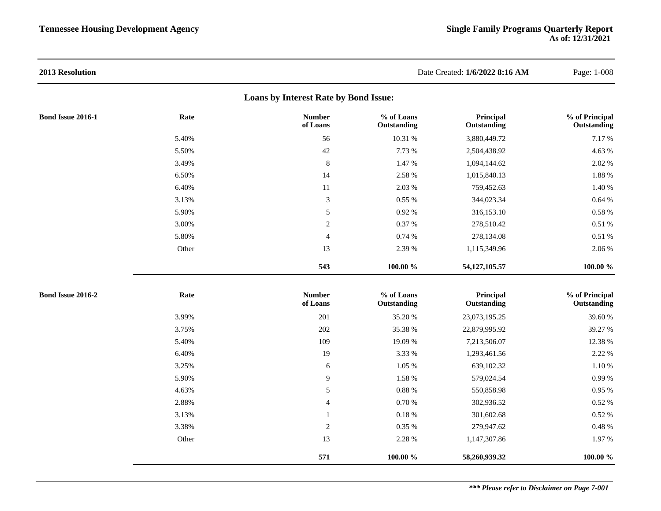| 2013 Resolution          |       |                                       |                           | Date Created: 1/6/2022 8:16 AM | Page: 1-008                   |
|--------------------------|-------|---------------------------------------|---------------------------|--------------------------------|-------------------------------|
|                          |       | Loans by Interest Rate by Bond Issue: |                           |                                |                               |
| <b>Bond Issue 2016-1</b> | Rate  | <b>Number</b><br>of Loans             | % of Loans<br>Outstanding | Principal<br>Outstanding       | % of Principal<br>Outstanding |
|                          | 5.40% | 56                                    | 10.31 %                   | 3,880,449.72                   | 7.17%                         |
|                          | 5.50% | 42                                    | 7.73 %                    | 2,504,438.92                   | 4.63 %                        |
|                          | 3.49% | $\,8\,$                               | 1.47 %                    | 1,094,144.62                   | 2.02 %                        |
|                          | 6.50% | 14                                    | 2.58 %                    | 1,015,840.13                   | 1.88 %                        |
|                          | 6.40% | 11                                    | 2.03 %                    | 759,452.63                     | 1.40 %                        |
|                          | 3.13% | 3                                     | 0.55%                     | 344,023.34                     | 0.64%                         |
|                          | 5.90% | $\sqrt{5}$                            | 0.92%                     | 316,153.10                     | 0.58 %                        |
|                          | 3.00% | $\sqrt{2}$                            | 0.37 %                    | 278,510.42                     | $0.51~\%$                     |
|                          | 5.80% | $\overline{\mathcal{L}}$              | 0.74%                     | 278,134.08                     | 0.51%                         |
|                          | Other | 13                                    | 2.39 %                    | 1,115,349.96                   | 2.06 %                        |
|                          |       | 543                                   | $100.00\,\,\%$            | 54,127,105.57                  | $100.00~\%$                   |
| Bond Issue 2016-2        | Rate  | <b>Number</b><br>of Loans             | % of Loans<br>Outstanding | Principal<br>Outstanding       | % of Principal<br>Outstanding |
|                          | 3.99% | 201                                   | 35.20 %                   | 23,073,195.25                  | 39.60 %                       |
|                          | 3.75% | 202                                   | 35.38 %                   | 22,879,995.92                  | 39.27 %                       |
|                          | 5.40% | 109                                   | 19.09 %                   | 7,213,506.07                   | 12.38 %                       |
|                          | 6.40% | 19                                    | 3.33 %                    | 1,293,461.56                   | 2.22 %                        |
|                          | 3.25% | 6                                     | 1.05 %                    | 639,102.32                     | 1.10 %                        |
|                          | 5.90% | 9                                     | 1.58 %                    | 579,024.54                     | 0.99 %                        |
|                          | 4.63% | 5                                     | $0.88~\%$                 | 550,858.98                     | 0.95 %                        |
|                          | 2.88% | $\overline{4}$                        | $0.70~\%$                 | 302,936.52                     | 0.52 %                        |
|                          | 3.13% | 1                                     | $0.18~\%$                 | 301,602.68                     | 0.52 %                        |
|                          | 3.38% | $\overline{2}$                        | $0.35~\%$                 | 279,947.62                     | 0.48%                         |
|                          | Other | 13                                    | 2.28 %                    | 1,147,307.86                   | 1.97 %                        |
|                          |       | 571                                   | 100.00 %                  | 58,260,939.32                  | 100.00 %                      |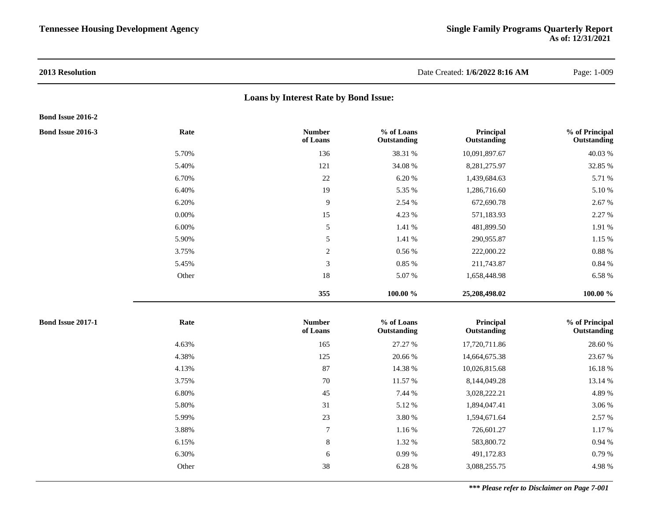# **Loans by Interest Rate by Bond Issue:**

#### **Bond Issue 2016-2**

| <b>Bond Issue 2016-3</b> | Rate     | <b>Number</b><br>of Loans | % of Loans<br>Outstanding | Principal<br>Outstanding | % of Principal<br>Outstanding |
|--------------------------|----------|---------------------------|---------------------------|--------------------------|-------------------------------|
|                          | 5.70%    | 136                       | 38.31 %                   | 10,091,897.67            | 40.03 %                       |
|                          | 5.40%    | 121                       | 34.08 %                   | 8,281,275.97             | 32.85 %                       |
|                          | 6.70%    | 22                        | 6.20 %                    | 1,439,684.63             | 5.71 %                        |
|                          | 6.40%    | 19                        | 5.35 %                    | 1,286,716.60             | 5.10 %                        |
|                          | 6.20%    | 9                         | 2.54 %                    | 672,690.78               | 2.67 %                        |
|                          | $0.00\%$ | 15                        | 4.23 %                    | 571,183.93               | 2.27 %                        |
|                          | 6.00%    | 5                         | 1.41%                     | 481,899.50               | 1.91 %                        |
|                          | 5.90%    | 5                         | 1.41 %                    | 290,955.87               | 1.15 %                        |
|                          | 3.75%    | 2                         | 0.56%                     | 222,000.22               | 0.88%                         |
|                          | 5.45%    | 3                         | 0.85 %                    | 211,743.87               | 0.84%                         |
|                          | Other    | 18                        | 5.07 %                    | 1,658,448.98             | 6.58 %                        |
|                          |          | 355                       | 100.00 %                  | 25,208,498.02            | 100.00 %                      |

| <b>Bond Issue 2017-1</b> | Rate<br><b>Number</b><br>of Loans | % of Loans<br>Outstanding | Principal<br>Outstanding | % of Principal<br>Outstanding |
|--------------------------|-----------------------------------|---------------------------|--------------------------|-------------------------------|
|                          | 4.63%                             | 165<br>27.27 %            | 17,720,711.86            | 28.60 %                       |
|                          | 4.38%                             | 125<br>20.66 %            | 14,664,675.38            | 23.67 %                       |
|                          | 4.13%                             | 87<br>14.38 %             | 10,026,815.68            | 16.18%                        |
|                          | 3.75%                             | 70<br>11.57 %             | 8,144,049.28             | 13.14 %                       |
|                          | 6.80%                             | 45<br>7.44 %              | 3,028,222.21             | 4.89 %                        |
|                          | 5.80%                             | 31<br>5.12 %              | 1,894,047.41             | 3.06 %                        |
|                          | 5.99%                             | 23<br>3.80 %              | 1,594,671.64             | 2.57 %                        |
|                          | 3.88%                             | $\mathcal{I}$<br>1.16%    | 726,601.27               | 1.17 %                        |
|                          | 6.15%                             | 8<br>1.32 %               | 583,800.72               | 0.94 %                        |
|                          | 6.30%                             | 6<br>0.99%                | 491,172.83               | 0.79%                         |
|                          | Other                             | 38<br>6.28 %              | 3,088,255.75             | 4.98 %                        |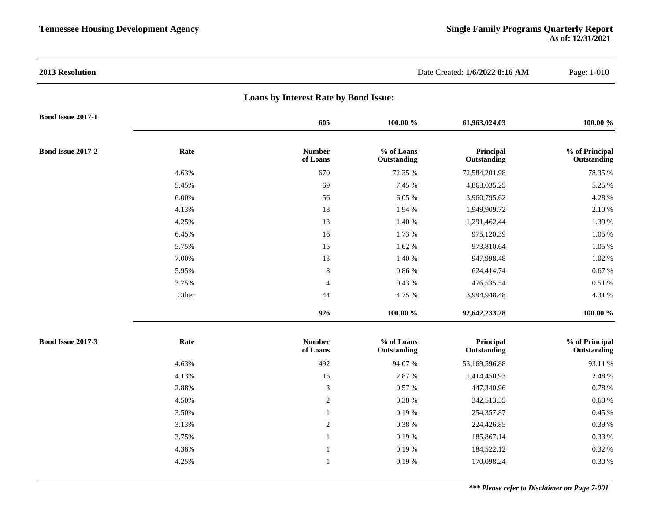| 2013 Resolution          |       |                                       |                           | Date Created: 1/6/2022 8:16 AM | Page: 1-010                   |
|--------------------------|-------|---------------------------------------|---------------------------|--------------------------------|-------------------------------|
|                          |       | Loans by Interest Rate by Bond Issue: |                           |                                |                               |
| <b>Bond Issue 2017-1</b> |       | 605                                   | 100.00 %                  | 61,963,024.03                  | 100.00 %                      |
| <b>Bond Issue 2017-2</b> | Rate  | <b>Number</b><br>of Loans             | % of Loans<br>Outstanding | Principal<br>Outstanding       | % of Principal<br>Outstanding |
|                          | 4.63% | 670                                   | 72.35 %                   | 72,584,201.98                  | 78.35 %                       |
|                          | 5.45% | 69                                    | 7.45 %                    | 4,863,035.25                   | 5.25 %                        |
|                          | 6.00% | 56                                    | 6.05 %                    | 3,960,795.62                   | 4.28 %                        |
|                          | 4.13% | 18                                    | 1.94 %                    | 1,949,909.72                   | 2.10 %                        |
|                          | 4.25% | 13                                    | $1.40\ \%$                | 1,291,462.44                   | 1.39 %                        |
|                          | 6.45% | 16                                    | 1.73 %                    | 975,120.39                     | $1.05~\%$                     |
|                          | 5.75% | 15                                    | 1.62 %                    | 973,810.64                     | $1.05~\%$                     |
|                          | 7.00% | 13                                    | 1.40 %                    | 947,998.48                     | 1.02 %                        |
|                          | 5.95% | $\,8\,$                               | $0.86~\%$                 | 624,414.74                     | $0.67~\%$                     |
|                          | 3.75% | $\overline{4}$                        | 0.43%                     | 476,535.54                     | 0.51%                         |
|                          | Other | 44                                    | 4.75 %                    | 3,994,948.48                   | 4.31 %                        |
|                          |       | 926                                   | $100.00 \%$               | 92,642,233.28                  | $100.00 \%$                   |
| <b>Bond Issue 2017-3</b> | Rate  | <b>Number</b><br>of Loans             | % of Loans<br>Outstanding | Principal<br>Outstanding       | % of Principal<br>Outstanding |
|                          | 4.63% | 492                                   | 94.07%                    | 53,169,596.88                  | 93.11 %                       |
|                          | 4.13% | 15                                    | 2.87 %                    | 1,414,450.93                   | 2.48 %                        |
|                          | 2.88% | $\ensuremath{\mathfrak{Z}}$           | 0.57 %                    | 447,340.96                     | $0.78\ \%$                    |
|                          | 4.50% | $\sqrt{2}$                            | $0.38~\%$                 | 342,513.55                     | $0.60\ \%$                    |
|                          | 3.50% | $\mathbf{1}$                          | 0.19%                     | 254,357.87                     | $0.45~\%$                     |
|                          | 3.13% | $\sqrt{2}$                            | $0.38~\%$                 | 224,426.85                     | $0.39\ \%$                    |
|                          | 3.75% | $\mathbf{1}$                          | 0.19%                     | 185,867.14                     | 0.33 %                        |
|                          | 4.38% | $\mathbf{1}$                          | 0.19%                     | 184,522.12                     | 0.32 %                        |
|                          | 4.25% | 1                                     | 0.19%                     | 170,098.24                     | $0.30\ \%$                    |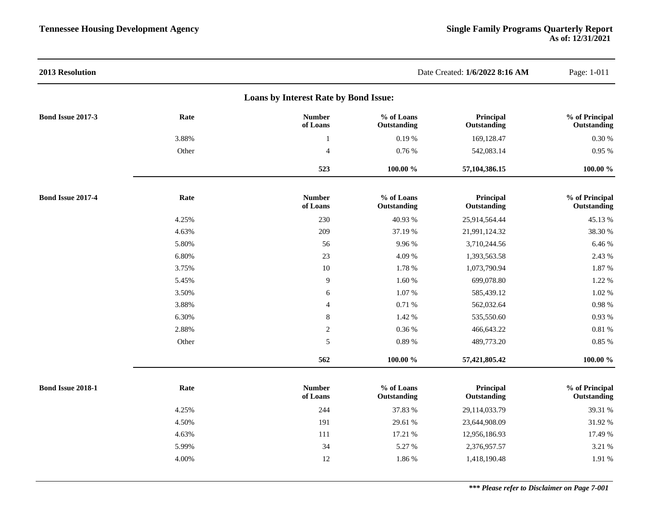| 2013 Resolution          |       |                                       |                           | Date Created: 1/6/2022 8:16 AM | Page: 1-011                   |
|--------------------------|-------|---------------------------------------|---------------------------|--------------------------------|-------------------------------|
|                          |       | Loans by Interest Rate by Bond Issue: |                           |                                |                               |
| <b>Bond Issue 2017-3</b> | Rate  | <b>Number</b><br>of Loans             | % of Loans<br>Outstanding | Principal<br>Outstanding       | % of Principal<br>Outstanding |
|                          | 3.88% | $\mathbf{1}$                          | 0.19%                     | 169,128.47                     | $0.30\ \%$                    |
|                          | Other | $\overline{4}$                        | 0.76 %                    | 542,083.14                     | $0.95~\%$                     |
|                          |       | 523                                   | $100.00~\%$               | 57, 104, 386. 15               | $100.00~\%$                   |
| Bond Issue 2017-4        | Rate  | <b>Number</b><br>of Loans             | % of Loans<br>Outstanding | Principal<br>Outstanding       | % of Principal<br>Outstanding |
|                          | 4.25% | 230                                   | 40.93%                    | 25,914,564.44                  | 45.13 %                       |
|                          | 4.63% | 209                                   | 37.19 %                   | 21,991,124.32                  | 38.30 %                       |
|                          | 5.80% | 56                                    | 9.96%                     | 3,710,244.56                   | 6.46 %                        |
|                          | 6.80% | 23                                    | 4.09%                     | 1,393,563.58                   | 2.43 %                        |
|                          | 3.75% | 10                                    | 1.78 %                    | 1,073,790.94                   | 1.87 %                        |
|                          | 5.45% | $\overline{9}$                        | 1.60 %                    | 699,078.80                     | 1.22 %                        |
|                          | 3.50% | 6                                     | 1.07%                     | 585,439.12                     | 1.02 %                        |
|                          | 3.88% | $\overline{4}$                        | 0.71 %                    | 562,032.64                     | 0.98%                         |
|                          | 6.30% | $\,8\,$                               | 1.42 %                    | 535,550.60                     | 0.93 %                        |
|                          | 2.88% | $\sqrt{2}$                            | 0.36 %                    | 466,643.22                     | $0.81~\%$                     |
|                          | Other | 5                                     | 0.89%                     | 489,773.20                     | 0.85 %                        |
|                          |       | 562                                   | 100.00 %                  | 57,421,805.42                  | $100.00 \%$                   |
| Bond Issue 2018-1        | Rate  | <b>Number</b><br>of Loans             | % of Loans<br>Outstanding | Principal<br>Outstanding       | % of Principal<br>Outstanding |
|                          | 4.25% | 244                                   | 37.83 %                   | 29,114,033.79                  | 39.31 %                       |
|                          | 4.50% | 191                                   | 29.61 %                   | 23,644,908.09                  | 31.92 %                       |
|                          | 4.63% | 111                                   | 17.21 %                   | 12,956,186.93                  | 17.49 %                       |
|                          | 5.99% | 34                                    | 5.27 %                    | 2,376,957.57                   | 3.21 %                        |
|                          | 4.00% | 12                                    | 1.86 %                    | 1,418,190.48                   | 1.91 %                        |
|                          |       |                                       |                           |                                |                               |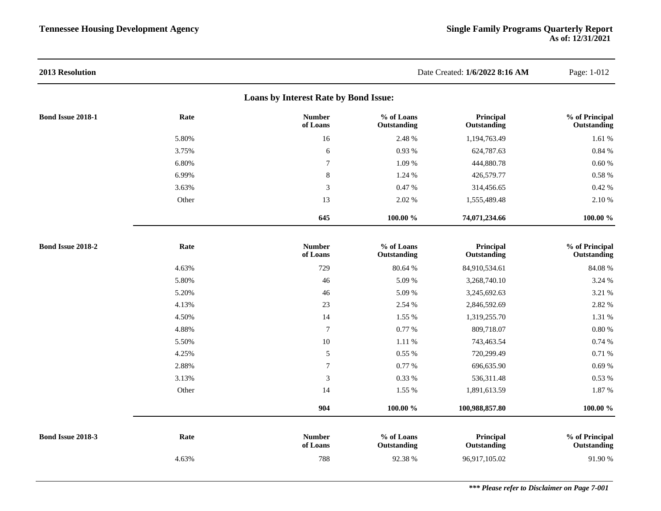| 2013 Resolution          |       |                                       |                           | Date Created: 1/6/2022 8:16 AM | Page: 1-012                   |
|--------------------------|-------|---------------------------------------|---------------------------|--------------------------------|-------------------------------|
|                          |       | Loans by Interest Rate by Bond Issue: |                           |                                |                               |
| <b>Bond Issue 2018-1</b> | Rate  | <b>Number</b><br>of Loans             | % of Loans<br>Outstanding | Principal<br>Outstanding       | % of Principal<br>Outstanding |
|                          | 5.80% | 16                                    | 2.48 %                    | 1,194,763.49                   | 1.61 %                        |
|                          | 3.75% | 6                                     | 0.93 %                    | 624,787.63                     | 0.84 %                        |
|                          | 6.80% | $\tau$                                | 1.09 %                    | 444,880.78                     | 0.60%                         |
|                          | 6.99% | $\,8\,$                               | 1.24 %                    | 426,579.77                     | 0.58 %                        |
|                          | 3.63% | 3                                     | 0.47%                     | 314,456.65                     | 0.42 %                        |
|                          | Other | 13                                    | 2.02 %                    | 1,555,489.48                   | 2.10 %                        |
|                          |       | 645                                   | 100.00 %                  | 74,071,234.66                  | $100.00 \%$                   |
| <b>Bond Issue 2018-2</b> | Rate  | <b>Number</b><br>of Loans             | % of Loans<br>Outstanding | Principal<br>Outstanding       | % of Principal<br>Outstanding |
|                          | 4.63% | 729                                   | 80.64 %                   | 84,910,534.61                  | 84.08 %                       |
|                          | 5.80% | 46                                    | 5.09 %                    | 3,268,740.10                   | 3.24 %                        |
|                          | 5.20% | 46                                    | 5.09 %                    | 3,245,692.63                   | 3.21 %                        |
|                          | 4.13% | $23\,$                                | 2.54 %                    | 2,846,592.69                   | 2.82 %                        |
|                          | 4.50% | 14                                    | 1.55 %                    | 1,319,255.70                   | 1.31 %                        |
|                          | 4.88% | $7\phantom{.0}$                       | 0.77%                     | 809,718.07                     | 0.80%                         |
|                          | 5.50% | $10\,$                                | 1.11 %                    | 743,463.54                     | 0.74 %                        |
|                          | 4.25% | $\sqrt{5}$                            | $0.55~\%$                 | 720,299.49                     | 0.71 %                        |
|                          | 2.88% | $\boldsymbol{7}$                      | 0.77%                     | 696,635.90                     | 0.69%                         |
|                          | 3.13% | 3                                     | 0.33 %                    | 536,311.48                     | $0.53~\%$                     |
|                          | Other | 14                                    | 1.55 %                    | 1,891,613.59                   | 1.87 %                        |
|                          |       | 904                                   | $100.00 \%$               | 100,988,857.80                 | $100.00 \%$                   |
| Bond Issue 2018-3        | Rate  | <b>Number</b><br>of Loans             | % of Loans<br>Outstanding | Principal<br>Outstanding       | % of Principal<br>Outstanding |
|                          | 4.63% | 788                                   | 92.38 %                   | 96,917,105.02                  | 91.90%                        |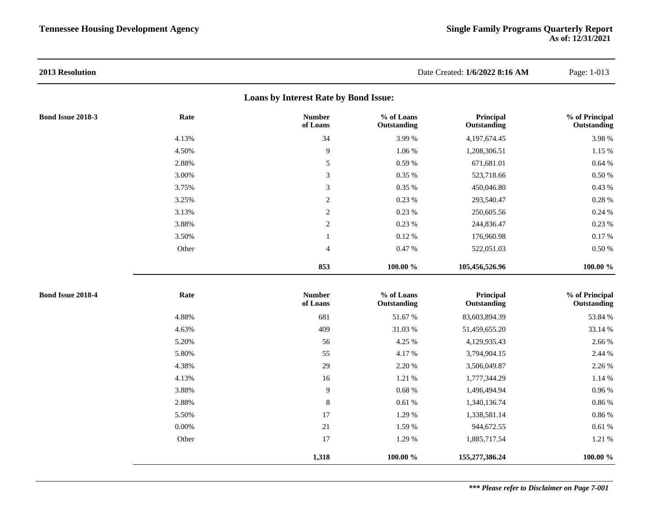| 2013 Resolution   |          |                                       |                           | Date Created: 1/6/2022 8:16 AM | Page: 1-013                   |
|-------------------|----------|---------------------------------------|---------------------------|--------------------------------|-------------------------------|
|                   |          | Loans by Interest Rate by Bond Issue: |                           |                                |                               |
| Bond Issue 2018-3 | Rate     | <b>Number</b><br>of Loans             | % of Loans<br>Outstanding | Principal<br>Outstanding       | % of Principal<br>Outstanding |
|                   | 4.13%    | 34                                    | 3.99%                     | 4,197,674.45                   | 3.98%                         |
|                   | 4.50%    | $\overline{9}$                        | $1.06~\%$                 | 1,208,306.51                   | $1.15~\%$                     |
|                   | 2.88%    | $\sqrt{5}$                            | $0.59\ \%$                | 671,681.01                     | $0.64~\%$                     |
|                   | 3.00%    | $\mathfrak{Z}$                        | 0.35 %                    | 523,718.66                     | $0.50\;\%$                    |
|                   | 3.75%    | $\mathfrak{Z}$                        | $0.35~\%$                 | 450,046.80                     | 0.43%                         |
|                   | 3.25%    | $\sqrt{2}$                            | 0.23%                     | 293,540.47                     | $0.28~\%$                     |
|                   | 3.13%    | $\sqrt{2}$                            | 0.23%                     | 250,605.56                     | $0.24\ \%$                    |
|                   | 3.88%    | $\overline{2}$                        | 0.23 %                    | 244,836.47                     | 0.23%                         |
|                   | 3.50%    | $\mathbf{1}$                          | $0.12~\%$                 | 176,960.98                     | $0.17~\%$                     |
|                   | Other    | $\overline{4}$                        | 0.47%                     | 522,051.03                     | $0.50\;\%$                    |
|                   |          | 853                                   | $100.00~\%$               | 105,456,526.96                 | 100.00 %                      |
| Bond Issue 2018-4 | Rate     | <b>Number</b><br>of Loans             | % of Loans<br>Outstanding | Principal<br>Outstanding       | % of Principal<br>Outstanding |
|                   | 4.88%    | 681                                   | 51.67%                    | 83,603,894.39                  | 53.84 %                       |
|                   | 4.63%    | 409                                   | 31.03%                    | 51,459,655.20                  | 33.14 %                       |
|                   | 5.20%    | 56                                    | 4.25 %                    | 4,129,935.43                   | 2.66 %                        |
|                   | 5.80%    | 55                                    | 4.17%                     | 3,794,904.15                   | 2.44 %                        |
|                   | 4.38%    | 29                                    | 2.20 %                    | 3,506,049.87                   | 2.26 %                        |
|                   | 4.13%    | 16                                    | 1.21 %                    | 1,777,344.29                   | 1.14 %                        |
|                   | 3.88%    | $\overline{9}$                        | $0.68~\%$                 | 1,496,494.94                   | $0.96\;\%$                    |
|                   | 2.88%    | $\,8\,$                               | 0.61%                     | 1,340,136.74                   | $0.86\;\%$                    |
|                   | 5.50%    | 17                                    | 1.29 %                    | 1,338,581.14                   | $0.86\;\%$                    |
|                   | $0.00\%$ | 21                                    | 1.59 %                    | 944,672.55                     | $0.61~\%$                     |
|                   | Other    | 17                                    | 1.29 %                    | 1,885,717.54                   | 1.21 %                        |
|                   |          | 1,318                                 | 100.00 %                  | 155,277,386.24                 | 100.00 %                      |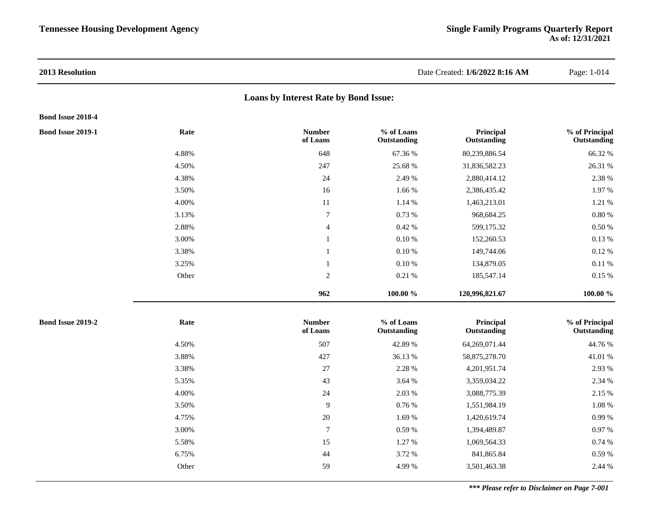# **Loans by Interest Rate by Bond Issue:**

### **Bond Issue 2018-4**

| <b>Bond Issue 2019-1</b> | Rate  | <b>Number</b><br>of Loans | % of Loans<br>Outstanding | Principal<br>Outstanding | % of Principal<br>Outstanding |
|--------------------------|-------|---------------------------|---------------------------|--------------------------|-------------------------------|
|                          | 4.88% | 648                       | 67.36 %                   | 80,239,886.54            | 66.32 %                       |
|                          | 4.50% | 247                       | 25.68 %                   | 31,836,582.23            | 26.31 %                       |
|                          | 4.38% | 24                        | 2.49 %                    | 2,880,414.12             | 2.38 %                        |
|                          | 3.50% | 16                        | 1.66 %                    | 2,386,435.42             | 1.97%                         |
|                          | 4.00% | 11                        | 1.14 %                    | 1,463,213.01             | 1.21 %                        |
|                          | 3.13% | 7                         | 0.73%                     | 968,684.25               | $0.80\ \%$                    |
|                          | 2.88% | $\overline{4}$            | 0.42%                     | 599,175.32               | $0.50~\%$                     |
|                          | 3.00% |                           | 0.10%                     | 152,260.53               | 0.13 %                        |
|                          | 3.38% |                           | $0.10\ \%$                | 149,744.06               | 0.12%                         |
|                          | 3.25% |                           | $0.10 \%$                 | 134,879.05               | 0.11%                         |
|                          | Other | 2                         | 0.21%                     | 185,547.14               | $0.15\%$                      |
|                          |       | 962                       | 100.00 %                  | 120,996,821.67           | 100.00 %                      |
|                          |       |                           |                           |                          |                               |

| <b>Bond Issue 2019-2</b> | Rate  | <b>Number</b><br>of Loans | % of Loans<br>Outstanding | Principal<br>Outstanding | % of Principal<br>Outstanding |
|--------------------------|-------|---------------------------|---------------------------|--------------------------|-------------------------------|
|                          | 4.50% | 507                       | 42.89 %                   | 64,269,071.44            | 44.76 %                       |
|                          | 3.88% | 427                       | 36.13 %                   | 58,875,278.70            | 41.01 %                       |
|                          | 3.38% | 27                        | 2.28 %                    | 4,201,951.74             | 2.93 %                        |
|                          | 5.35% | 43                        | 3.64 %                    | 3,359,034.22             | 2.34 %                        |
|                          | 4.00% | 24                        | 2.03 %                    | 3,088,775.39             | 2.15 %                        |
|                          | 3.50% | 9                         | 0.76%                     | 1,551,984.19             | 1.08 %                        |
|                          | 4.75% | 20                        | 1.69 %                    | 1,420,619.74             | 0.99%                         |
|                          | 3.00% | $\mathbf{r}$              | 0.59%                     | 1,394,489.87             | 0.97%                         |
|                          | 5.58% | 15                        | 1.27 %                    | 1,069,564.33             | 0.74%                         |
|                          | 6.75% | 44                        | 3.72 %                    | 841,865.84               | 0.59%                         |
|                          | Other | 59                        | 4.99 %                    | 3,501,463.38             | 2.44 %                        |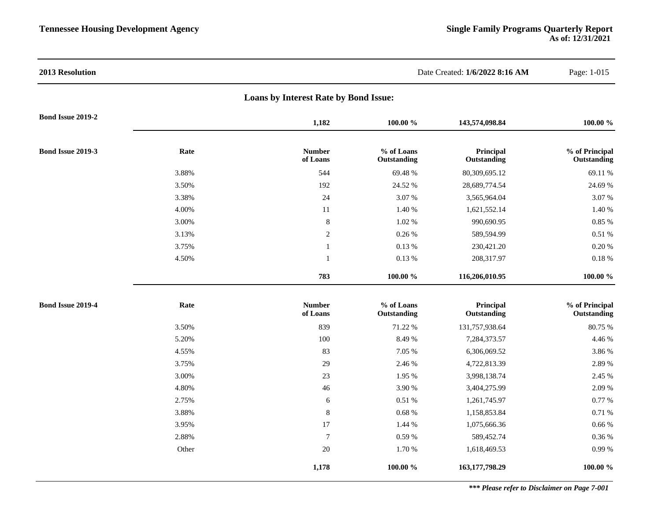| 2013 Resolution          |       |                                       |                           | Date Created: 1/6/2022 8:16 AM | Page: 1-015                   |
|--------------------------|-------|---------------------------------------|---------------------------|--------------------------------|-------------------------------|
|                          |       | Loans by Interest Rate by Bond Issue: |                           |                                |                               |
| Bond Issue 2019-2        |       | 1,182                                 | 100.00 %                  | 143,574,098.84                 | 100.00 %                      |
| Bond Issue 2019-3        | Rate  | <b>Number</b><br>of Loans             | % of Loans<br>Outstanding | Principal<br>Outstanding       | % of Principal<br>Outstanding |
|                          | 3.88% | 544                                   | 69.48%                    | 80,309,695.12                  | 69.11 %                       |
|                          | 3.50% | 192                                   | 24.52 %                   | 28,689,774.54                  | 24.69 %                       |
|                          | 3.38% | 24                                    | 3.07%                     | 3,565,964.04                   | 3.07%                         |
|                          | 4.00% | $11\,$                                | 1.40 %                    | 1,621,552.14                   | 1.40 %                        |
|                          | 3.00% | $\,8\,$                               | 1.02 %                    | 990,690.95                     | $0.85~\%$                     |
|                          | 3.13% | $\sqrt{2}$                            | 0.26%                     | 589,594.99                     | $0.51~\%$                     |
|                          | 3.75% | 1                                     | 0.13%                     | 230,421.20                     | $0.20~\%$                     |
|                          | 4.50% | $\mathbf{1}$                          | 0.13%                     | 208,317.97                     | $0.18~\%$                     |
|                          |       | 783                                   | 100.00 %                  | 116,206,010.95                 | 100.00 %                      |
| <b>Bond Issue 2019-4</b> | Rate  | <b>Number</b><br>of Loans             | % of Loans<br>Outstanding | Principal<br>Outstanding       | % of Principal<br>Outstanding |
|                          | 3.50% | 839                                   | 71.22 %                   | 131,757,938.64                 | 80.75 %                       |
|                          | 5.20% | 100                                   | 8.49%                     | 7,284,373.57                   | 4.46 %                        |
|                          | 4.55% | 83                                    | 7.05 %                    | 6,306,069.52                   | 3.86 %                        |
|                          | 3.75% | 29                                    | 2.46 %                    | 4,722,813.39                   | 2.89 %                        |
|                          | 3.00% | 23                                    | 1.95 %                    | 3,998,138.74                   | 2.45 %                        |
|                          | 4.80% | 46                                    | 3.90 %                    | 3,404,275.99                   | 2.09 %                        |
|                          | 2.75% | 6                                     | 0.51 %                    | 1,261,745.97                   | 0.77%                         |
|                          | 3.88% | $\,8\,$                               | $0.68~\%$                 | 1,158,853.84                   | 0.71%                         |
|                          | 3.95% | 17                                    | 1.44 %                    | 1,075,666.36                   | 0.66%                         |
|                          | 2.88% | $\overline{7}$                        | $0.59~\%$                 | 589,452.74                     | $0.36~\%$                     |
|                          | Other | $20\,$                                | 1.70 %                    | 1,618,469.53                   | $0.99\ \%$                    |
|                          |       | 1,178                                 | 100.00 %                  | 163, 177, 798. 29              | 100.00 %                      |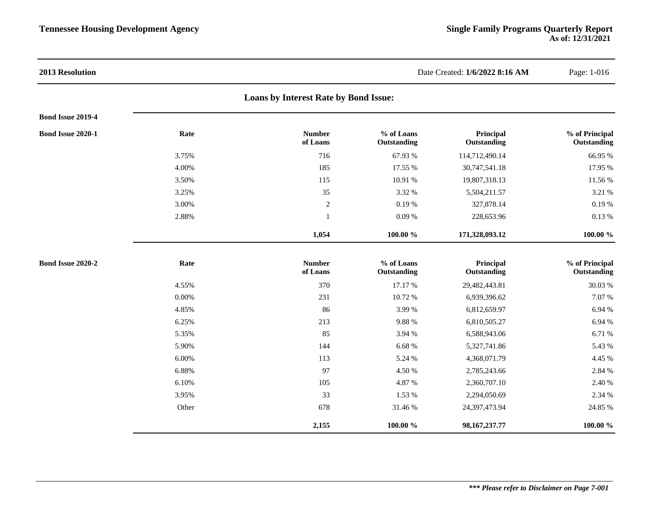| 2013 Resolution          |          |                                       |                           | Date Created: 1/6/2022 8:16 AM | Page: 1-016                   |
|--------------------------|----------|---------------------------------------|---------------------------|--------------------------------|-------------------------------|
|                          |          | Loans by Interest Rate by Bond Issue: |                           |                                |                               |
| Bond Issue 2019-4        |          |                                       |                           |                                |                               |
| <b>Bond Issue 2020-1</b> | Rate     | <b>Number</b><br>of Loans             | % of Loans<br>Outstanding | Principal<br>Outstanding       | % of Principal<br>Outstanding |
|                          | 3.75%    | 716                                   | 67.93 %                   | 114,712,490.14                 | 66.95 %                       |
|                          | 4.00%    | 185                                   | 17.55 %                   | 30,747,541.18                  | 17.95 %                       |
|                          | 3.50%    | 115                                   | 10.91 %                   | 19,807,318.13                  | 11.56 %                       |
|                          | 3.25%    | 35                                    | 3.32 %                    | 5,504,211.57                   | 3.21 %                        |
|                          | 3.00%    | $\overline{c}$                        | 0.19%                     | 327,878.14                     | 0.19%                         |
|                          | 2.88%    | $\mathbf{1}$                          | 0.09%                     | 228,653.96                     | 0.13%                         |
|                          |          | 1,054                                 | 100.00 %                  | 171,328,093.12                 | 100.00 %                      |
| Bond Issue 2020-2        | Rate     | <b>Number</b><br>of Loans             | % of Loans<br>Outstanding | Principal<br>Outstanding       | % of Principal<br>Outstanding |
|                          | 4.55%    | 370                                   | 17.17 %                   | 29,482,443.81                  | 30.03 %                       |
|                          | $0.00\%$ | 231                                   | 10.72 %                   | 6,939,396.62                   | 7.07 %                        |
|                          | 4.85%    | 86                                    | 3.99%                     | 6,812,659.97                   | 6.94 %                        |
|                          | 6.25%    | 213                                   | 9.88 %                    | 6,810,505.27                   | 6.94 %                        |
|                          | 5.35%    | 85                                    | 3.94 %                    | 6,588,943.06                   | 6.71 %                        |
|                          | 5.90%    | 144                                   | 6.68%                     | 5,327,741.86                   | 5.43 %                        |
|                          | 6.00%    | 113                                   | 5.24 %                    | 4,368,071.79                   | 4.45 %                        |
|                          | 6.88%    | 97                                    | 4.50 %                    | 2,785,243.66                   | 2.84 %                        |
|                          | 6.10%    | 105                                   | 4.87 %                    | 2,360,707.10                   | 2.40 %                        |
|                          | 3.95%    | 33                                    | 1.53 %                    | 2,294,050.69                   | 2.34 %                        |
|                          | Other    | 678                                   | 31.46 %                   | 24,397,473.94                  | 24.85 %                       |
|                          |          | 2,155                                 | 100.00 %                  | 98, 167, 237. 77               | 100.00 %                      |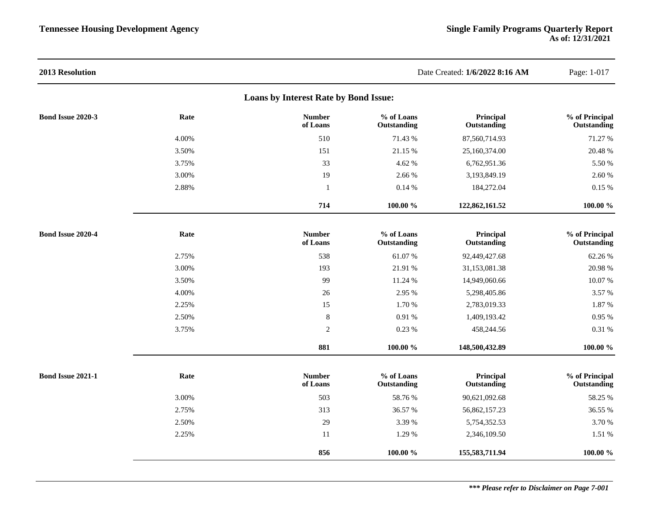| 2013 Resolution                       |       |                           |                           | Date Created: 1/6/2022 8:16 AM | Page: 1-017                   |  |  |  |  |
|---------------------------------------|-------|---------------------------|---------------------------|--------------------------------|-------------------------------|--|--|--|--|
| Loans by Interest Rate by Bond Issue: |       |                           |                           |                                |                               |  |  |  |  |
| Bond Issue 2020-3                     | Rate  | <b>Number</b><br>of Loans | % of Loans<br>Outstanding | Principal<br>Outstanding       | % of Principal<br>Outstanding |  |  |  |  |
|                                       | 4.00% | 510                       | 71.43 %                   | 87,560,714.93                  | 71.27 %                       |  |  |  |  |
|                                       | 3.50% | 151                       | 21.15 %                   | 25,160,374.00                  | 20.48 %                       |  |  |  |  |
|                                       | 3.75% | 33                        | 4.62 %                    | 6,762,951.36                   | 5.50 %                        |  |  |  |  |
|                                       | 3.00% | 19                        | 2.66 %                    | 3,193,849.19                   | 2.60 %                        |  |  |  |  |
|                                       | 2.88% | -1                        | 0.14%                     | 184,272.04                     | 0.15%                         |  |  |  |  |
|                                       |       | 714                       | $100.00~\%$               | 122,862,161.52                 | $100.00 \%$                   |  |  |  |  |
| Bond Issue 2020-4                     | Rate  | <b>Number</b><br>of Loans | % of Loans<br>Outstanding | Principal<br>Outstanding       | % of Principal<br>Outstanding |  |  |  |  |
|                                       | 2.75% | 538                       | 61.07%                    | 92,449,427.68                  | 62.26 %                       |  |  |  |  |
|                                       | 3.00% | 193                       | 21.91 %                   | 31,153,081.38                  | 20.98 %                       |  |  |  |  |
|                                       | 3.50% | 99                        | 11.24 %                   | 14,949,060.66                  | 10.07%                        |  |  |  |  |
|                                       | 4.00% | 26                        | 2.95 %                    | 5,298,405.86                   | 3.57 %                        |  |  |  |  |
|                                       | 2.25% | 15                        | 1.70 %                    | 2,783,019.33                   | 1.87 %                        |  |  |  |  |
|                                       | 2.50% | $\,8\,$                   | 0.91 %                    | 1,409,193.42                   | 0.95 %                        |  |  |  |  |
|                                       | 3.75% | $\overline{2}$            | 0.23 %                    | 458,244.56                     | 0.31%                         |  |  |  |  |
|                                       |       | 881                       | $100.00~\%$               | 148,500,432.89                 | $100.00 \%$                   |  |  |  |  |
| Bond Issue 2021-1                     | Rate  | <b>Number</b><br>of Loans | % of Loans<br>Outstanding | Principal<br>Outstanding       | % of Principal<br>Outstanding |  |  |  |  |
|                                       | 3.00% | 503                       | 58.76%                    | 90,621,092.68                  | 58.25 %                       |  |  |  |  |
|                                       | 2.75% | 313                       | 36.57 %                   | 56,862,157.23                  | 36.55 %                       |  |  |  |  |
|                                       | 2.50% | 29                        | 3.39 %                    | 5,754,352.53                   | 3.70 %                        |  |  |  |  |
|                                       | 2.25% | 11                        | 1.29 %                    | 2,346,109.50                   | 1.51 %                        |  |  |  |  |
|                                       |       | 856                       | 100.00 %                  | 155,583,711.94                 | 100.00 %                      |  |  |  |  |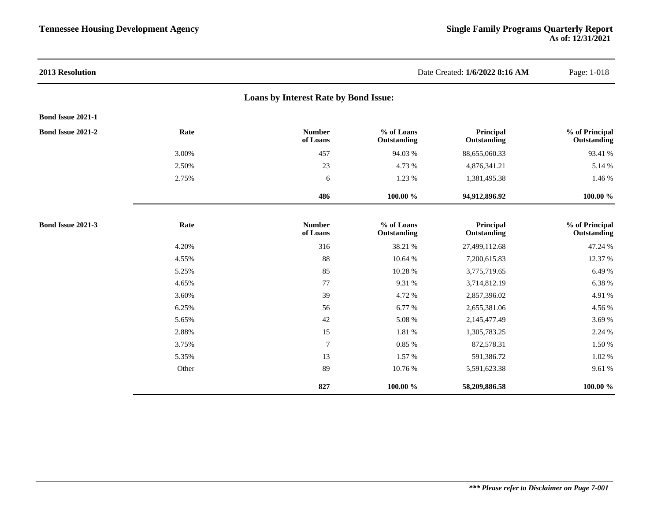| 2013 Resolution          |       |                                       |                           | Date Created: 1/6/2022 8:16 AM | Page: 1-018                   |
|--------------------------|-------|---------------------------------------|---------------------------|--------------------------------|-------------------------------|
|                          |       | Loans by Interest Rate by Bond Issue: |                           |                                |                               |
| Bond Issue 2021-1        |       |                                       |                           |                                |                               |
| Bond Issue 2021-2        | Rate  | <b>Number</b><br>of Loans             | % of Loans<br>Outstanding | Principal<br>Outstanding       | % of Principal<br>Outstanding |
|                          | 3.00% | 457                                   | 94.03 %                   | 88,655,060.33                  | 93.41 %                       |
|                          | 2.50% | 23                                    | 4.73 %                    | 4,876,341.21                   | 5.14 %                        |
|                          | 2.75% | 6                                     | 1.23 %                    | 1,381,495.38                   | 1.46 %                        |
|                          |       | 486                                   | 100.00 %                  | 94,912,896.92                  | 100.00 %                      |
| <b>Bond Issue 2021-3</b> | Rate  | <b>Number</b><br>of Loans             | % of Loans<br>Outstanding | Principal<br>Outstanding       | % of Principal<br>Outstanding |
|                          | 4.20% | 316                                   | 38.21 %                   | 27,499,112.68                  | 47.24 %                       |
|                          | 4.55% | 88                                    | 10.64 %                   | 7,200,615.83                   | 12.37 %                       |
|                          | 5.25% | 85                                    | 10.28 %                   | 3,775,719.65                   | 6.49 %                        |
|                          | 4.65% | 77                                    | 9.31 %                    | 3,714,812.19                   | 6.38 %                        |
|                          | 3.60% | 39                                    | 4.72 %                    | 2,857,396.02                   | 4.91 %                        |
|                          | 6.25% | 56                                    | 6.77 %                    | 2,655,381.06                   | 4.56 %                        |
|                          | 5.65% | 42                                    | 5.08 %                    | 2,145,477.49                   | 3.69%                         |
|                          | 2.88% | 15                                    | 1.81 %                    | 1,305,783.25                   | 2.24 %                        |
|                          | 3.75% | $\overline{7}$                        | 0.85 %                    | 872,578.31                     | 1.50 %                        |
|                          | 5.35% | 13                                    | 1.57 %                    | 591,386.72                     | 1.02 %                        |
|                          | Other | 89                                    | 10.76 %                   | 5,591,623.38                   | 9.61 %                        |
|                          |       | 827                                   | 100.00 %                  | 58,209,886.58                  | 100.00 %                      |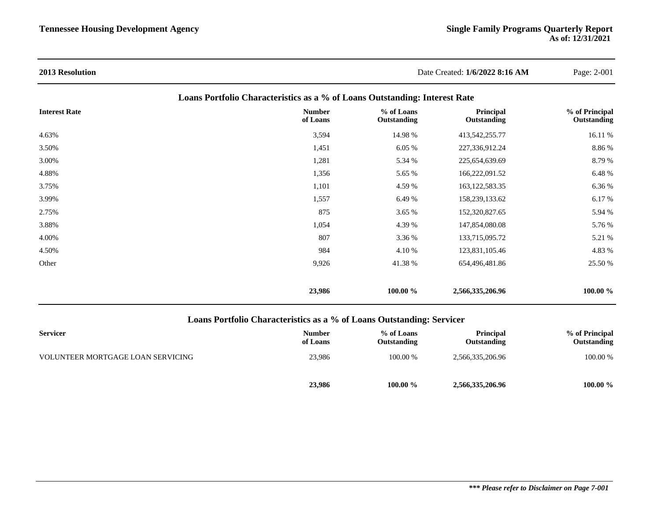| <b>2013 Resolution</b>                                                     |                           | Date Created: 1/6/2022 8:16 AM |                          | Page: 2-001                   |  |  |  |  |
|----------------------------------------------------------------------------|---------------------------|--------------------------------|--------------------------|-------------------------------|--|--|--|--|
| Loans Portfolio Characteristics as a % of Loans Outstanding: Interest Rate |                           |                                |                          |                               |  |  |  |  |
| <b>Interest Rate</b>                                                       | <b>Number</b><br>of Loans | % of Loans<br>Outstanding      | Principal<br>Outstanding | % of Principal<br>Outstanding |  |  |  |  |
| 4.63%                                                                      | 3,594                     | 14.98 %                        | 413,542,255.77           | 16.11 %                       |  |  |  |  |
| 3.50%                                                                      | 1,451                     | 6.05 %                         | 227,336,912.24           | 8.86%                         |  |  |  |  |
| 3.00%                                                                      | 1,281                     | 5.34 %                         | 225,654,639.69           | 8.79 %                        |  |  |  |  |
| 4.88%                                                                      | 1,356                     | 5.65 %                         | 166,222,091.52           | 6.48 %                        |  |  |  |  |
| 3.75%                                                                      | 1,101                     | 4.59 %                         | 163, 122, 583. 35        | 6.36 %                        |  |  |  |  |
| 3.99%                                                                      | 1,557                     | 6.49 %                         | 158,239,133.62           | 6.17 %                        |  |  |  |  |
| 2.75%                                                                      | 875                       | 3.65 %                         | 152,320,827.65           | 5.94 %                        |  |  |  |  |
| 3.88%                                                                      | 1,054                     | 4.39 %                         | 147,854,080.08           | 5.76 %                        |  |  |  |  |
| 4.00%                                                                      | 807                       | 3.36 %                         | 133,715,095.72           | 5.21 %                        |  |  |  |  |
| 4.50%                                                                      | 984                       | 4.10 %                         | 123,831,105.46           | 4.83 %                        |  |  |  |  |
| Other                                                                      | 9,926                     | 41.38%                         | 654,496,481.86           | 25.50 %                       |  |  |  |  |
|                                                                            | 23,986                    | 100.00 %                       | 2,566,335,206.96         | 100.00 %                      |  |  |  |  |

# **Loans Portfolio Characteristics as a % of Loans Outstanding: Servicer**

| <b>Servicer</b>                   | <b>Number</b><br>of Loans | % of Loans<br><b>Outstanding</b> | <b>Principal</b><br>Outstanding | % of Principal<br>Outstanding |
|-----------------------------------|---------------------------|----------------------------------|---------------------------------|-------------------------------|
| VOLUNTEER MORTGAGE LOAN SERVICING | 23.986                    | 100.00 %                         | 2,566,335,206.96                | 100.00 %                      |
|                                   | 23,986                    | 100.00 %                         | 2,566,335,206.96                | 100.00 %                      |

# *\*\*\* Please refer to Disclaimer on Page 7-001*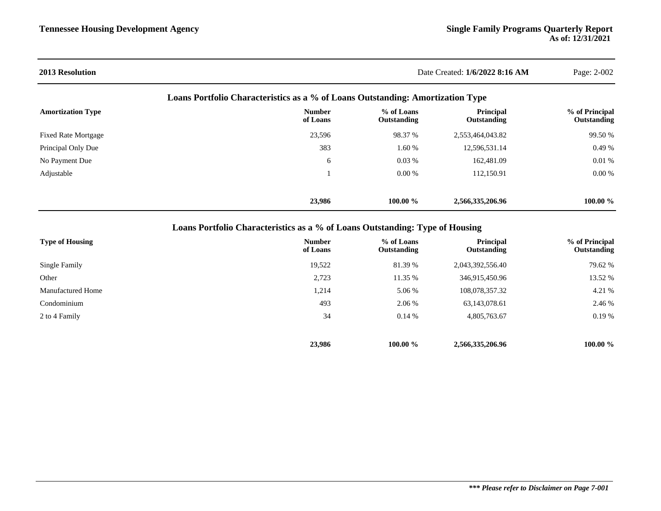| <b>2013 Resolution</b>                                                         |                           | Date Created: 1/6/2022 8:16 AM |                          |                               |  |  |  |  |
|--------------------------------------------------------------------------------|---------------------------|--------------------------------|--------------------------|-------------------------------|--|--|--|--|
| Loans Portfolio Characteristics as a % of Loans Outstanding: Amortization Type |                           |                                |                          |                               |  |  |  |  |
| <b>Amortization Type</b>                                                       | <b>Number</b><br>of Loans | % of Loans<br>Outstanding      | Principal<br>Outstanding | % of Principal<br>Outstanding |  |  |  |  |
| <b>Fixed Rate Mortgage</b>                                                     | 23,596                    | 98.37 %                        | 2,553,464,043.82         | 99.50 %                       |  |  |  |  |
| Principal Only Due                                                             | 383                       | 1.60 %                         | 12,596,531.14            | 0.49%                         |  |  |  |  |
| No Payment Due                                                                 | 6                         | 0.03%                          | 162,481.09               | 0.01%                         |  |  |  |  |
| Adjustable                                                                     |                           | $0.00\%$                       | 112,150.91               | 0.00%                         |  |  |  |  |
|                                                                                | 23,986                    | 100.00 %                       | 2,566,335,206.96         | 100.00 %                      |  |  |  |  |

**Loans Portfolio Characteristics as a % of Loans Outstanding: Type of Housing**

| <b>Type of Housing</b>   | <b>Number</b><br>of Loans | % of Loans<br>Outstanding | Principal<br>Outstanding | % of Principal<br>Outstanding |
|--------------------------|---------------------------|---------------------------|--------------------------|-------------------------------|
| Single Family            | 19,522                    | 81.39 %                   | 2,043,392,556.40         | 79.62 %                       |
| Other                    | 2,723                     | 11.35 %                   | 346,915,450.96           | 13.52 %                       |
| <b>Manufactured Home</b> | 1,214                     | 5.06 %                    | 108,078,357.32           | 4.21 %                        |
| Condominium              | 493                       | 2.06 %                    | 63,143,078.61            | 2.46 %                        |
| 2 to 4 Family            | 34                        | $0.14\%$                  | 4,805,763.67             | 0.19%                         |
|                          |                           |                           |                          |                               |
|                          | 23,986                    | 100.00 %                  | 2,566,335,206.96         | 100.00 %                      |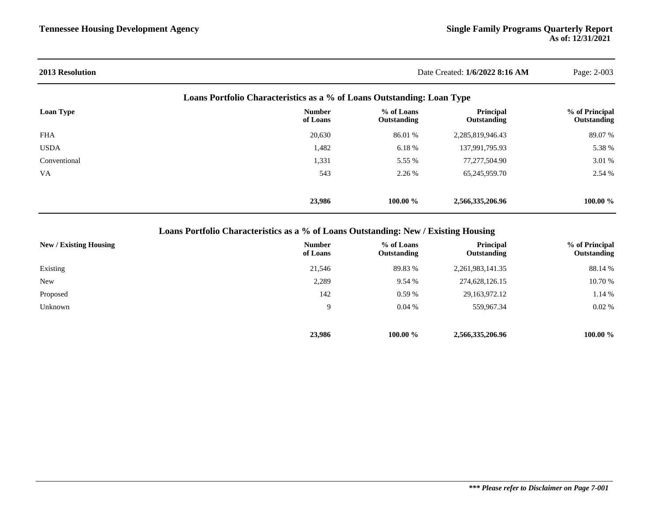| <b>2013 Resolution</b> | Date Created: 1/6/2022 8:16 AM |                                                                        |                          | Page: 2-003                   |  |
|------------------------|--------------------------------|------------------------------------------------------------------------|--------------------------|-------------------------------|--|
|                        |                                | Loans Portfolio Characteristics as a % of Loans Outstanding: Loan Type |                          |                               |  |
| Loan Type              | <b>Number</b><br>of Loans      | % of Loans<br>Outstanding                                              | Principal<br>Outstanding | % of Principal<br>Outstanding |  |
| <b>FHA</b>             | 20,630                         | 86.01 %                                                                | 2,285,819,946.43         | 89.07 %                       |  |
| <b>USDA</b>            | 1,482                          | 6.18 %                                                                 | 137,991,795.93           | 5.38 %                        |  |
| Conventional           | 1,331                          | 5.55 %                                                                 | 77,277,504.90            | 3.01 %                        |  |
| <b>VA</b>              | 543                            | 2.26 %                                                                 | 65,245,959.70            | 2.54 %                        |  |
|                        | 23,986                         | $100.00 \%$                                                            | 2,566,335,206.96         | $100.00 \%$                   |  |

**Loans Portfolio Characteristics as a % of Loans Outstanding: New / Existing Housing**

| New / Existing Housing | <b>Number</b><br>of Loans | % of Loans<br>Outstanding | <b>Principal</b><br>Outstanding | % of Principal<br>Outstanding |
|------------------------|---------------------------|---------------------------|---------------------------------|-------------------------------|
| Existing               | 21,546                    | 89.83 %                   | 2, 261, 983, 141. 35            | 88.14 %                       |
| <b>New</b>             | 2,289                     | 9.54 %                    | 274,628,126.15                  | 10.70 %                       |
| Proposed               | 142                       | $0.59\%$                  | 29, 163, 972, 12                | 1.14 %                        |
| Unknown                | 9                         | 0.04%                     | 559,967.34                      | 0.02%                         |
|                        | 23,986                    | $100.00 \%$               | 2,566,335,206.96                | $100.00 \%$                   |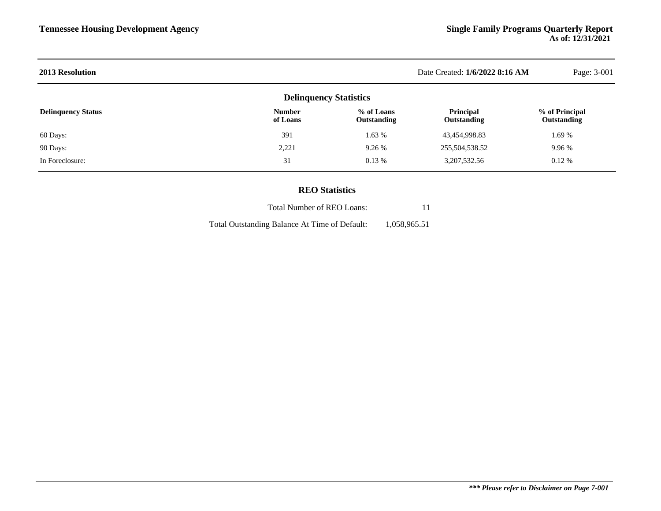| <b>2013 Resolution</b>    | Date Created: 1/6/2022 8:16 AM | Page: 3-001               |                          |                               |
|---------------------------|--------------------------------|---------------------------|--------------------------|-------------------------------|
|                           | <b>Delinquency Statistics</b>  |                           |                          |                               |
| <b>Delinquency Status</b> | <b>Number</b><br>of Loans      | % of Loans<br>Outstanding | Principal<br>Outstanding | % of Principal<br>Outstanding |
| 60 Days:                  | 391                            | 1.63 %                    | 43,454,998.83            | 1.69 %                        |
| 90 Days:                  | 2,221                          | 9.26%                     | 255,504,538.52           | 9.96 %                        |
| In Foreclosure:           | 31                             | $0.13\%$                  | 3, 207, 532. 56          | $0.12\%$                      |

# **REO Statistics**

| Total Number of REO Loans:                    | 11           |
|-----------------------------------------------|--------------|
| Total Outstanding Balance At Time of Default: | 1.058.965.51 |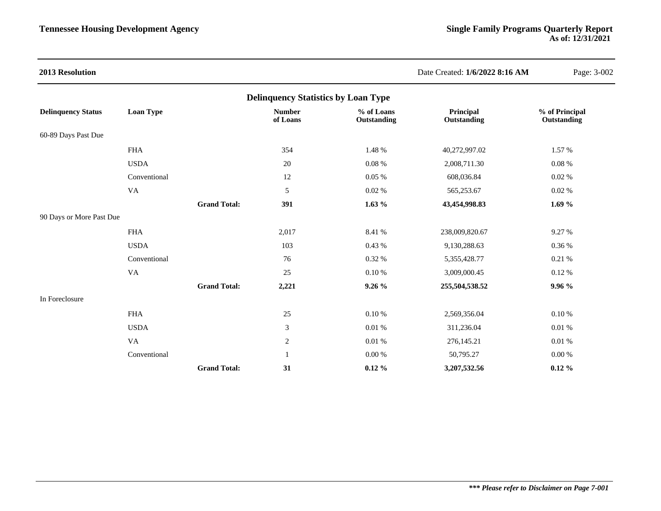| 2013 Resolution           |                                            |                     |                           |                           | Date Created: 1/6/2022 8:16 AM | Page: 3-002                   |  |  |  |  |  |
|---------------------------|--------------------------------------------|---------------------|---------------------------|---------------------------|--------------------------------|-------------------------------|--|--|--|--|--|
|                           | <b>Delinquency Statistics by Loan Type</b> |                     |                           |                           |                                |                               |  |  |  |  |  |
| <b>Delinquency Status</b> | Loan Type                                  |                     | <b>Number</b><br>of Loans | % of Loans<br>Outstanding | Principal<br>Outstanding       | % of Principal<br>Outstanding |  |  |  |  |  |
| 60-89 Days Past Due       |                                            |                     |                           |                           |                                |                               |  |  |  |  |  |
|                           | <b>FHA</b>                                 |                     | 354                       | 1.48 %                    | 40,272,997.02                  | 1.57 %                        |  |  |  |  |  |
|                           | <b>USDA</b>                                |                     | 20                        | 0.08%                     | 2,008,711.30                   | 0.08%                         |  |  |  |  |  |
|                           | Conventional                               |                     | 12                        | $0.05~\%$                 | 608,036.84                     | 0.02%                         |  |  |  |  |  |
|                           | VA                                         |                     | $\mathfrak{S}$            | 0.02%                     | 565,253.67                     | 0.02%                         |  |  |  |  |  |
|                           |                                            | <b>Grand Total:</b> | 391                       | 1.63%                     | 43,454,998.83                  | 1.69 $%$                      |  |  |  |  |  |
| 90 Days or More Past Due  |                                            |                     |                           |                           |                                |                               |  |  |  |  |  |
|                           | <b>FHA</b>                                 |                     | 2,017                     | 8.41 %                    | 238,009,820.67                 | 9.27 %                        |  |  |  |  |  |
|                           | <b>USDA</b>                                |                     | 103                       | 0.43 %                    | 9,130,288.63                   | 0.36 %                        |  |  |  |  |  |
|                           | Conventional                               |                     | 76                        | 0.32 %                    | 5,355,428.77                   | 0.21%                         |  |  |  |  |  |
|                           | VA                                         |                     | 25                        | 0.10%                     | 3,009,000.45                   | 0.12%                         |  |  |  |  |  |
|                           |                                            | <b>Grand Total:</b> | 2,221                     | 9.26%                     | 255,504,538.52                 | 9.96 %                        |  |  |  |  |  |
| In Foreclosure            |                                            |                     |                           |                           |                                |                               |  |  |  |  |  |
|                           | <b>FHA</b>                                 |                     | 25                        | 0.10%                     | 2,569,356.04                   | 0.10%                         |  |  |  |  |  |
|                           | <b>USDA</b>                                |                     | $\sqrt{3}$                | 0.01%                     | 311,236.04                     | 0.01%                         |  |  |  |  |  |
|                           | VA                                         |                     | $\overline{2}$            | 0.01%                     | 276,145.21                     | 0.01%                         |  |  |  |  |  |
|                           | Conventional                               |                     | 1                         | $0.00\ \%$                | 50,795.27                      | $0.00\ \%$                    |  |  |  |  |  |
|                           |                                            | <b>Grand Total:</b> | 31                        | $0.12 \%$                 | 3,207,532.56                   | $0.12 \%$                     |  |  |  |  |  |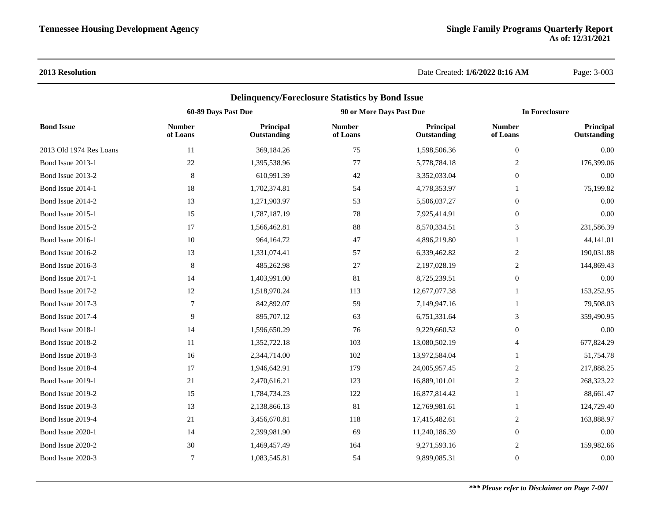|                         |                           | <b>Delinquency/Foreclosure Statistics by Bond Issue</b> |                           |                          |                           |                          |  |
|-------------------------|---------------------------|---------------------------------------------------------|---------------------------|--------------------------|---------------------------|--------------------------|--|
|                         | 60-89 Days Past Due       |                                                         | 90 or More Days Past Due  |                          | <b>In Foreclosure</b>     |                          |  |
| <b>Bond Issue</b>       | <b>Number</b><br>of Loans | Principal<br>Outstanding                                | <b>Number</b><br>of Loans | Principal<br>Outstanding | <b>Number</b><br>of Loans | Principal<br>Outstanding |  |
| 2013 Old 1974 Res Loans | 11                        | 369,184.26                                              | 75                        | 1,598,506.36             | $\boldsymbol{0}$          | 0.00                     |  |
| Bond Issue 2013-1       | 22                        | 1,395,538.96                                            | 77                        | 5,778,784.18             | 2                         | 176,399.06               |  |
| Bond Issue 2013-2       | $\,8\,$                   | 610,991.39                                              | 42                        | 3,352,033.04             | $\boldsymbol{0}$          | 0.00                     |  |
| Bond Issue 2014-1       | $18\,$                    | 1,702,374.81                                            | 54                        | 4,778,353.97             |                           | 75,199.82                |  |
| Bond Issue 2014-2       | 13                        | 1,271,903.97                                            | 53                        | 5,506,037.27             | $\boldsymbol{0}$          | 0.00                     |  |
| Bond Issue 2015-1       | 15                        | 1,787,187.19                                            | 78                        | 7,925,414.91             | $\mathbf{0}$              | 0.00                     |  |
| Bond Issue 2015-2       | 17                        | 1,566,462.81                                            | 88                        | 8,570,334.51             | 3                         | 231,586.39               |  |
| Bond Issue 2016-1       | 10                        | 964,164.72                                              | 47                        | 4,896,219.80             | $\mathbf{1}$              | 44,141.01                |  |
| Bond Issue 2016-2       | 13                        | 1,331,074.41                                            | 57                        | 6,339,462.82             | $\overline{c}$            | 190,031.88               |  |
| Bond Issue 2016-3       | $\,8\,$                   | 485,262.98                                              | 27                        | 2,197,028.19             | 2                         | 144,869.43               |  |
| Bond Issue 2017-1       | 14                        | 1,403,991.00                                            | 81                        | 8,725,239.51             | $\boldsymbol{0}$          | 0.00                     |  |
| Bond Issue 2017-2       | 12                        | 1,518,970.24                                            | 113                       | 12,677,077.38            | 1                         | 153,252.95               |  |
| Bond Issue 2017-3       | $\overline{7}$            | 842,892.07                                              | 59                        | 7,149,947.16             | $\mathbf{1}$              | 79,508.03                |  |
| Bond Issue 2017-4       | 9                         | 895,707.12                                              | 63                        | 6,751,331.64             | 3                         | 359,490.95               |  |
| Bond Issue 2018-1       | 14                        | 1,596,650.29                                            | 76                        | 9,229,660.52             | $\boldsymbol{0}$          | 0.00                     |  |
| Bond Issue 2018-2       | 11                        | 1,352,722.18                                            | 103                       | 13,080,502.19            | $\overline{4}$            | 677,824.29               |  |
| Bond Issue 2018-3       | 16                        | 2,344,714.00                                            | 102                       | 13,972,584.04            | 1                         | 51,754.78                |  |
| Bond Issue 2018-4       | 17                        | 1,946,642.91                                            | 179                       | 24,005,957.45            | $\overline{c}$            | 217,888.25               |  |
| Bond Issue 2019-1       | 21                        | 2,470,616.21                                            | 123                       | 16,889,101.01            | $\overline{c}$            | 268,323.22               |  |
| Bond Issue 2019-2       | 15                        | 1,784,734.23                                            | 122                       | 16,877,814.42            | 1                         | 88,661.47                |  |
| Bond Issue 2019-3       | 13                        | 2,138,866.13                                            | 81                        | 12,769,981.61            | 1                         | 124,729.40               |  |
| Bond Issue 2019-4       | 21                        | 3,456,670.81                                            | 118                       | 17,415,482.61            | 2                         | 163,888.97               |  |
| Bond Issue 2020-1       | 14                        | 2,399,981.90                                            | 69                        | 11,240,186.39            | $\boldsymbol{0}$          | 0.00                     |  |
| Bond Issue 2020-2       | 30                        | 1,469,457.49                                            | 164                       | 9,271,593.16             | $\overline{2}$            | 159,982.66               |  |
| Bond Issue 2020-3       | $\tau$                    | 1,083,545.81                                            | 54                        | 9,899,085.31             | $\mathbf{0}$              | 0.00                     |  |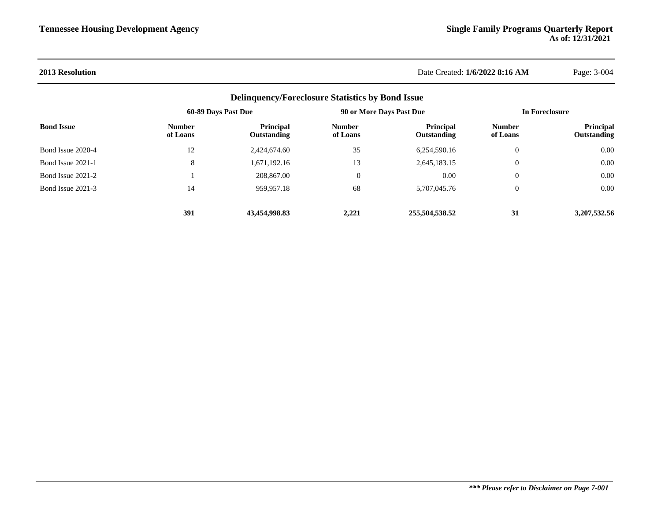| <b>Delinquency/Foreclosure Statistics by Bond Issue</b><br>90 or More Days Past Due<br>60-89 Days Past Due<br><b>Bond Issue</b><br><b>Principal</b><br><b>Principal</b><br><b>Number</b><br><b>Number</b><br>of Loans<br>of Loans<br>Outstanding<br>Outstanding<br>Bond Issue 2020-4<br>12<br>2,424,674.60<br>35<br>6,254,590.16<br>8<br>Bond Issue 2021-1<br>1,671,192.16<br>13<br>2,645,183.15<br>Bond Issue 2021-2<br>208,867.00<br>$\mathbf{0}$<br>0.00<br>Bond Issue 2021-3<br>959.957.18<br>68<br>5.707.045.76<br>14<br>391<br>43.454.998.83<br>2.221<br>255,504,538.52 |  | In Foreclosure |                           |                                 |
|-------------------------------------------------------------------------------------------------------------------------------------------------------------------------------------------------------------------------------------------------------------------------------------------------------------------------------------------------------------------------------------------------------------------------------------------------------------------------------------------------------------------------------------------------------------------------------|--|----------------|---------------------------|---------------------------------|
|                                                                                                                                                                                                                                                                                                                                                                                                                                                                                                                                                                               |  |                | <b>Number</b><br>of Loans | <b>Principal</b><br>Outstanding |
|                                                                                                                                                                                                                                                                                                                                                                                                                                                                                                                                                                               |  |                | $\theta$                  | 0.00                            |
|                                                                                                                                                                                                                                                                                                                                                                                                                                                                                                                                                                               |  |                | $\boldsymbol{0}$          | 0.00                            |
|                                                                                                                                                                                                                                                                                                                                                                                                                                                                                                                                                                               |  |                | $\boldsymbol{0}$          | 0.00                            |
|                                                                                                                                                                                                                                                                                                                                                                                                                                                                                                                                                                               |  |                | $\theta$                  | 0.00                            |
|                                                                                                                                                                                                                                                                                                                                                                                                                                                                                                                                                                               |  |                | 31                        | 3.207.532.56                    |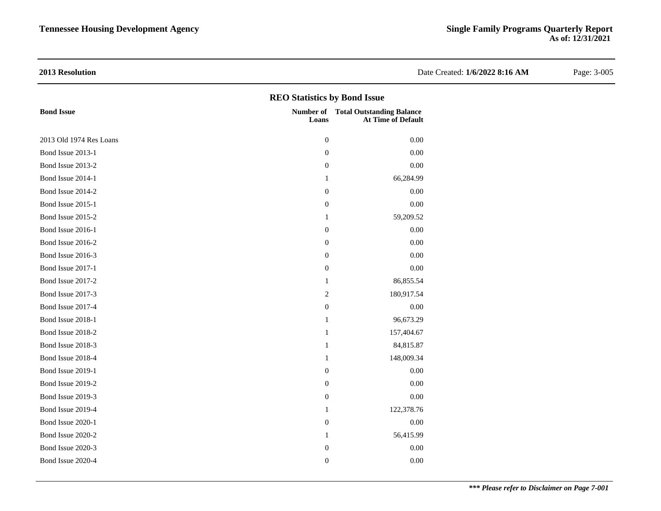| 2013 Resolution                     |                  |                                                                         | Date Created: 1/6/2022 8:16 AM | Page: 3-005 |  |  |  |  |  |  |
|-------------------------------------|------------------|-------------------------------------------------------------------------|--------------------------------|-------------|--|--|--|--|--|--|
| <b>REO Statistics by Bond Issue</b> |                  |                                                                         |                                |             |  |  |  |  |  |  |
| <b>Bond Issue</b>                   | Loans            | <b>Number of</b> Total Outstanding Balance<br><b>At Time of Default</b> |                                |             |  |  |  |  |  |  |
| 2013 Old 1974 Res Loans             | $\boldsymbol{0}$ | 0.00                                                                    |                                |             |  |  |  |  |  |  |
| Bond Issue 2013-1                   | $\boldsymbol{0}$ | $0.00\,$                                                                |                                |             |  |  |  |  |  |  |
| Bond Issue 2013-2                   | $\boldsymbol{0}$ | 0.00                                                                    |                                |             |  |  |  |  |  |  |
| Bond Issue 2014-1                   | $\mathbf{1}$     | 66,284.99                                                               |                                |             |  |  |  |  |  |  |
| Bond Issue 2014-2                   | $\mathbf{0}$     | 0.00                                                                    |                                |             |  |  |  |  |  |  |
| Bond Issue 2015-1                   | $\boldsymbol{0}$ | 0.00                                                                    |                                |             |  |  |  |  |  |  |
| Bond Issue 2015-2                   | 1                | 59,209.52                                                               |                                |             |  |  |  |  |  |  |
| Bond Issue 2016-1                   | $\mathbf{0}$     | 0.00                                                                    |                                |             |  |  |  |  |  |  |
| Bond Issue 2016-2                   | $\boldsymbol{0}$ | 0.00                                                                    |                                |             |  |  |  |  |  |  |
| Bond Issue 2016-3                   | $\boldsymbol{0}$ | 0.00                                                                    |                                |             |  |  |  |  |  |  |
| Bond Issue 2017-1                   | $\boldsymbol{0}$ | 0.00                                                                    |                                |             |  |  |  |  |  |  |
| Bond Issue 2017-2                   | 1                | 86,855.54                                                               |                                |             |  |  |  |  |  |  |
| Bond Issue 2017-3                   | $\overline{2}$   | 180,917.54                                                              |                                |             |  |  |  |  |  |  |
| Bond Issue 2017-4                   | $\boldsymbol{0}$ | 0.00                                                                    |                                |             |  |  |  |  |  |  |
| Bond Issue 2018-1                   | -1               | 96,673.29                                                               |                                |             |  |  |  |  |  |  |
| Bond Issue 2018-2                   | $\mathbf{1}$     | 157,404.67                                                              |                                |             |  |  |  |  |  |  |
| Bond Issue 2018-3                   | $\mathbf{1}$     | 84,815.87                                                               |                                |             |  |  |  |  |  |  |
| Bond Issue 2018-4                   | $\mathbf{1}$     | 148,009.34                                                              |                                |             |  |  |  |  |  |  |
| Bond Issue 2019-1                   | $\boldsymbol{0}$ | 0.00                                                                    |                                |             |  |  |  |  |  |  |
| Bond Issue 2019-2                   | $\boldsymbol{0}$ | 0.00                                                                    |                                |             |  |  |  |  |  |  |
| Bond Issue 2019-3                   | $\boldsymbol{0}$ | 0.00                                                                    |                                |             |  |  |  |  |  |  |
| Bond Issue 2019-4                   | $\mathbf{1}$     | 122,378.76                                                              |                                |             |  |  |  |  |  |  |
| Bond Issue 2020-1                   | $\mathbf{0}$     | 0.00                                                                    |                                |             |  |  |  |  |  |  |
| Bond Issue 2020-2                   | -1               | 56,415.99                                                               |                                |             |  |  |  |  |  |  |
| Bond Issue 2020-3                   | $\boldsymbol{0}$ | 0.00                                                                    |                                |             |  |  |  |  |  |  |
| Bond Issue 2020-4                   | $\mathbf{0}$     | 0.00                                                                    |                                |             |  |  |  |  |  |  |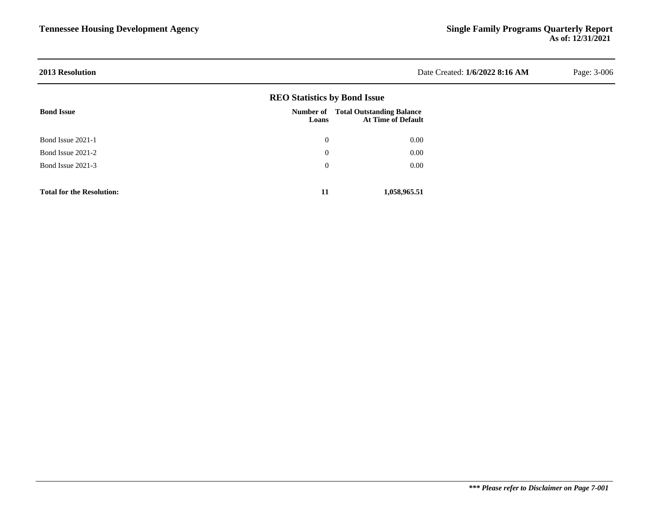| <b>2013 Resolution</b>           |                                     |                                                               | Date Created: 1/6/2022 8:16 AM | Page: 3-006 |
|----------------------------------|-------------------------------------|---------------------------------------------------------------|--------------------------------|-------------|
|                                  | <b>REO Statistics by Bond Issue</b> |                                                               |                                |             |
| <b>Bond Issue</b>                | Number of<br>Loans                  | <b>Total Outstanding Balance</b><br><b>At Time of Default</b> |                                |             |
| Bond Issue 2021-1                | $\mathbf{0}$                        | 0.00                                                          |                                |             |
| Bond Issue 2021-2                | $\overline{0}$                      | $0.00\,$                                                      |                                |             |
| Bond Issue 2021-3                | $\overline{0}$                      | $0.00\,$                                                      |                                |             |
| <b>Total for the Resolution:</b> | 11                                  | 1,058,965.51                                                  |                                |             |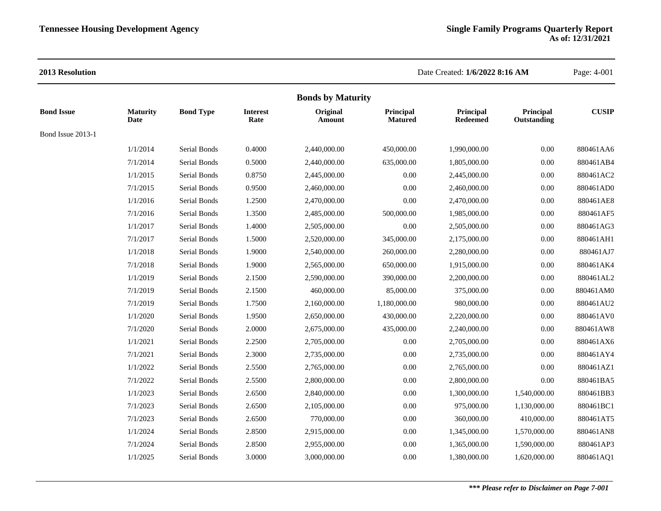|                   | <b>Bonds by Maturity</b> |                  |                         |                    |                             |                       |                          |              |
|-------------------|--------------------------|------------------|-------------------------|--------------------|-----------------------------|-----------------------|--------------------------|--------------|
| <b>Bond Issue</b> | <b>Maturity</b><br>Date  | <b>Bond Type</b> | <b>Interest</b><br>Rate | Original<br>Amount | Principal<br><b>Matured</b> | Principal<br>Redeemed | Principal<br>Outstanding | <b>CUSIP</b> |
| Bond Issue 2013-1 |                          |                  |                         |                    |                             |                       |                          |              |
|                   | 1/1/2014                 | Serial Bonds     | 0.4000                  | 2,440,000.00       | 450,000.00                  | 1,990,000.00          | 0.00                     | 880461AA6    |
|                   | 7/1/2014                 | Serial Bonds     | 0.5000                  | 2,440,000.00       | 635,000.00                  | 1,805,000.00          | 0.00                     | 880461AB4    |
|                   | 1/1/2015                 | Serial Bonds     | 0.8750                  | 2,445,000.00       | 0.00                        | 2,445,000.00          | 0.00                     | 880461AC2    |
|                   | 7/1/2015                 | Serial Bonds     | 0.9500                  | 2,460,000.00       | 0.00                        | 2,460,000.00          | 0.00                     | 880461AD0    |
|                   | 1/1/2016                 | Serial Bonds     | 1.2500                  | 2,470,000.00       | 0.00                        | 2,470,000.00          | 0.00                     | 880461AE8    |
|                   | 7/1/2016                 | Serial Bonds     | 1.3500                  | 2,485,000.00       | 500,000.00                  | 1,985,000.00          | 0.00                     | 880461AF5    |
|                   | 1/1/2017                 | Serial Bonds     | 1.4000                  | 2,505,000.00       | 0.00                        | 2,505,000.00          | 0.00                     | 880461AG3    |
|                   | 7/1/2017                 | Serial Bonds     | 1.5000                  | 2,520,000.00       | 345,000.00                  | 2,175,000.00          | 0.00                     | 880461AH1    |
|                   | 1/1/2018                 | Serial Bonds     | 1.9000                  | 2,540,000.00       | 260,000.00                  | 2,280,000.00          | 0.00                     | 880461AJ7    |
|                   | 7/1/2018                 | Serial Bonds     | 1.9000                  | 2,565,000.00       | 650,000.00                  | 1,915,000.00          | 0.00                     | 880461AK4    |
|                   | 1/1/2019                 | Serial Bonds     | 2.1500                  | 2,590,000.00       | 390,000.00                  | 2,200,000.00          | 0.00                     | 880461AL2    |
|                   | 7/1/2019                 | Serial Bonds     | 2.1500                  | 460,000.00         | 85,000.00                   | 375,000.00            | 0.00                     | 880461AM0    |
|                   | 7/1/2019                 | Serial Bonds     | 1.7500                  | 2,160,000.00       | 1,180,000.00                | 980,000.00            | 0.00                     | 880461AU2    |
|                   | 1/1/2020                 | Serial Bonds     | 1.9500                  | 2,650,000.00       | 430,000.00                  | 2,220,000.00          | 0.00                     | 880461AV0    |
|                   | 7/1/2020                 | Serial Bonds     | 2.0000                  | 2,675,000.00       | 435,000.00                  | 2,240,000.00          | 0.00                     | 880461AW8    |
|                   | 1/1/2021                 | Serial Bonds     | 2.2500                  | 2,705,000.00       | 0.00                        | 2,705,000.00          | 0.00                     | 880461AX6    |
|                   | 7/1/2021                 | Serial Bonds     | 2.3000                  | 2,735,000.00       | 0.00                        | 2,735,000.00          | 0.00                     | 880461AY4    |
|                   | 1/1/2022                 | Serial Bonds     | 2.5500                  | 2,765,000.00       | 0.00                        | 2,765,000.00          | 0.00                     | 880461AZ1    |
|                   | 7/1/2022                 | Serial Bonds     | 2.5500                  | 2,800,000.00       | 0.00                        | 2,800,000.00          | 0.00                     | 880461BA5    |
|                   | 1/1/2023                 | Serial Bonds     | 2.6500                  | 2,840,000.00       | 0.00                        | 1,300,000.00          | 1,540,000.00             | 880461BB3    |
|                   | 7/1/2023                 | Serial Bonds     | 2.6500                  | 2,105,000.00       | 0.00                        | 975,000.00            | 1,130,000.00             | 880461BC1    |
|                   | 7/1/2023                 | Serial Bonds     | 2.6500                  | 770,000.00         | 0.00                        | 360,000.00            | 410,000.00               | 880461AT5    |
|                   | 1/1/2024                 | Serial Bonds     | 2.8500                  | 2,915,000.00       | 0.00                        | 1,345,000.00          | 1,570,000.00             | 880461AN8    |
|                   | 7/1/2024                 | Serial Bonds     | 2.8500                  | 2,955,000.00       | 0.00                        | 1,365,000.00          | 1,590,000.00             | 880461AP3    |
|                   | 1/1/2025                 | Serial Bonds     | 3.0000                  | 3,000,000.00       | 0.00                        | 1,380,000.00          | 1,620,000.00             | 880461AQ1    |
|                   |                          |                  |                         |                    |                             |                       |                          |              |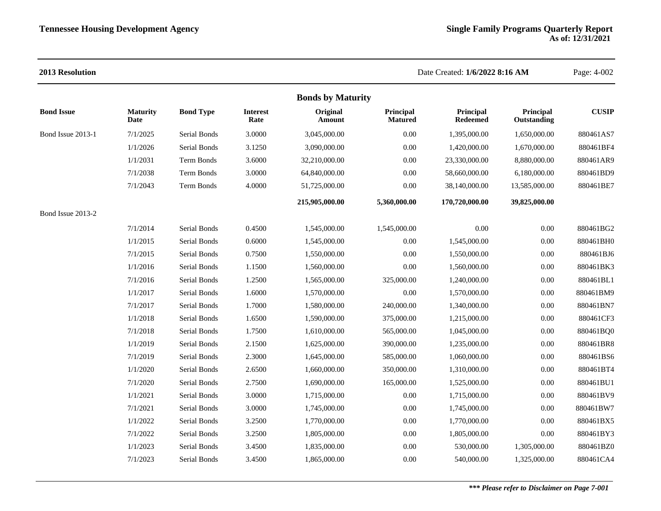| 2013 Resolution   |                         |                  |                         |                          |                             | Date Created: 1/6/2022 8:16 AM |                          | Page: 4-002  |
|-------------------|-------------------------|------------------|-------------------------|--------------------------|-----------------------------|--------------------------------|--------------------------|--------------|
|                   |                         |                  |                         | <b>Bonds by Maturity</b> |                             |                                |                          |              |
| <b>Bond Issue</b> | <b>Maturity</b><br>Date | <b>Bond Type</b> | <b>Interest</b><br>Rate | Original<br>Amount       | Principal<br><b>Matured</b> | Principal<br><b>Redeemed</b>   | Principal<br>Outstanding | <b>CUSIP</b> |
| Bond Issue 2013-1 | 7/1/2025                | Serial Bonds     | 3.0000                  | 3,045,000.00             | 0.00                        | 1,395,000.00                   | 1,650,000.00             | 880461AS7    |
|                   | 1/1/2026                | Serial Bonds     | 3.1250                  | 3,090,000.00             | 0.00                        | 1,420,000.00                   | 1,670,000.00             | 880461BF4    |
|                   | 1/1/2031                | Term Bonds       | 3.6000                  | 32,210,000.00            | $0.00\,$                    | 23,330,000.00                  | 8,880,000.00             | 880461AR9    |
|                   | 7/1/2038                | Term Bonds       | 3.0000                  | 64,840,000.00            | $0.00\,$                    | 58,660,000.00                  | 6,180,000.00             | 880461BD9    |
|                   | 7/1/2043                | Term Bonds       | 4.0000                  | 51,725,000.00            | 0.00                        | 38,140,000.00                  | 13,585,000.00            | 880461BE7    |
|                   |                         |                  |                         | 215,905,000.00           | 5,360,000.00                | 170,720,000.00                 | 39,825,000.00            |              |
| Bond Issue 2013-2 |                         |                  |                         |                          |                             |                                |                          |              |
|                   | 7/1/2014                | Serial Bonds     | 0.4500                  | 1,545,000.00             | 1,545,000.00                | 0.00                           | 0.00                     | 880461BG2    |
|                   | 1/1/2015                | Serial Bonds     | 0.6000                  | 1,545,000.00             | 0.00                        | 1,545,000.00                   | 0.00                     | 880461BH0    |
|                   | 7/1/2015                | Serial Bonds     | 0.7500                  | 1,550,000.00             | 0.00                        | 1,550,000.00                   | 0.00                     | 880461BJ6    |
|                   | 1/1/2016                | Serial Bonds     | 1.1500                  | 1,560,000.00             | 0.00                        | 1,560,000.00                   | 0.00                     | 880461BK3    |
|                   | 7/1/2016                | Serial Bonds     | 1.2500                  | 1,565,000.00             | 325,000.00                  | 1,240,000.00                   | 0.00                     | 880461BL1    |
|                   | 1/1/2017                | Serial Bonds     | 1.6000                  | 1,570,000.00             | 0.00                        | 1,570,000.00                   | 0.00                     | 880461BM9    |
|                   | 7/1/2017                | Serial Bonds     | 1.7000                  | 1,580,000.00             | 240,000.00                  | 1,340,000.00                   | 0.00                     | 880461BN7    |
|                   | 1/1/2018                | Serial Bonds     | 1.6500                  | 1,590,000.00             | 375,000.00                  | 1,215,000.00                   | 0.00                     | 880461CF3    |
|                   | 7/1/2018                | Serial Bonds     | 1.7500                  | 1,610,000.00             | 565,000.00                  | 1,045,000.00                   | 0.00                     | 880461BQ0    |
|                   | 1/1/2019                | Serial Bonds     | 2.1500                  | 1,625,000.00             | 390,000.00                  | 1,235,000.00                   | 0.00                     | 880461BR8    |
|                   | 7/1/2019                | Serial Bonds     | 2.3000                  | 1,645,000.00             | 585,000.00                  | 1,060,000.00                   | 0.00                     | 880461BS6    |
|                   | 1/1/2020                | Serial Bonds     | 2.6500                  | 1,660,000.00             | 350,000.00                  | 1,310,000.00                   | 0.00                     | 880461BT4    |
|                   | 7/1/2020                | Serial Bonds     | 2.7500                  | 1,690,000.00             | 165,000.00                  | 1,525,000.00                   | 0.00                     | 880461BU1    |
|                   | 1/1/2021                | Serial Bonds     | 3.0000                  | 1,715,000.00             | 0.00                        | 1,715,000.00                   | 0.00                     | 880461BV9    |
|                   | 7/1/2021                | Serial Bonds     | 3.0000                  | 1,745,000.00             | $0.00\,$                    | 1,745,000.00                   | 0.00                     | 880461BW7    |
|                   | 1/1/2022                | Serial Bonds     | 3.2500                  | 1,770,000.00             | $0.00\,$                    | 1,770,000.00                   | 0.00                     | 880461BX5    |
|                   | 7/1/2022                | Serial Bonds     | 3.2500                  | 1,805,000.00             | $0.00\,$                    | 1,805,000.00                   | 0.00                     | 880461BY3    |
|                   | 1/1/2023                | Serial Bonds     | 3.4500                  | 1,835,000.00             | 0.00                        | 530,000.00                     | 1,305,000.00             | 880461BZ0    |
|                   | 7/1/2023                | Serial Bonds     | 3.4500                  | 1,865,000.00             | $0.00\,$                    | 540,000.00                     | 1,325,000.00             | 880461CA4    |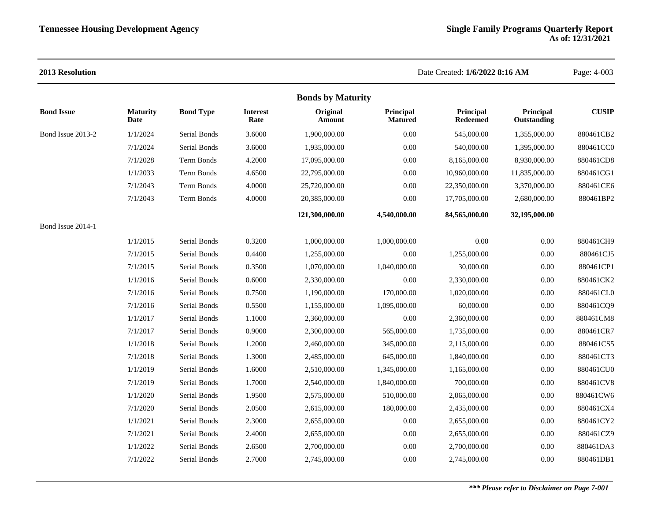| 2013 Resolution   |                          |                  |                         |                    |                             | Date Created: 1/6/2022 8:16 AM |                          | Page: 4-003  |  |
|-------------------|--------------------------|------------------|-------------------------|--------------------|-----------------------------|--------------------------------|--------------------------|--------------|--|
|                   | <b>Bonds by Maturity</b> |                  |                         |                    |                             |                                |                          |              |  |
| <b>Bond Issue</b> | <b>Maturity</b><br>Date  | <b>Bond Type</b> | <b>Interest</b><br>Rate | Original<br>Amount | Principal<br><b>Matured</b> | Principal<br><b>Redeemed</b>   | Principal<br>Outstanding | <b>CUSIP</b> |  |
| Bond Issue 2013-2 | 1/1/2024                 | Serial Bonds     | 3.6000                  | 1,900,000.00       | 0.00                        | 545,000.00                     | 1,355,000.00             | 880461CB2    |  |
|                   | 7/1/2024                 | Serial Bonds     | 3.6000                  | 1,935,000.00       | 0.00                        | 540,000.00                     | 1,395,000.00             | 880461CC0    |  |
|                   | 7/1/2028                 | Term Bonds       | 4.2000                  | 17,095,000.00      | 0.00                        | 8,165,000.00                   | 8,930,000.00             | 880461CD8    |  |
|                   | 1/1/2033                 | Term Bonds       | 4.6500                  | 22,795,000.00      | 0.00                        | 10,960,000.00                  | 11,835,000.00            | 880461CG1    |  |
|                   | 7/1/2043                 | Term Bonds       | 4.0000                  | 25,720,000.00      | 0.00                        | 22,350,000.00                  | 3,370,000.00             | 880461CE6    |  |
|                   | 7/1/2043                 | Term Bonds       | 4.0000                  | 20,385,000.00      | 0.00                        | 17,705,000.00                  | 2,680,000.00             | 880461BP2    |  |
|                   |                          |                  |                         | 121,300,000.00     | 4,540,000.00                | 84,565,000.00                  | 32,195,000.00            |              |  |
| Bond Issue 2014-1 |                          |                  |                         |                    |                             |                                |                          |              |  |
|                   | 1/1/2015                 | Serial Bonds     | 0.3200                  | 1,000,000.00       | 1,000,000.00                | 0.00                           | $0.00\,$                 | 880461CH9    |  |
|                   | 7/1/2015                 | Serial Bonds     | 0.4400                  | 1,255,000.00       | 0.00                        | 1,255,000.00                   | $0.00\,$                 | 880461CJ5    |  |
|                   | 7/1/2015                 | Serial Bonds     | 0.3500                  | 1,070,000.00       | 1,040,000.00                | 30,000.00                      | $0.00\,$                 | 880461CP1    |  |
|                   | 1/1/2016                 | Serial Bonds     | 0.6000                  | 2,330,000.00       | 0.00                        | 2,330,000.00                   | $0.00\,$                 | 880461CK2    |  |
|                   | 7/1/2016                 | Serial Bonds     | 0.7500                  | 1,190,000.00       | 170,000.00                  | 1,020,000.00                   | 0.00                     | 880461CL0    |  |
|                   | 7/1/2016                 | Serial Bonds     | 0.5500                  | 1,155,000.00       | 1,095,000.00                | 60,000.00                      | $0.00\,$                 | 880461CQ9    |  |
|                   | 1/1/2017                 | Serial Bonds     | 1.1000                  | 2,360,000.00       | 0.00                        | 2,360,000.00                   | $0.00\,$                 | 880461CM8    |  |
|                   | 7/1/2017                 | Serial Bonds     | 0.9000                  | 2,300,000.00       | 565,000.00                  | 1,735,000.00                   | 0.00                     | 880461CR7    |  |
|                   | 1/1/2018                 | Serial Bonds     | 1.2000                  | 2,460,000.00       | 345,000.00                  | 2,115,000.00                   | 0.00                     | 880461CS5    |  |
|                   | 7/1/2018                 | Serial Bonds     | 1.3000                  | 2,485,000.00       | 645,000.00                  | 1,840,000.00                   | 0.00                     | 880461CT3    |  |
|                   | 1/1/2019                 | Serial Bonds     | 1.6000                  | 2,510,000.00       | 1,345,000.00                | 1,165,000.00                   | $0.00\,$                 | 880461CU0    |  |
|                   | 7/1/2019                 | Serial Bonds     | 1.7000                  | 2,540,000.00       | 1,840,000.00                | 700,000.00                     | 0.00                     | 880461CV8    |  |
|                   | 1/1/2020                 | Serial Bonds     | 1.9500                  | 2,575,000.00       | 510,000.00                  | 2,065,000.00                   | 0.00                     | 880461CW6    |  |
|                   | 7/1/2020                 | Serial Bonds     | 2.0500                  | 2,615,000.00       | 180,000.00                  | 2,435,000.00                   | $0.00\,$                 | 880461CX4    |  |
|                   | 1/1/2021                 | Serial Bonds     | 2.3000                  | 2,655,000.00       | 0.00                        | 2,655,000.00                   | 0.00                     | 880461CY2    |  |
|                   | 7/1/2021                 | Serial Bonds     | 2.4000                  | 2,655,000.00       | 0.00                        | 2,655,000.00                   | 0.00                     | 880461CZ9    |  |
|                   | 1/1/2022                 | Serial Bonds     | 2.6500                  | 2,700,000.00       | 0.00                        | 2,700,000.00                   | 0.00                     | 880461DA3    |  |
|                   | 7/1/2022                 | Serial Bonds     | 2.7000                  | 2,745,000.00       | 0.00                        | 2,745,000.00                   | $0.00\,$                 | 880461DB1    |  |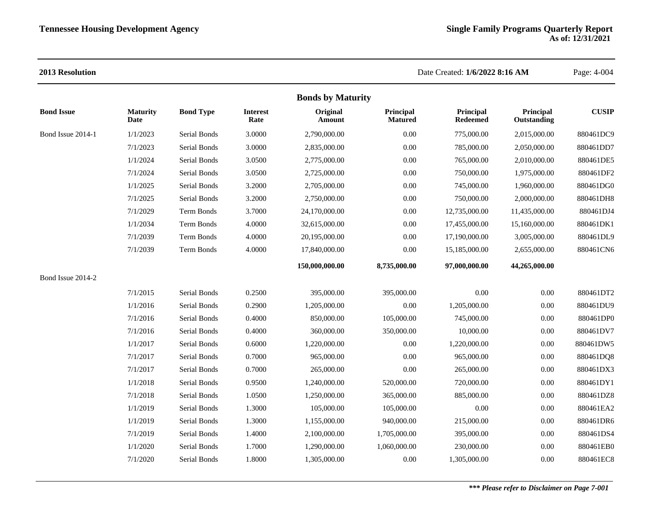|                   |                         |                  |                         | <b>Bonds by Maturity</b> |                             |                              |                          |              |
|-------------------|-------------------------|------------------|-------------------------|--------------------------|-----------------------------|------------------------------|--------------------------|--------------|
| <b>Bond Issue</b> | <b>Maturity</b><br>Date | <b>Bond Type</b> | <b>Interest</b><br>Rate | Original<br>Amount       | Principal<br><b>Matured</b> | Principal<br><b>Redeemed</b> | Principal<br>Outstanding | <b>CUSIP</b> |
| Bond Issue 2014-1 | 1/1/2023                | Serial Bonds     | 3.0000                  | 2,790,000.00             | 0.00                        | 775,000.00                   | 2,015,000.00             | 880461DC9    |
|                   | 7/1/2023                | Serial Bonds     | 3.0000                  | 2,835,000.00             | 0.00                        | 785,000.00                   | 2,050,000.00             | 880461DD7    |
|                   | 1/1/2024                | Serial Bonds     | 3.0500                  | 2,775,000.00             | 0.00                        | 765,000.00                   | 2,010,000.00             | 880461DE5    |
|                   | 7/1/2024                | Serial Bonds     | 3.0500                  | 2,725,000.00             | 0.00                        | 750,000.00                   | 1,975,000.00             | 880461DF2    |
|                   | 1/1/2025                | Serial Bonds     | 3.2000                  | 2,705,000.00             | 0.00                        | 745,000.00                   | 1,960,000.00             | 880461DG0    |
|                   | 7/1/2025                | Serial Bonds     | 3.2000                  | 2,750,000.00             | 0.00                        | 750,000.00                   | 2,000,000.00             | 880461DH8    |
|                   | 7/1/2029                | Term Bonds       | 3.7000                  | 24,170,000.00            | 0.00                        | 12,735,000.00                | 11,435,000.00            | 880461DJ4    |
|                   | 1/1/2034                | Term Bonds       | 4.0000                  | 32,615,000.00            | 0.00                        | 17,455,000.00                | 15,160,000.00            | 880461DK1    |
|                   | 7/1/2039                | Term Bonds       | 4.0000                  | 20,195,000.00            | 0.00                        | 17,190,000.00                | 3,005,000.00             | 880461DL9    |
|                   | 7/1/2039                | Term Bonds       | 4.0000                  | 17,840,000.00            | 0.00                        | 15,185,000.00                | 2,655,000.00             | 880461CN6    |
|                   |                         |                  |                         | 150,000,000.00           | 8,735,000.00                | 97,000,000.00                | 44,265,000.00            |              |
| Bond Issue 2014-2 |                         |                  |                         |                          |                             |                              |                          |              |
|                   | 7/1/2015                | Serial Bonds     | 0.2500                  | 395,000.00               | 395,000.00                  | 0.00                         | 0.00                     | 880461DT2    |
|                   | 1/1/2016                | Serial Bonds     | 0.2900                  | 1,205,000.00             | 0.00                        | 1,205,000.00                 | 0.00                     | 880461DU9    |
|                   | 7/1/2016                | Serial Bonds     | 0.4000                  | 850,000.00               | 105,000.00                  | 745,000.00                   | 0.00                     | 880461DP0    |
|                   | 7/1/2016                | Serial Bonds     | 0.4000                  | 360,000.00               | 350,000.00                  | 10,000.00                    | 0.00                     | 880461DV7    |
|                   | 1/1/2017                | Serial Bonds     | 0.6000                  | 1,220,000.00             | 0.00                        | 1,220,000.00                 | 0.00                     | 880461DW5    |
|                   | 7/1/2017                | Serial Bonds     | 0.7000                  | 965,000.00               | 0.00                        | 965,000.00                   | 0.00                     | 880461DQ8    |
|                   | 7/1/2017                | Serial Bonds     | 0.7000                  | 265,000.00               | 0.00                        | 265,000.00                   | 0.00                     | 880461DX3    |
|                   | 1/1/2018                | Serial Bonds     | 0.9500                  | 1,240,000.00             | 520,000.00                  | 720,000.00                   | 0.00                     | 880461DY1    |
|                   | 7/1/2018                | Serial Bonds     | 1.0500                  | 1,250,000.00             | 365,000.00                  | 885,000.00                   | 0.00                     | 880461DZ8    |
|                   | 1/1/2019                | Serial Bonds     | 1.3000                  | 105,000.00               | 105,000.00                  | 0.00                         | 0.00                     | 880461EA2    |
|                   | 1/1/2019                | Serial Bonds     | 1.3000                  | 1,155,000.00             | 940,000.00                  | 215,000.00                   | 0.00                     | 880461DR6    |
|                   | 7/1/2019                | Serial Bonds     | 1.4000                  | 2,100,000.00             | 1,705,000.00                | 395,000.00                   | 0.00                     | 880461DS4    |
|                   | 1/1/2020                | Serial Bonds     | 1.7000                  | 1,290,000.00             | 1,060,000.00                | 230,000.00                   | 0.00                     | 880461EB0    |
|                   | 7/1/2020                | Serial Bonds     | 1.8000                  | 1.305.000.00             | 0.00                        | 1,305,000.00                 | 0.00                     | 880461EC8    |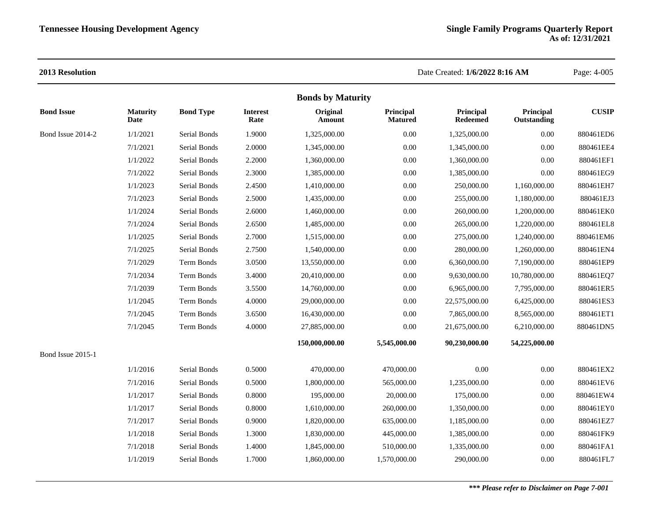| <b>Bonds by Maturity</b> |                         |                  |                         |                    |                             |                              |                          |              |  |  |  |
|--------------------------|-------------------------|------------------|-------------------------|--------------------|-----------------------------|------------------------------|--------------------------|--------------|--|--|--|
| <b>Bond Issue</b>        | <b>Maturity</b><br>Date | <b>Bond Type</b> | <b>Interest</b><br>Rate | Original<br>Amount | Principal<br><b>Matured</b> | Principal<br><b>Redeemed</b> | Principal<br>Outstanding | <b>CUSIP</b> |  |  |  |
| Bond Issue 2014-2        | 1/1/2021                | Serial Bonds     | 1.9000                  | 1,325,000.00       | 0.00                        | 1,325,000.00                 | 0.00                     | 880461ED6    |  |  |  |
|                          | 7/1/2021                | Serial Bonds     | 2.0000                  | 1,345,000.00       | 0.00                        | 1,345,000.00                 | 0.00                     | 880461EE4    |  |  |  |
|                          | 1/1/2022                | Serial Bonds     | 2.2000                  | 1,360,000.00       | 0.00                        | 1,360,000.00                 | $0.00\,$                 | 880461EF1    |  |  |  |
|                          | 7/1/2022                | Serial Bonds     | 2.3000                  | 1,385,000.00       | 0.00                        | 1,385,000.00                 | 0.00                     | 880461EG9    |  |  |  |
|                          | 1/1/2023                | Serial Bonds     | 2.4500                  | 1,410,000.00       | 0.00                        | 250,000.00                   | 1,160,000.00             | 880461EH7    |  |  |  |
|                          | 7/1/2023                | Serial Bonds     | 2.5000                  | 1,435,000.00       | 0.00                        | 255,000.00                   | 1,180,000.00             | 880461EJ3    |  |  |  |
|                          | 1/1/2024                | Serial Bonds     | 2.6000                  | 1,460,000.00       | 0.00                        | 260,000.00                   | 1,200,000.00             | 880461EK0    |  |  |  |
|                          | 7/1/2024                | Serial Bonds     | 2.6500                  | 1,485,000.00       | 0.00                        | 265,000.00                   | 1,220,000.00             | 880461EL8    |  |  |  |
|                          | 1/1/2025                | Serial Bonds     | 2.7000                  | 1,515,000.00       | 0.00                        | 275,000.00                   | 1,240,000.00             | 880461EM6    |  |  |  |
|                          | 7/1/2025                | Serial Bonds     | 2.7500                  | 1,540,000.00       | 0.00                        | 280,000.00                   | 1,260,000.00             | 880461EN4    |  |  |  |
|                          | 7/1/2029                | Term Bonds       | 3.0500                  | 13,550,000.00      | 0.00                        | 6,360,000.00                 | 7,190,000.00             | 880461EP9    |  |  |  |
|                          | 7/1/2034                | Term Bonds       | 3.4000                  | 20,410,000.00      | 0.00                        | 9,630,000.00                 | 10,780,000.00            | 880461EQ7    |  |  |  |
|                          | 7/1/2039                | Term Bonds       | 3.5500                  | 14,760,000.00      | 0.00                        | 6,965,000.00                 | 7,795,000.00             | 880461ER5    |  |  |  |
|                          | 1/1/2045                | Term Bonds       | 4.0000                  | 29,000,000.00      | 0.00                        | 22,575,000.00                | 6,425,000.00             | 880461ES3    |  |  |  |
|                          | 7/1/2045                | Term Bonds       | 3.6500                  | 16,430,000.00      | 0.00                        | 7,865,000.00                 | 8,565,000.00             | 880461ET1    |  |  |  |
|                          | 7/1/2045                | Term Bonds       | 4.0000                  | 27,885,000.00      | 0.00                        | 21,675,000.00                | 6,210,000.00             | 880461DN5    |  |  |  |
|                          |                         |                  |                         | 150,000,000.00     | 5,545,000.00                | 90,230,000.00                | 54,225,000.00            |              |  |  |  |
| Bond Issue 2015-1        |                         |                  |                         |                    |                             |                              |                          |              |  |  |  |
|                          | 1/1/2016                | Serial Bonds     | 0.5000                  | 470,000.00         | 470,000.00                  | 0.00                         | 0.00                     | 880461EX2    |  |  |  |
|                          | 7/1/2016                | Serial Bonds     | 0.5000                  | 1,800,000.00       | 565,000.00                  | 1,235,000.00                 | 0.00                     | 880461EV6    |  |  |  |
|                          | 1/1/2017                | Serial Bonds     | 0.8000                  | 195,000.00         | 20,000.00                   | 175,000.00                   | 0.00                     | 880461EW4    |  |  |  |
|                          | 1/1/2017                | Serial Bonds     | 0.8000                  | 1,610,000.00       | 260,000.00                  | 1,350,000.00                 | 0.00                     | 880461EY0    |  |  |  |
|                          | 7/1/2017                | Serial Bonds     | 0.9000                  | 1,820,000.00       | 635,000.00                  | 1,185,000.00                 | $0.00\,$                 | 880461EZ7    |  |  |  |
|                          | 1/1/2018                | Serial Bonds     | 1.3000                  | 1,830,000.00       | 445,000.00                  | 1,385,000.00                 | 0.00                     | 880461FK9    |  |  |  |
|                          | 7/1/2018                | Serial Bonds     | 1.4000                  | 1,845,000.00       | 510,000.00                  | 1,335,000.00                 | 0.00                     | 880461FA1    |  |  |  |
|                          | 1/1/2019                | Serial Bonds     | 1.7000                  | 1,860,000.00       | 1,570,000.00                | 290,000.00                   | 0.00                     | 880461FL7    |  |  |  |
|                          |                         |                  |                         |                    |                             |                              |                          |              |  |  |  |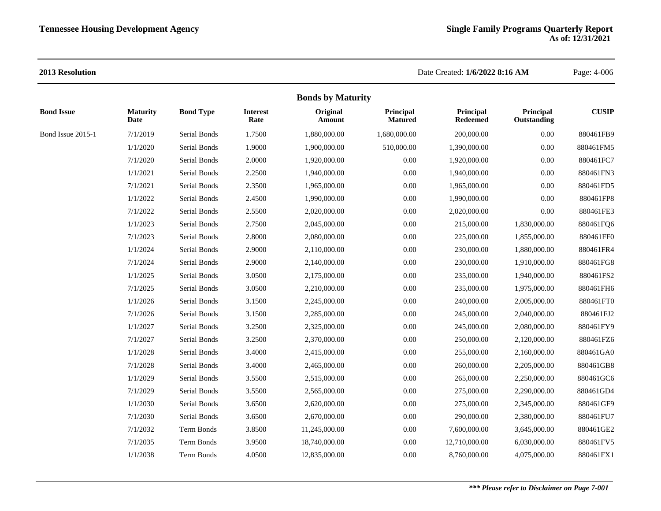| <b>Bonds by Maturity</b> |                         |                  |                         |                    |                             |                              |                          |              |  |  |  |
|--------------------------|-------------------------|------------------|-------------------------|--------------------|-----------------------------|------------------------------|--------------------------|--------------|--|--|--|
| <b>Bond Issue</b>        | <b>Maturity</b><br>Date | <b>Bond Type</b> | <b>Interest</b><br>Rate | Original<br>Amount | Principal<br><b>Matured</b> | Principal<br><b>Redeemed</b> | Principal<br>Outstanding | <b>CUSIP</b> |  |  |  |
| Bond Issue 2015-1        | 7/1/2019                | Serial Bonds     | 1.7500                  | 1,880,000.00       | 1,680,000.00                | 200,000.00                   | 0.00                     | 880461FB9    |  |  |  |
|                          | 1/1/2020                | Serial Bonds     | 1.9000                  | 1,900,000.00       | 510,000.00                  | 1,390,000.00                 | 0.00                     | 880461FM5    |  |  |  |
|                          | 7/1/2020                | Serial Bonds     | 2.0000                  | 1,920,000.00       | 0.00                        | 1,920,000.00                 | $0.00\,$                 | 880461FC7    |  |  |  |
|                          | 1/1/2021                | Serial Bonds     | 2.2500                  | 1,940,000.00       | 0.00                        | 1,940,000.00                 | 0.00                     | 880461FN3    |  |  |  |
|                          | 7/1/2021                | Serial Bonds     | 2.3500                  | 1,965,000.00       | 0.00                        | 1,965,000.00                 | 0.00                     | 880461FD5    |  |  |  |
|                          | 1/1/2022                | Serial Bonds     | 2.4500                  | 1,990,000.00       | $0.00\,$                    | 1,990,000.00                 | 0.00                     | 880461FP8    |  |  |  |
|                          | 7/1/2022                | Serial Bonds     | 2.5500                  | 2,020,000.00       | 0.00                        | 2,020,000.00                 | 0.00                     | 880461FE3    |  |  |  |
|                          | 1/1/2023                | Serial Bonds     | 2.7500                  | 2,045,000.00       | $0.00\,$                    | 215,000.00                   | 1,830,000.00             | 880461FQ6    |  |  |  |
|                          | 7/1/2023                | Serial Bonds     | 2.8000                  | 2,080,000.00       | 0.00                        | 225,000.00                   | 1,855,000.00             | 880461FF0    |  |  |  |
|                          | 1/1/2024                | Serial Bonds     | 2.9000                  | 2,110,000.00       | 0.00                        | 230,000.00                   | 1,880,000.00             | 880461FR4    |  |  |  |
|                          | 7/1/2024                | Serial Bonds     | 2.9000                  | 2,140,000.00       | 0.00                        | 230,000.00                   | 1,910,000.00             | 880461FG8    |  |  |  |
|                          | 1/1/2025                | Serial Bonds     | 3.0500                  | 2,175,000.00       | 0.00                        | 235,000.00                   | 1,940,000.00             | 880461FS2    |  |  |  |
|                          | 7/1/2025                | Serial Bonds     | 3.0500                  | 2,210,000.00       | 0.00                        | 235,000.00                   | 1,975,000.00             | 880461FH6    |  |  |  |
|                          | 1/1/2026                | Serial Bonds     | 3.1500                  | 2,245,000.00       | 0.00                        | 240,000.00                   | 2,005,000.00             | 880461FT0    |  |  |  |
|                          | 7/1/2026                | Serial Bonds     | 3.1500                  | 2,285,000.00       | $0.00\,$                    | 245,000.00                   | 2,040,000.00             | 880461FJ2    |  |  |  |
|                          | 1/1/2027                | Serial Bonds     | 3.2500                  | 2,325,000.00       | 0.00                        | 245,000.00                   | 2,080,000.00             | 880461FY9    |  |  |  |
|                          | 7/1/2027                | Serial Bonds     | 3.2500                  | 2,370,000.00       | 0.00                        | 250,000.00                   | 2,120,000.00             | 880461FZ6    |  |  |  |
|                          | 1/1/2028                | Serial Bonds     | 3.4000                  | 2,415,000.00       | 0.00                        | 255,000.00                   | 2,160,000.00             | 880461GA0    |  |  |  |
|                          | 7/1/2028                | Serial Bonds     | 3.4000                  | 2,465,000.00       | 0.00                        | 260,000.00                   | 2,205,000.00             | 880461GB8    |  |  |  |
|                          | 1/1/2029                | Serial Bonds     | 3.5500                  | 2,515,000.00       | 0.00                        | 265,000.00                   | 2,250,000.00             | 880461GC6    |  |  |  |
|                          | 7/1/2029                | Serial Bonds     | 3.5500                  | 2,565,000.00       | 0.00                        | 275,000.00                   | 2,290,000.00             | 880461GD4    |  |  |  |
|                          | 1/1/2030                | Serial Bonds     | 3.6500                  | 2,620,000.00       | $0.00\,$                    | 275,000.00                   | 2,345,000.00             | 880461GF9    |  |  |  |
|                          | 7/1/2030                | Serial Bonds     | 3.6500                  | 2,670,000.00       | 0.00                        | 290,000.00                   | 2,380,000.00             | 880461FU7    |  |  |  |
|                          | 7/1/2032                | Term Bonds       | 3.8500                  | 11,245,000.00      | $0.00\,$                    | 7,600,000.00                 | 3,645,000.00             | 880461GE2    |  |  |  |
|                          | 7/1/2035                | Term Bonds       | 3.9500                  | 18,740,000.00      | $0.00\,$                    | 12,710,000.00                | 6,030,000.00             | 880461FV5    |  |  |  |
|                          | 1/1/2038                | Term Bonds       | 4.0500                  | 12,835,000.00      | 0.00                        | 8,760,000.00                 | 4,075,000.00             | 880461FX1    |  |  |  |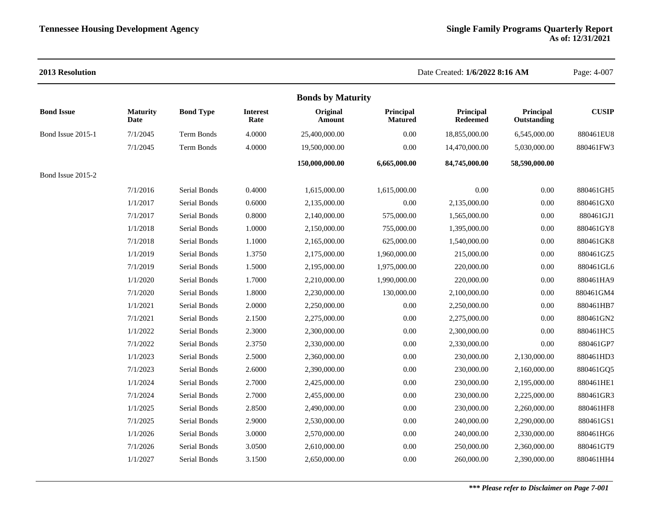| 2013 Resolution   |                         |                  |                         |                          |                             | Date Created: 1/6/2022 8:16 AM |                          | Page: 4-007  |
|-------------------|-------------------------|------------------|-------------------------|--------------------------|-----------------------------|--------------------------------|--------------------------|--------------|
|                   |                         |                  |                         | <b>Bonds by Maturity</b> |                             |                                |                          |              |
| <b>Bond Issue</b> | <b>Maturity</b><br>Date | <b>Bond Type</b> | <b>Interest</b><br>Rate | Original<br>Amount       | Principal<br><b>Matured</b> | Principal<br><b>Redeemed</b>   | Principal<br>Outstanding | <b>CUSIP</b> |
| Bond Issue 2015-1 | 7/1/2045                | Term Bonds       | 4.0000                  | 25,400,000.00            | 0.00                        | 18,855,000.00                  | 6,545,000.00             | 880461EU8    |
|                   | 7/1/2045                | Term Bonds       | 4.0000                  | 19,500,000.00            | 0.00                        | 14,470,000.00                  | 5,030,000.00             | 880461FW3    |
|                   |                         |                  |                         | 150,000,000.00           | 6,665,000.00                | 84,745,000.00                  | 58,590,000.00            |              |
| Bond Issue 2015-2 |                         |                  |                         |                          |                             |                                |                          |              |
|                   | 7/1/2016                | Serial Bonds     | 0.4000                  | 1,615,000.00             | 1,615,000.00                | 0.00                           | 0.00                     | 880461GH5    |
|                   | 1/1/2017                | Serial Bonds     | 0.6000                  | 2,135,000.00             | 0.00                        | 2,135,000.00                   | 0.00                     | 880461GX0    |
|                   | 7/1/2017                | Serial Bonds     | 0.8000                  | 2,140,000.00             | 575,000.00                  | 1,565,000.00                   | 0.00                     | 880461GJ1    |
|                   | 1/1/2018                | Serial Bonds     | 1.0000                  | 2,150,000.00             | 755,000.00                  | 1,395,000.00                   | 0.00                     | 880461GY8    |
|                   | 7/1/2018                | Serial Bonds     | 1.1000                  | 2,165,000.00             | 625,000.00                  | 1,540,000.00                   | 0.00                     | 880461GK8    |
|                   | 1/1/2019                | Serial Bonds     | 1.3750                  | 2,175,000.00             | 1,960,000.00                | 215,000.00                     | 0.00                     | 880461GZ5    |
|                   | 7/1/2019                | Serial Bonds     | 1.5000                  | 2,195,000.00             | 1,975,000.00                | 220,000.00                     | 0.00                     | 880461GL6    |
|                   | 1/1/2020                | Serial Bonds     | 1.7000                  | 2,210,000.00             | 1,990,000.00                | 220,000.00                     | 0.00                     | 880461HA9    |
|                   | 7/1/2020                | Serial Bonds     | 1.8000                  | 2,230,000.00             | 130,000.00                  | 2,100,000.00                   | 0.00                     | 880461GM4    |
|                   | 1/1/2021                | Serial Bonds     | 2.0000                  | 2,250,000.00             | 0.00                        | 2,250,000.00                   | 0.00                     | 880461HB7    |
|                   | 7/1/2021                | Serial Bonds     | 2.1500                  | 2,275,000.00             | 0.00                        | 2,275,000.00                   | 0.00                     | 880461GN2    |
|                   | 1/1/2022                | Serial Bonds     | 2.3000                  | 2,300,000.00             | 0.00                        | 2,300,000.00                   | $0.00\,$                 | 880461HC5    |
|                   | 7/1/2022                | Serial Bonds     | 2.3750                  | 2,330,000.00             | 0.00                        | 2,330,000.00                   | 0.00                     | 880461GP7    |
|                   | 1/1/2023                | Serial Bonds     | 2.5000                  | 2,360,000.00             | 0.00                        | 230,000.00                     | 2,130,000.00             | 880461HD3    |
|                   | 7/1/2023                | Serial Bonds     | 2.6000                  | 2,390,000.00             | 0.00                        | 230,000.00                     | 2,160,000.00             | 880461GQ5    |
|                   | 1/1/2024                | Serial Bonds     | 2.7000                  | 2,425,000.00             | 0.00                        | 230,000.00                     | 2,195,000.00             | 880461HE1    |
|                   | 7/1/2024                | Serial Bonds     | 2.7000                  | 2,455,000.00             | $0.00\,$                    | 230,000.00                     | 2,225,000.00             | 880461GR3    |
|                   | 1/1/2025                | Serial Bonds     | 2.8500                  | 2,490,000.00             | 0.00                        | 230,000.00                     | 2,260,000.00             | 880461HF8    |
|                   | 7/1/2025                | Serial Bonds     | 2.9000                  | 2,530,000.00             | 0.00                        | 240,000.00                     | 2,290,000.00             | 880461GS1    |
|                   | 1/1/2026                | Serial Bonds     | 3.0000                  | 2,570,000.00             | 0.00                        | 240,000.00                     | 2,330,000.00             | 880461HG6    |
|                   | 7/1/2026                | Serial Bonds     | 3.0500                  | 2,610,000.00             | 0.00                        | 250,000.00                     | 2,360,000.00             | 880461GT9    |
|                   | 1/1/2027                | Serial Bonds     | 3.1500                  | 2,650,000.00             | 0.00                        | 260,000.00                     | 2,390,000.00             | 880461HH4    |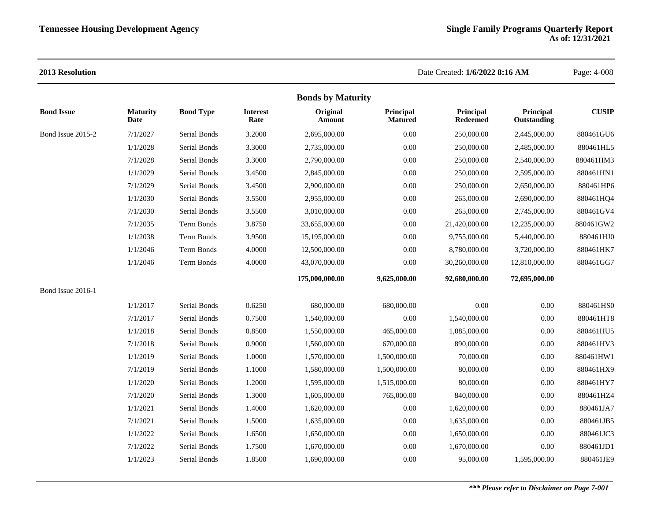|                          |                         |                   |                         | <b>Bonds by Maturity</b> |                             |                              |                          |              |
|--------------------------|-------------------------|-------------------|-------------------------|--------------------------|-----------------------------|------------------------------|--------------------------|--------------|
| <b>Bond Issue</b>        | <b>Maturity</b><br>Date | <b>Bond Type</b>  | <b>Interest</b><br>Rate | Original<br>Amount       | Principal<br><b>Matured</b> | Principal<br><b>Redeemed</b> | Principal<br>Outstanding | <b>CUSIP</b> |
| Bond Issue 2015-2        | 7/1/2027                | Serial Bonds      | 3.2000                  | 2,695,000.00             | 0.00                        | 250,000.00                   | 2,445,000.00             | 880461GU6    |
|                          | 1/1/2028                | Serial Bonds      | 3.3000                  | 2,735,000.00             | $0.00\,$                    | 250,000.00                   | 2,485,000.00             | 880461HL5    |
|                          | 7/1/2028                | Serial Bonds      | 3.3000                  | 2,790,000.00             | 0.00                        | 250,000.00                   | 2,540,000.00             | 880461HM3    |
|                          | 1/1/2029                | Serial Bonds      | 3.4500                  | 2,845,000.00             | $0.00\,$                    | 250,000.00                   | 2,595,000.00             | 880461HN1    |
|                          | 7/1/2029                | Serial Bonds      | 3.4500                  | 2,900,000.00             | 0.00                        | 250,000.00                   | 2,650,000.00             | 880461HP6    |
|                          | 1/1/2030                | Serial Bonds      | 3.5500                  | 2,955,000.00             | 0.00                        | 265,000.00                   | 2,690,000.00             | 880461HQ4    |
|                          | 7/1/2030                | Serial Bonds      | 3.5500                  | 3,010,000.00             | 0.00                        | 265,000.00                   | 2,745,000.00             | 880461GV4    |
|                          | 7/1/2035                | <b>Term Bonds</b> | 3.8750                  | 33,655,000.00            | 0.00                        | 21,420,000.00                | 12,235,000.00            | 880461GW2    |
|                          | 1/1/2038                | Term Bonds        | 3.9500                  | 15,195,000.00            | 0.00                        | 9,755,000.00                 | 5,440,000.00             | 880461HJ0    |
|                          | 1/1/2046                | <b>Term Bonds</b> | 4.0000                  | 12,500,000.00            | 0.00                        | 8,780,000.00                 | 3,720,000.00             | 880461HK7    |
|                          | 1/1/2046                | <b>Term Bonds</b> | 4.0000                  | 43,070,000.00            | 0.00                        | 30,260,000.00                | 12,810,000.00            | 880461GG7    |
|                          |                         |                   |                         | 175,000,000.00           | 9,625,000.00                | 92,680,000.00                | 72,695,000.00            |              |
| <b>Bond Issue 2016-1</b> |                         |                   |                         |                          |                             |                              |                          |              |
|                          | 1/1/2017                | Serial Bonds      | 0.6250                  | 680,000.00               | 680,000.00                  | 0.00                         | 0.00                     | 880461HS0    |
|                          | 7/1/2017                | Serial Bonds      | 0.7500                  | 1,540,000.00             | 0.00                        | 1,540,000.00                 | 0.00                     | 880461HT8    |
|                          | 1/1/2018                | Serial Bonds      | 0.8500                  | 1,550,000.00             | 465,000.00                  | 1,085,000.00                 | 0.00                     | 880461HU5    |
|                          | 7/1/2018                | Serial Bonds      | 0.9000                  | 1,560,000.00             | 670,000.00                  | 890,000.00                   | 0.00                     | 880461HV3    |
|                          | 1/1/2019                | Serial Bonds      | 1.0000                  | 1,570,000.00             | 1,500,000.00                | 70,000.00                    | 0.00                     | 880461HW1    |
|                          | 7/1/2019                | Serial Bonds      | 1.1000                  | 1,580,000.00             | 1,500,000.00                | 80,000.00                    | 0.00                     | 880461HX9    |
|                          | 1/1/2020                | Serial Bonds      | 1.2000                  | 1,595,000.00             | 1,515,000.00                | 80,000.00                    | 0.00                     | 880461HY7    |
|                          | 7/1/2020                | Serial Bonds      | 1.3000                  | 1,605,000.00             | 765,000.00                  | 840,000.00                   | 0.00                     | 880461HZ4    |
|                          | 1/1/2021                | Serial Bonds      | 1.4000                  | 1,620,000.00             | 0.00                        | 1,620,000.00                 | 0.00                     | 880461JA7    |
|                          | 7/1/2021                | Serial Bonds      | 1.5000                  | 1,635,000.00             | 0.00                        | 1,635,000.00                 | $0.00\,$                 | 880461JB5    |
|                          | 1/1/2022                | Serial Bonds      | 1.6500                  | 1,650,000.00             | 0.00                        | 1,650,000.00                 | 0.00                     | 880461JC3    |
|                          | 7/1/2022                | Serial Bonds      | 1.7500                  | 1,670,000.00             | 0.00                        | 1,670,000.00                 | 0.00                     | 880461JD1    |
|                          | 1/1/2023                | Serial Bonds      | 1.8500                  | 1,690,000.00             | 0.00                        | 95,000.00                    | 1,595,000.00             | 880461JE9    |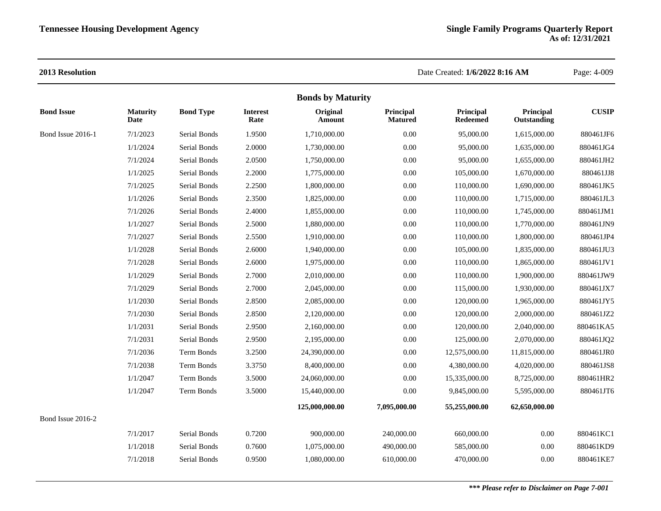|                   |                         |                  |                         | <b>Bonds by Maturity</b> |                             |                              |                          |              |
|-------------------|-------------------------|------------------|-------------------------|--------------------------|-----------------------------|------------------------------|--------------------------|--------------|
| <b>Bond Issue</b> | <b>Maturity</b><br>Date | <b>Bond Type</b> | <b>Interest</b><br>Rate | Original<br>Amount       | Principal<br><b>Matured</b> | Principal<br><b>Redeemed</b> | Principal<br>Outstanding | <b>CUSIP</b> |
| Bond Issue 2016-1 | 7/1/2023                | Serial Bonds     | 1.9500                  | 1,710,000.00             | 0.00                        | 95,000.00                    | 1,615,000.00             | 880461JF6    |
|                   | 1/1/2024                | Serial Bonds     | 2.0000                  | 1,730,000.00             | 0.00                        | 95,000.00                    | 1,635,000.00             | 880461JG4    |
|                   | 7/1/2024                | Serial Bonds     | 2.0500                  | 1,750,000.00             | 0.00                        | 95,000.00                    | 1,655,000.00             | 880461JH2    |
|                   | 1/1/2025                | Serial Bonds     | 2.2000                  | 1,775,000.00             | 0.00                        | 105,000.00                   | 1,670,000.00             | 880461JJ8    |
|                   | 7/1/2025                | Serial Bonds     | 2.2500                  | 1,800,000.00             | 0.00                        | 110,000.00                   | 1,690,000.00             | 880461JK5    |
|                   | 1/1/2026                | Serial Bonds     | 2.3500                  | 1,825,000.00             | 0.00                        | 110,000.00                   | 1,715,000.00             | 880461JL3    |
|                   | 7/1/2026                | Serial Bonds     | 2.4000                  | 1,855,000.00             | 0.00                        | 110,000.00                   | 1,745,000.00             | 880461JM1    |
|                   | 1/1/2027                | Serial Bonds     | 2.5000                  | 1,880,000.00             | 0.00                        | 110,000.00                   | 1,770,000.00             | 880461JN9    |
|                   | 7/1/2027                | Serial Bonds     | 2.5500                  | 1,910,000.00             | 0.00                        | 110,000.00                   | 1,800,000.00             | 880461JP4    |
|                   | 1/1/2028                | Serial Bonds     | 2.6000                  | 1,940,000.00             | 0.00                        | 105,000.00                   | 1,835,000.00             | 880461JU3    |
|                   | 7/1/2028                | Serial Bonds     | 2.6000                  | 1,975,000.00             | 0.00                        | 110,000.00                   | 1,865,000.00             | 880461JV1    |
|                   | 1/1/2029                | Serial Bonds     | 2.7000                  | 2,010,000.00             | 0.00                        | 110,000.00                   | 1,900,000.00             | 880461JW9    |
|                   | 7/1/2029                | Serial Bonds     | 2.7000                  | 2,045,000.00             | 0.00                        | 115,000.00                   | 1,930,000.00             | 880461JX7    |
|                   | 1/1/2030                | Serial Bonds     | 2.8500                  | 2,085,000.00             | 0.00                        | 120,000.00                   | 1,965,000.00             | 880461JY5    |
|                   | 7/1/2030                | Serial Bonds     | 2.8500                  | 2,120,000.00             | 0.00                        | 120,000.00                   | 2,000,000.00             | 880461JZ2    |
|                   | 1/1/2031                | Serial Bonds     | 2.9500                  | 2,160,000.00             | 0.00                        | 120,000.00                   | 2,040,000.00             | 880461KA5    |
|                   | 7/1/2031                | Serial Bonds     | 2.9500                  | 2,195,000.00             | 0.00                        | 125,000.00                   | 2,070,000.00             | 880461JQ2    |
|                   | 7/1/2036                | Term Bonds       | 3.2500                  | 24,390,000.00            | 0.00                        | 12,575,000.00                | 11,815,000.00            | 880461JR0    |
|                   | 7/1/2038                | Term Bonds       | 3.3750                  | 8,400,000.00             | 0.00                        | 4,380,000.00                 | 4,020,000.00             | 880461JS8    |
|                   | 1/1/2047                | Term Bonds       | 3.5000                  | 24,060,000.00            | 0.00                        | 15,335,000.00                | 8,725,000.00             | 880461HR2    |
|                   | 1/1/2047                | Term Bonds       | 3.5000                  | 15,440,000.00            | 0.00                        | 9,845,000.00                 | 5,595,000.00             | 880461JT6    |
|                   |                         |                  |                         | 125,000,000.00           | 7,095,000.00                | 55,255,000.00                | 62,650,000.00            |              |
| Bond Issue 2016-2 |                         |                  |                         |                          |                             |                              |                          |              |
|                   | 7/1/2017                | Serial Bonds     | 0.7200                  | 900,000.00               | 240,000.00                  | 660,000.00                   | 0.00                     | 880461KC1    |
|                   | 1/1/2018                | Serial Bonds     | 0.7600                  | 1,075,000.00             | 490,000.00                  | 585,000.00                   | 0.00                     | 880461KD9    |
|                   | 7/1/2018                | Serial Bonds     | 0.9500                  | 1,080,000.00             | 610,000.00                  | 470,000.00                   | 0.00                     | 880461KE7    |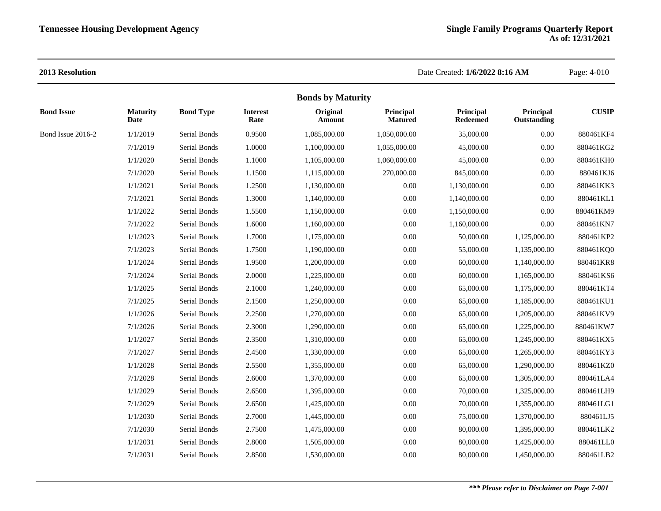|                   |                                |                  |                         | <b>Bonds by Maturity</b> |                             |                              |                          |              |
|-------------------|--------------------------------|------------------|-------------------------|--------------------------|-----------------------------|------------------------------|--------------------------|--------------|
| <b>Bond Issue</b> | <b>Maturity</b><br><b>Date</b> | <b>Bond Type</b> | <b>Interest</b><br>Rate | Original<br>Amount       | Principal<br><b>Matured</b> | Principal<br><b>Redeemed</b> | Principal<br>Outstanding | <b>CUSIP</b> |
| Bond Issue 2016-2 | 1/1/2019                       | Serial Bonds     | 0.9500                  | 1,085,000.00             | 1,050,000.00                | 35,000.00                    | 0.00                     | 880461KF4    |
|                   | 7/1/2019                       | Serial Bonds     | 1.0000                  | 1,100,000.00             | 1,055,000.00                | 45,000.00                    | 0.00                     | 880461KG2    |
|                   | 1/1/2020                       | Serial Bonds     | 1.1000                  | 1,105,000.00             | 1,060,000.00                | 45,000.00                    | 0.00                     | 880461KH0    |
|                   | 7/1/2020                       | Serial Bonds     | 1.1500                  | 1,115,000.00             | 270,000.00                  | 845,000.00                   | 0.00                     | 880461KJ6    |
|                   | 1/1/2021                       | Serial Bonds     | 1.2500                  | 1,130,000.00             | 0.00                        | 1,130,000.00                 | 0.00                     | 880461KK3    |
|                   | 7/1/2021                       | Serial Bonds     | 1.3000                  | 1,140,000.00             | 0.00                        | 1,140,000.00                 | 0.00                     | 880461KL1    |
|                   | 1/1/2022                       | Serial Bonds     | 1.5500                  | 1,150,000.00             | 0.00                        | 1,150,000.00                 | 0.00                     | 880461KM9    |
|                   | 7/1/2022                       | Serial Bonds     | 1.6000                  | 1,160,000.00             | 0.00                        | 1,160,000.00                 | $0.00\,$                 | 880461KN7    |
|                   | 1/1/2023                       | Serial Bonds     | 1.7000                  | 1,175,000.00             | 0.00                        | 50,000.00                    | 1,125,000.00             | 880461KP2    |
|                   | 7/1/2023                       | Serial Bonds     | 1.7500                  | 1,190,000.00             | 0.00                        | 55,000.00                    | 1,135,000.00             | 880461KQ0    |
|                   | 1/1/2024                       | Serial Bonds     | 1.9500                  | 1,200,000.00             | 0.00                        | 60,000.00                    | 1,140,000.00             | 880461KR8    |
|                   | 7/1/2024                       | Serial Bonds     | 2.0000                  | 1,225,000.00             | 0.00                        | 60,000.00                    | 1,165,000.00             | 880461KS6    |
|                   | 1/1/2025                       | Serial Bonds     | 2.1000                  | 1,240,000.00             | 0.00                        | 65,000.00                    | 1,175,000.00             | 880461KT4    |
|                   | 7/1/2025                       | Serial Bonds     | 2.1500                  | 1,250,000.00             | 0.00                        | 65,000.00                    | 1,185,000.00             | 880461KU1    |
|                   | 1/1/2026                       | Serial Bonds     | 2.2500                  | 1,270,000.00             | 0.00                        | 65,000.00                    | 1,205,000.00             | 880461KV9    |
|                   | 7/1/2026                       | Serial Bonds     | 2.3000                  | 1,290,000.00             | 0.00                        | 65,000.00                    | 1,225,000.00             | 880461KW7    |
|                   | 1/1/2027                       | Serial Bonds     | 2.3500                  | 1,310,000.00             | 0.00                        | 65,000.00                    | 1,245,000.00             | 880461KX5    |
|                   | 7/1/2027                       | Serial Bonds     | 2.4500                  | 1,330,000.00             | 0.00                        | 65,000.00                    | 1,265,000.00             | 880461KY3    |
|                   | 1/1/2028                       | Serial Bonds     | 2.5500                  | 1,355,000.00             | 0.00                        | 65,000.00                    | 1,290,000.00             | 880461KZ0    |
|                   | 7/1/2028                       | Serial Bonds     | 2.6000                  | 1,370,000.00             | 0.00                        | 65,000.00                    | 1,305,000.00             | 880461LA4    |
|                   | 1/1/2029                       | Serial Bonds     | 2.6500                  | 1,395,000.00             | 0.00                        | 70,000.00                    | 1,325,000.00             | 880461LH9    |
|                   | 7/1/2029                       | Serial Bonds     | 2.6500                  | 1,425,000.00             | 0.00                        | 70,000.00                    | 1,355,000.00             | 880461LG1    |
|                   | 1/1/2030                       | Serial Bonds     | 2.7000                  | 1,445,000.00             | 0.00                        | 75,000.00                    | 1,370,000.00             | 880461LJ5    |
|                   | 7/1/2030                       | Serial Bonds     | 2.7500                  | 1,475,000.00             | 0.00                        | 80,000.00                    | 1,395,000.00             | 880461LK2    |
|                   | 1/1/2031                       | Serial Bonds     | 2.8000                  | 1,505,000.00             | 0.00                        | 80,000.00                    | 1,425,000.00             | 880461LL0    |
|                   | 7/1/2031                       | Serial Bonds     | 2.8500                  | 1,530,000.00             | 0.00                        | 80,000.00                    | 1,450,000.00             | 880461LB2    |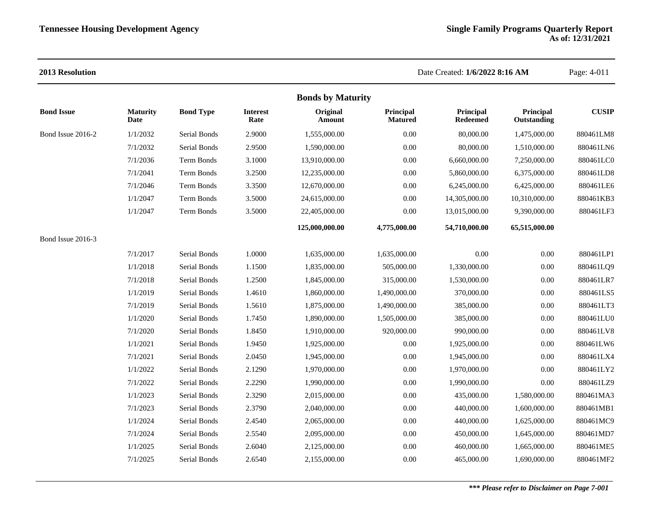|                   |                         |                  |                         | <b>Bonds by Maturity</b> |                             |                              |                          |              |
|-------------------|-------------------------|------------------|-------------------------|--------------------------|-----------------------------|------------------------------|--------------------------|--------------|
| <b>Bond Issue</b> | <b>Maturity</b><br>Date | <b>Bond Type</b> | <b>Interest</b><br>Rate | Original<br>Amount       | Principal<br><b>Matured</b> | Principal<br><b>Redeemed</b> | Principal<br>Outstanding | <b>CUSIP</b> |
| Bond Issue 2016-2 | 1/1/2032                | Serial Bonds     | 2.9000                  | 1,555,000.00             | 0.00                        | 80,000.00                    | 1,475,000.00             | 880461LM8    |
|                   | 7/1/2032                | Serial Bonds     | 2.9500                  | 1,590,000.00             | 0.00                        | 80,000.00                    | 1,510,000.00             | 880461LN6    |
|                   | 7/1/2036                | Term Bonds       | 3.1000                  | 13,910,000.00            | 0.00                        | 6,660,000.00                 | 7,250,000.00             | 880461LC0    |
|                   | 7/1/2041                | Term Bonds       | 3.2500                  | 12,235,000.00            | 0.00                        | 5,860,000.00                 | 6,375,000.00             | 880461LD8    |
|                   | 7/1/2046                | Term Bonds       | 3.3500                  | 12,670,000.00            | 0.00                        | 6,245,000.00                 | 6,425,000.00             | 880461LE6    |
|                   | 1/1/2047                | Term Bonds       | 3.5000                  | 24,615,000.00            | 0.00                        | 14,305,000.00                | 10,310,000.00            | 880461KB3    |
|                   | 1/1/2047                | Term Bonds       | 3.5000                  | 22,405,000.00            | 0.00                        | 13,015,000.00                | 9,390,000.00             | 880461LF3    |
|                   |                         |                  |                         | 125,000,000.00           | 4,775,000.00                | 54,710,000.00                | 65,515,000.00            |              |
| Bond Issue 2016-3 |                         |                  |                         |                          |                             |                              |                          |              |
|                   | 7/1/2017                | Serial Bonds     | 1.0000                  | 1,635,000.00             | 1,635,000.00                | 0.00                         | 0.00                     | 880461LP1    |
|                   | 1/1/2018                | Serial Bonds     | 1.1500                  | 1,835,000.00             | 505,000.00                  | 1,330,000.00                 | 0.00                     | 880461LQ9    |
|                   | 7/1/2018                | Serial Bonds     | 1.2500                  | 1,845,000.00             | 315,000.00                  | 1,530,000.00                 | 0.00                     | 880461LR7    |
|                   | 1/1/2019                | Serial Bonds     | 1.4610                  | 1,860,000.00             | 1,490,000.00                | 370,000.00                   | 0.00                     | 880461LS5    |
|                   | 7/1/2019                | Serial Bonds     | 1.5610                  | 1,875,000.00             | 1,490,000.00                | 385,000.00                   | 0.00                     | 880461LT3    |
|                   | 1/1/2020                | Serial Bonds     | 1.7450                  | 1,890,000.00             | 1,505,000.00                | 385,000.00                   | 0.00                     | 880461LU0    |
|                   | 7/1/2020                | Serial Bonds     | 1.8450                  | 1,910,000.00             | 920,000.00                  | 990,000.00                   | 0.00                     | 880461LV8    |
|                   | 1/1/2021                | Serial Bonds     | 1.9450                  | 1,925,000.00             | 0.00                        | 1,925,000.00                 | 0.00                     | 880461LW6    |
|                   | 7/1/2021                | Serial Bonds     | 2.0450                  | 1,945,000.00             | 0.00                        | 1,945,000.00                 | 0.00                     | 880461LX4    |
|                   | 1/1/2022                | Serial Bonds     | 2.1290                  | 1,970,000.00             | 0.00                        | 1,970,000.00                 | 0.00                     | 880461LY2    |
|                   | 7/1/2022                | Serial Bonds     | 2.2290                  | 1,990,000.00             | 0.00                        | 1,990,000.00                 | 0.00                     | 880461LZ9    |
|                   | 1/1/2023                | Serial Bonds     | 2.3290                  | 2,015,000.00             | 0.00                        | 435,000.00                   | 1,580,000.00             | 880461MA3    |
|                   | 7/1/2023                | Serial Bonds     | 2.3790                  | 2,040,000.00             | 0.00                        | 440,000.00                   | 1,600,000.00             | 880461MB1    |
|                   | 1/1/2024                | Serial Bonds     | 2.4540                  | 2,065,000.00             | 0.00                        | 440,000.00                   | 1,625,000.00             | 880461MC9    |
|                   | 7/1/2024                | Serial Bonds     | 2.5540                  | 2,095,000.00             | 0.00                        | 450,000.00                   | 1,645,000.00             | 880461MD7    |
|                   | 1/1/2025                | Serial Bonds     | 2.6040                  | 2,125,000.00             | 0.00                        | 460,000.00                   | 1,665,000.00             | 880461ME5    |
|                   | 7/1/2025                | Serial Bonds     | 2.6540                  | 2,155,000.00             | 0.00                        | 465,000.00                   | 1,690,000.00             | 880461MF2    |
|                   |                         |                  |                         |                          |                             |                              |                          |              |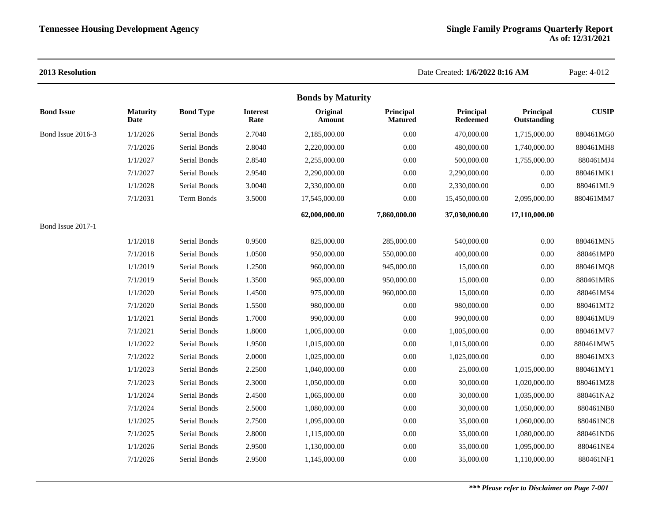| 2013 Resolution   |                         |                  |                         |                          |                             | Date Created: 1/6/2022 8:16 AM |                          | Page: 4-012  |
|-------------------|-------------------------|------------------|-------------------------|--------------------------|-----------------------------|--------------------------------|--------------------------|--------------|
|                   |                         |                  |                         | <b>Bonds by Maturity</b> |                             |                                |                          |              |
| <b>Bond Issue</b> | <b>Maturity</b><br>Date | <b>Bond Type</b> | <b>Interest</b><br>Rate | Original<br>Amount       | Principal<br><b>Matured</b> | Principal<br><b>Redeemed</b>   | Principal<br>Outstanding | <b>CUSIP</b> |
| Bond Issue 2016-3 | 1/1/2026                | Serial Bonds     | 2.7040                  | 2,185,000.00             | 0.00                        | 470,000.00                     | 1,715,000.00             | 880461MG0    |
|                   | 7/1/2026                | Serial Bonds     | 2.8040                  | 2,220,000.00             | 0.00                        | 480,000.00                     | 1,740,000.00             | 880461MH8    |
|                   | 1/1/2027                | Serial Bonds     | 2.8540                  | 2,255,000.00             | 0.00                        | 500,000.00                     | 1,755,000.00             | 880461MJ4    |
|                   | 7/1/2027                | Serial Bonds     | 2.9540                  | 2,290,000.00             | 0.00                        | 2,290,000.00                   | 0.00                     | 880461MK1    |
|                   | 1/1/2028                | Serial Bonds     | 3.0040                  | 2,330,000.00             | 0.00                        | 2,330,000.00                   | 0.00                     | 880461ML9    |
|                   | 7/1/2031                | Term Bonds       | 3.5000                  | 17,545,000.00            | 0.00                        | 15,450,000.00                  | 2,095,000.00             | 880461MM7    |
|                   |                         |                  |                         | 62,000,000.00            | 7,860,000.00                | 37,030,000.00                  | 17,110,000.00            |              |
| Bond Issue 2017-1 |                         |                  |                         |                          |                             |                                |                          |              |
|                   | 1/1/2018                | Serial Bonds     | 0.9500                  | 825,000.00               | 285,000.00                  | 540,000.00                     | 0.00                     | 880461MN5    |
|                   | 7/1/2018                | Serial Bonds     | 1.0500                  | 950,000.00               | 550,000.00                  | 400,000.00                     | 0.00                     | 880461MP0    |
|                   | 1/1/2019                | Serial Bonds     | 1.2500                  | 960,000.00               | 945,000.00                  | 15,000.00                      | 0.00                     | 880461MQ8    |
|                   | 7/1/2019                | Serial Bonds     | 1.3500                  | 965,000.00               | 950,000.00                  | 15,000.00                      | 0.00                     | 880461MR6    |
|                   | 1/1/2020                | Serial Bonds     | 1.4500                  | 975,000.00               | 960,000.00                  | 15,000.00                      | 0.00                     | 880461MS4    |
|                   | 7/1/2020                | Serial Bonds     | 1.5500                  | 980,000.00               | 0.00                        | 980,000.00                     | 0.00                     | 880461MT2    |
|                   | 1/1/2021                | Serial Bonds     | 1.7000                  | 990,000.00               | 0.00                        | 990,000.00                     | 0.00                     | 880461MU9    |
|                   | 7/1/2021                | Serial Bonds     | 1.8000                  | 1,005,000.00             | 0.00                        | 1,005,000.00                   | 0.00                     | 880461MV7    |
|                   | 1/1/2022                | Serial Bonds     | 1.9500                  | 1,015,000.00             | 0.00                        | 1,015,000.00                   | 0.00                     | 880461MW5    |
|                   | 7/1/2022                | Serial Bonds     | 2.0000                  | 1,025,000.00             | 0.00                        | 1,025,000.00                   | 0.00                     | 880461MX3    |
|                   | 1/1/2023                | Serial Bonds     | 2.2500                  | 1,040,000.00             | 0.00                        | 25,000.00                      | 1,015,000.00             | 880461MY1    |
|                   | 7/1/2023                | Serial Bonds     | 2.3000                  | 1,050,000.00             | 0.00                        | 30,000.00                      | 1,020,000.00             | 880461MZ8    |
|                   | 1/1/2024                | Serial Bonds     | 2.4500                  | 1,065,000.00             | 0.00                        | 30,000.00                      | 1,035,000.00             | 880461NA2    |
|                   | 7/1/2024                | Serial Bonds     | 2.5000                  | 1,080,000.00             | 0.00                        | 30,000.00                      | 1,050,000.00             | 880461NB0    |
|                   | 1/1/2025                | Serial Bonds     | 2.7500                  | 1,095,000.00             | 0.00                        | 35,000.00                      | 1,060,000.00             | 880461NC8    |
|                   | 7/1/2025                | Serial Bonds     | 2.8000                  | 1,115,000.00             | 0.00                        | 35,000.00                      | 1,080,000.00             | 880461ND6    |
|                   | 1/1/2026                | Serial Bonds     | 2.9500                  | 1,130,000.00             | 0.00                        | 35,000.00                      | 1,095,000.00             | 880461NE4    |
|                   | 7/1/2026                | Serial Bonds     | 2.9500                  | 1,145,000.00             | 0.00                        | 35,000.00                      | 1,110,000.00             | 880461NF1    |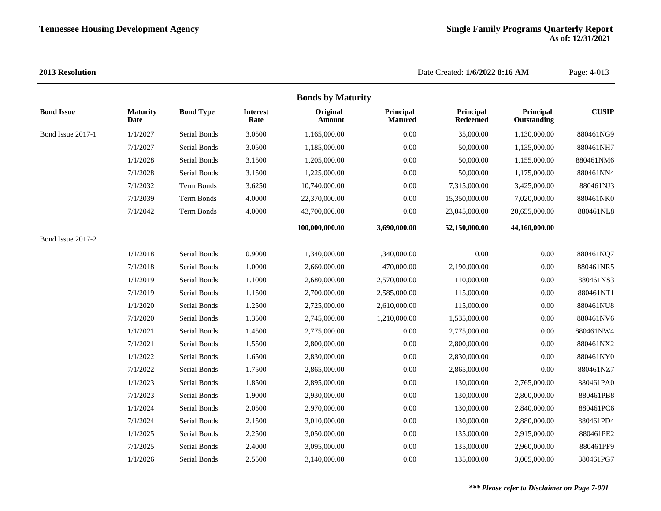### **2013 Resolution** Date Created: **1/6/2022 8:16 AM** Page: 4-013 **Bonds by Maturity Bond Issue Maturity Date Bond Type Interest Rate Original Amount Principal Matured Principal Redeemed Principal Outstanding CUSIP** Bond Issue 2017-1 1/1/2027 Serial Bonds 3.0500 1,165,000.00 0.00 35,000.00 1,130,000.00 880461NG9 7/1/2027 Serial Bonds 3.0500 1,185,000.00 0.00 50,000.00 1,135,000.00 880461NH7 1/1/2028 Serial Bonds 3.1500 1,205,000.00 0.00 50,000.00 1,155,000.00 880461NM6 7/1/2028 Serial Bonds 3.1500 1,225,000.00 0.00 50,000.00 1,175,000.00 880461NN4 7/1/2032 Term Bonds 3.6250 10,740,000.00 0.00 7,315,000.00 3,425,000.00 880461NJ3 7/1/2039 Term Bonds 4.0000 22,370,000.00 0.00 15,350,000.00 7,020,000.00 880461NK0 7/1/2042 Term Bonds 4.0000 43,700,000.00 0.00 23,045,000.00 20,655,000.00 880461NL8 **100,000,000.00 3,690,000.00 52,150,000.00 44,160,000.00** Bond Issue 2017-2 1/1/2018 Serial Bonds 0.9000 1,340,000.00 1,340,000.00 0.00 0.00 880461NQ7 7/1/2018 Serial Bonds 1.0000 2,660,000.00 470,000.00 2,190,000.00 0.00 880461NR5 1/1/2019 Serial Bonds 1.1000 2,680,000.00 2,570,000.00 110,000.00 0.00 880461NS3 7/1/2019 Serial Bonds 1.1500 2,700,000.00 2,585,000.00 115,000.00 0.00 880461NT1 1/1/2020 Serial Bonds 1.2500 2,725,000.00 2,610,000.00 115,000.00 0.00 880461NU8 7/1/2020 Serial Bonds 1.3500 2,745,000.00 1,210,000.00 1,535,000.00 0.00 880461NV6 1/1/2021 Serial Bonds 1.4500 2,775,000.00 0.00 2,775,000.00 0.00 880461NW4 7/1/2021 Serial Bonds 1.5500 2,800,000.00 0.00 2,800,000.00 0.00 880461NX2 1/1/2022 Serial Bonds 1.6500 2,830,000.00 0.00 2,830,000.00 0.00 880461NY0 7/1/2022 Serial Bonds 1.7500 2,865,000.00 0.00 2,865,000.00 0.00 880461NZ7 1/1/2023 Serial Bonds 1.8500 2,895,000.00 0.00 130,000.00 2,765,000.00 880461PA0 7/1/2023 Serial Bonds 1.9000 2,930,000.00 0.00 130,000.00 2,800,000.00 880461PB8 1/1/2024 Serial Bonds 2.0500 2,970,000.00 0.00 130,000.00 2,840,000.00 880461PC6 7/1/2024 Serial Bonds 2.1500 3,010,000.00 0.00 130,000.00 2,880,000.00 880461PD4 1/1/2025 Serial Bonds 2.2500 3,050,000.00 0.00 135,000.00 2,915,000.00 880461PE2 7/1/2025 Serial Bonds 2.4000 3,095,000.00 0.00 135,000.00 2,960,000.00 880461PF9 1/1/2026 Serial Bonds 2.5500 3,140,000.00 0.00 135,000.00 3,005,000.00 880461PG7

### *\*\*\* Please refer to Disclaimer on Page 7-001*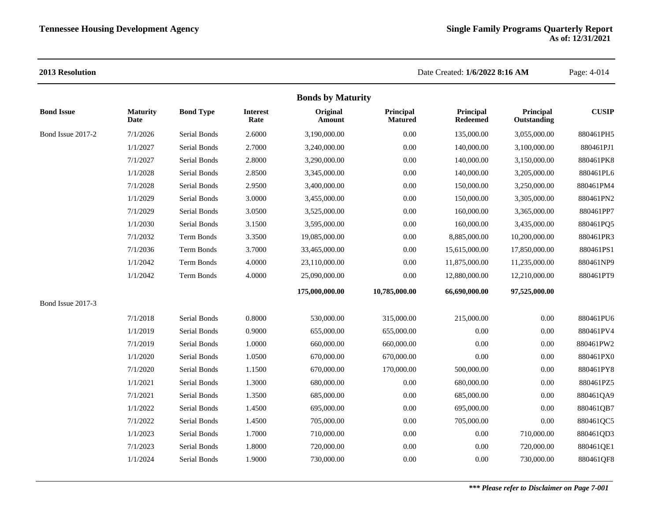|                   |                         |                     |                         | <b>Bonds by Maturity</b> |                             |                              |                          |              |
|-------------------|-------------------------|---------------------|-------------------------|--------------------------|-----------------------------|------------------------------|--------------------------|--------------|
| <b>Bond Issue</b> | <b>Maturity</b><br>Date | <b>Bond Type</b>    | <b>Interest</b><br>Rate | Original<br>Amount       | Principal<br><b>Matured</b> | Principal<br><b>Redeemed</b> | Principal<br>Outstanding | <b>CUSIP</b> |
| Bond Issue 2017-2 | 7/1/2026                | Serial Bonds        | 2.6000                  | 3,190,000.00             | 0.00                        | 135,000.00                   | 3,055,000.00             | 880461PH5    |
|                   | 1/1/2027                | Serial Bonds        | 2.7000                  | 3,240,000.00             | 0.00                        | 140,000.00                   | 3,100,000.00             | 880461PJ1    |
|                   | 7/1/2027                | Serial Bonds        | 2.8000                  | 3,290,000.00             | 0.00                        | 140,000.00                   | 3,150,000.00             | 880461PK8    |
|                   | 1/1/2028                | Serial Bonds        | 2.8500                  | 3.345,000.00             | 0.00                        | 140,000.00                   | 3,205,000.00             | 880461PL6    |
|                   | 7/1/2028                | Serial Bonds        | 2.9500                  | 3,400,000.00             | 0.00                        | 150,000.00                   | 3,250,000.00             | 880461PM4    |
|                   | 1/1/2029                | Serial Bonds        | 3.0000                  | 3,455,000.00             | 0.00                        | 150,000.00                   | 3,305,000.00             | 880461PN2    |
|                   | 7/1/2029                | Serial Bonds        | 3.0500                  | 3,525,000.00             | 0.00                        | 160,000.00                   | 3,365,000.00             | 880461PP7    |
|                   | 1/1/2030                | Serial Bonds        | 3.1500                  | 3,595,000.00             | 0.00                        | 160,000.00                   | 3,435,000.00             | 880461PQ5    |
|                   | 7/1/2032                | Term Bonds          | 3.3500                  | 19,085,000.00            | 0.00                        | 8,885,000.00                 | 10,200,000.00            | 880461PR3    |
|                   | 7/1/2036                | Term Bonds          | 3.7000                  | 33,465,000.00            | 0.00                        | 15,615,000.00                | 17,850,000.00            | 880461PS1    |
|                   | 1/1/2042                | <b>Term Bonds</b>   | 4.0000                  | 23,110,000.00            | 0.00                        | 11,875,000.00                | 11,235,000.00            | 880461NP9    |
|                   | 1/1/2042                | Term Bonds          | 4.0000                  | 25,090,000.00            | 0.00                        | 12,880,000.00                | 12,210,000.00            | 880461PT9    |
|                   |                         |                     |                         | 175,000,000.00           | 10,785,000.00               | 66,690,000.00                | 97,525,000.00            |              |
| Bond Issue 2017-3 |                         |                     |                         |                          |                             |                              |                          |              |
|                   | 7/1/2018                | Serial Bonds        | 0.8000                  | 530,000.00               | 315,000.00                  | 215,000.00                   | 0.00                     | 880461PU6    |
|                   | 1/1/2019                | Serial Bonds        | 0.9000                  | 655,000.00               | 655,000.00                  | 0.00                         | 0.00                     | 880461PV4    |
|                   | 7/1/2019                | Serial Bonds        | 1.0000                  | 660,000.00               | 660,000.00                  | 0.00                         | 0.00                     | 880461PW2    |
|                   | 1/1/2020                | <b>Serial Bonds</b> | 1.0500                  | 670,000.00               | 670,000.00                  | 0.00                         | 0.00                     | 880461PX0    |
|                   | 7/1/2020                | <b>Serial Bonds</b> | 1.1500                  | 670,000.00               | 170,000.00                  | 500,000.00                   | 0.00                     | 880461PY8    |
|                   | 1/1/2021                | Serial Bonds        | 1.3000                  | 680,000.00               | 0.00                        | 680,000.00                   | 0.00                     | 880461PZ5    |
|                   | 7/1/2021                | Serial Bonds        | 1.3500                  | 685,000.00               | 0.00                        | 685,000.00                   | 0.00                     | 880461QA9    |
|                   | 1/1/2022                | Serial Bonds        | 1.4500                  | 695,000.00               | 0.00                        | 695,000.00                   | 0.00                     | 880461QB7    |
|                   | 7/1/2022                | Serial Bonds        | 1.4500                  | 705,000.00               | 0.00                        | 705,000.00                   | 0.00                     | 880461QC5    |
|                   | 1/1/2023                | Serial Bonds        | 1.7000                  | 710,000.00               | 0.00                        | 0.00                         | 710,000.00               | 880461QD3    |
|                   | 7/1/2023                | Serial Bonds        | 1.8000                  | 720,000.00               | 0.00                        | 0.00                         | 720,000.00               | 880461QE1    |
|                   | 1/1/2024                | Serial Bonds        | 1.9000                  | 730,000.00               | 0.00                        | 0.00                         | 730,000.00               | 880461QF8    |
|                   |                         |                     |                         |                          |                             |                              |                          |              |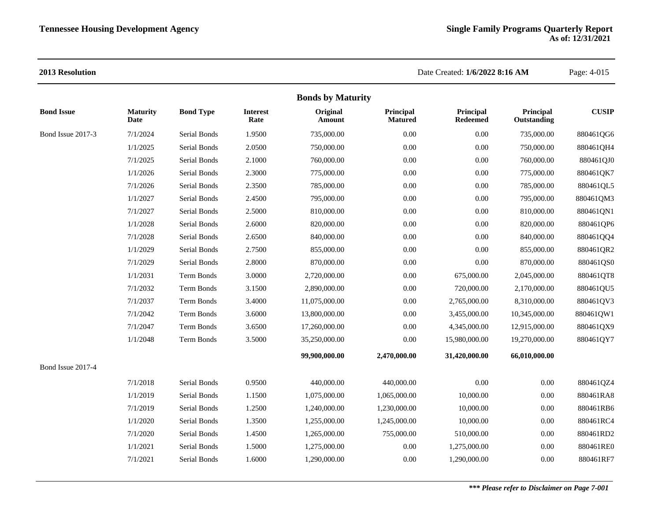|                   |                         |                     |                         | <b>Bonds by Maturity</b> |                             |                              |                          |              |
|-------------------|-------------------------|---------------------|-------------------------|--------------------------|-----------------------------|------------------------------|--------------------------|--------------|
| <b>Bond Issue</b> | <b>Maturity</b><br>Date | <b>Bond Type</b>    | <b>Interest</b><br>Rate | Original<br>Amount       | Principal<br><b>Matured</b> | Principal<br><b>Redeemed</b> | Principal<br>Outstanding | <b>CUSIP</b> |
| Bond Issue 2017-3 | 7/1/2024                | Serial Bonds        | 1.9500                  | 735,000.00               | 0.00                        | 0.00                         | 735,000.00               | 880461QG6    |
|                   | 1/1/2025                | Serial Bonds        | 2.0500                  | 750,000.00               | 0.00                        | 0.00                         | 750,000.00               | 880461QH4    |
|                   | 7/1/2025                | Serial Bonds        | 2.1000                  | 760,000.00               | 0.00                        | 0.00                         | 760,000.00               | 880461QJ0    |
|                   | 1/1/2026                | Serial Bonds        | 2.3000                  | 775,000.00               | 0.00                        | 0.00                         | 775,000.00               | 880461QK7    |
|                   | 7/1/2026                | Serial Bonds        | 2.3500                  | 785,000.00               | 0.00                        | 0.00                         | 785,000.00               | 880461QL5    |
|                   | 1/1/2027                | Serial Bonds        | 2.4500                  | 795,000.00               | 0.00                        | 0.00                         | 795,000.00               | 880461QM3    |
|                   | 7/1/2027                | Serial Bonds        | 2.5000                  | 810,000.00               | 0.00                        | 0.00                         | 810,000.00               | 880461QN1    |
|                   | 1/1/2028                | <b>Serial Bonds</b> | 2.6000                  | 820,000.00               | 0.00                        | 0.00                         | 820,000.00               | 880461QP6    |
|                   | 7/1/2028                | Serial Bonds        | 2.6500                  | 840,000.00               | 0.00                        | 0.00                         | 840,000.00               | 880461QQ4    |
|                   | 1/1/2029                | <b>Serial Bonds</b> | 2.7500                  | 855,000.00               | 0.00                        | 0.00                         | 855,000.00               | 880461QR2    |
|                   | 7/1/2029                | Serial Bonds        | 2.8000                  | 870,000.00               | 0.00                        | 0.00                         | 870,000.00               | 880461QS0    |
|                   | 1/1/2031                | Term Bonds          | 3.0000                  | 2,720,000.00             | 0.00                        | 675,000.00                   | 2,045,000.00             | 880461QT8    |
|                   | 7/1/2032                | Term Bonds          | 3.1500                  | 2,890,000.00             | 0.00                        | 720,000.00                   | 2,170,000.00             | 880461QU5    |
|                   | 7/1/2037                | Term Bonds          | 3.4000                  | 11,075,000.00            | 0.00                        | 2,765,000.00                 | 8,310,000.00             | 880461QV3    |
|                   | 7/1/2042                | Term Bonds          | 3.6000                  | 13,800,000.00            | 0.00                        | 3,455,000.00                 | 10,345,000.00            | 880461QW1    |
|                   | 7/1/2047                | Term Bonds          | 3.6500                  | 17,260,000.00            | 0.00                        | 4,345,000.00                 | 12,915,000.00            | 880461QX9    |
|                   | 1/1/2048                | Term Bonds          | 3.5000                  | 35,250,000.00            | 0.00                        | 15,980,000.00                | 19,270,000.00            | 880461QY7    |
|                   |                         |                     |                         | 99,900,000.00            | 2,470,000.00                | 31,420,000.00                | 66,010,000.00            |              |
| Bond Issue 2017-4 |                         |                     |                         |                          |                             |                              |                          |              |
|                   | 7/1/2018                | Serial Bonds        | 0.9500                  | 440,000.00               | 440,000.00                  | 0.00                         | 0.00                     | 880461QZ4    |
|                   | 1/1/2019                | Serial Bonds        | 1.1500                  | 1,075,000.00             | 1,065,000.00                | 10,000.00                    | $0.00\,$                 | 880461RA8    |
|                   | 7/1/2019                | Serial Bonds        | 1.2500                  | 1,240,000.00             | 1,230,000.00                | 10,000.00                    | 0.00                     | 880461RB6    |
|                   | 1/1/2020                | Serial Bonds        | 1.3500                  | 1,255,000.00             | 1,245,000.00                | 10,000.00                    | $0.00\,$                 | 880461RC4    |
|                   | 7/1/2020                | Serial Bonds        | 1.4500                  | 1,265,000.00             | 755,000.00                  | 510,000.00                   | 0.00                     | 880461RD2    |
|                   | 1/1/2021                | Serial Bonds        | 1.5000                  | 1,275,000.00             | 0.00                        | 1,275,000.00                 | $0.00\,$                 | 880461RE0    |
|                   | 7/1/2021                | Serial Bonds        | 1.6000                  | 1,290,000.00             | 0.00                        | 1,290,000.00                 | 0.00                     | 880461RF7    |
|                   |                         |                     |                         |                          |                             |                              |                          |              |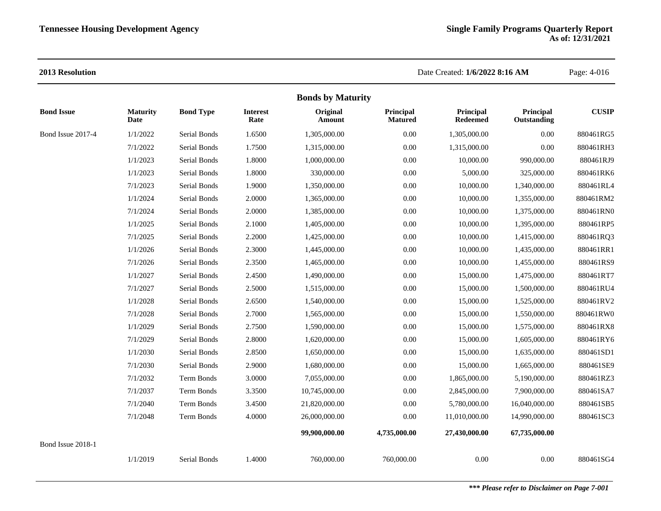|                   |                                |                  |                         | <b>Bonds by Maturity</b> |                             |                       |                          |              |
|-------------------|--------------------------------|------------------|-------------------------|--------------------------|-----------------------------|-----------------------|--------------------------|--------------|
| <b>Bond Issue</b> | <b>Maturity</b><br><b>Date</b> | <b>Bond Type</b> | <b>Interest</b><br>Rate | Original<br>Amount       | Principal<br><b>Matured</b> | Principal<br>Redeemed | Principal<br>Outstanding | <b>CUSIP</b> |
| Bond Issue 2017-4 | 1/1/2022                       | Serial Bonds     | 1.6500                  | 1,305,000.00             | 0.00                        | 1,305,000.00          | 0.00                     | 880461RG5    |
|                   | 7/1/2022                       | Serial Bonds     | 1.7500                  | 1,315,000.00             | 0.00                        | 1,315,000.00          | 0.00                     | 880461RH3    |
|                   | 1/1/2023                       | Serial Bonds     | 1.8000                  | 1,000,000.00             | 0.00                        | 10,000.00             | 990,000.00               | 880461RJ9    |
|                   | 1/1/2023                       | Serial Bonds     | 1.8000                  | 330,000.00               | 0.00                        | 5,000.00              | 325,000.00               | 880461RK6    |
|                   | 7/1/2023                       | Serial Bonds     | 1.9000                  | 1,350,000.00             | $0.00\,$                    | 10,000.00             | 1,340,000.00             | 880461RL4    |
|                   | 1/1/2024                       | Serial Bonds     | 2.0000                  | 1,365,000.00             | 0.00                        | 10,000.00             | 1,355,000.00             | 880461RM2    |
|                   | 7/1/2024                       | Serial Bonds     | 2.0000                  | 1,385,000.00             | 0.00                        | 10,000.00             | 1,375,000.00             | 880461RN0    |
|                   | 1/1/2025                       | Serial Bonds     | 2.1000                  | 1,405,000.00             | 0.00                        | 10,000.00             | 1,395,000.00             | 880461RP5    |
|                   | 7/1/2025                       | Serial Bonds     | 2.2000                  | 1,425,000.00             | 0.00                        | 10,000.00             | 1,415,000.00             | 880461RQ3    |
|                   | 1/1/2026                       | Serial Bonds     | 2.3000                  | 1,445,000.00             | 0.00                        | 10,000.00             | 1,435,000.00             | 880461RR1    |
|                   | 7/1/2026                       | Serial Bonds     | 2.3500                  | 1,465,000.00             | 0.00                        | 10,000.00             | 1,455,000.00             | 880461RS9    |
|                   | 1/1/2027                       | Serial Bonds     | 2.4500                  | 1,490,000.00             | 0.00                        | 15,000.00             | 1,475,000.00             | 880461RT7    |
|                   | 7/1/2027                       | Serial Bonds     | 2.5000                  | 1,515,000.00             | 0.00                        | 15,000.00             | 1,500,000.00             | 880461RU4    |
|                   | 1/1/2028                       | Serial Bonds     | 2.6500                  | 1,540,000.00             | 0.00                        | 15,000.00             | 1,525,000.00             | 880461RV2    |
|                   | 7/1/2028                       | Serial Bonds     | 2.7000                  | 1,565,000.00             | 0.00                        | 15,000.00             | 1,550,000.00             | 880461RW0    |
|                   | 1/1/2029                       | Serial Bonds     | 2.7500                  | 1,590,000.00             | 0.00                        | 15,000.00             | 1,575,000.00             | 880461RX8    |
|                   | 7/1/2029                       | Serial Bonds     | 2.8000                  | 1,620,000.00             | $0.00\,$                    | 15,000.00             | 1,605,000.00             | 880461RY6    |
|                   | 1/1/2030                       | Serial Bonds     | 2.8500                  | 1,650,000.00             | 0.00                        | 15,000.00             | 1,635,000.00             | 880461SD1    |
|                   | 7/1/2030                       | Serial Bonds     | 2.9000                  | 1,680,000.00             | 0.00                        | 15,000.00             | 1,665,000.00             | 880461SE9    |
|                   | 7/1/2032                       | Term Bonds       | 3.0000                  | 7,055,000.00             | 0.00                        | 1,865,000.00          | 5,190,000.00             | 880461RZ3    |
|                   | 7/1/2037                       | Term Bonds       | 3.3500                  | 10,745,000.00            | 0.00                        | 2,845,000.00          | 7,900,000.00             | 880461SA7    |
|                   | 7/1/2040                       | Term Bonds       | 3.4500                  | 21,820,000.00            | 0.00                        | 5,780,000.00          | 16,040,000.00            | 880461SB5    |
|                   | 7/1/2048                       | Term Bonds       | 4.0000                  | 26,000,000.00            | 0.00                        | 11,010,000.00         | 14,990,000.00            | 880461SC3    |
|                   |                                |                  |                         | 99,900,000.00            | 4,735,000.00                | 27,430,000.00         | 67,735,000.00            |              |
| Bond Issue 2018-1 |                                |                  |                         |                          |                             |                       |                          |              |
|                   | 1/1/2019                       | Serial Bonds     | 1.4000                  | 760,000.00               | 760,000.00                  | 0.00                  | 0.00                     | 880461SG4    |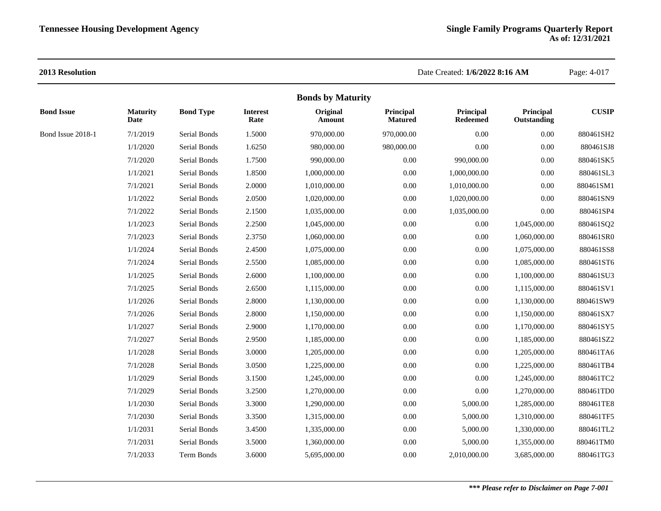|                   |                         |                  |                         | <b>Bonds by Maturity</b>  |                             |                              |                          |              |
|-------------------|-------------------------|------------------|-------------------------|---------------------------|-----------------------------|------------------------------|--------------------------|--------------|
| <b>Bond Issue</b> | <b>Maturity</b><br>Date | <b>Bond Type</b> | <b>Interest</b><br>Rate | Original<br><b>Amount</b> | Principal<br><b>Matured</b> | Principal<br><b>Redeemed</b> | Principal<br>Outstanding | <b>CUSIP</b> |
| Bond Issue 2018-1 | 7/1/2019                | Serial Bonds     | 1.5000                  | 970,000.00                | 970,000.00                  | 0.00                         | 0.00                     | 880461SH2    |
|                   | 1/1/2020                | Serial Bonds     | 1.6250                  | 980,000.00                | 980,000.00                  | 0.00                         | 0.00                     | 880461SJ8    |
|                   | 7/1/2020                | Serial Bonds     | 1.7500                  | 990,000.00                | 0.00                        | 990,000.00                   | $0.00\,$                 | 880461SK5    |
|                   | 1/1/2021                | Serial Bonds     | 1.8500                  | 1,000,000.00              | 0.00                        | 1,000,000.00                 | $0.00\,$                 | 880461SL3    |
|                   | 7/1/2021                | Serial Bonds     | 2.0000                  | 1,010,000.00              | $0.00\,$                    | 1,010,000.00                 | 0.00                     | 880461SM1    |
|                   | 1/1/2022                | Serial Bonds     | 2.0500                  | 1,020,000.00              | 0.00                        | 1,020,000.00                 | 0.00                     | 880461SN9    |
|                   | 7/1/2022                | Serial Bonds     | 2.1500                  | 1,035,000.00              | 0.00                        | 1,035,000.00                 | 0.00                     | 880461SP4    |
|                   | 1/1/2023                | Serial Bonds     | 2.2500                  | 1,045,000.00              | 0.00                        | $0.00\,$                     | 1,045,000.00             | 880461SQ2    |
|                   | 7/1/2023                | Serial Bonds     | 2.3750                  | 1,060,000.00              | 0.00                        | 0.00                         | 1,060,000.00             | 880461SR0    |
|                   | 1/1/2024                | Serial Bonds     | 2.4500                  | 1,075,000.00              | 0.00                        | $0.00\,$                     | 1,075,000.00             | 880461SS8    |
|                   | 7/1/2024                | Serial Bonds     | 2.5500                  | 1,085,000.00              | 0.00                        | $0.00\,$                     | 1,085,000.00             | 880461ST6    |
|                   | 1/1/2025                | Serial Bonds     | 2.6000                  | 1,100,000.00              | 0.00                        | $0.00\,$                     | 1,100,000.00             | 880461SU3    |
|                   | 7/1/2025                | Serial Bonds     | 2.6500                  | 1,115,000.00              | 0.00                        | $0.00\,$                     | 1,115,000.00             | 880461SV1    |
|                   | 1/1/2026                | Serial Bonds     | 2.8000                  | 1,130,000.00              | 0.00                        | $0.00\,$                     | 1,130,000.00             | 880461SW9    |
|                   | 7/1/2026                | Serial Bonds     | 2.8000                  | 1,150,000.00              | 0.00                        | $0.00\,$                     | 1,150,000.00             | 880461SX7    |
|                   | 1/1/2027                | Serial Bonds     | 2.9000                  | 1,170,000.00              | 0.00                        | $0.00\,$                     | 1,170,000.00             | 880461SY5    |
|                   | 7/1/2027                | Serial Bonds     | 2.9500                  | 1,185,000.00              | 0.00                        | $0.00\,$                     | 1,185,000.00             | 880461SZ2    |
|                   | 1/1/2028                | Serial Bonds     | 3.0000                  | 1,205,000.00              | 0.00                        | $0.00\,$                     | 1,205,000.00             | 880461TA6    |
|                   | 7/1/2028                | Serial Bonds     | 3.0500                  | 1,225,000.00              | 0.00                        | 0.00                         | 1,225,000.00             | 880461TB4    |
|                   | 1/1/2029                | Serial Bonds     | 3.1500                  | 1,245,000.00              | 0.00                        | $0.00\,$                     | 1,245,000.00             | 880461TC2    |
|                   | 7/1/2029                | Serial Bonds     | 3.2500                  | 1,270,000.00              | 0.00                        | 0.00                         | 1,270,000.00             | 880461TD0    |
|                   | 1/1/2030                | Serial Bonds     | 3.3000                  | 1,290,000.00              | 0.00                        | 5,000.00                     | 1,285,000.00             | 880461TE8    |
|                   | 7/1/2030                | Serial Bonds     | 3.3500                  | 1,315,000.00              | 0.00                        | 5,000.00                     | 1,310,000.00             | 880461TF5    |
|                   | 1/1/2031                | Serial Bonds     | 3.4500                  | 1,335,000.00              | 0.00                        | 5,000.00                     | 1,330,000.00             | 880461TL2    |
|                   | 7/1/2031                | Serial Bonds     | 3.5000                  | 1,360,000.00              | 0.00                        | 5,000.00                     | 1,355,000.00             | 880461TM0    |
|                   | 7/1/2033                | Term Bonds       | 3.6000                  | 5,695,000.00              | $0.00\,$                    | 2,010,000.00                 | 3,685,000.00             | 880461TG3    |
|                   |                         |                  |                         |                           |                             |                              |                          |              |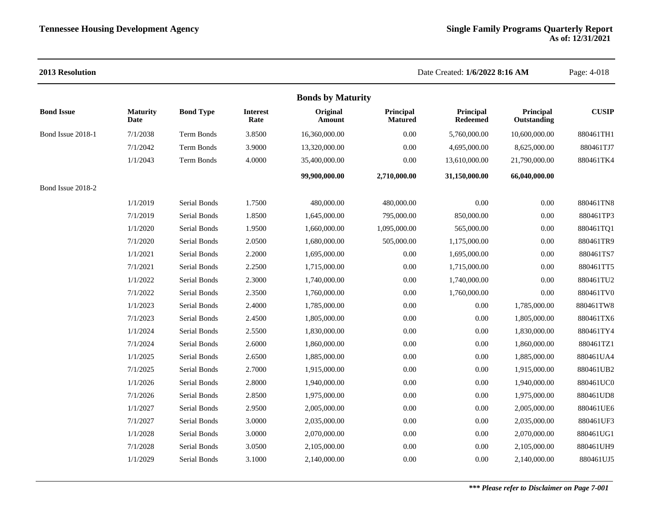| <b>2013 Resolution</b> |                         |                  |                         |                          |                             | Date Created: 1/6/2022 8:16 AM |                          | Page: 4-018  |
|------------------------|-------------------------|------------------|-------------------------|--------------------------|-----------------------------|--------------------------------|--------------------------|--------------|
|                        |                         |                  |                         | <b>Bonds by Maturity</b> |                             |                                |                          |              |
| <b>Bond Issue</b>      | <b>Maturity</b><br>Date | <b>Bond Type</b> | <b>Interest</b><br>Rate | Original<br>Amount       | Principal<br><b>Matured</b> | Principal<br><b>Redeemed</b>   | Principal<br>Outstanding | <b>CUSIP</b> |
| Bond Issue 2018-1      | 7/1/2038                | Term Bonds       | 3.8500                  | 16,360,000.00            | 0.00                        | 5,760,000.00                   | 10,600,000.00            | 880461TH1    |
|                        | 7/1/2042                | Term Bonds       | 3.9000                  | 13,320,000.00            | 0.00                        | 4,695,000.00                   | 8,625,000.00             | 880461TJ7    |
|                        | 1/1/2043                | Term Bonds       | 4.0000                  | 35,400,000.00            | 0.00                        | 13,610,000.00                  | 21,790,000.00            | 880461TK4    |
|                        |                         |                  |                         | 99,900,000.00            | 2,710,000.00                | 31,150,000.00                  | 66,040,000.00            |              |
| Bond Issue 2018-2      |                         |                  |                         |                          |                             |                                |                          |              |
|                        | 1/1/2019                | Serial Bonds     | 1.7500                  | 480,000.00               | 480,000.00                  | 0.00                           | 0.00                     | 880461TN8    |
|                        | 7/1/2019                | Serial Bonds     | 1.8500                  | 1,645,000.00             | 795,000.00                  | 850,000.00                     | 0.00                     | 880461TP3    |
|                        | 1/1/2020                | Serial Bonds     | 1.9500                  | 1,660,000.00             | 1,095,000.00                | 565,000.00                     | 0.00                     | 880461TQ1    |
|                        | 7/1/2020                | Serial Bonds     | 2.0500                  | 1,680,000.00             | 505,000.00                  | 1,175,000.00                   | 0.00                     | 880461TR9    |
|                        | 1/1/2021                | Serial Bonds     | 2.2000                  | 1,695,000.00             | 0.00                        | 1,695,000.00                   | 0.00                     | 880461TS7    |
|                        | 7/1/2021                | Serial Bonds     | 2.2500                  | 1,715,000.00             | 0.00                        | 1,715,000.00                   | 0.00                     | 880461TT5    |
|                        | 1/1/2022                | Serial Bonds     | 2.3000                  | 1,740,000.00             | 0.00                        | 1,740,000.00                   | 0.00                     | 880461TU2    |
|                        | 7/1/2022                | Serial Bonds     | 2.3500                  | 1,760,000.00             | 0.00                        | 1,760,000.00                   | 0.00                     | 880461TV0    |
|                        | 1/1/2023                | Serial Bonds     | 2.4000                  | 1,785,000.00             | $0.00\,$                    | $0.00\,$                       | 1,785,000.00             | 880461TW8    |
|                        | 7/1/2023                | Serial Bonds     | 2.4500                  | 1,805,000.00             | 0.00                        | 0.00                           | 1,805,000.00             | 880461TX6    |
|                        | 1/1/2024                | Serial Bonds     | 2.5500                  | 1,830,000.00             | 0.00                        | 0.00                           | 1,830,000.00             | 880461TY4    |
|                        | 7/1/2024                | Serial Bonds     | 2.6000                  | 1,860,000.00             | 0.00                        | $0.00\,$                       | 1,860,000.00             | 880461TZ1    |
|                        | 1/1/2025                | Serial Bonds     | 2.6500                  | 1,885,000.00             | 0.00                        | 0.00                           | 1,885,000.00             | 880461UA4    |
|                        | 7/1/2025                | Serial Bonds     | 2.7000                  | 1,915,000.00             | 0.00                        | $0.00\,$                       | 1,915,000.00             | 880461UB2    |
|                        | 1/1/2026                | Serial Bonds     | 2.8000                  | 1,940,000.00             | 0.00                        | 0.00                           | 1,940,000.00             | 880461UC0    |
|                        | 7/1/2026                | Serial Bonds     | 2.8500                  | 1,975,000.00             | 0.00                        | 0.00                           | 1,975,000.00             | 880461UD8    |
|                        | 1/1/2027                | Serial Bonds     | 2.9500                  | 2,005,000.00             | 0.00                        | $0.00\,$                       | 2,005,000.00             | 880461UE6    |
|                        | 7/1/2027                | Serial Bonds     | 3.0000                  | 2,035,000.00             | 0.00                        | 0.00                           | 2,035,000.00             | 880461UF3    |
|                        | 1/1/2028                | Serial Bonds     | 3.0000                  | 2,070,000.00             | 0.00                        | 0.00                           | 2,070,000.00             | 880461UG1    |
|                        | 7/1/2028                | Serial Bonds     | 3.0500                  | 2,105,000.00             | 0.00                        | 0.00                           | 2,105,000.00             | 880461UH9    |
|                        | 1/1/2029                | Serial Bonds     | 3.1000                  | 2,140,000.00             | 0.00                        | 0.00                           | 2,140,000.00             | 880461UJ5    |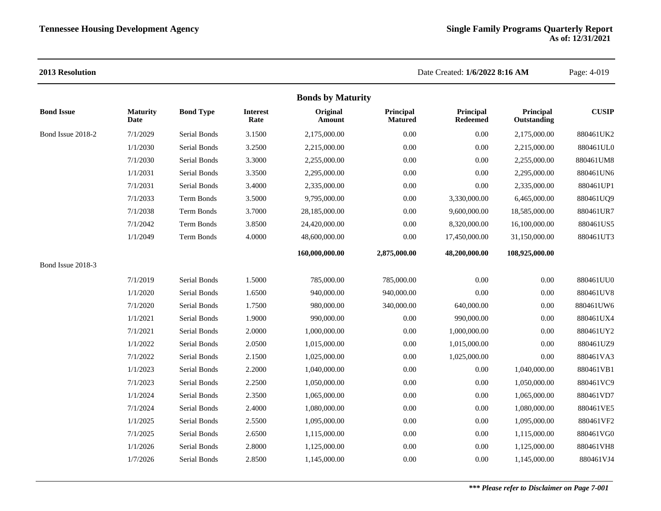|                   |                         |                  |                         | <b>Bonds by Maturity</b> |                             |                       |                          |              |
|-------------------|-------------------------|------------------|-------------------------|--------------------------|-----------------------------|-----------------------|--------------------------|--------------|
| <b>Bond Issue</b> | <b>Maturity</b><br>Date | <b>Bond Type</b> | <b>Interest</b><br>Rate | Original<br>Amount       | Principal<br><b>Matured</b> | Principal<br>Redeemed | Principal<br>Outstanding | <b>CUSIP</b> |
| Bond Issue 2018-2 | 7/1/2029                | Serial Bonds     | 3.1500                  | 2,175,000.00             | 0.00                        | 0.00                  | 2,175,000.00             | 880461UK2    |
|                   | 1/1/2030                | Serial Bonds     | 3.2500                  | 2,215,000.00             | 0.00                        | 0.00                  | 2,215,000.00             | 880461UL0    |
|                   | 7/1/2030                | Serial Bonds     | 3.3000                  | 2,255,000.00             | 0.00                        | 0.00                  | 2,255,000.00             | 880461UM8    |
|                   | 1/1/2031                | Serial Bonds     | 3.3500                  | 2,295,000.00             | 0.00                        | 0.00                  | 2,295,000.00             | 880461UN6    |
|                   | 7/1/2031                | Serial Bonds     | 3.4000                  | 2,335,000.00             | 0.00                        | 0.00                  | 2,335,000.00             | 880461UP1    |
|                   | 7/1/2033                | Term Bonds       | 3.5000                  | 9,795,000.00             | 0.00                        | 3,330,000.00          | 6,465,000.00             | 880461UQ9    |
|                   | 7/1/2038                | Term Bonds       | 3.7000                  | 28,185,000.00            | 0.00                        | 9,600,000.00          | 18,585,000.00            | 880461UR7    |
|                   | 7/1/2042                | Term Bonds       | 3.8500                  | 24,420,000.00            | 0.00                        | 8,320,000.00          | 16,100,000.00            | 880461US5    |
|                   | 1/1/2049                | Term Bonds       | 4.0000                  | 48,600,000.00            | 0.00                        | 17,450,000.00         | 31,150,000.00            | 880461UT3    |
|                   |                         |                  |                         | 160,000,000.00           | 2,875,000.00                | 48,200,000.00         | 108,925,000.00           |              |
| Bond Issue 2018-3 |                         |                  |                         |                          |                             |                       |                          |              |
|                   | 7/1/2019                | Serial Bonds     | 1.5000                  | 785,000.00               | 785,000.00                  | 0.00                  | 0.00                     | 880461UU0    |
|                   | 1/1/2020                | Serial Bonds     | 1.6500                  | 940,000.00               | 940,000.00                  | 0.00                  | 0.00                     | 880461UV8    |
|                   | 7/1/2020                | Serial Bonds     | 1.7500                  | 980,000.00               | 340,000.00                  | 640,000.00            | $0.00\,$                 | 880461UW6    |
|                   | 1/1/2021                | Serial Bonds     | 1.9000                  | 990,000.00               | 0.00                        | 990,000.00            | $0.00\,$                 | 880461UX4    |
|                   | 7/1/2021                | Serial Bonds     | 2.0000                  | 1,000,000.00             | 0.00                        | 1,000,000.00          | 0.00                     | 880461UY2    |
|                   | 1/1/2022                | Serial Bonds     | 2.0500                  | 1,015,000.00             | 0.00                        | 1,015,000.00          | 0.00                     | 880461UZ9    |
|                   | 7/1/2022                | Serial Bonds     | 2.1500                  | 1,025,000.00             | 0.00                        | 1,025,000.00          | 0.00                     | 880461VA3    |
|                   | 1/1/2023                | Serial Bonds     | 2.2000                  | 1,040,000.00             | 0.00                        | 0.00                  | 1,040,000.00             | 880461VB1    |
|                   | 7/1/2023                | Serial Bonds     | 2.2500                  | 1,050,000.00             | 0.00                        | 0.00                  | 1,050,000.00             | 880461VC9    |
|                   | 1/1/2024                | Serial Bonds     | 2.3500                  | 1,065,000.00             | 0.00                        | 0.00                  | 1,065,000.00             | 880461VD7    |
|                   | 7/1/2024                | Serial Bonds     | 2.4000                  | 1,080,000.00             | 0.00                        | 0.00                  | 1,080,000.00             | 880461VE5    |
|                   | 1/1/2025                | Serial Bonds     | 2.5500                  | 1,095,000.00             | 0.00                        | $0.00\,$              | 1,095,000.00             | 880461VF2    |
|                   | 7/1/2025                | Serial Bonds     | 2.6500                  | 1,115,000.00             | 0.00                        | 0.00                  | 1,115,000.00             | 880461VG0    |
|                   | 1/1/2026                | Serial Bonds     | 2.8000                  | 1,125,000.00             | 0.00                        | 0.00                  | 1,125,000.00             | 880461VH8    |
|                   | 1/7/2026                | Serial Bonds     | 2.8500                  | 1,145,000.00             | 0.00                        | 0.00                  | 1,145,000.00             | 880461VJ4    |
|                   |                         |                  |                         |                          |                             |                       |                          |              |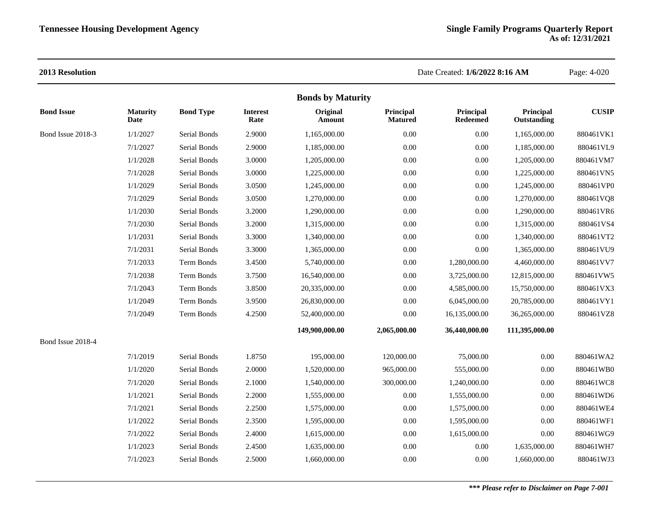|                   |                         |                  |                         | <b>Bonds by Maturity</b> |                             |                       |                          |              |
|-------------------|-------------------------|------------------|-------------------------|--------------------------|-----------------------------|-----------------------|--------------------------|--------------|
| <b>Bond Issue</b> | <b>Maturity</b><br>Date | <b>Bond Type</b> | <b>Interest</b><br>Rate | Original<br>Amount       | Principal<br><b>Matured</b> | Principal<br>Redeemed | Principal<br>Outstanding | <b>CUSIP</b> |
| Bond Issue 2018-3 | 1/1/2027                | Serial Bonds     | 2.9000                  | 1,165,000.00             | 0.00                        | 0.00                  | 1,165,000.00             | 880461VK1    |
|                   | 7/1/2027                | Serial Bonds     | 2.9000                  | 1,185,000.00             | 0.00                        | 0.00                  | 1,185,000.00             | 880461VL9    |
|                   | 1/1/2028                | Serial Bonds     | 3.0000                  | 1,205,000.00             | 0.00                        | 0.00                  | 1,205,000.00             | 880461VM7    |
|                   | 7/1/2028                | Serial Bonds     | 3.0000                  | 1,225,000.00             | 0.00                        | 0.00                  | 1,225,000.00             | 880461VN5    |
|                   | 1/1/2029                | Serial Bonds     | 3.0500                  | 1,245,000.00             | 0.00                        | 0.00                  | 1,245,000.00             | 880461VP0    |
|                   | 7/1/2029                | Serial Bonds     | 3.0500                  | 1,270,000.00             | 0.00                        | 0.00                  | 1,270,000.00             | 880461VQ8    |
|                   | 1/1/2030                | Serial Bonds     | 3.2000                  | 1,290,000.00             | 0.00                        | 0.00                  | 1,290,000.00             | 880461VR6    |
|                   | 7/1/2030                | Serial Bonds     | 3.2000                  | 1,315,000.00             | 0.00                        | 0.00                  | 1,315,000.00             | 880461VS4    |
|                   | 1/1/2031                | Serial Bonds     | 3.3000                  | 1,340,000.00             | 0.00                        | 0.00                  | 1,340,000.00             | 880461VT2    |
|                   | 7/1/2031                | Serial Bonds     | 3.3000                  | 1,365,000.00             | 0.00                        | 0.00                  | 1,365,000.00             | 880461VU9    |
|                   | 7/1/2033                | Term Bonds       | 3.4500                  | 5,740,000.00             | 0.00                        | 1,280,000.00          | 4,460,000.00             | 880461VV7    |
|                   | 7/1/2038                | Term Bonds       | 3.7500                  | 16,540,000.00            | 0.00                        | 3,725,000.00          | 12,815,000.00            | 880461VW5    |
|                   | 7/1/2043                | Term Bonds       | 3.8500                  | 20,335,000.00            | 0.00                        | 4,585,000.00          | 15,750,000.00            | 880461VX3    |
|                   | 1/1/2049                | Term Bonds       | 3.9500                  | 26,830,000.00            | 0.00                        | 6,045,000.00          | 20,785,000.00            | 880461VY1    |
|                   | 7/1/2049                | Term Bonds       | 4.2500                  | 52,400,000.00            | 0.00                        | 16,135,000.00         | 36,265,000.00            | 880461VZ8    |
|                   |                         |                  |                         | 149,900,000.00           | 2,065,000.00                | 36,440,000.00         | 111,395,000.00           |              |
| Bond Issue 2018-4 |                         |                  |                         |                          |                             |                       |                          |              |
|                   | 7/1/2019                | Serial Bonds     | 1.8750                  | 195,000.00               | 120,000.00                  | 75,000.00             | 0.00                     | 880461WA2    |
|                   | 1/1/2020                | Serial Bonds     | 2.0000                  | 1,520,000.00             | 965,000.00                  | 555,000.00            | 0.00                     | 880461WB0    |
|                   | 7/1/2020                | Serial Bonds     | 2.1000                  | 1,540,000.00             | 300,000.00                  | 1,240,000.00          | 0.00                     | 880461WC8    |
|                   | 1/1/2021                | Serial Bonds     | 2.2000                  | 1,555,000.00             | 0.00                        | 1,555,000.00          | $0.00\,$                 | 880461WD6    |
|                   | 7/1/2021                | Serial Bonds     | 2.2500                  | 1,575,000.00             | 0.00                        | 1,575,000.00          | 0.00                     | 880461WE4    |
|                   | 1/1/2022                | Serial Bonds     | 2.3500                  | 1,595,000.00             | 0.00                        | 1,595,000.00          | 0.00                     | 880461WF1    |
|                   | 7/1/2022                | Serial Bonds     | 2.4000                  | 1,615,000.00             | 0.00                        | 1,615,000.00          | 0.00                     | 880461WG9    |
|                   | 1/1/2023                | Serial Bonds     | 2.4500                  | 1,635,000.00             | 0.00                        | 0.00                  | 1,635,000.00             | 880461WH7    |
|                   | 7/1/2023                | Serial Bonds     | 2.5000                  | 1,660,000.00             | 0.00                        | 0.00                  | 1,660,000.00             | 880461WJ3    |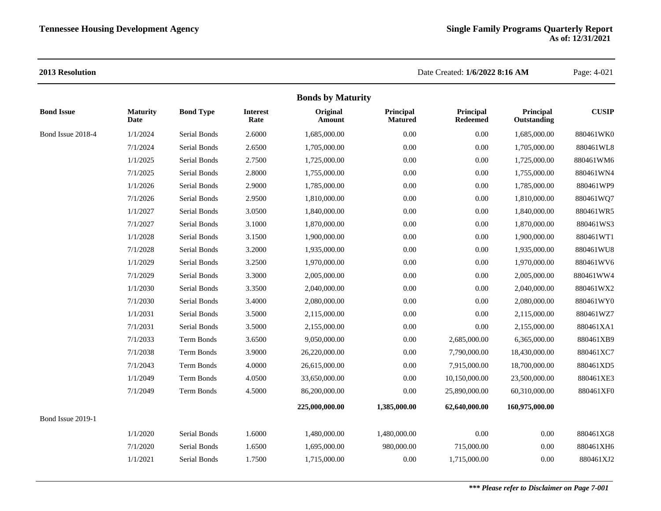| <b>Bonds by Maturity</b> |                         |                  |                         |                    |                             |                              |                          |              |  |
|--------------------------|-------------------------|------------------|-------------------------|--------------------|-----------------------------|------------------------------|--------------------------|--------------|--|
| <b>Bond Issue</b>        | <b>Maturity</b><br>Date | <b>Bond Type</b> | <b>Interest</b><br>Rate | Original<br>Amount | Principal<br><b>Matured</b> | Principal<br><b>Redeemed</b> | Principal<br>Outstanding | <b>CUSIP</b> |  |
| Bond Issue 2018-4        | 1/1/2024                | Serial Bonds     | 2.6000                  | 1.685.000.00       | 0.00                        | 0.00                         | 1,685,000.00             | 880461WK0    |  |
|                          | 7/1/2024                | Serial Bonds     | 2.6500                  | 1,705,000.00       | 0.00                        | 0.00                         | 1,705,000.00             | 880461WL8    |  |
|                          | 1/1/2025                | Serial Bonds     | 2.7500                  | 1,725,000.00       | 0.00                        | $0.00\,$                     | 1,725,000.00             | 880461WM6    |  |
|                          | 7/1/2025                | Serial Bonds     | 2.8000                  | 1,755,000.00       | 0.00                        | $0.00\,$                     | 1,755,000.00             | 880461WN4    |  |
|                          | 1/1/2026                | Serial Bonds     | 2.9000                  | 1,785,000.00       | $0.00\,$                    | 0.00                         | 1,785,000.00             | 880461WP9    |  |
|                          | 7/1/2026                | Serial Bonds     | 2.9500                  | 1,810,000.00       | 0.00                        | 0.00                         | 1,810,000.00             | 880461WQ7    |  |
|                          | 1/1/2027                | Serial Bonds     | 3.0500                  | 1,840,000.00       | 0.00                        | 0.00                         | 1,840,000.00             | 880461WR5    |  |
|                          | 7/1/2027                | Serial Bonds     | 3.1000                  | 1,870,000.00       | 0.00                        | 0.00                         | 1,870,000.00             | 880461WS3    |  |
|                          | 1/1/2028                | Serial Bonds     | 3.1500                  | 1,900,000.00       | $0.00\,$                    | 0.00                         | 1,900,000.00             | 880461WT1    |  |
|                          | 7/1/2028                | Serial Bonds     | 3.2000                  | 1,935,000.00       | 0.00                        | 0.00                         | 1,935,000.00             | 880461WU8    |  |
|                          | 1/1/2029                | Serial Bonds     | 3.2500                  | 1,970,000.00       | 0.00                        | 0.00                         | 1,970,000.00             | 880461WV6    |  |
|                          | 7/1/2029                | Serial Bonds     | 3.3000                  | 2,005,000.00       | 0.00                        | 0.00                         | 2,005,000.00             | 880461WW4    |  |
|                          | 1/1/2030                | Serial Bonds     | 3.3500                  | 2,040,000.00       | $0.00\,$                    | 0.00                         | 2,040,000.00             | 880461WX2    |  |
|                          | 7/1/2030                | Serial Bonds     | 3.4000                  | 2,080,000.00       | $0.00\,$                    | 0.00                         | 2,080,000.00             | 880461WY0    |  |
|                          | 1/1/2031                | Serial Bonds     | 3.5000                  | 2,115,000.00       | 0.00                        | 0.00                         | 2,115,000.00             | 880461WZ7    |  |
|                          | 7/1/2031                | Serial Bonds     | 3.5000                  | 2,155,000.00       | 0.00                        | 0.00                         | 2,155,000.00             | 880461XA1    |  |
|                          | 7/1/2033                | Term Bonds       | 3.6500                  | 9,050,000.00       | $0.00\,$                    | 2,685,000.00                 | 6,365,000.00             | 880461XB9    |  |
|                          | 7/1/2038                | Term Bonds       | 3.9000                  | 26,220,000.00      | $0.00\,$                    | 7,790,000.00                 | 18,430,000.00            | 880461XC7    |  |
|                          | 7/1/2043                | Term Bonds       | 4.0000                  | 26,615,000.00      | 0.00                        | 7,915,000.00                 | 18,700,000.00            | 880461XD5    |  |
|                          | 1/1/2049                | Term Bonds       | 4.0500                  | 33,650,000.00      | 0.00                        | 10,150,000.00                | 23,500,000.00            | 880461XE3    |  |
|                          | 7/1/2049                | Term Bonds       | 4.5000                  | 86,200,000.00      | 0.00                        | 25,890,000.00                | 60,310,000.00            | 880461XF0    |  |
|                          |                         |                  |                         | 225,000,000.00     | 1,385,000.00                | 62,640,000.00                | 160,975,000.00           |              |  |
| Bond Issue 2019-1        |                         |                  |                         |                    |                             |                              |                          |              |  |
|                          | 1/1/2020                | Serial Bonds     | 1.6000                  | 1,480,000.00       | 1,480,000.00                | 0.00                         | 0.00                     | 880461XG8    |  |
|                          | 7/1/2020                | Serial Bonds     | 1.6500                  | 1,695,000.00       | 980,000.00                  | 715,000.00                   | 0.00                     | 880461XH6    |  |
|                          | 1/1/2021                | Serial Bonds     | 1.7500                  | 1,715,000.00       | 0.00                        | 1,715,000.00                 | 0.00                     | 880461XJ2    |  |
|                          |                         |                  |                         |                    |                             |                              |                          |              |  |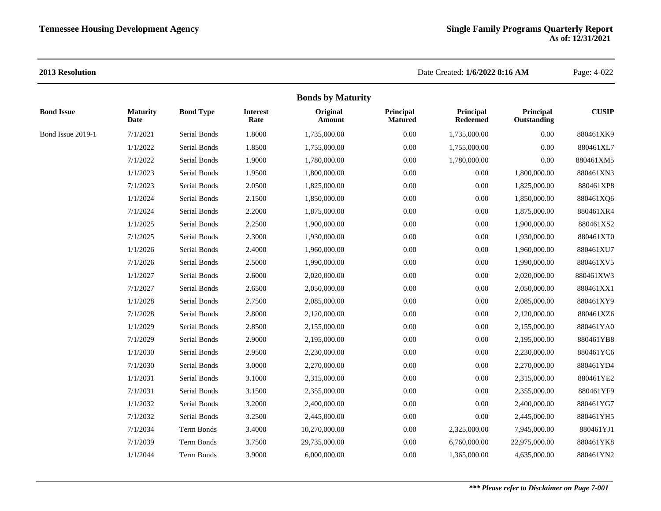|                   |                         |                  |                         | <b>Bonds by Maturity</b> |                             |                              |                          |              |
|-------------------|-------------------------|------------------|-------------------------|--------------------------|-----------------------------|------------------------------|--------------------------|--------------|
| <b>Bond Issue</b> | <b>Maturity</b><br>Date | <b>Bond Type</b> | <b>Interest</b><br>Rate | Original<br>Amount       | Principal<br><b>Matured</b> | Principal<br><b>Redeemed</b> | Principal<br>Outstanding | <b>CUSIP</b> |
| Bond Issue 2019-1 | 7/1/2021                | Serial Bonds     | 1.8000                  | 1,735,000.00             | 0.00                        | 1,735,000.00                 | 0.00                     | 880461XK9    |
|                   | 1/1/2022                | Serial Bonds     | 1.8500                  | 1,755,000.00             | 0.00                        | 1,755,000.00                 | 0.00                     | 880461XL7    |
|                   | 7/1/2022                | Serial Bonds     | 1.9000                  | 1,780,000.00             | 0.00                        | 1,780,000.00                 | 0.00                     | 880461XM5    |
|                   | 1/1/2023                | Serial Bonds     | 1.9500                  | 1,800,000.00             | 0.00                        | $0.00\,$                     | 1,800,000.00             | 880461XN3    |
|                   | 7/1/2023                | Serial Bonds     | 2.0500                  | 1,825,000.00             | 0.00                        | $0.00\,$                     | 1,825,000.00             | 880461XP8    |
|                   | 1/1/2024                | Serial Bonds     | 2.1500                  | 1,850,000.00             | 0.00                        | $0.00\,$                     | 1,850,000.00             | 880461XQ6    |
|                   | 7/1/2024                | Serial Bonds     | 2.2000                  | 1,875,000.00             | 0.00                        | $0.00\,$                     | 1,875,000.00             | 880461XR4    |
|                   | 1/1/2025                | Serial Bonds     | 2.2500                  | 1,900,000.00             | 0.00                        | $0.00\,$                     | 1,900,000.00             | 880461XS2    |
|                   | 7/1/2025                | Serial Bonds     | 2.3000                  | 1,930,000.00             | 0.00                        | $0.00\,$                     | 1,930,000.00             | 880461XT0    |
|                   | 1/1/2026                | Serial Bonds     | 2.4000                  | 1,960,000.00             | 0.00                        | $0.00\,$                     | 1,960,000.00             | 880461XU7    |
|                   | 7/1/2026                | Serial Bonds     | 2.5000                  | 1,990,000.00             | 0.00                        | $0.00\,$                     | 1,990,000.00             | 880461XV5    |
|                   | 1/1/2027                | Serial Bonds     | 2.6000                  | 2,020,000.00             | 0.00                        | $0.00\,$                     | 2,020,000.00             | 880461XW3    |
|                   | 7/1/2027                | Serial Bonds     | 2.6500                  | 2,050,000.00             | 0.00                        | $0.00\,$                     | 2,050,000.00             | 880461XX1    |
|                   | 1/1/2028                | Serial Bonds     | 2.7500                  | 2,085,000.00             | 0.00                        | $0.00\,$                     | 2,085,000.00             | 880461XY9    |
|                   | 7/1/2028                | Serial Bonds     | 2.8000                  | 2,120,000.00             | 0.00                        | 0.00                         | 2,120,000.00             | 880461XZ6    |
|                   | 1/1/2029                | Serial Bonds     | 2.8500                  | 2,155,000.00             | 0.00                        | $0.00\,$                     | 2,155,000.00             | 880461YA0    |
|                   | 7/1/2029                | Serial Bonds     | 2.9000                  | 2,195,000.00             | 0.00                        | $0.00\,$                     | 2,195,000.00             | 880461YB8    |
|                   | 1/1/2030                | Serial Bonds     | 2.9500                  | 2,230,000.00             | 0.00                        | $0.00\,$                     | 2,230,000.00             | 880461YC6    |
|                   | 7/1/2030                | Serial Bonds     | 3.0000                  | 2,270,000.00             | 0.00                        | $0.00\,$                     | 2,270,000.00             | 880461YD4    |
|                   | 1/1/2031                | Serial Bonds     | 3.1000                  | 2,315,000.00             | 0.00                        | $0.00\,$                     | 2,315,000.00             | 880461YE2    |
|                   | 7/1/2031                | Serial Bonds     | 3.1500                  | 2,355,000.00             | 0.00                        | $0.00\,$                     | 2,355,000.00             | 880461YF9    |
|                   | 1/1/2032                | Serial Bonds     | 3.2000                  | 2,400,000.00             | 0.00                        | $0.00\,$                     | 2,400,000.00             | 880461YG7    |
|                   | 7/1/2032                | Serial Bonds     | 3.2500                  | 2,445,000.00             | 0.00                        | $0.00\,$                     | 2,445,000.00             | 880461YH5    |
|                   | 7/1/2034                | Term Bonds       | 3.4000                  | 10,270,000.00            | 0.00                        | 2,325,000.00                 | 7,945,000.00             | 880461YJ1    |
|                   | 7/1/2039                | Term Bonds       | 3.7500                  | 29,735,000.00            | 0.00                        | 6,760,000.00                 | 22,975,000.00            | 880461YK8    |
|                   | 1/1/2044                | Term Bonds       | 3.9000                  | 6,000,000.00             | 0.00                        | 1,365,000.00                 | 4,635,000.00             | 880461YN2    |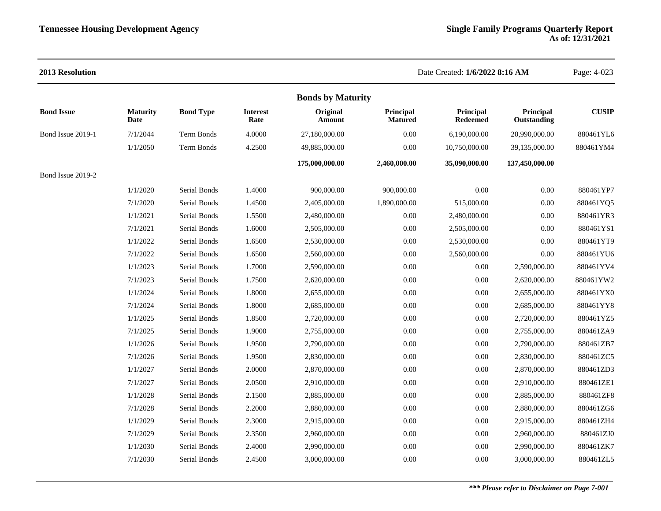| 2013 Resolution   |                          |                  |                         |                    |                             | Date Created: 1/6/2022 8:16 AM |                          | Page: 4-023  |  |
|-------------------|--------------------------|------------------|-------------------------|--------------------|-----------------------------|--------------------------------|--------------------------|--------------|--|
|                   | <b>Bonds by Maturity</b> |                  |                         |                    |                             |                                |                          |              |  |
| <b>Bond Issue</b> | <b>Maturity</b><br>Date  | <b>Bond Type</b> | <b>Interest</b><br>Rate | Original<br>Amount | Principal<br><b>Matured</b> | Principal<br><b>Redeemed</b>   | Principal<br>Outstanding | <b>CUSIP</b> |  |
| Bond Issue 2019-1 | 7/1/2044                 | Term Bonds       | 4.0000                  | 27,180,000.00      | 0.00                        | 6,190,000.00                   | 20,990,000.00            | 880461YL6    |  |
|                   | 1/1/2050                 | Term Bonds       | 4.2500                  | 49,885,000.00      | $0.00\,$                    | 10,750,000.00                  | 39,135,000.00            | 880461YM4    |  |
|                   |                          |                  |                         | 175,000,000.00     | 2,460,000.00                | 35,090,000.00                  | 137,450,000.00           |              |  |
| Bond Issue 2019-2 |                          |                  |                         |                    |                             |                                |                          |              |  |
|                   | 1/1/2020                 | Serial Bonds     | 1.4000                  | 900,000.00         | 900,000.00                  | 0.00                           | $0.00\,$                 | 880461YP7    |  |
|                   | 7/1/2020                 | Serial Bonds     | 1.4500                  | 2,405,000.00       | 1,890,000.00                | 515,000.00                     | 0.00                     | 880461YQ5    |  |
|                   | 1/1/2021                 | Serial Bonds     | 1.5500                  | 2,480,000.00       | $0.00\,$                    | 2,480,000.00                   | 0.00                     | 880461YR3    |  |
|                   | 7/1/2021                 | Serial Bonds     | 1.6000                  | 2,505,000.00       | 0.00                        | 2,505,000.00                   | 0.00                     | 880461YS1    |  |
|                   | 1/1/2022                 | Serial Bonds     | 1.6500                  | 2,530,000.00       | $0.00\,$                    | 2,530,000.00                   | $0.00\,$                 | 880461YT9    |  |
|                   | 7/1/2022                 | Serial Bonds     | 1.6500                  | 2,560,000.00       | 0.00                        | 2,560,000.00                   | 0.00                     | 880461YU6    |  |
|                   | 1/1/2023                 | Serial Bonds     | 1.7000                  | 2,590,000.00       | $0.00\,$                    | $0.00\,$                       | 2,590,000.00             | 880461YV4    |  |
|                   | 7/1/2023                 | Serial Bonds     | 1.7500                  | 2,620,000.00       | 0.00                        | 0.00                           | 2,620,000.00             | 880461YW2    |  |
|                   | 1/1/2024                 | Serial Bonds     | 1.8000                  | 2,655,000.00       | 0.00                        | 0.00                           | 2,655,000.00             | 880461YX0    |  |
|                   | 7/1/2024                 | Serial Bonds     | 1.8000                  | 2,685,000.00       | $0.00\,$                    | $0.00\,$                       | 2,685,000.00             | 880461YY8    |  |
|                   | 1/1/2025                 | Serial Bonds     | 1.8500                  | 2,720,000.00       | 0.00                        | 0.00                           | 2,720,000.00             | 880461YZ5    |  |
|                   | 7/1/2025                 | Serial Bonds     | 1.9000                  | 2,755,000.00       | $0.00\,$                    | $0.00\,$                       | 2,755,000.00             | 880461ZA9    |  |
|                   | 1/1/2026                 | Serial Bonds     | 1.9500                  | 2,790,000.00       | 0.00                        | 0.00                           | 2,790,000.00             | 880461ZB7    |  |
|                   | 7/1/2026                 | Serial Bonds     | 1.9500                  | 2,830,000.00       | 0.00                        | $0.00\,$                       | 2,830,000.00             | 880461ZC5    |  |
|                   | 1/1/2027                 | Serial Bonds     | 2.0000                  | 2,870,000.00       | 0.00                        | $0.00\,$                       | 2,870,000.00             | 880461ZD3    |  |
|                   | 7/1/2027                 | Serial Bonds     | 2.0500                  | 2,910,000.00       | $0.00\,$                    | 0.00                           | 2,910,000.00             | 880461ZE1    |  |
|                   | 1/1/2028                 | Serial Bonds     | 2.1500                  | 2,885,000.00       | $0.00\,$                    | $0.00\,$                       | 2,885,000.00             | 880461ZF8    |  |
|                   | 7/1/2028                 | Serial Bonds     | 2.2000                  | 2,880,000.00       | 0.00                        | 0.00                           | 2,880,000.00             | 880461ZG6    |  |
|                   | 1/1/2029                 | Serial Bonds     | 2.3000                  | 2,915,000.00       | 0.00                        | 0.00                           | 2,915,000.00             | 880461ZH4    |  |
|                   | 7/1/2029                 | Serial Bonds     | 2.3500                  | 2,960,000.00       | 0.00                        | 0.00                           | 2,960,000.00             | 880461ZJ0    |  |
|                   | 1/1/2030                 | Serial Bonds     | 2.4000                  | 2,990,000.00       | $0.00\,$                    | 0.00                           | 2,990,000.00             | 880461ZK7    |  |
|                   | 7/1/2030                 | Serial Bonds     | 2.4500                  | 3,000,000.00       | 0.00                        | 0.00                           | 3,000,000.00             | 880461ZL5    |  |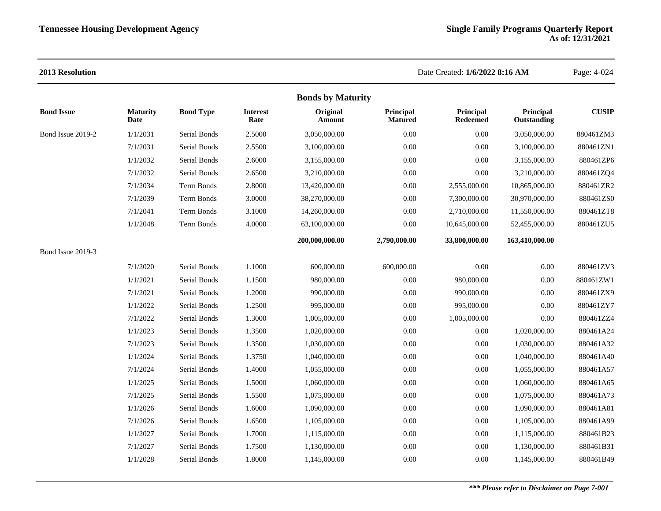| 2013 Resolution   |                         |                  |                         |                          |                             | Date Created: 1/6/2022 8:16 AM |                          | Page: 4-024  |
|-------------------|-------------------------|------------------|-------------------------|--------------------------|-----------------------------|--------------------------------|--------------------------|--------------|
|                   |                         |                  |                         | <b>Bonds by Maturity</b> |                             |                                |                          |              |
| <b>Bond Issue</b> | <b>Maturity</b><br>Date | <b>Bond Type</b> | <b>Interest</b><br>Rate | Original<br>Amount       | Principal<br><b>Matured</b> | Principal<br><b>Redeemed</b>   | Principal<br>Outstanding | <b>CUSIP</b> |
| Bond Issue 2019-2 | 1/1/2031                | Serial Bonds     | 2.5000                  | 3,050,000.00             | 0.00                        | $0.00\,$                       | 3,050,000.00             | 880461ZM3    |
|                   | 7/1/2031                | Serial Bonds     | 2.5500                  | 3,100,000.00             | 0.00                        | 0.00                           | 3,100,000.00             | 880461ZN1    |
|                   | 1/1/2032                | Serial Bonds     | 2.6000                  | 3,155,000.00             | 0.00                        | $0.00\,$                       | 3,155,000.00             | 880461ZP6    |
|                   | 7/1/2032                | Serial Bonds     | 2.6500                  | 3,210,000.00             | $0.00\,$                    | $0.00\,$                       | 3,210,000.00             | 880461ZQ4    |
|                   | 7/1/2034                | Term Bonds       | 2.8000                  | 13,420,000.00            | 0.00                        | 2,555,000.00                   | 10,865,000.00            | 880461ZR2    |
|                   | 7/1/2039                | Term Bonds       | 3.0000                  | 38,270,000.00            | 0.00                        | 7,300,000.00                   | 30,970,000.00            | 880461ZS0    |
|                   | 7/1/2041                | Term Bonds       | 3.1000                  | 14,260,000.00            | 0.00                        | 2,710,000.00                   | 11,550,000.00            | 880461ZT8    |
|                   | 1/1/2048                | Term Bonds       | 4.0000                  | 63,100,000.00            | 0.00                        | 10,645,000.00                  | 52,455,000.00            | 880461ZU5    |
|                   |                         |                  |                         | 200,000,000.00           | 2,790,000.00                | 33,800,000.00                  | 163,410,000.00           |              |
| Bond Issue 2019-3 |                         |                  |                         |                          |                             |                                |                          |              |
|                   | 7/1/2020                | Serial Bonds     | 1.1000                  | 600,000.00               | 600,000.00                  | $0.00\,$                       | 0.00                     | 880461ZV3    |
|                   | 1/1/2021                | Serial Bonds     | 1.1500                  | 980,000.00               | 0.00                        | 980,000.00                     | 0.00                     | 880461ZW1    |
|                   | 7/1/2021                | Serial Bonds     | 1.2000                  | 990,000.00               | $0.00\,$                    | 990,000.00                     | 0.00                     | 880461ZX9    |
|                   | 1/1/2022                | Serial Bonds     | 1.2500                  | 995,000.00               | $0.00\,$                    | 995,000.00                     | $0.00\,$                 | 880461ZY7    |
|                   | 7/1/2022                | Serial Bonds     | 1.3000                  | 1,005,000.00             | 0.00                        | 1,005,000.00                   | 0.00                     | 880461ZZ4    |
|                   | 1/1/2023                | Serial Bonds     | 1.3500                  | 1,020,000.00             | $0.00\,$                    | $0.00\,$                       | 1,020,000.00             | 880461A24    |
|                   | 7/1/2023                | Serial Bonds     | 1.3500                  | 1,030,000.00             | $0.00\,$                    | $0.00\,$                       | 1,030,000.00             | 880461A32    |
|                   | 1/1/2024                | Serial Bonds     | 1.3750                  | 1,040,000.00             | 0.00                        | 0.00                           | 1,040,000.00             | 880461A40    |
|                   | 7/1/2024                | Serial Bonds     | 1.4000                  | 1,055,000.00             | 0.00                        | $0.00\,$                       | 1,055,000.00             | 880461A57    |
|                   | 1/1/2025                | Serial Bonds     | 1.5000                  | 1,060,000.00             | 0.00                        | $0.00\,$                       | 1,060,000.00             | 880461A65    |
|                   | 7/1/2025                | Serial Bonds     | 1.5500                  | 1,075,000.00             | $0.00\,$                    | $0.00\,$                       | 1,075,000.00             | 880461A73    |
|                   | 1/1/2026                | Serial Bonds     | 1.6000                  | 1,090,000.00             | 0.00                        | $0.00\,$                       | 1,090,000.00             | 880461A81    |
|                   | 7/1/2026                | Serial Bonds     | 1.6500                  | 1,105,000.00             | 0.00                        | 0.00                           | 1,105,000.00             | 880461A99    |
|                   | 1/1/2027                | Serial Bonds     | 1.7000                  | 1,115,000.00             | $0.00\,$                    | $0.00\,$                       | 1,115,000.00             | 880461B23    |
|                   | 7/1/2027                | Serial Bonds     | 1.7500                  | 1,130,000.00             | 0.00                        | 0.00                           | 1,130,000.00             | 880461B31    |
|                   | 1/1/2028                | Serial Bonds     | 1.8000                  | 1,145,000.00             | 0.00                        | 0.00                           | 1,145,000.00             | 880461B49    |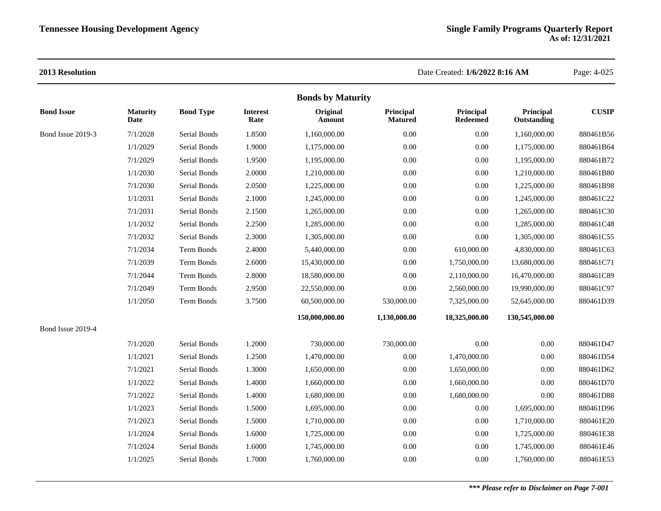|                   |                         |                  |                         | <b>Bonds by Maturity</b> |                             |                              |                          |              |
|-------------------|-------------------------|------------------|-------------------------|--------------------------|-----------------------------|------------------------------|--------------------------|--------------|
| <b>Bond Issue</b> | <b>Maturity</b><br>Date | <b>Bond Type</b> | <b>Interest</b><br>Rate | Original<br>Amount       | Principal<br><b>Matured</b> | Principal<br><b>Redeemed</b> | Principal<br>Outstanding | <b>CUSIP</b> |
| Bond Issue 2019-3 | 7/1/2028                | Serial Bonds     | 1.8500                  | 1,160,000.00             | 0.00                        | 0.00                         | 1,160,000.00             | 880461B56    |
|                   | 1/1/2029                | Serial Bonds     | 1.9000                  | 1,175,000.00             | 0.00                        | 0.00                         | 1,175,000.00             | 880461B64    |
|                   | 7/1/2029                | Serial Bonds     | 1.9500                  | 1,195,000.00             | 0.00                        | 0.00                         | 1,195,000.00             | 880461B72    |
|                   | 1/1/2030                | Serial Bonds     | 2.0000                  | 1,210,000.00             | 0.00                        | 0.00                         | 1,210,000.00             | 880461B80    |
|                   | 7/1/2030                | Serial Bonds     | 2.0500                  | 1,225,000.00             | 0.00                        | 0.00                         | 1,225,000.00             | 880461B98    |
|                   | 1/1/2031                | Serial Bonds     | 2.1000                  | 1,245,000.00             | 0.00                        | 0.00                         | 1,245,000.00             | 880461C22    |
|                   | 7/1/2031                | Serial Bonds     | 2.1500                  | 1,265,000.00             | 0.00                        | 0.00                         | 1,265,000.00             | 880461C30    |
|                   | 1/1/2032                | Serial Bonds     | 2.2500                  | 1,285,000.00             | 0.00                        | 0.00                         | 1,285,000.00             | 880461C48    |
|                   | 7/1/2032                | Serial Bonds     | 2.3000                  | 1,305,000.00             | 0.00                        | 0.00                         | 1,305,000.00             | 880461C55    |
|                   | 7/1/2034                | Term Bonds       | 2.4000                  | 5,440,000.00             | 0.00                        | 610,000.00                   | 4,830,000.00             | 880461C63    |
|                   | 7/1/2039                | Term Bonds       | 2.6000                  | 15,430,000.00            | 0.00                        | 1,750,000.00                 | 13,680,000.00            | 880461C71    |
|                   | 7/1/2044                | Term Bonds       | 2.8000                  | 18,580,000.00            | 0.00                        | 2,110,000.00                 | 16,470,000.00            | 880461C89    |
|                   | 7/1/2049                | Term Bonds       | 2.9500                  | 22,550,000.00            | 0.00                        | 2,560,000.00                 | 19,990,000.00            | 880461C97    |
|                   | 1/1/2050                | Term Bonds       | 3.7500                  | 60,500,000.00            | 530,000.00                  | 7,325,000.00                 | 52,645,000.00            | 880461D39    |
|                   |                         |                  |                         | 150,000,000.00           | 1,130,000.00                | 18,325,000.00                | 130,545,000.00           |              |
| Bond Issue 2019-4 |                         |                  |                         |                          |                             |                              |                          |              |
|                   | 7/1/2020                | Serial Bonds     | 1.2000                  | 730,000.00               | 730,000.00                  | 0.00                         | 0.00                     | 880461D47    |
|                   | 1/1/2021                | Serial Bonds     | 1.2500                  | 1,470,000.00             | 0.00                        | 1,470,000.00                 | 0.00                     | 880461D54    |
|                   | 7/1/2021                | Serial Bonds     | 1.3000                  | 1,650,000.00             | 0.00                        | 1,650,000.00                 | 0.00                     | 880461D62    |
|                   | 1/1/2022                | Serial Bonds     | 1.4000                  | 1,660,000.00             | 0.00                        | 1,660,000.00                 | 0.00                     | 880461D70    |
|                   | 7/1/2022                | Serial Bonds     | 1.4000                  | 1,680,000.00             | 0.00                        | 1,680,000.00                 | 0.00                     | 880461D88    |
|                   | 1/1/2023                | Serial Bonds     | 1.5000                  | 1,695,000.00             | 0.00                        | 0.00                         | 1,695,000.00             | 880461D96    |
|                   | 7/1/2023                | Serial Bonds     | 1.5000                  | 1,710,000.00             | 0.00                        | 0.00                         | 1,710,000.00             | 880461E20    |
|                   | 1/1/2024                | Serial Bonds     | 1.6000                  | 1,725,000.00             | 0.00                        | 0.00                         | 1,725,000.00             | 880461E38    |
|                   | 7/1/2024                | Serial Bonds     | 1.6000                  | 1,745,000.00             | 0.00                        | 0.00                         | 1,745,000.00             | 880461E46    |
|                   | 1/1/2025                | Serial Bonds     | 1.7000                  | 1,760,000.00             | 0.00                        | 0.00                         | 1,760,000.00             | 880461E53    |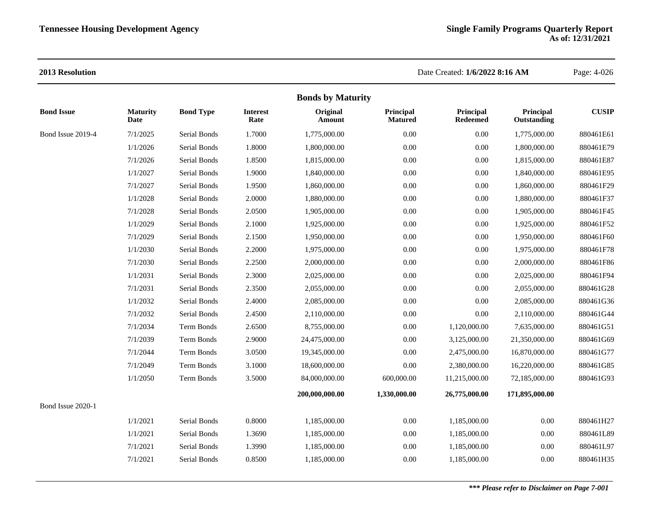| <b>Bonds by Maturity</b> |                         |                  |                         |                    |                             |                              |                          |              |  |
|--------------------------|-------------------------|------------------|-------------------------|--------------------|-----------------------------|------------------------------|--------------------------|--------------|--|
| <b>Bond Issue</b>        | <b>Maturity</b><br>Date | <b>Bond Type</b> | <b>Interest</b><br>Rate | Original<br>Amount | Principal<br><b>Matured</b> | Principal<br><b>Redeemed</b> | Principal<br>Outstanding | <b>CUSIP</b> |  |
| Bond Issue 2019-4        | 7/1/2025                | Serial Bonds     | 1.7000                  | 1,775,000.00       | 0.00                        | $0.00\,$                     | 1,775,000.00             | 880461E61    |  |
|                          | 1/1/2026                | Serial Bonds     | 1.8000                  | 1,800,000.00       | 0.00                        | $0.00\,$                     | 1,800,000.00             | 880461E79    |  |
|                          | 7/1/2026                | Serial Bonds     | 1.8500                  | 1,815,000.00       | 0.00                        | $0.00\,$                     | 1,815,000.00             | 880461E87    |  |
|                          | 1/1/2027                | Serial Bonds     | 1.9000                  | 1,840,000.00       | 0.00                        | $0.00\,$                     | 1,840,000.00             | 880461E95    |  |
|                          | 7/1/2027                | Serial Bonds     | 1.9500                  | 1,860,000.00       | 0.00                        | $0.00\,$                     | 1,860,000.00             | 880461F29    |  |
|                          | 1/1/2028                | Serial Bonds     | 2.0000                  | 1,880,000.00       | 0.00                        | $0.00\,$                     | 1,880,000.00             | 880461F37    |  |
|                          | 7/1/2028                | Serial Bonds     | 2.0500                  | 1,905,000.00       | 0.00                        | $0.00\,$                     | 1,905,000.00             | 880461F45    |  |
|                          | 1/1/2029                | Serial Bonds     | 2.1000                  | 1,925,000.00       | 0.00                        | $0.00\,$                     | 1,925,000.00             | 880461F52    |  |
|                          | 7/1/2029                | Serial Bonds     | 2.1500                  | 1,950,000.00       | 0.00                        | $0.00\,$                     | 1,950,000.00             | 880461F60    |  |
|                          | 1/1/2030                | Serial Bonds     | 2.2000                  | 1,975,000.00       | 0.00                        | 0.00                         | 1,975,000.00             | 880461F78    |  |
|                          | 7/1/2030                | Serial Bonds     | 2.2500                  | 2,000,000.00       | 0.00                        | $0.00\,$                     | 2,000,000.00             | 880461F86    |  |
|                          | 1/1/2031                | Serial Bonds     | 2.3000                  | 2,025,000.00       | 0.00                        | $0.00\,$                     | 2,025,000.00             | 880461F94    |  |
|                          | 7/1/2031                | Serial Bonds     | 2.3500                  | 2,055,000.00       | 0.00                        | 0.00                         | 2,055,000.00             | 880461G28    |  |
|                          | 1/1/2032                | Serial Bonds     | 2.4000                  | 2,085,000.00       | 0.00                        | 0.00                         | 2,085,000.00             | 880461G36    |  |
|                          | 7/1/2032                | Serial Bonds     | 2.4500                  | 2,110,000.00       | 0.00                        | $0.00\,$                     | 2,110,000.00             | 880461G44    |  |
|                          | 7/1/2034                | Term Bonds       | 2.6500                  | 8,755,000.00       | 0.00                        | 1,120,000.00                 | 7,635,000.00             | 880461G51    |  |
|                          | 7/1/2039                | Term Bonds       | 2.9000                  | 24,475,000.00      | 0.00                        | 3,125,000.00                 | 21,350,000.00            | 880461G69    |  |
|                          | 7/1/2044                | Term Bonds       | 3.0500                  | 19,345,000.00      | 0.00                        | 2,475,000.00                 | 16,870,000.00            | 880461G77    |  |
|                          | 7/1/2049                | Term Bonds       | 3.1000                  | 18,600,000.00      | 0.00                        | 2,380,000.00                 | 16,220,000.00            | 880461G85    |  |
|                          | 1/1/2050                | Term Bonds       | 3.5000                  | 84,000,000.00      | 600,000.00                  | 11,215,000.00                | 72,185,000.00            | 880461G93    |  |
|                          |                         |                  |                         | 200,000,000.00     | 1,330,000.00                | 26,775,000.00                | 171,895,000.00           |              |  |
| Bond Issue 2020-1        |                         |                  |                         |                    |                             |                              |                          |              |  |
|                          | 1/1/2021                | Serial Bonds     | 0.8000                  | 1,185,000.00       | 0.00                        | 1,185,000.00                 | 0.00                     | 880461H27    |  |
|                          | 1/1/2021                | Serial Bonds     | 1.3690                  | 1,185,000.00       | 0.00                        | 1,185,000.00                 | 0.00                     | 880461L89    |  |
|                          | 7/1/2021                | Serial Bonds     | 1.3990                  | 1,185,000.00       | 0.00                        | 1,185,000.00                 | 0.00                     | 880461L97    |  |
|                          | 7/1/2021                | Serial Bonds     | 0.8500                  | 1,185,000.00       | 0.00                        | 1,185,000.00                 | 0.00                     | 880461H35    |  |
|                          |                         |                  |                         |                    |                             |                              |                          |              |  |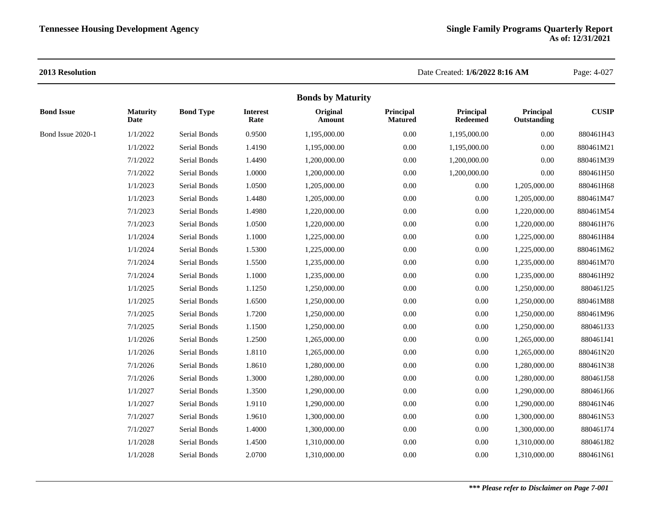|                   |                         |                     |                         | <b>Bonds by Maturity</b> |                             |                              |                          |              |
|-------------------|-------------------------|---------------------|-------------------------|--------------------------|-----------------------------|------------------------------|--------------------------|--------------|
| <b>Bond Issue</b> | <b>Maturity</b><br>Date | <b>Bond Type</b>    | <b>Interest</b><br>Rate | Original<br>Amount       | Principal<br><b>Matured</b> | Principal<br><b>Redeemed</b> | Principal<br>Outstanding | <b>CUSIP</b> |
| Bond Issue 2020-1 | 1/1/2022                | <b>Serial Bonds</b> | 0.9500                  | 1,195,000.00             | 0.00                        | 1,195,000.00                 | $0.00\,$                 | 880461H43    |
|                   | 1/1/2022                | Serial Bonds        | 1.4190                  | 1,195,000.00             | 0.00                        | 1,195,000.00                 | $0.00\,$                 | 880461M21    |
|                   | 7/1/2022                | Serial Bonds        | 1.4490                  | 1,200,000.00             | 0.00                        | 1,200,000.00                 | $0.00\,$                 | 880461M39    |
|                   | 7/1/2022                | Serial Bonds        | 1.0000                  | 1,200,000.00             | 0.00                        | 1,200,000.00                 | 0.00                     | 880461H50    |
|                   | 1/1/2023                | Serial Bonds        | 1.0500                  | 1,205,000.00             | 0.00                        | $0.00\,$                     | 1,205,000.00             | 880461H68    |
|                   | 1/1/2023                | Serial Bonds        | 1.4480                  | 1,205,000.00             | 0.00                        | $0.00\,$                     | 1,205,000.00             | 880461M47    |
|                   | 7/1/2023                | Serial Bonds        | 1.4980                  | 1,220,000.00             | 0.00                        | $0.00\,$                     | 1,220,000.00             | 880461M54    |
|                   | 7/1/2023                | Serial Bonds        | 1.0500                  | 1,220,000.00             | 0.00                        | $0.00\,$                     | 1,220,000.00             | 880461H76    |
|                   | 1/1/2024                | Serial Bonds        | 1.1000                  | 1,225,000.00             | 0.00                        | $0.00\,$                     | 1,225,000.00             | 880461H84    |
|                   | 1/1/2024                | Serial Bonds        | 1.5300                  | 1,225,000.00             | 0.00                        | $0.00\,$                     | 1,225,000.00             | 880461M62    |
|                   | 7/1/2024                | Serial Bonds        | 1.5500                  | 1,235,000.00             | 0.00                        | $0.00\,$                     | 1,235,000.00             | 880461M70    |
|                   | 7/1/2024                | Serial Bonds        | 1.1000                  | 1,235,000.00             | 0.00                        | $0.00\,$                     | 1,235,000.00             | 880461H92    |
|                   | 1/1/2025                | Serial Bonds        | 1.1250                  | 1,250,000.00             | 0.00                        | $0.00\,$                     | 1,250,000.00             | 880461J25    |
|                   | 1/1/2025                | Serial Bonds        | 1.6500                  | 1,250,000.00             | 0.00                        | $0.00\,$                     | 1,250,000.00             | 880461M88    |
|                   | 7/1/2025                | Serial Bonds        | 1.7200                  | 1,250,000.00             | 0.00                        | $0.00\,$                     | 1,250,000.00             | 880461M96    |
|                   | 7/1/2025                | Serial Bonds        | 1.1500                  | 1,250,000.00             | 0.00                        | $0.00\,$                     | 1,250,000.00             | 880461J33    |
|                   | 1/1/2026                | Serial Bonds        | 1.2500                  | 1,265,000.00             | 0.00                        | $0.00\,$                     | 1,265,000.00             | 880461J41    |
|                   | 1/1/2026                | Serial Bonds        | 1.8110                  | 1,265,000.00             | 0.00                        | $0.00\,$                     | 1,265,000.00             | 880461N20    |
|                   | 7/1/2026                | Serial Bonds        | 1.8610                  | 1,280,000.00             | 0.00                        | $0.00\,$                     | 1,280,000.00             | 880461N38    |
|                   | 7/1/2026                | Serial Bonds        | 1.3000                  | 1,280,000.00             | 0.00                        | $0.00\,$                     | 1,280,000.00             | 880461J58    |
|                   | 1/1/2027                | Serial Bonds        | 1.3500                  | 1,290,000.00             | 0.00                        | $0.00\,$                     | 1,290,000.00             | 880461J66    |
|                   | 1/1/2027                | Serial Bonds        | 1.9110                  | 1,290,000.00             | 0.00                        | $0.00\,$                     | 1,290,000.00             | 880461N46    |
|                   | 7/1/2027                | Serial Bonds        | 1.9610                  | 1,300,000.00             | 0.00                        | $0.00\,$                     | 1,300,000.00             | 880461N53    |
|                   | 7/1/2027                | Serial Bonds        | 1.4000                  | 1,300,000.00             | 0.00                        | $0.00\,$                     | 1,300,000.00             | 880461J74    |
|                   | 1/1/2028                | Serial Bonds        | 1.4500                  | 1,310,000.00             | 0.00                        | $0.00\,$                     | 1,310,000.00             | 880461J82    |
|                   | 1/1/2028                | Serial Bonds        | 2.0700                  | 1,310,000.00             | 0.00                        | $0.00\,$                     | 1,310,000.00             | 880461N61    |
|                   |                         |                     |                         |                          |                             |                              |                          |              |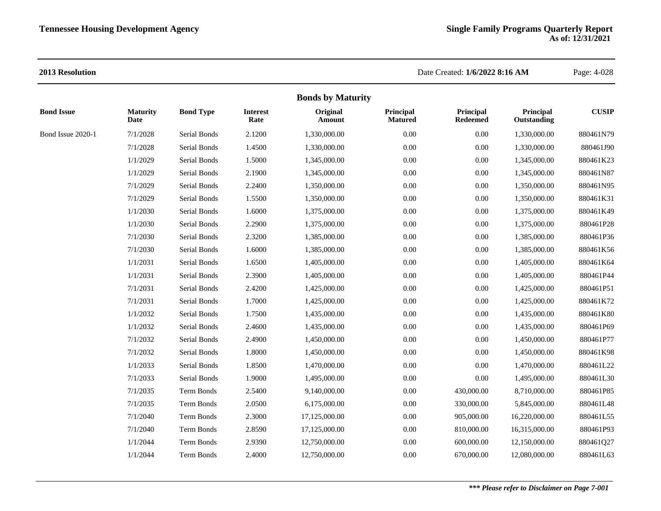|                   |                         |                  |                         | <b>Bonds by Maturity</b> |                             |                              |                          |              |
|-------------------|-------------------------|------------------|-------------------------|--------------------------|-----------------------------|------------------------------|--------------------------|--------------|
| <b>Bond Issue</b> | <b>Maturity</b><br>Date | <b>Bond Type</b> | <b>Interest</b><br>Rate | Original<br>Amount       | Principal<br><b>Matured</b> | Principal<br><b>Redeemed</b> | Principal<br>Outstanding | <b>CUSIP</b> |
| Bond Issue 2020-1 | 7/1/2028                | Serial Bonds     | 2.1200                  | 1,330,000.00             | 0.00                        | 0.00                         | 1,330,000.00             | 880461N79    |
|                   | 7/1/2028                | Serial Bonds     | 1.4500                  | 1,330,000.00             | 0.00                        | 0.00                         | 1,330,000.00             | 880461J90    |
|                   | 1/1/2029                | Serial Bonds     | 1.5000                  | 1,345,000.00             | 0.00                        | $0.00\,$                     | 1,345,000.00             | 880461K23    |
|                   | 1/1/2029                | Serial Bonds     | 2.1900                  | 1,345,000.00             | 0.00                        | 0.00                         | 1,345,000.00             | 880461N87    |
|                   | 7/1/2029                | Serial Bonds     | 2.2400                  | 1,350,000.00             | 0.00                        | 0.00                         | 1,350,000.00             | 880461N95    |
|                   | 7/1/2029                | Serial Bonds     | 1.5500                  | 1,350,000.00             | 0.00                        | 0.00                         | 1,350,000.00             | 880461K31    |
|                   | 1/1/2030                | Serial Bonds     | 1.6000                  | 1,375,000.00             | 0.00                        | 0.00                         | 1,375,000.00             | 880461K49    |
|                   | 1/1/2030                | Serial Bonds     | 2.2900                  | 1,375,000.00             | 0.00                        | $0.00\,$                     | 1,375,000.00             | 880461P28    |
|                   | 7/1/2030                | Serial Bonds     | 2.3200                  | 1,385,000.00             | 0.00                        | $0.00\,$                     | 1,385,000.00             | 880461P36    |
|                   | 7/1/2030                | Serial Bonds     | 1.6000                  | 1,385,000.00             | 0.00                        | 0.00                         | 1,385,000.00             | 880461K56    |
|                   | 1/1/2031                | Serial Bonds     | 1.6500                  | 1,405,000.00             | 0.00                        | 0.00                         | 1,405,000.00             | 880461K64    |
|                   | 1/1/2031                | Serial Bonds     | 2.3900                  | 1,405,000.00             | 0.00                        | $0.00\,$                     | 1,405,000.00             | 880461P44    |
|                   | 7/1/2031                | Serial Bonds     | 2.4200                  | 1,425,000.00             | 0.00                        | 0.00                         | 1,425,000.00             | 880461P51    |
|                   | 7/1/2031                | Serial Bonds     | 1.7000                  | 1,425,000.00             | 0.00                        | 0.00                         | 1,425,000.00             | 880461K72    |
|                   | 1/1/2032                | Serial Bonds     | 1.7500                  | 1,435,000.00             | 0.00                        | 0.00                         | 1,435,000.00             | 880461K80    |
|                   | 1/1/2032                | Serial Bonds     | 2.4600                  | 1,435,000.00             | 0.00                        | 0.00                         | 1,435,000.00             | 880461P69    |
|                   | 7/1/2032                | Serial Bonds     | 2.4900                  | 1,450,000.00             | 0.00                        | $0.00\,$                     | 1,450,000.00             | 880461P77    |
|                   | 7/1/2032                | Serial Bonds     | 1.8000                  | 1,450,000.00             | 0.00                        | 0.00                         | 1,450,000.00             | 880461K98    |
|                   | 1/1/2033                | Serial Bonds     | 1.8500                  | 1,470,000.00             | 0.00                        | 0.00                         | 1,470,000.00             | 880461L22    |
|                   | 7/1/2033                | Serial Bonds     | 1.9000                  | 1,495,000.00             | 0.00                        | 0.00                         | 1,495,000.00             | 880461L30    |
|                   | 7/1/2035                | Term Bonds       | 2.5400                  | 9,140,000.00             | 0.00                        | 430,000.00                   | 8,710,000.00             | 880461P85    |
|                   | 7/1/2035                | Term Bonds       | 2.0500                  | 6,175,000.00             | 0.00                        | 330,000.00                   | 5,845,000.00             | 880461L48    |
|                   | 7/1/2040                | Term Bonds       | 2.3000                  | 17,125,000.00            | 0.00                        | 905,000.00                   | 16,220,000.00            | 880461L55    |
|                   | 7/1/2040                | Term Bonds       | 2.8590                  | 17,125,000.00            | 0.00                        | 810,000.00                   | 16,315,000.00            | 880461P93    |
|                   | 1/1/2044                | Term Bonds       | 2.9390                  | 12,750,000.00            | 0.00                        | 600,000.00                   | 12,150,000.00            | 880461Q27    |
|                   | 1/1/2044                | Term Bonds       | 2.4000                  | 12,750,000.00            | 0.00                        | 670,000.00                   | 12,080,000.00            | 880461L63    |
|                   |                         |                  |                         |                          |                             |                              |                          |              |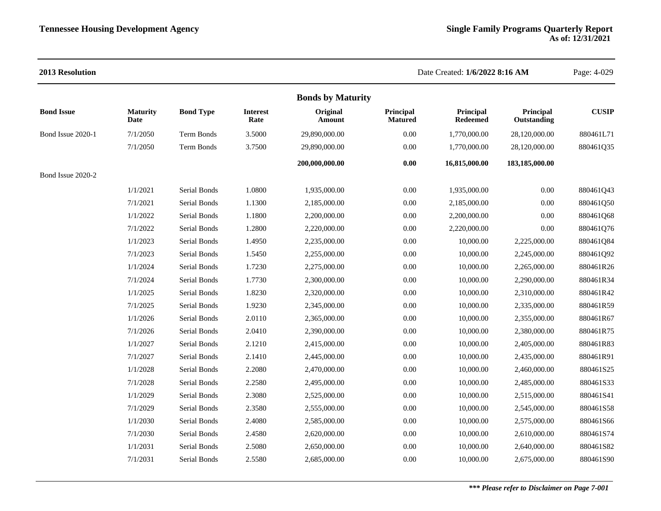### **2013 Resolution** Date Created: **1/6/2022 8:16 AM** Page: 4-029 **Bonds by Maturity Bond Issue Maturity Date Bond Type Interest Rate Original Amount Principal Matured Principal Redeemed Principal Outstanding CUSIP** Bond Issue 2020-1 7/1/2050 Term Bonds 3.5000 29,890,000.00 0.00 1,770,000.00 28,120,000.00 880461L71 7/1/2050 Term Bonds 3.7500 29,890,000.00 0.00 1,770,000.00 28,120,000.00 880461Q35 **200,000,000.00 0.00 16,815,000.00 183,185,000.00** Bond Issue 2020-2 1/1/2021 Serial Bonds 1.0800 1,935,000.00 0.00 1,935,000.00 0.00 880461Q43 7/1/2021 Serial Bonds 1.1300 2,185,000.00 0.00 2,185,000.00 0.00 880461Q50 1/1/2022 Serial Bonds 1.1800 2,200,000.00 0.00 2,200,000.00 0.00 880461Q68 7/1/2022 Serial Bonds 1.2800 2,220,000.00 0.00 2,220,000.00 0.00 880461Q76 1/1/2023 Serial Bonds 1.4950 2,235,000.00 0.00 10,000.00 2,225,000.00 880461Q84 7/1/2023 Serial Bonds 1.5450 2,255,000.00 0.00 10,000.00 2,245,000.00 880461Q92 1/1/2024 Serial Bonds 1.7230 2,275,000.00 0.00 10,000.00 2,265,000.00 880461R26 7/1/2024 Serial Bonds 1.7730 2,300,000.00 0.00 10,000.00 2,290,000.00 880461R34 1/1/2025 Serial Bonds 1.8230 2,320,000.00 0.00 10,000.00 2,310,000.00 880461R42 7/1/2025 Serial Bonds 1.9230 2,345,000.00 0.00 10,000.00 2,335,000.00 880461R59 1/1/2026 Serial Bonds 2.0110 2,365,000.00 0.00 10,000.00 2,355,000.00 880461R67 7/1/2026 Serial Bonds 2.0410 2,390,000.00 0.00 10,000.00 2,380,000.00 880461R75 1/1/2027 Serial Bonds 2.1210 2,415,000.00 0.00 10,000.00 2,405,000.00 880461R83 7/1/2027 Serial Bonds 2.1410 2,445,000.00 0.00 10,000.00 2,435,000.00 880461R91 1/1/2028 Serial Bonds 2.2080 2,470,000.00 0.00 10,000.00 2,460,000.00 880461S25 7/1/2028 Serial Bonds 2.2580 2,495,000.00 0.00 10,000.00 2,485,000.00 880461S33 1/1/2029 Serial Bonds 2.3080 2,525,000.00 0.00 10,000.00 2,515,000.00 880461S41 7/1/2029 Serial Bonds 2.3580 2,555,000.00 0.00 10,000.00 2,545,000.00 880461S58 1/1/2030 Serial Bonds 2.4080 2,585,000.00 0.00 10,000.00 2,575,000.00 880461S66 7/1/2030 Serial Bonds 2.4580 2,620,000.00 0.00 10,000.00 2,610,000.00 880461S74 1/1/2031 Serial Bonds 2.5080 2,650,000.00 0.00 10,000.00 2,640,000.00 880461S82 7/1/2031 Serial Bonds 2.5580 2,685,000.00 0.00 10,000.00 2,675,000.00 880461S90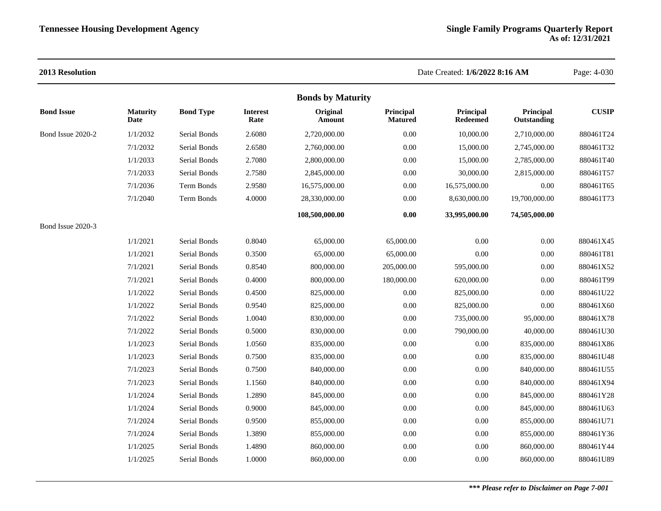| 2013 Resolution   |                         |                  |                         |                          |                             | Date Created: 1/6/2022 8:16 AM |                          | Page: 4-030  |
|-------------------|-------------------------|------------------|-------------------------|--------------------------|-----------------------------|--------------------------------|--------------------------|--------------|
|                   |                         |                  |                         | <b>Bonds by Maturity</b> |                             |                                |                          |              |
| <b>Bond Issue</b> | <b>Maturity</b><br>Date | <b>Bond Type</b> | <b>Interest</b><br>Rate | Original<br>Amount       | Principal<br><b>Matured</b> | Principal<br><b>Redeemed</b>   | Principal<br>Outstanding | <b>CUSIP</b> |
| Bond Issue 2020-2 | 1/1/2032                | Serial Bonds     | 2.6080                  | 2,720,000.00             | 0.00                        | 10,000.00                      | 2,710,000.00             | 880461T24    |
|                   | 7/1/2032                | Serial Bonds     | 2.6580                  | 2,760,000.00             | 0.00                        | 15,000.00                      | 2,745,000.00             | 880461T32    |
|                   | 1/1/2033                | Serial Bonds     | 2.7080                  | 2,800,000.00             | 0.00                        | 15,000.00                      | 2,785,000.00             | 880461T40    |
|                   | 7/1/2033                | Serial Bonds     | 2.7580                  | 2,845,000.00             | 0.00                        | 30,000.00                      | 2,815,000.00             | 880461T57    |
|                   | 7/1/2036                | Term Bonds       | 2.9580                  | 16,575,000.00            | 0.00                        | 16,575,000.00                  | 0.00                     | 880461T65    |
|                   | 7/1/2040                | Term Bonds       | 4.0000                  | 28,330,000.00            | 0.00                        | 8,630,000.00                   | 19,700,000.00            | 880461T73    |
|                   |                         |                  |                         | 108,500,000.00           | 0.00                        | 33,995,000.00                  | 74,505,000.00            |              |
| Bond Issue 2020-3 |                         |                  |                         |                          |                             |                                |                          |              |
|                   | 1/1/2021                | Serial Bonds     | 0.8040                  | 65,000.00                | 65,000.00                   | 0.00                           | $0.00\,$                 | 880461X45    |
|                   | 1/1/2021                | Serial Bonds     | 0.3500                  | 65,000.00                | 65,000.00                   | 0.00                           | 0.00                     | 880461T81    |
|                   | 7/1/2021                | Serial Bonds     | 0.8540                  | 800,000.00               | 205,000.00                  | 595,000.00                     | 0.00                     | 880461X52    |
|                   | 7/1/2021                | Serial Bonds     | 0.4000                  | 800,000.00               | 180,000.00                  | 620,000.00                     | 0.00                     | 880461T99    |
|                   | 1/1/2022                | Serial Bonds     | 0.4500                  | 825,000.00               | 0.00                        | 825,000.00                     | 0.00                     | 880461U22    |
|                   | 1/1/2022                | Serial Bonds     | 0.9540                  | 825,000.00               | 0.00                        | 825,000.00                     | 0.00                     | 880461X60    |
|                   | 7/1/2022                | Serial Bonds     | 1.0040                  | 830,000.00               | 0.00                        | 735,000.00                     | 95,000.00                | 880461X78    |
|                   | 7/1/2022                | Serial Bonds     | 0.5000                  | 830,000.00               | 0.00                        | 790,000.00                     | 40,000.00                | 880461U30    |
|                   | 1/1/2023                | Serial Bonds     | 1.0560                  | 835,000.00               | $0.00\,$                    | 0.00                           | 835,000.00               | 880461X86    |
|                   | 1/1/2023                | Serial Bonds     | 0.7500                  | 835,000.00               | 0.00                        | 0.00                           | 835,000.00               | 880461U48    |
|                   | 7/1/2023                | Serial Bonds     | 0.7500                  | 840,000.00               | $0.00\,$                    | 0.00                           | 840,000.00               | 880461U55    |
|                   | 7/1/2023                | Serial Bonds     | 1.1560                  | 840,000.00               | $0.00\,$                    | $0.00\,$                       | 840,000.00               | 880461X94    |
|                   | 1/1/2024                | Serial Bonds     | 1.2890                  | 845,000.00               | 0.00                        | 0.00                           | 845,000.00               | 880461Y28    |
|                   | 1/1/2024                | Serial Bonds     | 0.9000                  | 845,000.00               | 0.00                        | 0.00                           | 845,000.00               | 880461U63    |
|                   | 7/1/2024                | Serial Bonds     | 0.9500                  | 855,000.00               | 0.00                        | 0.00                           | 855,000.00               | 880461U71    |
|                   | 7/1/2024                | Serial Bonds     | 1.3890                  | 855,000.00               | 0.00                        | 0.00                           | 855,000.00               | 880461Y36    |
|                   | 1/1/2025                | Serial Bonds     | 1.4890                  | 860,000.00               | 0.00                        | 0.00                           | 860,000.00               | 880461Y44    |
|                   | 1/1/2025                | Serial Bonds     | 1.0000                  | 860,000.00               | 0.00                        | 0.00                           | 860,000.00               | 880461U89    |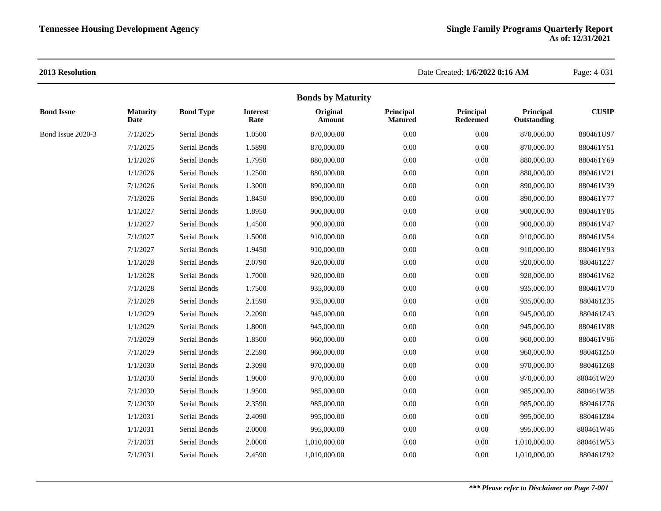|                   |                         |                  |                         | <b>Bonds by Maturity</b> |                             |                              |                          |              |
|-------------------|-------------------------|------------------|-------------------------|--------------------------|-----------------------------|------------------------------|--------------------------|--------------|
| <b>Bond Issue</b> | <b>Maturity</b><br>Date | <b>Bond Type</b> | <b>Interest</b><br>Rate | Original<br>Amount       | Principal<br><b>Matured</b> | Principal<br><b>Redeemed</b> | Principal<br>Outstanding | <b>CUSIP</b> |
| Bond Issue 2020-3 | 7/1/2025                | Serial Bonds     | 1.0500                  | 870,000.00               | 0.00                        | 0.00                         | 870,000.00               | 880461U97    |
|                   | 7/1/2025                | Serial Bonds     | 1.5890                  | 870,000.00               | 0.00                        | 0.00                         | 870,000.00               | 880461Y51    |
|                   | 1/1/2026                | Serial Bonds     | 1.7950                  | 880,000.00               | 0.00                        | 0.00                         | 880,000.00               | 880461Y69    |
|                   | 1/1/2026                | Serial Bonds     | 1.2500                  | 880,000.00               | 0.00                        | 0.00                         | 880,000.00               | 880461V21    |
|                   | 7/1/2026                | Serial Bonds     | 1.3000                  | 890,000.00               | 0.00                        | $0.00\,$                     | 890,000.00               | 880461V39    |
|                   | 7/1/2026                | Serial Bonds     | 1.8450                  | 890,000.00               | 0.00                        | 0.00                         | 890,000.00               | 880461Y77    |
|                   | 1/1/2027                | Serial Bonds     | 1.8950                  | 900,000.00               | 0.00                        | $0.00\,$                     | 900,000.00               | 880461Y85    |
|                   | 1/1/2027                | Serial Bonds     | 1.4500                  | 900,000.00               | 0.00                        | 0.00                         | 900,000.00               | 880461V47    |
|                   | 7/1/2027                | Serial Bonds     | 1.5000                  | 910,000.00               | 0.00                        | 0.00                         | 910,000.00               | 880461V54    |
|                   | 7/1/2027                | Serial Bonds     | 1.9450                  | 910,000.00               | 0.00                        | 0.00                         | 910,000.00               | 880461Y93    |
|                   | 1/1/2028                | Serial Bonds     | 2.0790                  | 920,000.00               | 0.00                        | 0.00                         | 920,000.00               | 880461Z27    |
|                   | 1/1/2028                | Serial Bonds     | 1.7000                  | 920,000.00               | 0.00                        | $0.00\,$                     | 920,000.00               | 880461V62    |
|                   | 7/1/2028                | Serial Bonds     | 1.7500                  | 935,000.00               | 0.00                        | $0.00\,$                     | 935,000.00               | 880461V70    |
|                   | 7/1/2028                | Serial Bonds     | 2.1590                  | 935,000.00               | 0.00                        | 0.00                         | 935,000.00               | 880461Z35    |
|                   | 1/1/2029                | Serial Bonds     | 2.2090                  | 945,000.00               | 0.00                        | 0.00                         | 945,000.00               | 880461Z43    |
|                   | 1/1/2029                | Serial Bonds     | 1.8000                  | 945,000.00               | 0.00                        | 0.00                         | 945,000.00               | 880461V88    |
|                   | 7/1/2029                | Serial Bonds     | 1.8500                  | 960,000.00               | 0.00                        | $0.00\,$                     | 960,000.00               | 880461V96    |
|                   | 7/1/2029                | Serial Bonds     | 2.2590                  | 960,000.00               | 0.00                        | 0.00                         | 960,000.00               | 880461Z50    |
|                   | 1/1/2030                | Serial Bonds     | 2.3090                  | 970,000.00               | 0.00                        | 0.00                         | 970,000.00               | 880461Z68    |
|                   | 1/1/2030                | Serial Bonds     | 1.9000                  | 970,000.00               | 0.00                        | 0.00                         | 970,000.00               | 880461W20    |
|                   | 7/1/2030                | Serial Bonds     | 1.9500                  | 985,000.00               | 0.00                        | 0.00                         | 985,000.00               | 880461W38    |
|                   | 7/1/2030                | Serial Bonds     | 2.3590                  | 985,000.00               | 0.00                        | 0.00                         | 985,000.00               | 880461Z76    |
|                   | 1/1/2031                | Serial Bonds     | 2.4090                  | 995,000.00               | 0.00                        | 0.00                         | 995,000.00               | 880461Z84    |
|                   | 1/1/2031                | Serial Bonds     | 2.0000                  | 995,000.00               | 0.00                        | 0.00                         | 995,000.00               | 880461W46    |
|                   | 7/1/2031                | Serial Bonds     | 2.0000                  | 1,010,000.00             | 0.00                        | 0.00                         | 1,010,000.00             | 880461W53    |
|                   | 7/1/2031                | Serial Bonds     | 2.4590                  | 1,010,000.00             | 0.00                        | 0.00                         | 1,010,000.00             | 880461Z92    |
|                   |                         |                  |                         |                          |                             |                              |                          |              |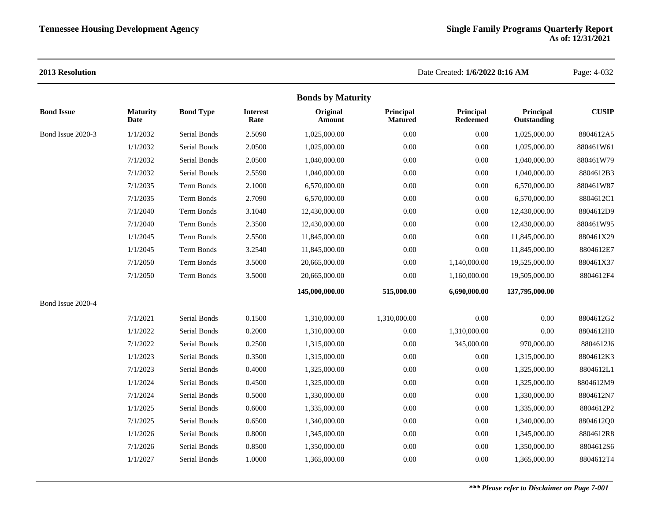|                   |                         |                     |                         | <b>Bonds by Maturity</b> |                             |                       |                          |              |
|-------------------|-------------------------|---------------------|-------------------------|--------------------------|-----------------------------|-----------------------|--------------------------|--------------|
| <b>Bond Issue</b> | <b>Maturity</b><br>Date | <b>Bond Type</b>    | <b>Interest</b><br>Rate | Original<br>Amount       | Principal<br><b>Matured</b> | Principal<br>Redeemed | Principal<br>Outstanding | <b>CUSIP</b> |
| Bond Issue 2020-3 | 1/1/2032                | Serial Bonds        | 2.5090                  | 1,025,000.00             | 0.00                        | 0.00                  | 1,025,000.00             | 8804612A5    |
|                   | 1/1/2032                | Serial Bonds        | 2.0500                  | 1,025,000.00             | 0.00                        | 0.00                  | 1,025,000.00             | 880461W61    |
|                   | 7/1/2032                | <b>Serial Bonds</b> | 2.0500                  | 1,040,000.00             | 0.00                        | 0.00                  | 1,040,000.00             | 880461W79    |
|                   | 7/1/2032                | Serial Bonds        | 2.5590                  | 1,040,000.00             | 0.00                        | 0.00                  | 1,040,000.00             | 8804612B3    |
|                   | 7/1/2035                | Term Bonds          | 2.1000                  | 6,570,000.00             | 0.00                        | 0.00                  | 6,570,000.00             | 880461W87    |
|                   | 7/1/2035                | Term Bonds          | 2.7090                  | 6,570,000.00             | 0.00                        | 0.00                  | 6,570,000.00             | 8804612C1    |
|                   | 7/1/2040                | Term Bonds          | 3.1040                  | 12,430,000.00            | 0.00                        | 0.00                  | 12,430,000.00            | 8804612D9    |
|                   | 7/1/2040                | Term Bonds          | 2.3500                  | 12,430,000.00            | 0.00                        | 0.00                  | 12,430,000.00            | 880461W95    |
|                   | 1/1/2045                | Term Bonds          | 2.5500                  | 11,845,000.00            | 0.00                        | 0.00                  | 11,845,000.00            | 880461X29    |
|                   | 1/1/2045                | <b>Term Bonds</b>   | 3.2540                  | 11,845,000.00            | 0.00                        | 0.00                  | 11,845,000.00            | 8804612E7    |
|                   | 7/1/2050                | <b>Term Bonds</b>   | 3.5000                  | 20,665,000.00            | 0.00                        | 1,140,000.00          | 19,525,000.00            | 880461X37    |
|                   | 7/1/2050                | Term Bonds          | 3.5000                  | 20,665,000.00            | 0.00                        | 1,160,000.00          | 19,505,000.00            | 8804612F4    |
|                   |                         |                     |                         | 145,000,000.00           | 515,000.00                  | 6,690,000.00          | 137,795,000.00           |              |
| Bond Issue 2020-4 |                         |                     |                         |                          |                             |                       |                          |              |
|                   | 7/1/2021                | Serial Bonds        | 0.1500                  | 1,310,000.00             | 1,310,000.00                | 0.00                  | 0.00                     | 8804612G2    |
|                   | 1/1/2022                | <b>Serial Bonds</b> | 0.2000                  | 1,310,000.00             | 0.00                        | 1,310,000.00          | 0.00                     | 8804612H0    |
|                   | 7/1/2022                | Serial Bonds        | 0.2500                  | 1,315,000.00             | 0.00                        | 345,000.00            | 970,000.00               | 8804612J6    |
|                   | 1/1/2023                | Serial Bonds        | 0.3500                  | 1,315,000.00             | 0.00                        | 0.00                  | 1,315,000.00             | 8804612K3    |
|                   | 7/1/2023                | Serial Bonds        | 0.4000                  | 1,325,000.00             | 0.00                        | 0.00                  | 1,325,000.00             | 8804612L1    |
|                   | 1/1/2024                | Serial Bonds        | 0.4500                  | 1,325,000.00             | 0.00                        | 0.00                  | 1,325,000.00             | 8804612M9    |
|                   | 7/1/2024                | Serial Bonds        | 0.5000                  | 1,330,000.00             | 0.00                        | 0.00                  | 1,330,000.00             | 8804612N7    |
|                   | 1/1/2025                | Serial Bonds        | 0.6000                  | 1,335,000.00             | 0.00                        | $0.00\,$              | 1,335,000.00             | 8804612P2    |
|                   | 7/1/2025                | Serial Bonds        | 0.6500                  | 1,340,000.00             | 0.00                        | 0.00                  | 1,340,000.00             | 8804612Q0    |
|                   | 1/1/2026                | Serial Bonds        | 0.8000                  | 1,345,000.00             | 0.00                        | 0.00                  | 1,345,000.00             | 8804612R8    |
|                   | 7/1/2026                | Serial Bonds        | 0.8500                  | 1,350,000.00             | 0.00                        | 0.00                  | 1,350,000.00             | 8804612S6    |
|                   | 1/1/2027                | Serial Bonds        | 1.0000                  | 1,365,000.00             | 0.00                        | 0.00                  | 1,365,000.00             | 8804612T4    |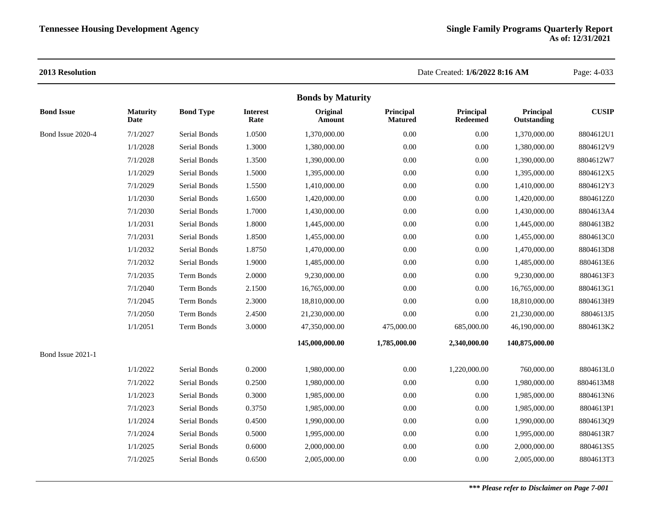|                   |                         |                  |                         | <b>Bonds by Maturity</b> |                             |                       |                          |              |
|-------------------|-------------------------|------------------|-------------------------|--------------------------|-----------------------------|-----------------------|--------------------------|--------------|
| <b>Bond Issue</b> | <b>Maturity</b><br>Date | <b>Bond Type</b> | <b>Interest</b><br>Rate | Original<br>Amount       | Principal<br><b>Matured</b> | Principal<br>Redeemed | Principal<br>Outstanding | <b>CUSIP</b> |
| Bond Issue 2020-4 | 7/1/2027                | Serial Bonds     | 1.0500                  | 1,370,000.00             | 0.00                        | 0.00                  | 1,370,000.00             | 8804612U1    |
|                   | 1/1/2028                | Serial Bonds     | 1.3000                  | 1,380,000.00             | 0.00                        | 0.00                  | 1,380,000.00             | 8804612V9    |
|                   | 7/1/2028                | Serial Bonds     | 1.3500                  | 1,390,000.00             | 0.00                        | 0.00                  | 1,390,000.00             | 8804612W7    |
|                   | 1/1/2029                | Serial Bonds     | 1.5000                  | 1,395,000.00             | 0.00                        | 0.00                  | 1,395,000.00             | 8804612X5    |
|                   | 7/1/2029                | Serial Bonds     | 1.5500                  | 1,410,000.00             | 0.00                        | $0.00\,$              | 1,410,000.00             | 8804612Y3    |
|                   | 1/1/2030                | Serial Bonds     | 1.6500                  | 1,420,000.00             | 0.00                        | 0.00                  | 1,420,000.00             | 8804612Z0    |
|                   | 7/1/2030                | Serial Bonds     | 1.7000                  | 1,430,000.00             | 0.00                        | 0.00                  | 1,430,000.00             | 8804613A4    |
|                   | 1/1/2031                | Serial Bonds     | 1.8000                  | 1,445,000.00             | 0.00                        | 0.00                  | 1,445,000.00             | 8804613B2    |
|                   | 7/1/2031                | Serial Bonds     | 1.8500                  | 1,455,000.00             | 0.00                        | $0.00\,$              | 1,455,000.00             | 8804613C0    |
|                   | 1/1/2032                | Serial Bonds     | 1.8750                  | 1,470,000.00             | 0.00                        | $0.00\,$              | 1,470,000.00             | 8804613D8    |
|                   | 7/1/2032                | Serial Bonds     | 1.9000                  | 1,485,000.00             | 0.00                        | 0.00                  | 1,485,000.00             | 8804613E6    |
|                   | 7/1/2035                | Term Bonds       | 2.0000                  | 9,230,000.00             | 0.00                        | 0.00                  | 9,230,000.00             | 8804613F3    |
|                   | 7/1/2040                | Term Bonds       | 2.1500                  | 16,765,000.00            | 0.00                        | $0.00\,$              | 16,765,000.00            | 8804613G1    |
|                   | 7/1/2045                | Term Bonds       | 2.3000                  | 18,810,000.00            | 0.00                        | $0.00\,$              | 18,810,000.00            | 8804613H9    |
|                   | 7/1/2050                | Term Bonds       | 2.4500                  | 21,230,000.00            | 0.00                        | 0.00                  | 21,230,000.00            | 8804613J5    |
|                   | 1/1/2051                | Term Bonds       | 3.0000                  | 47,350,000.00            | 475,000.00                  | 685,000.00            | 46,190,000.00            | 8804613K2    |
|                   |                         |                  |                         | 145,000,000.00           | 1,785,000.00                | 2,340,000.00          | 140,875,000.00           |              |
| Bond Issue 2021-1 |                         |                  |                         |                          |                             |                       |                          |              |
|                   | 1/1/2022                | Serial Bonds     | 0.2000                  | 1,980,000.00             | 0.00                        | 1,220,000.00          | 760,000.00               | 8804613L0    |
|                   | 7/1/2022                | Serial Bonds     | 0.2500                  | 1,980,000.00             | $0.00\,$                    | $0.00\,$              | 1,980,000.00             | 8804613M8    |
|                   | 1/1/2023                | Serial Bonds     | 0.3000                  | 1,985,000.00             | 0.00                        | 0.00                  | 1,985,000.00             | 8804613N6    |
|                   | 7/1/2023                | Serial Bonds     | 0.3750                  | 1,985,000.00             | 0.00                        | 0.00                  | 1,985,000.00             | 8804613P1    |
|                   | 1/1/2024                | Serial Bonds     | 0.4500                  | 1,990,000.00             | 0.00                        | $0.00\,$              | 1,990,000.00             | 8804613Q9    |
|                   | 7/1/2024                | Serial Bonds     | 0.5000                  | 1,995,000.00             | 0.00                        | $0.00\,$              | 1,995,000.00             | 8804613R7    |
|                   | 1/1/2025                | Serial Bonds     | 0.6000                  | 2,000,000.00             | 0.00                        | 0.00                  | 2,000,000.00             | 8804613S5    |
|                   | 7/1/2025                | Serial Bonds     | 0.6500                  | 2,005,000.00             | 0.00                        | 0.00                  | 2,005,000.00             | 8804613T3    |
|                   |                         |                  |                         |                          |                             |                       |                          |              |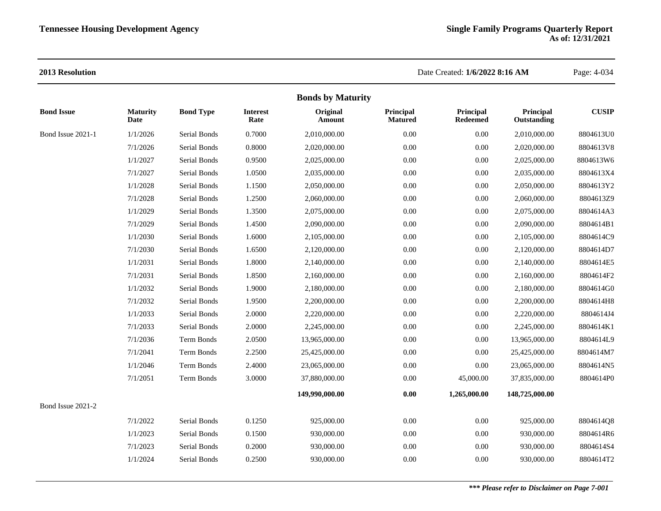|                   |                         |                  |                         | <b>Bonds by Maturity</b> |                             |                              |                          |              |
|-------------------|-------------------------|------------------|-------------------------|--------------------------|-----------------------------|------------------------------|--------------------------|--------------|
| <b>Bond Issue</b> | <b>Maturity</b><br>Date | <b>Bond Type</b> | <b>Interest</b><br>Rate | Original<br>Amount       | Principal<br><b>Matured</b> | Principal<br><b>Redeemed</b> | Principal<br>Outstanding | <b>CUSIP</b> |
| Bond Issue 2021-1 | 1/1/2026                | Serial Bonds     | 0.7000                  | 2,010,000.00             | 0.00                        | 0.00                         | 2,010,000.00             | 8804613U0    |
|                   | 7/1/2026                | Serial Bonds     | 0.8000                  | 2,020,000.00             | 0.00                        | $0.00\,$                     | 2,020,000.00             | 8804613V8    |
|                   | 1/1/2027                | Serial Bonds     | 0.9500                  | 2,025,000.00             | 0.00                        | 0.00                         | 2,025,000.00             | 8804613W6    |
|                   | 7/1/2027                | Serial Bonds     | 1.0500                  | 2,035,000.00             | 0.00                        | 0.00                         | 2,035,000.00             | 8804613X4    |
|                   | 1/1/2028                | Serial Bonds     | 1.1500                  | 2,050,000.00             | 0.00                        | $0.00\,$                     | 2,050,000.00             | 8804613Y2    |
|                   | 7/1/2028                | Serial Bonds     | 1.2500                  | 2,060,000.00             | 0.00                        | 0.00                         | 2,060,000.00             | 8804613Z9    |
|                   | 1/1/2029                | Serial Bonds     | 1.3500                  | 2,075,000.00             | 0.00                        | 0.00                         | 2,075,000.00             | 8804614A3    |
|                   | 7/1/2029                | Serial Bonds     | 1.4500                  | 2,090,000.00             | 0.00                        | 0.00                         | 2,090,000.00             | 8804614B1    |
|                   | 1/1/2030                | Serial Bonds     | 1.6000                  | 2,105,000.00             | $0.00\,$                    | $0.00\,$                     | 2,105,000.00             | 8804614C9    |
|                   | 7/1/2030                | Serial Bonds     | 1.6500                  | 2,120,000.00             | 0.00                        | 0.00                         | 2,120,000.00             | 8804614D7    |
|                   | 1/1/2031                | Serial Bonds     | 1.8000                  | 2,140,000.00             | 0.00                        | 0.00                         | 2,140,000.00             | 8804614E5    |
|                   | 7/1/2031                | Serial Bonds     | 1.8500                  | 2,160,000.00             | 0.00                        | $0.00\,$                     | 2,160,000.00             | 8804614F2    |
|                   | 1/1/2032                | Serial Bonds     | 1.9000                  | 2,180,000.00             | 0.00                        | 0.00                         | 2,180,000.00             | 8804614G0    |
|                   | 7/1/2032                | Serial Bonds     | 1.9500                  | 2,200,000.00             | 0.00                        | $0.00\,$                     | 2,200,000.00             | 8804614H8    |
|                   | 1/1/2033                | Serial Bonds     | 2.0000                  | 2,220,000.00             | $0.00\,$                    | $0.00\,$                     | 2,220,000.00             | 8804614J4    |
|                   | 7/1/2033                | Serial Bonds     | 2.0000                  | 2,245,000.00             | 0.00                        | 0.00                         | 2,245,000.00             | 8804614K1    |
|                   | 7/1/2036                | Term Bonds       | 2.0500                  | 13,965,000.00            | 0.00                        | 0.00                         | 13,965,000.00            | 8804614L9    |
|                   | 7/1/2041                | Term Bonds       | 2.2500                  | 25,425,000.00            | $0.00\,$                    | $0.00\,$                     | 25,425,000.00            | 8804614M7    |
|                   | 1/1/2046                | Term Bonds       | 2.4000                  | 23,065,000.00            | 0.00                        | 0.00                         | 23,065,000.00            | 8804614N5    |
|                   | 7/1/2051                | Term Bonds       | 3.0000                  | 37,880,000.00            | 0.00                        | 45,000.00                    | 37,835,000.00            | 8804614P0    |
|                   |                         |                  |                         | 149,990,000.00           | $0.00\,$                    | 1,265,000.00                 | 148,725,000.00           |              |
| Bond Issue 2021-2 |                         |                  |                         |                          |                             |                              |                          |              |
|                   | 7/1/2022                | Serial Bonds     | 0.1250                  | 925,000.00               | 0.00                        | 0.00                         | 925,000.00               | 8804614Q8    |
|                   | 1/1/2023                | Serial Bonds     | 0.1500                  | 930,000.00               | 0.00                        | $0.00\,$                     | 930,000.00               | 8804614R6    |
|                   | 7/1/2023                | Serial Bonds     | 0.2000                  | 930,000.00               | 0.00                        | 0.00                         | 930,000.00               | 8804614S4    |
|                   | 1/1/2024                | Serial Bonds     | 0.2500                  | 930,000.00               | 0.00                        | 0.00                         | 930,000.00               | 8804614T2    |
|                   |                         |                  |                         |                          |                             |                              |                          |              |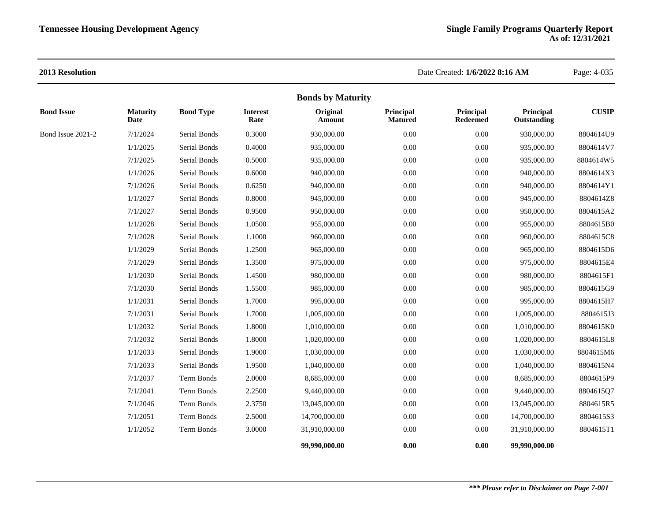|                   |                         |                  |                         | <b>Bonds by Maturity</b> |                             |                              |                          |              |
|-------------------|-------------------------|------------------|-------------------------|--------------------------|-----------------------------|------------------------------|--------------------------|--------------|
| <b>Bond Issue</b> | <b>Maturity</b><br>Date | <b>Bond Type</b> | <b>Interest</b><br>Rate | Original<br>Amount       | Principal<br><b>Matured</b> | Principal<br><b>Redeemed</b> | Principal<br>Outstanding | <b>CUSIP</b> |
| Bond Issue 2021-2 | 7/1/2024                | Serial Bonds     | 0.3000                  | 930,000.00               | 0.00                        | $0.00\,$                     | 930,000.00               | 8804614U9    |
|                   | 1/1/2025                | Serial Bonds     | 0.4000                  | 935,000.00               | 0.00                        | $0.00\,$                     | 935,000.00               | 8804614V7    |
|                   | 7/1/2025                | Serial Bonds     | 0.5000                  | 935,000.00               | 0.00                        | $0.00\,$                     | 935,000.00               | 8804614W5    |
|                   | 1/1/2026                | Serial Bonds     | 0.6000                  | 940,000.00               | 0.00                        | 0.00                         | 940,000.00               | 8804614X3    |
|                   | 7/1/2026                | Serial Bonds     | 0.6250                  | 940,000.00               | 0.00                        | $0.00\,$                     | 940,000.00               | 8804614Y1    |
|                   | 1/1/2027                | Serial Bonds     | 0.8000                  | 945,000.00               | 0.00                        | $0.00\,$                     | 945,000.00               | 8804614Z8    |
|                   | 7/1/2027                | Serial Bonds     | 0.9500                  | 950,000.00               | 0.00                        | $0.00\,$                     | 950,000.00               | 8804615A2    |
|                   | 1/1/2028                | Serial Bonds     | 1.0500                  | 955,000.00               | 0.00                        | $0.00\,$                     | 955,000.00               | 8804615B0    |
|                   | 7/1/2028                | Serial Bonds     | 1.1000                  | 960,000.00               | 0.00                        | $0.00\,$                     | 960,000.00               | 8804615C8    |
|                   | 1/1/2029                | Serial Bonds     | 1.2500                  | 965,000.00               | 0.00                        | $0.00\,$                     | 965,000.00               | 8804615D6    |
|                   | 7/1/2029                | Serial Bonds     | 1.3500                  | 975,000.00               | 0.00                        | $0.00\,$                     | 975,000.00               | 8804615E4    |
|                   | 1/1/2030                | Serial Bonds     | 1.4500                  | 980,000.00               | 0.00                        | $0.00\,$                     | 980,000.00               | 8804615F1    |
|                   | 7/1/2030                | Serial Bonds     | 1.5500                  | 985,000.00               | 0.00                        | $0.00\,$                     | 985,000.00               | 8804615G9    |
|                   | 1/1/2031                | Serial Bonds     | 1.7000                  | 995,000.00               | 0.00                        | $0.00\,$                     | 995,000.00               | 8804615H7    |
|                   | 7/1/2031                | Serial Bonds     | 1.7000                  | 1,005,000.00             | 0.00                        | $0.00\,$                     | 1,005,000.00             | 8804615J3    |
|                   | 1/1/2032                | Serial Bonds     | 1.8000                  | 1,010,000.00             | 0.00                        | $0.00\,$                     | 1,010,000.00             | 8804615K0    |
|                   | 7/1/2032                | Serial Bonds     | 1.8000                  | 1,020,000.00             | 0.00                        | $0.00\,$                     | 1,020,000.00             | 8804615L8    |
|                   | 1/1/2033                | Serial Bonds     | 1.9000                  | 1,030,000.00             | 0.00                        | $0.00\,$                     | 1,030,000.00             | 8804615M6    |
|                   | 7/1/2033                | Serial Bonds     | 1.9500                  | 1.040.000.00             | 0.00                        | $0.00\,$                     | 1,040,000.00             | 8804615N4    |
|                   | 7/1/2037                | Term Bonds       | 2.0000                  | 8,685,000.00             | 0.00                        | $0.00\,$                     | 8,685,000.00             | 8804615P9    |
|                   | 7/1/2041                | Term Bonds       | 2.2500                  | 9,440,000.00             | 0.00                        | $0.00\,$                     | 9,440,000.00             | 8804615Q7    |
|                   | 7/1/2046                | Term Bonds       | 2.3750                  | 13,045,000.00            | 0.00                        | $0.00\,$                     | 13,045,000.00            | 8804615R5    |
|                   | 7/1/2051                | Term Bonds       | 2.5000                  | 14,700,000.00            | 0.00                        | $0.00\,$                     | 14,700,000.00            | 8804615S3    |
|                   | 1/1/2052                | Term Bonds       | 3.0000                  | 31,910,000.00            | 0.00                        | 0.00                         | 31,910,000.00            | 8804615T1    |
|                   |                         |                  |                         | 99,990,000.00            | 0.00                        | 0.00                         | 99,990,000.00            |              |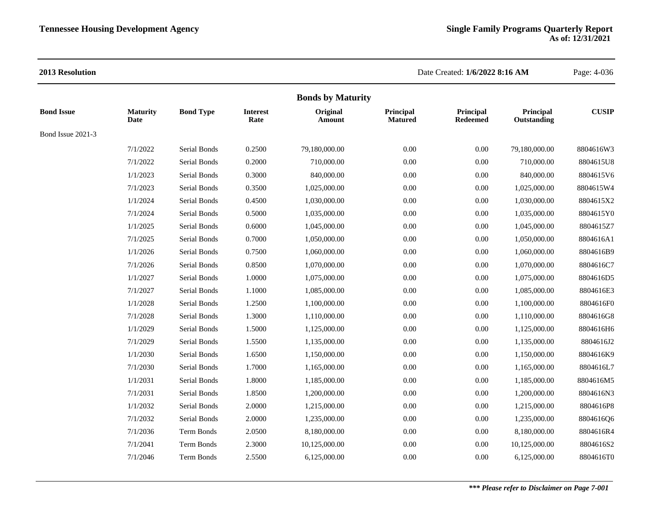| <b>Maturity</b>   |                  |                         |                    | <b>Bonds by Maturity</b>    |                              |                          |              |
|-------------------|------------------|-------------------------|--------------------|-----------------------------|------------------------------|--------------------------|--------------|
| Date              | <b>Bond Type</b> | <b>Interest</b><br>Rate | Original<br>Amount | Principal<br><b>Matured</b> | Principal<br><b>Redeemed</b> | Principal<br>Outstanding | <b>CUSIP</b> |
| Bond Issue 2021-3 |                  |                         |                    |                             |                              |                          |              |
| 7/1/2022          | Serial Bonds     | 0.2500                  | 79.180.000.00      | 0.00                        | 0.00                         | 79,180,000.00            | 8804616W3    |
| 7/1/2022          | Serial Bonds     | 0.2000                  | 710,000.00         | 0.00                        | $0.00\,$                     | 710,000.00               | 8804615U8    |
| 1/1/2023          | Serial Bonds     | 0.3000                  | 840,000.00         | 0.00                        | 0.00                         | 840,000.00               | 8804615V6    |
| 7/1/2023          | Serial Bonds     | 0.3500                  | 1,025,000.00       | 0.00                        | $0.00\,$                     | 1,025,000.00             | 8804615W4    |
| 1/1/2024          | Serial Bonds     | 0.4500                  | 1,030,000.00       | 0.00                        | $0.00\,$                     | 1,030,000.00             | 8804615X2    |
| 7/1/2024          | Serial Bonds     | 0.5000                  | 1,035,000.00       | 0.00                        | 0.00                         | 1,035,000.00             | 8804615Y0    |
| 1/1/2025          | Serial Bonds     | 0.6000                  | 1,045,000.00       | 0.00                        | $0.00\,$                     | 1,045,000.00             | 8804615Z7    |
| 7/1/2025          | Serial Bonds     | 0.7000                  | 1,050,000.00       | 0.00                        | $0.00\,$                     | 1,050,000.00             | 8804616A1    |
| 1/1/2026          | Serial Bonds     | 0.7500                  | 1,060,000.00       | 0.00                        | $0.00\,$                     | 1,060,000.00             | 8804616B9    |
| 7/1/2026          | Serial Bonds     | 0.8500                  | 1,070,000.00       | 0.00                        | $0.00\,$                     | 1,070,000.00             | 8804616C7    |
| 1/1/2027          | Serial Bonds     | 1.0000                  | 1,075,000.00       | 0.00                        | $0.00\,$                     | 1,075,000.00             | 8804616D5    |
| 7/1/2027          | Serial Bonds     | 1.1000                  | 1,085,000.00       | 0.00                        | 0.00                         | 1,085,000.00             | 8804616E3    |
| 1/1/2028          | Serial Bonds     | 1.2500                  | 1,100,000.00       | 0.00                        | $0.00\,$                     | 1,100,000.00             | 8804616F0    |
| 7/1/2028          | Serial Bonds     | 1.3000                  | 1,110,000.00       | 0.00                        | 0.00                         | 1,110,000.00             | 8804616G8    |
| 1/1/2029          | Serial Bonds     | 1.5000                  | 1,125,000.00       | 0.00                        | $0.00\,$                     | 1,125,000.00             | 8804616H6    |
| 7/1/2029          | Serial Bonds     | 1.5500                  | 1,135,000.00       | 0.00                        | 0.00                         | 1,135,000.00             | 8804616J2    |
| 1/1/2030          | Serial Bonds     | 1.6500                  | 1,150,000.00       | 0.00                        | 0.00                         | 1,150,000.00             | 8804616K9    |
| 7/1/2030          | Serial Bonds     | 1.7000                  | 1,165,000.00       | 0.00                        | $0.00\,$                     | 1,165,000.00             | 8804616L7    |
| 1/1/2031          | Serial Bonds     | 1.8000                  | 1,185,000.00       | 0.00                        | $0.00\,$                     | 1,185,000.00             | 8804616M5    |
| 7/1/2031          | Serial Bonds     | 1.8500                  | 1,200,000.00       | 0.00                        | $0.00\,$                     | 1,200,000.00             | 8804616N3    |
| 1/1/2032          | Serial Bonds     | 2.0000                  | 1,215,000.00       | 0.00                        | $0.00\,$                     | 1,215,000.00             | 8804616P8    |
| 7/1/2032          | Serial Bonds     | 2.0000                  | 1,235,000.00       | 0.00                        | $0.00\,$                     | 1,235,000.00             | 8804616Q6    |
| 7/1/2036          | Term Bonds       | 2.0500                  | 8,180,000.00       | 0.00                        | 0.00                         | 8,180,000.00             | 8804616R4    |
| 7/1/2041          | Term Bonds       | 2.3000                  | 10,125,000.00      | 0.00                        | $0.00\,$                     | 10,125,000.00            | 8804616S2    |
| 7/1/2046          | Term Bonds       | 2.5500                  | 6,125,000.00       | 0.00                        | 0.00                         | 6,125,000.00             | 8804616T0    |
|                   |                  |                         |                    |                             |                              |                          |              |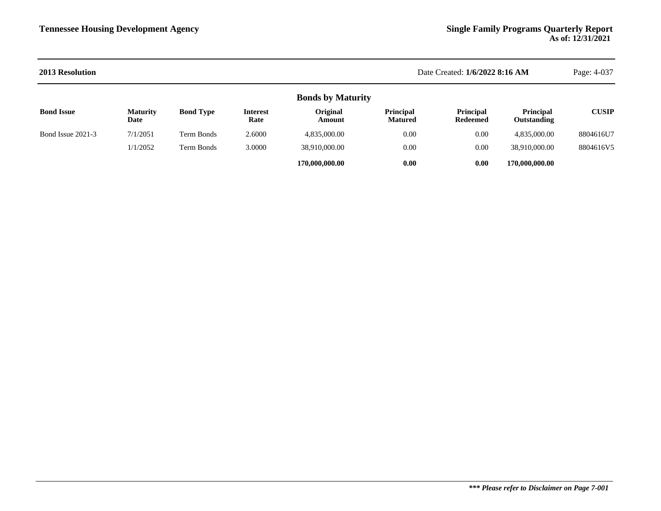| <b>2013 Resolution</b> | Date Created: 1/6/2022 8:16 AM |                  |                         |                          |                             |                              |                                        | Page: 4-037  |
|------------------------|--------------------------------|------------------|-------------------------|--------------------------|-----------------------------|------------------------------|----------------------------------------|--------------|
|                        |                                |                  |                         | <b>Bonds by Maturity</b> |                             |                              |                                        |              |
| <b>Bond Issue</b>      | <b>Maturity</b><br>Date        | <b>Bond Type</b> | <b>Interest</b><br>Rate | Original<br>Amount       | Principal<br><b>Matured</b> | <b>Principal</b><br>Redeemed | <b>Principal</b><br><b>Outstanding</b> | <b>CUSIP</b> |
| Bond Issue 2021-3      | 7/1/2051                       | Term Bonds       | 2.6000                  | 4,835,000.00             | 0.00                        | 0.00                         | 4,835,000.00                           | 8804616U7    |
|                        | 1/1/2052                       | Term Bonds       | 3.0000                  | 38,910,000.00            | 0.00                        | 0.00                         | 38,910,000.00                          | 8804616V5    |
|                        |                                |                  |                         | 170,000,000.00           | 0.00                        | 0.00                         | 170,000,000.00                         |              |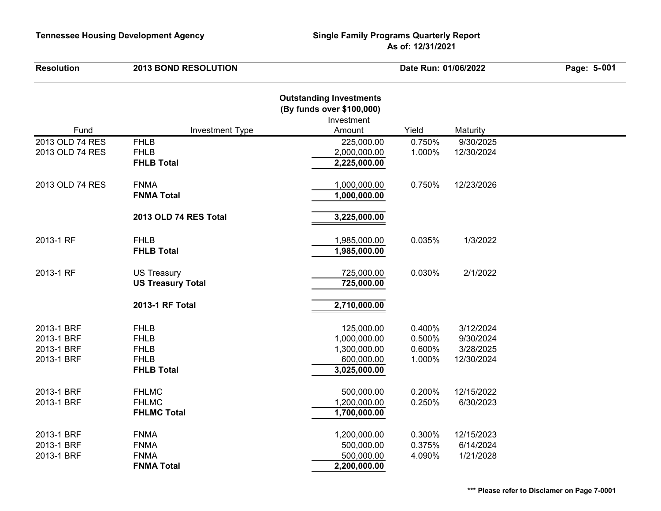| <b>Resolution</b>                                    | <b>2013 BOND RESOLUTION</b>                                                   |                                                                                     | Date Run: 01/06/2022                 |                                                   | Page: 5-001 |  |
|------------------------------------------------------|-------------------------------------------------------------------------------|-------------------------------------------------------------------------------------|--------------------------------------|---------------------------------------------------|-------------|--|
| Fund                                                 | <b>Investment Type</b>                                                        | <b>Outstanding Investments</b><br>(By funds over \$100,000)<br>Investment<br>Amount | Yield                                | Maturity                                          |             |  |
| 2013 OLD 74 RES                                      | <b>FHLB</b>                                                                   | 225,000.00                                                                          | 0.750%                               | 9/30/2025                                         |             |  |
| 2013 OLD 74 RES                                      | <b>FHLB</b><br><b>FHLB Total</b>                                              | 2,000,000.00<br>2,225,000.00                                                        | 1.000%                               | 12/30/2024                                        |             |  |
| 2013 OLD 74 RES                                      | <b>FNMA</b><br><b>FNMA Total</b>                                              | 1,000,000.00<br>1,000,000.00                                                        | 0.750%                               | 12/23/2026                                        |             |  |
|                                                      | 2013 OLD 74 RES Total                                                         | 3,225,000.00                                                                        |                                      |                                                   |             |  |
| 2013-1 RF                                            | <b>FHLB</b><br><b>FHLB Total</b>                                              | 1,985,000.00<br>1,985,000.00                                                        | 0.035%                               | 1/3/2022                                          |             |  |
| 2013-1 RF                                            | <b>US Treasury</b><br><b>US Treasury Total</b>                                | 725,000.00<br>725,000.00                                                            | 0.030%                               | 2/1/2022                                          |             |  |
|                                                      | 2013-1 RF Total                                                               | 2,710,000.00                                                                        |                                      |                                                   |             |  |
| 2013-1 BRF<br>2013-1 BRF<br>2013-1 BRF<br>2013-1 BRF | <b>FHLB</b><br><b>FHLB</b><br><b>FHLB</b><br><b>FHLB</b><br><b>FHLB Total</b> | 125,000.00<br>1,000,000.00<br>1,300,000.00<br>600,000.00<br>3,025,000.00            | 0.400%<br>0.500%<br>0.600%<br>1.000% | 3/12/2024<br>9/30/2024<br>3/28/2025<br>12/30/2024 |             |  |
| 2013-1 BRF<br>2013-1 BRF                             | <b>FHLMC</b><br><b>FHLMC</b><br><b>FHLMC Total</b>                            | 500,000.00<br>1,200,000.00<br>1,700,000.00                                          | 0.200%<br>0.250%                     | 12/15/2022<br>6/30/2023                           |             |  |
| 2013-1 BRF<br>2013-1 BRF<br>2013-1 BRF               | <b>FNMA</b><br><b>FNMA</b><br><b>FNMA</b><br><b>FNMA Total</b>                | 1,200,000.00<br>500,000.00<br>500,000.00<br>2,200,000.00                            | 0.300%<br>0.375%<br>4.090%           | 12/15/2023<br>6/14/2024<br>1/21/2028              |             |  |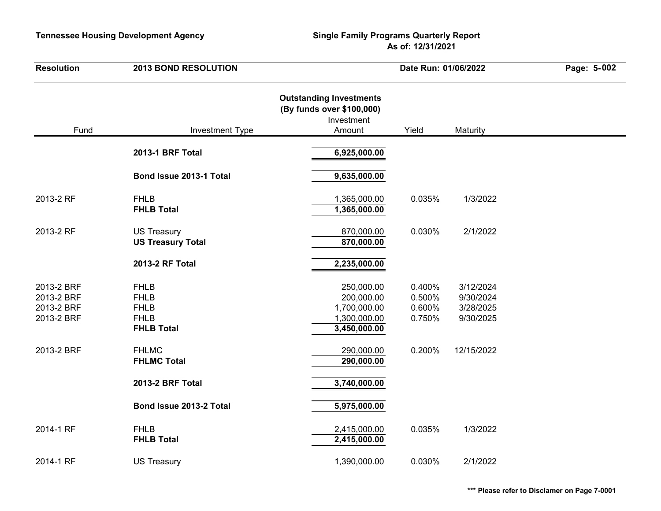| <b>Resolution</b>                                    | <b>2013 BOND RESOLUTION</b>                                                   |                                                                                     | Date Run: 01/06/2022                 | Page: 5-002                                      |  |
|------------------------------------------------------|-------------------------------------------------------------------------------|-------------------------------------------------------------------------------------|--------------------------------------|--------------------------------------------------|--|
| Fund                                                 | <b>Investment Type</b>                                                        | <b>Outstanding Investments</b><br>(By funds over \$100,000)<br>Investment<br>Amount | Yield                                | Maturity                                         |  |
|                                                      | 2013-1 BRF Total                                                              | 6,925,000.00                                                                        |                                      |                                                  |  |
|                                                      | Bond Issue 2013-1 Total                                                       | 9,635,000.00                                                                        |                                      |                                                  |  |
| 2013-2 RF                                            | <b>FHLB</b><br><b>FHLB Total</b>                                              | 1,365,000.00<br>1,365,000.00                                                        | 0.035%                               | 1/3/2022                                         |  |
| 2013-2 RF                                            | <b>US Treasury</b><br><b>US Treasury Total</b>                                | 870,000.00<br>870,000.00                                                            | 0.030%                               | 2/1/2022                                         |  |
|                                                      | 2013-2 RF Total                                                               | 2,235,000.00                                                                        |                                      |                                                  |  |
| 2013-2 BRF<br>2013-2 BRF<br>2013-2 BRF<br>2013-2 BRF | <b>FHLB</b><br><b>FHLB</b><br><b>FHLB</b><br><b>FHLB</b><br><b>FHLB Total</b> | 250,000.00<br>200,000.00<br>1,700,000.00<br>1,300,000.00<br>3,450,000.00            | 0.400%<br>0.500%<br>0.600%<br>0.750% | 3/12/2024<br>9/30/2024<br>3/28/2025<br>9/30/2025 |  |
| 2013-2 BRF                                           | <b>FHLMC</b><br><b>FHLMC Total</b>                                            | 290,000.00<br>290,000.00                                                            | 0.200%                               | 12/15/2022                                       |  |
|                                                      | 2013-2 BRF Total                                                              | 3,740,000.00                                                                        |                                      |                                                  |  |
|                                                      | Bond Issue 2013-2 Total                                                       | 5,975,000.00                                                                        |                                      |                                                  |  |
| 2014-1 RF                                            | <b>FHLB</b><br><b>FHLB Total</b>                                              | 2,415,000.00<br>2,415,000.00                                                        | 0.035%                               | 1/3/2022                                         |  |
| 2014-1 RF                                            | <b>US Treasury</b>                                                            | 1,390,000.00                                                                        | 0.030%                               | 2/1/2022                                         |  |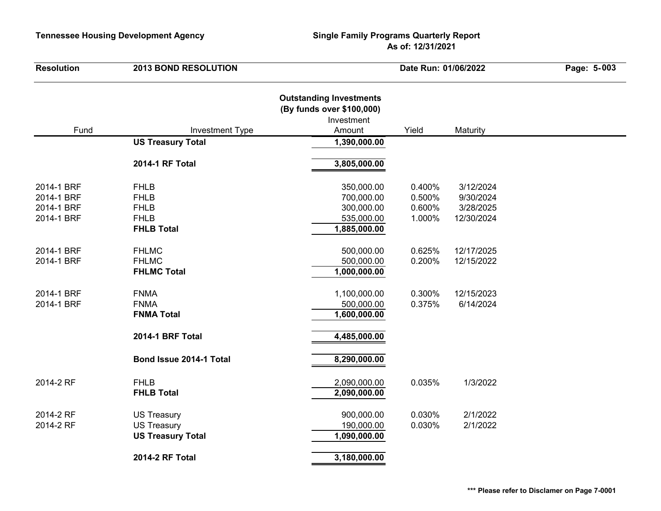| <b>Resolution</b>                                    | <b>2013 BOND RESOLUTION</b>                                                   |                                                                                     | Date Run: 01/06/2022                 | Page: 5-003                                       |  |
|------------------------------------------------------|-------------------------------------------------------------------------------|-------------------------------------------------------------------------------------|--------------------------------------|---------------------------------------------------|--|
| Fund                                                 | <b>Investment Type</b>                                                        | <b>Outstanding Investments</b><br>(By funds over \$100,000)<br>Investment<br>Amount | Yield                                | Maturity                                          |  |
|                                                      | <b>US Treasury Total</b>                                                      | 1,390,000.00                                                                        |                                      |                                                   |  |
|                                                      | 2014-1 RF Total                                                               | 3,805,000.00                                                                        |                                      |                                                   |  |
| 2014-1 BRF<br>2014-1 BRF<br>2014-1 BRF<br>2014-1 BRF | <b>FHLB</b><br><b>FHLB</b><br><b>FHLB</b><br><b>FHLB</b><br><b>FHLB Total</b> | 350,000.00<br>700,000.00<br>300,000.00<br>535,000.00<br>1,885,000.00                | 0.400%<br>0.500%<br>0.600%<br>1.000% | 3/12/2024<br>9/30/2024<br>3/28/2025<br>12/30/2024 |  |
| 2014-1 BRF<br>2014-1 BRF                             | <b>FHLMC</b><br><b>FHLMC</b><br><b>FHLMC Total</b>                            | 500,000.00<br>500,000.00<br>1,000,000.00                                            | 0.625%<br>0.200%                     | 12/17/2025<br>12/15/2022                          |  |
| 2014-1 BRF<br>2014-1 BRF                             | <b>FNMA</b><br><b>FNMA</b><br><b>FNMA Total</b>                               | 1,100,000.00<br>500,000.00<br>1,600,000.00                                          | 0.300%<br>0.375%                     | 12/15/2023<br>6/14/2024                           |  |
|                                                      | <b>2014-1 BRF Total</b>                                                       | 4,485,000.00                                                                        |                                      |                                                   |  |
|                                                      | Bond Issue 2014-1 Total                                                       | 8,290,000.00                                                                        |                                      |                                                   |  |
| 2014-2 RF                                            | <b>FHLB</b><br><b>FHLB Total</b>                                              | 2,090,000.00<br>2,090,000.00                                                        | 0.035%                               | 1/3/2022                                          |  |
| 2014-2 RF<br>2014-2 RF                               | <b>US Treasury</b><br><b>US Treasury</b><br><b>US Treasury Total</b>          | 900,000.00<br>190,000.00<br>1,090,000.00                                            | 0.030%<br>0.030%                     | 2/1/2022<br>2/1/2022                              |  |
|                                                      | <b>2014-2 RF Total</b>                                                        | 3,180,000.00                                                                        |                                      |                                                   |  |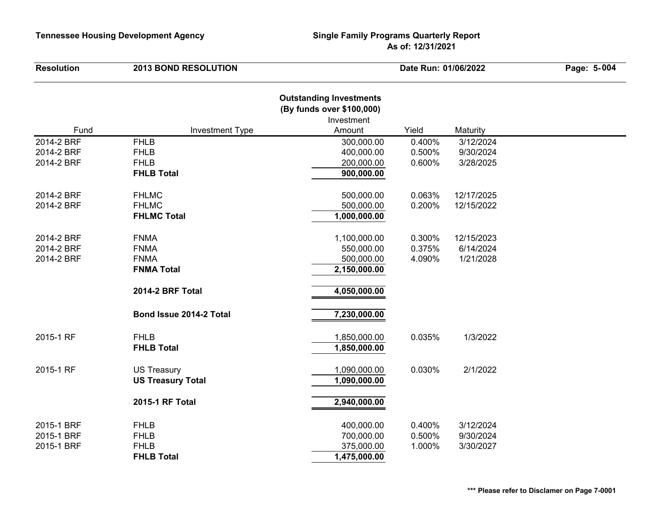| <b>Resolution</b> | <b>2013 BOND RESOLUTION</b> |                                                                                     | Date Run: 01/06/2022 |            |  |
|-------------------|-----------------------------|-------------------------------------------------------------------------------------|----------------------|------------|--|
| Fund              | <b>Investment Type</b>      | <b>Outstanding Investments</b><br>(By funds over \$100,000)<br>Investment<br>Amount | Yield                | Maturity   |  |
| 2014-2 BRF        | <b>FHLB</b>                 | 300,000.00                                                                          | 0.400%               | 3/12/2024  |  |
| 2014-2 BRF        | <b>FHLB</b>                 | 400,000.00                                                                          | 0.500%               | 9/30/2024  |  |
| 2014-2 BRF        | <b>FHLB</b>                 | 200,000.00                                                                          | 0.600%               | 3/28/2025  |  |
|                   | <b>FHLB Total</b>           | 900,000.00                                                                          |                      |            |  |
| 2014-2 BRF        | <b>FHLMC</b>                | 500,000.00                                                                          | 0.063%               | 12/17/2025 |  |
| 2014-2 BRF        | <b>FHLMC</b>                | 500,000.00                                                                          | 0.200%               | 12/15/2022 |  |
|                   | <b>FHLMC Total</b>          | 1,000,000.00                                                                        |                      |            |  |
| 2014-2 BRF        | <b>FNMA</b>                 | 1,100,000.00                                                                        | 0.300%               | 12/15/2023 |  |
| 2014-2 BRF        | <b>FNMA</b>                 | 550,000.00                                                                          | 0.375%               | 6/14/2024  |  |
| 2014-2 BRF        | <b>FNMA</b>                 | 500,000.00                                                                          | 4.090%               | 1/21/2028  |  |
|                   | <b>FNMA Total</b>           | 2,150,000.00                                                                        |                      |            |  |
|                   | 2014-2 BRF Total            | 4,050,000.00                                                                        |                      |            |  |
|                   | Bond Issue 2014-2 Total     | 7,230,000.00                                                                        |                      |            |  |
| 2015-1 RF         | <b>FHLB</b>                 | 1,850,000.00                                                                        | 0.035%               | 1/3/2022   |  |
|                   | <b>FHLB Total</b>           | 1,850,000.00                                                                        |                      |            |  |
| 2015-1 RF         | <b>US Treasury</b>          | 1,090,000.00                                                                        | 0.030%               | 2/1/2022   |  |
|                   | <b>US Treasury Total</b>    | 1,090,000.00                                                                        |                      |            |  |
|                   | 2015-1 RF Total             | 2,940,000.00                                                                        |                      |            |  |
| 2015-1 BRF        | <b>FHLB</b>                 | 400,000.00                                                                          | 0.400%               | 3/12/2024  |  |
| 2015-1 BRF        | <b>FHLB</b>                 | 700,000.00                                                                          | 0.500%               | 9/30/2024  |  |
| 2015-1 BRF        | <b>FHLB</b>                 | 375,000.00                                                                          | 1.000%               | 3/30/2027  |  |
|                   | <b>FHLB Total</b>           | 1,475,000.00                                                                        |                      |            |  |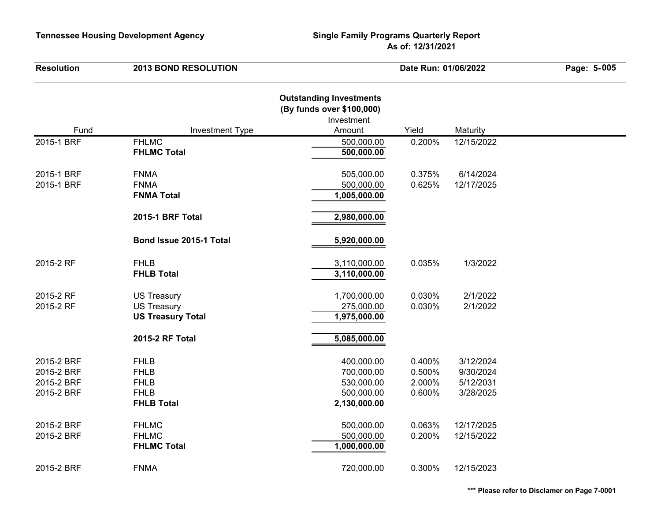| <b>Resolution</b> | <b>2013 BOND RESOLUTION</b>      | Date Run: 01/06/2022                                                                |        | Page: 5-005 |  |
|-------------------|----------------------------------|-------------------------------------------------------------------------------------|--------|-------------|--|
| Fund              | <b>Investment Type</b>           | <b>Outstanding Investments</b><br>(By funds over \$100,000)<br>Investment<br>Amount | Yield  | Maturity    |  |
| 2015-1 BRF        | <b>FHLMC</b>                     | 500,000.00                                                                          | 0.200% | 12/15/2022  |  |
|                   | <b>FHLMC Total</b>               | 500,000.00                                                                          |        |             |  |
| 2015-1 BRF        | <b>FNMA</b>                      | 505,000.00                                                                          | 0.375% | 6/14/2024   |  |
| 2015-1 BRF        | <b>FNMA</b>                      | 500,000.00                                                                          | 0.625% | 12/17/2025  |  |
|                   | <b>FNMA Total</b>                | 1,005,000.00                                                                        |        |             |  |
|                   | 2015-1 BRF Total                 | 2,980,000.00                                                                        |        |             |  |
|                   | Bond Issue 2015-1 Total          | 5,920,000.00                                                                        |        |             |  |
| 2015-2 RF         | <b>FHLB</b><br><b>FHLB Total</b> | 3,110,000.00<br>3,110,000.00                                                        | 0.035% | 1/3/2022    |  |
|                   |                                  |                                                                                     |        |             |  |
| 2015-2 RF         | <b>US Treasury</b>               | 1,700,000.00                                                                        | 0.030% | 2/1/2022    |  |
| 2015-2 RF         | <b>US Treasury</b>               | 275,000.00                                                                          | 0.030% | 2/1/2022    |  |
|                   | <b>US Treasury Total</b>         | 1,975,000.00                                                                        |        |             |  |
|                   | 2015-2 RF Total                  | 5,085,000.00                                                                        |        |             |  |
| 2015-2 BRF        | <b>FHLB</b>                      | 400,000.00                                                                          | 0.400% | 3/12/2024   |  |
| 2015-2 BRF        | <b>FHLB</b>                      | 700,000.00                                                                          | 0.500% | 9/30/2024   |  |
| 2015-2 BRF        | <b>FHLB</b>                      | 530,000.00                                                                          | 2.000% | 5/12/2031   |  |
| 2015-2 BRF        | <b>FHLB</b>                      | 500,000.00                                                                          | 0.600% | 3/28/2025   |  |
|                   | <b>FHLB Total</b>                | 2,130,000.00                                                                        |        |             |  |
| 2015-2 BRF        | <b>FHLMC</b>                     | 500,000.00                                                                          | 0.063% | 12/17/2025  |  |
| 2015-2 BRF        | <b>FHLMC</b>                     | 500,000.00                                                                          | 0.200% | 12/15/2022  |  |
|                   | <b>FHLMC Total</b>               | 1,000,000.00                                                                        |        |             |  |
| 2015-2 BRF        | <b>FNMA</b>                      | 720,000.00                                                                          | 0.300% | 12/15/2023  |  |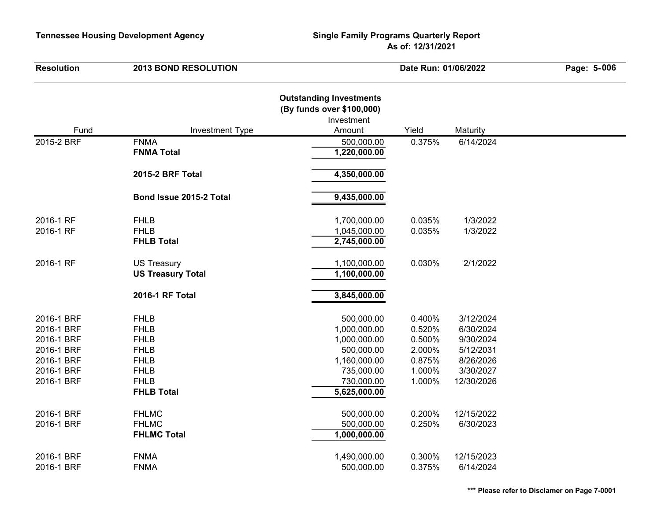| <b>Resolution</b>                                                                              | <b>2013 BOND RESOLUTION</b>                                                                                                | Date Run: 01/06/2022                                                                                                 |                                                                    | Page: 5-006                                                                              |  |
|------------------------------------------------------------------------------------------------|----------------------------------------------------------------------------------------------------------------------------|----------------------------------------------------------------------------------------------------------------------|--------------------------------------------------------------------|------------------------------------------------------------------------------------------|--|
|                                                                                                | <b>Investment Type</b>                                                                                                     | <b>Outstanding Investments</b><br>(By funds over \$100,000)<br>Investment<br>Amount                                  | Yield                                                              |                                                                                          |  |
| Fund                                                                                           | <b>FNMA</b>                                                                                                                |                                                                                                                      |                                                                    | Maturity                                                                                 |  |
| 2015-2 BRF                                                                                     | <b>FNMA Total</b>                                                                                                          | 500,000.00<br>1,220,000.00                                                                                           | 0.375%                                                             | 6/14/2024                                                                                |  |
|                                                                                                | 2015-2 BRF Total                                                                                                           | 4,350,000.00                                                                                                         |                                                                    |                                                                                          |  |
|                                                                                                | Bond Issue 2015-2 Total                                                                                                    | 9,435,000.00                                                                                                         |                                                                    |                                                                                          |  |
| 2016-1 RF<br>2016-1 RF                                                                         | <b>FHLB</b><br><b>FHLB</b><br><b>FHLB Total</b>                                                                            | 1,700,000.00<br>1,045,000.00<br>2,745,000.00                                                                         | 0.035%<br>0.035%                                                   | 1/3/2022<br>1/3/2022                                                                     |  |
| 2016-1 RF                                                                                      | <b>US Treasury</b><br><b>US Treasury Total</b>                                                                             | 1,100,000.00<br>1,100,000.00                                                                                         | 0.030%                                                             | 2/1/2022                                                                                 |  |
|                                                                                                | 2016-1 RF Total                                                                                                            | 3,845,000.00                                                                                                         |                                                                    |                                                                                          |  |
| 2016-1 BRF<br>2016-1 BRF<br>2016-1 BRF<br>2016-1 BRF<br>2016-1 BRF<br>2016-1 BRF<br>2016-1 BRF | <b>FHLB</b><br><b>FHLB</b><br><b>FHLB</b><br><b>FHLB</b><br><b>FHLB</b><br><b>FHLB</b><br><b>FHLB</b><br><b>FHLB Total</b> | 500,000.00<br>1,000,000.00<br>1,000,000.00<br>500,000.00<br>1,160,000.00<br>735,000.00<br>730,000.00<br>5,625,000.00 | 0.400%<br>0.520%<br>0.500%<br>2.000%<br>0.875%<br>1.000%<br>1.000% | 3/12/2024<br>6/30/2024<br>9/30/2024<br>5/12/2031<br>8/26/2026<br>3/30/2027<br>12/30/2026 |  |
| 2016-1 BRF<br>2016-1 BRF                                                                       | <b>FHLMC</b><br><b>FHLMC</b><br><b>FHLMC Total</b>                                                                         | 500,000.00<br>500,000.00<br>1,000,000.00                                                                             | 0.200%<br>0.250%                                                   | 12/15/2022<br>6/30/2023                                                                  |  |
| 2016-1 BRF<br>2016-1 BRF                                                                       | <b>FNMA</b><br><b>FNMA</b>                                                                                                 | 1,490,000.00<br>500,000.00                                                                                           | 0.300%<br>0.375%                                                   | 12/15/2023<br>6/14/2024                                                                  |  |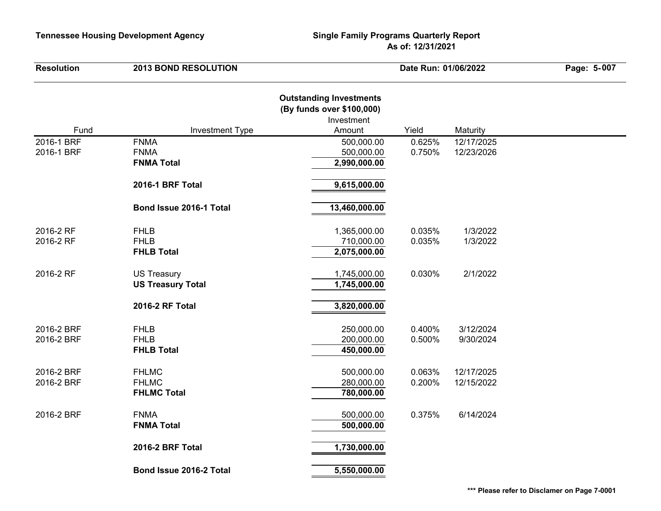| <b>Resolution</b>        | <b>2013 BOND RESOLUTION</b>                        | Date Run: 01/06/2022                                                                |                  | Page: 5-007              |  |
|--------------------------|----------------------------------------------------|-------------------------------------------------------------------------------------|------------------|--------------------------|--|
| Fund                     | <b>Investment Type</b>                             | <b>Outstanding Investments</b><br>(By funds over \$100,000)<br>Investment<br>Amount | Yield            | Maturity                 |  |
| 2016-1 BRF               | <b>FNMA</b>                                        | 500,000.00                                                                          | 0.625%           | 12/17/2025               |  |
| 2016-1 BRF               | <b>FNMA</b><br><b>FNMA Total</b>                   | 500,000.00<br>2,990,000.00                                                          | 0.750%           | 12/23/2026               |  |
|                          | 2016-1 BRF Total                                   | 9,615,000.00                                                                        |                  |                          |  |
|                          | Bond Issue 2016-1 Total                            | 13,460,000.00                                                                       |                  |                          |  |
| 2016-2 RF<br>2016-2 RF   | <b>FHLB</b><br><b>FHLB</b><br><b>FHLB Total</b>    | 1,365,000.00<br>710,000.00<br>2,075,000.00                                          | 0.035%<br>0.035% | 1/3/2022<br>1/3/2022     |  |
| 2016-2 RF                | <b>US Treasury</b><br><b>US Treasury Total</b>     | 1,745,000.00<br>1,745,000.00                                                        | 0.030%           | 2/1/2022                 |  |
|                          | 2016-2 RF Total                                    | 3,820,000.00                                                                        |                  |                          |  |
| 2016-2 BRF<br>2016-2 BRF | <b>FHLB</b><br><b>FHLB</b><br><b>FHLB Total</b>    | 250,000.00<br>200,000.00<br>450,000.00                                              | 0.400%<br>0.500% | 3/12/2024<br>9/30/2024   |  |
| 2016-2 BRF<br>2016-2 BRF | <b>FHLMC</b><br><b>FHLMC</b><br><b>FHLMC Total</b> | 500,000.00<br>280,000.00<br>780,000.00                                              | 0.063%<br>0.200% | 12/17/2025<br>12/15/2022 |  |
| 2016-2 BRF               | <b>FNMA</b><br><b>FNMA Total</b>                   | 500,000.00<br>500,000.00                                                            | 0.375%           | 6/14/2024                |  |
|                          | 2016-2 BRF Total                                   | 1,730,000.00                                                                        |                  |                          |  |
|                          | Bond Issue 2016-2 Total                            | 5,550,000.00                                                                        |                  |                          |  |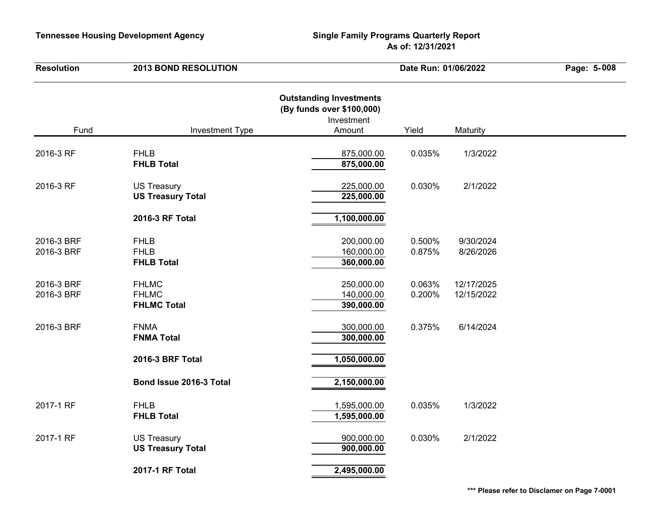| <b>Resolution</b>        | <b>2013 BOND RESOLUTION</b>                        | Date Run: 01/06/2022                                                                |                  | Page: 5-008              |  |
|--------------------------|----------------------------------------------------|-------------------------------------------------------------------------------------|------------------|--------------------------|--|
| Fund                     | <b>Investment Type</b>                             | <b>Outstanding Investments</b><br>(By funds over \$100,000)<br>Investment<br>Amount | Yield            | Maturity                 |  |
| 2016-3 RF                | <b>FHLB</b><br><b>FHLB Total</b>                   | 875,000.00<br>875,000.00                                                            | 0.035%           | 1/3/2022                 |  |
| 2016-3 RF                | <b>US Treasury</b><br><b>US Treasury Total</b>     | 225,000.00<br>225,000.00                                                            | 0.030%           | 2/1/2022                 |  |
|                          | 2016-3 RF Total                                    | 1,100,000.00                                                                        |                  |                          |  |
| 2016-3 BRF<br>2016-3 BRF | <b>FHLB</b><br><b>FHLB</b><br><b>FHLB Total</b>    | 200,000.00<br>160,000.00<br>360,000.00                                              | 0.500%<br>0.875% | 9/30/2024<br>8/26/2026   |  |
| 2016-3 BRF<br>2016-3 BRF | <b>FHLMC</b><br><b>FHLMC</b><br><b>FHLMC Total</b> | 250,000.00<br>140,000.00<br>390,000.00                                              | 0.063%<br>0.200% | 12/17/2025<br>12/15/2022 |  |
| 2016-3 BRF               | <b>FNMA</b><br><b>FNMA Total</b>                   | 300,000.00<br>300,000.00                                                            | 0.375%           | 6/14/2024                |  |
|                          | 2016-3 BRF Total                                   | 1,050,000.00                                                                        |                  |                          |  |
|                          | Bond Issue 2016-3 Total                            | 2,150,000.00                                                                        |                  |                          |  |
| 2017-1 RF                | <b>FHLB</b><br><b>FHLB Total</b>                   | 1,595,000.00<br>1,595,000.00                                                        | 0.035%           | 1/3/2022                 |  |
| 2017-1 RF                | <b>US Treasury</b><br><b>US Treasury Total</b>     | 900,000.00<br>900,000.00                                                            | 0.030%           | 2/1/2022                 |  |
|                          | 2017-1 RF Total                                    | 2,495,000.00                                                                        |                  |                          |  |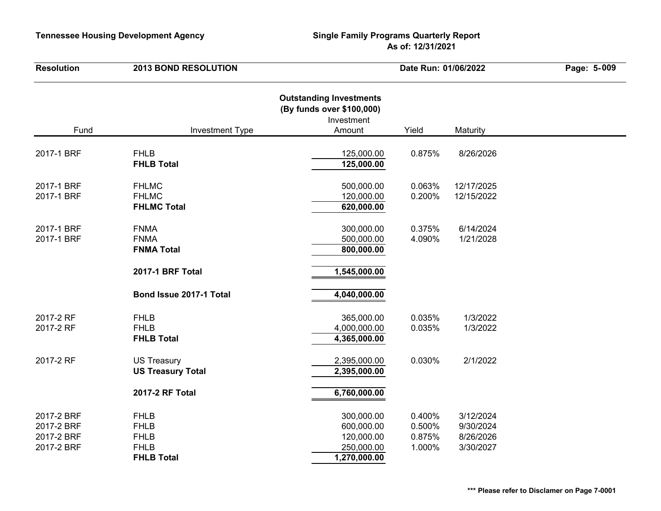| <b>Resolution</b>                                    | <b>2013 BOND RESOLUTION</b>                                                   | Date Run: 01/06/2022                                                                |                                      | Page: 5-009                                      |  |
|------------------------------------------------------|-------------------------------------------------------------------------------|-------------------------------------------------------------------------------------|--------------------------------------|--------------------------------------------------|--|
| Fund                                                 | <b>Investment Type</b>                                                        | <b>Outstanding Investments</b><br>(By funds over \$100,000)<br>Investment<br>Amount | Yield                                | Maturity                                         |  |
| 2017-1 BRF                                           | <b>FHLB</b><br><b>FHLB Total</b>                                              | 125,000.00<br>125,000.00                                                            | 0.875%                               | 8/26/2026                                        |  |
| 2017-1 BRF<br>2017-1 BRF                             | <b>FHLMC</b><br><b>FHLMC</b><br><b>FHLMC Total</b>                            | 500,000.00<br>120,000.00<br>620,000.00                                              | 0.063%<br>0.200%                     | 12/17/2025<br>12/15/2022                         |  |
| 2017-1 BRF<br>2017-1 BRF                             | <b>FNMA</b><br><b>FNMA</b><br><b>FNMA Total</b>                               | 300,000.00<br>500,000.00<br>800,000.00                                              | 0.375%<br>4.090%                     | 6/14/2024<br>1/21/2028                           |  |
|                                                      | <b>2017-1 BRF Total</b>                                                       | 1,545,000.00                                                                        |                                      |                                                  |  |
|                                                      | Bond Issue 2017-1 Total                                                       | 4,040,000.00                                                                        |                                      |                                                  |  |
| 2017-2 RF<br>2017-2 RF                               | <b>FHLB</b><br><b>FHLB</b><br><b>FHLB Total</b>                               | 365,000.00<br>4,000,000.00<br>4,365,000.00                                          | 0.035%<br>0.035%                     | 1/3/2022<br>1/3/2022                             |  |
| 2017-2 RF                                            | <b>US Treasury</b><br><b>US Treasury Total</b>                                | 2,395,000.00<br>2,395,000.00                                                        | 0.030%                               | 2/1/2022                                         |  |
|                                                      | 2017-2 RF Total                                                               | 6,760,000.00                                                                        |                                      |                                                  |  |
| 2017-2 BRF<br>2017-2 BRF<br>2017-2 BRF<br>2017-2 BRF | <b>FHLB</b><br><b>FHLB</b><br><b>FHLB</b><br><b>FHLB</b><br><b>FHLB Total</b> | 300,000.00<br>600,000.00<br>120,000.00<br>250,000.00<br>1,270,000.00                | 0.400%<br>0.500%<br>0.875%<br>1.000% | 3/12/2024<br>9/30/2024<br>8/26/2026<br>3/30/2027 |  |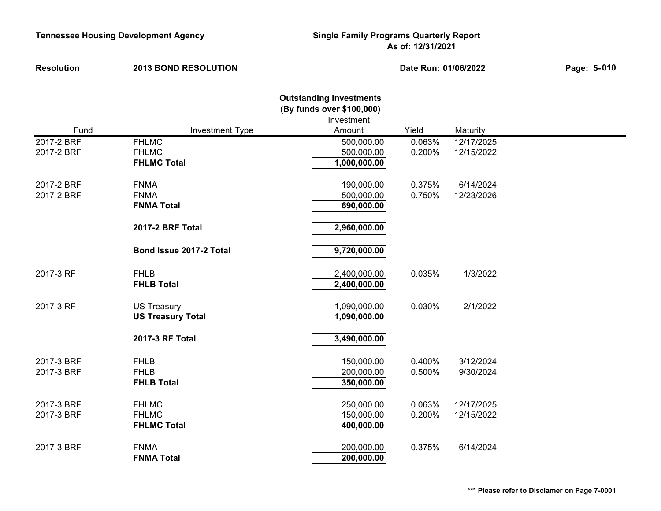| <b>Resolution</b> | <b>2013 BOND RESOLUTION</b> | Date Run: 01/06/2022                                                                |        | Page: 5-010 |  |
|-------------------|-----------------------------|-------------------------------------------------------------------------------------|--------|-------------|--|
| Fund              | <b>Investment Type</b>      | <b>Outstanding Investments</b><br>(By funds over \$100,000)<br>Investment<br>Amount | Yield  | Maturity    |  |
| 2017-2 BRF        | <b>FHLMC</b>                | 500,000.00                                                                          | 0.063% | 12/17/2025  |  |
| 2017-2 BRF        | <b>FHLMC</b>                | 500,000.00                                                                          | 0.200% | 12/15/2022  |  |
|                   | <b>FHLMC Total</b>          | 1,000,000.00                                                                        |        |             |  |
| 2017-2 BRF        | <b>FNMA</b>                 | 190,000.00                                                                          | 0.375% | 6/14/2024   |  |
| 2017-2 BRF        | <b>FNMA</b>                 | 500,000.00                                                                          | 0.750% | 12/23/2026  |  |
|                   | <b>FNMA Total</b>           | 690,000.00                                                                          |        |             |  |
|                   | <b>2017-2 BRF Total</b>     | 2,960,000.00                                                                        |        |             |  |
|                   | Bond Issue 2017-2 Total     | 9,720,000.00                                                                        |        |             |  |
| 2017-3 RF         | <b>FHLB</b>                 | 2,400,000.00                                                                        | 0.035% | 1/3/2022    |  |
|                   | <b>FHLB Total</b>           | 2,400,000.00                                                                        |        |             |  |
| 2017-3 RF         | <b>US Treasury</b>          | 1,090,000.00                                                                        | 0.030% | 2/1/2022    |  |
|                   | <b>US Treasury Total</b>    | 1,090,000.00                                                                        |        |             |  |
|                   | 2017-3 RF Total             | 3,490,000.00                                                                        |        |             |  |
| 2017-3 BRF        | <b>FHLB</b>                 | 150,000.00                                                                          | 0.400% | 3/12/2024   |  |
| 2017-3 BRF        | <b>FHLB</b>                 | 200,000.00                                                                          | 0.500% | 9/30/2024   |  |
|                   | <b>FHLB Total</b>           | 350,000.00                                                                          |        |             |  |
| 2017-3 BRF        | <b>FHLMC</b>                | 250,000.00                                                                          | 0.063% | 12/17/2025  |  |
| 2017-3 BRF        | <b>FHLMC</b>                | 150,000.00                                                                          | 0.200% | 12/15/2022  |  |
|                   | <b>FHLMC Total</b>          | 400,000.00                                                                          |        |             |  |
| 2017-3 BRF        | <b>FNMA</b>                 | 200,000.00                                                                          | 0.375% | 6/14/2024   |  |
|                   | <b>FNMA Total</b>           | 200,000.00                                                                          |        |             |  |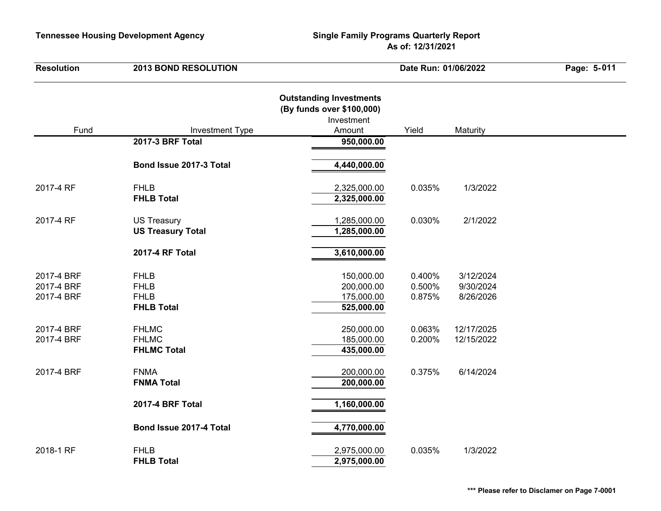| <b>Resolution</b>                      | <b>2013 BOND RESOLUTION</b>                                    |                                                                                     | Date Run: 01/06/2022       |                                     | Page: 5-011 |
|----------------------------------------|----------------------------------------------------------------|-------------------------------------------------------------------------------------|----------------------------|-------------------------------------|-------------|
| Fund                                   | <b>Investment Type</b>                                         | <b>Outstanding Investments</b><br>(By funds over \$100,000)<br>Investment<br>Amount | Yield                      | Maturity                            |             |
|                                        | 2017-3 BRF Total                                               | 950,000.00                                                                          |                            |                                     |             |
|                                        | Bond Issue 2017-3 Total                                        | 4,440,000.00                                                                        |                            |                                     |             |
| 2017-4 RF                              | <b>FHLB</b><br><b>FHLB Total</b>                               | 2,325,000.00<br>2,325,000.00                                                        | 0.035%                     | 1/3/2022                            |             |
| 2017-4 RF                              | <b>US Treasury</b><br><b>US Treasury Total</b>                 | 1,285,000.00<br>1,285,000.00                                                        | 0.030%                     | 2/1/2022                            |             |
|                                        | 2017-4 RF Total                                                | 3,610,000.00                                                                        |                            |                                     |             |
| 2017-4 BRF<br>2017-4 BRF<br>2017-4 BRF | <b>FHLB</b><br><b>FHLB</b><br><b>FHLB</b><br><b>FHLB Total</b> | 150,000.00<br>200,000.00<br>175,000.00<br>525,000.00                                | 0.400%<br>0.500%<br>0.875% | 3/12/2024<br>9/30/2024<br>8/26/2026 |             |
| 2017-4 BRF<br>2017-4 BRF               | <b>FHLMC</b><br><b>FHLMC</b><br><b>FHLMC Total</b>             | 250,000.00<br>185,000.00<br>435,000.00                                              | 0.063%<br>0.200%           | 12/17/2025<br>12/15/2022            |             |
| 2017-4 BRF                             | <b>FNMA</b><br><b>FNMA Total</b>                               | 200,000.00<br>200,000.00                                                            | 0.375%                     | 6/14/2024                           |             |
|                                        | 2017-4 BRF Total                                               | 1,160,000.00                                                                        |                            |                                     |             |
|                                        | Bond Issue 2017-4 Total                                        | 4,770,000.00                                                                        |                            |                                     |             |
| 2018-1 RF                              | <b>FHLB</b><br><b>FHLB Total</b>                               | 2,975,000.00<br>2,975,000.00                                                        | 0.035%                     | 1/3/2022                            |             |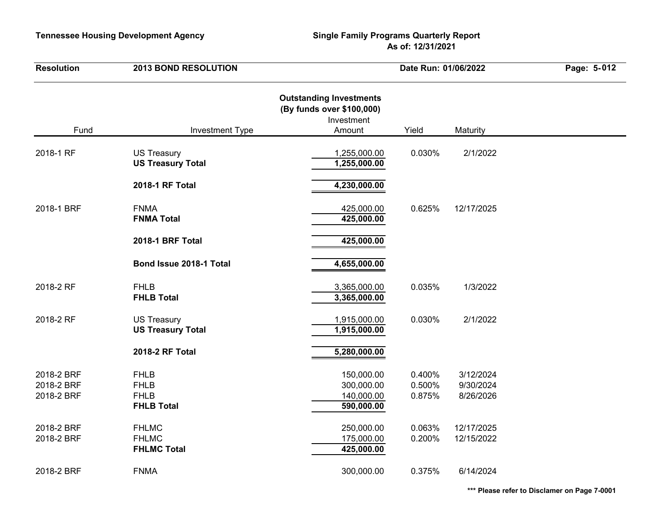| <b>Resolution</b>                      | <b>2013 BOND RESOLUTION</b>                                    | Date Run: 01/06/2022                                                                |                            | Page: 5-012                         |  |
|----------------------------------------|----------------------------------------------------------------|-------------------------------------------------------------------------------------|----------------------------|-------------------------------------|--|
| Fund                                   | <b>Investment Type</b>                                         | <b>Outstanding Investments</b><br>(By funds over \$100,000)<br>Investment<br>Amount | Yield                      | Maturity                            |  |
| 2018-1 RF                              | <b>US Treasury</b><br><b>US Treasury Total</b>                 | 1,255,000.00<br>1,255,000.00                                                        | 0.030%                     | 2/1/2022                            |  |
|                                        | 2018-1 RF Total                                                | 4,230,000.00                                                                        |                            |                                     |  |
| 2018-1 BRF                             | <b>FNMA</b><br><b>FNMA Total</b>                               | 425,000.00<br>425,000.00                                                            | 0.625%                     | 12/17/2025                          |  |
|                                        | 2018-1 BRF Total                                               | 425,000.00                                                                          |                            |                                     |  |
|                                        | Bond Issue 2018-1 Total                                        | 4,655,000.00                                                                        |                            |                                     |  |
| 2018-2 RF                              | <b>FHLB</b><br><b>FHLB Total</b>                               | 3,365,000.00<br>3,365,000.00                                                        | 0.035%                     | 1/3/2022                            |  |
| 2018-2 RF                              | <b>US Treasury</b><br><b>US Treasury Total</b>                 | 1,915,000.00<br>1,915,000.00                                                        | 0.030%                     | 2/1/2022                            |  |
|                                        | 2018-2 RF Total                                                | 5,280,000.00                                                                        |                            |                                     |  |
| 2018-2 BRF<br>2018-2 BRF<br>2018-2 BRF | <b>FHLB</b><br><b>FHLB</b><br><b>FHLB</b><br><b>FHLB Total</b> | 150,000.00<br>300,000.00<br>140,000.00<br>590,000.00                                | 0.400%<br>0.500%<br>0.875% | 3/12/2024<br>9/30/2024<br>8/26/2026 |  |
| 2018-2 BRF<br>2018-2 BRF               | <b>FHLMC</b><br><b>FHLMC</b><br><b>FHLMC Total</b>             | 250,000.00<br>175,000.00<br>425,000.00                                              | 0.063%<br>0.200%           | 12/17/2025<br>12/15/2022            |  |
| 2018-2 BRF                             | <b>FNMA</b>                                                    | 300,000.00                                                                          | 0.375%                     | 6/14/2024                           |  |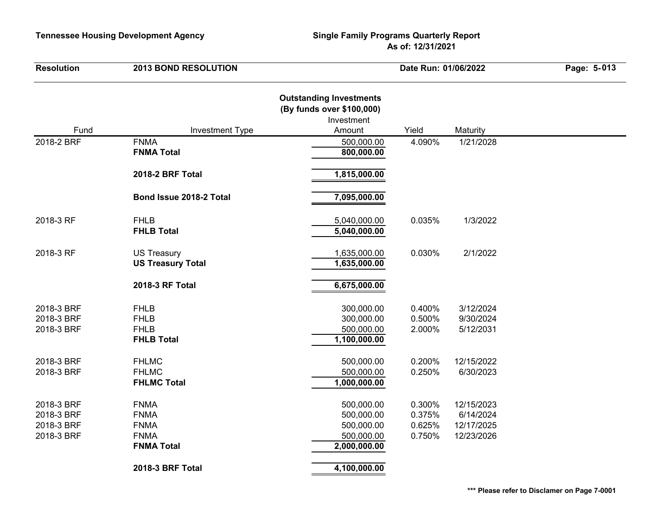| <b>Resolution</b>                                    | <b>2013 BOND RESOLUTION</b>                                                   | Date Run: 01/06/2022                                                                |                                      | Page: 5-013                                         |  |
|------------------------------------------------------|-------------------------------------------------------------------------------|-------------------------------------------------------------------------------------|--------------------------------------|-----------------------------------------------------|--|
| Fund                                                 | <b>Investment Type</b>                                                        | <b>Outstanding Investments</b><br>(By funds over \$100,000)<br>Investment<br>Amount | Yield                                | Maturity                                            |  |
| 2018-2 BRF                                           | <b>FNMA</b>                                                                   | 500,000.00                                                                          | 4.090%                               | 1/21/2028                                           |  |
|                                                      | <b>FNMA Total</b>                                                             | 800,000.00                                                                          |                                      |                                                     |  |
|                                                      | 2018-2 BRF Total                                                              | 1,815,000.00                                                                        |                                      |                                                     |  |
|                                                      | Bond Issue 2018-2 Total                                                       | 7,095,000.00                                                                        |                                      |                                                     |  |
| 2018-3 RF                                            | <b>FHLB</b><br><b>FHLB Total</b>                                              | 5,040,000.00<br>5,040,000.00                                                        | 0.035%                               | 1/3/2022                                            |  |
| 2018-3 RF                                            | <b>US Treasury</b><br><b>US Treasury Total</b>                                | 1,635,000.00<br>1,635,000.00                                                        | 0.030%                               | 2/1/2022                                            |  |
|                                                      | 2018-3 RF Total                                                               | 6,675,000.00                                                                        |                                      |                                                     |  |
| 2018-3 BRF<br>2018-3 BRF<br>2018-3 BRF               | <b>FHLB</b><br><b>FHLB</b><br><b>FHLB</b><br><b>FHLB Total</b>                | 300,000.00<br>300,000.00<br>500,000.00<br>1,100,000.00                              | 0.400%<br>0.500%<br>2.000%           | 3/12/2024<br>9/30/2024<br>5/12/2031                 |  |
| 2018-3 BRF<br>2018-3 BRF                             | <b>FHLMC</b><br><b>FHLMC</b><br><b>FHLMC Total</b>                            | 500,000.00<br>500,000.00<br>1,000,000.00                                            | 0.200%<br>0.250%                     | 12/15/2022<br>6/30/2023                             |  |
| 2018-3 BRF<br>2018-3 BRF<br>2018-3 BRF<br>2018-3 BRF | <b>FNMA</b><br><b>FNMA</b><br><b>FNMA</b><br><b>FNMA</b><br><b>FNMA Total</b> | 500,000.00<br>500,000.00<br>500,000.00<br>500,000.00<br>2,000,000.00                | 0.300%<br>0.375%<br>0.625%<br>0.750% | 12/15/2023<br>6/14/2024<br>12/17/2025<br>12/23/2026 |  |
|                                                      | <b>2018-3 BRF Total</b>                                                       | 4,100,000.00                                                                        |                                      |                                                     |  |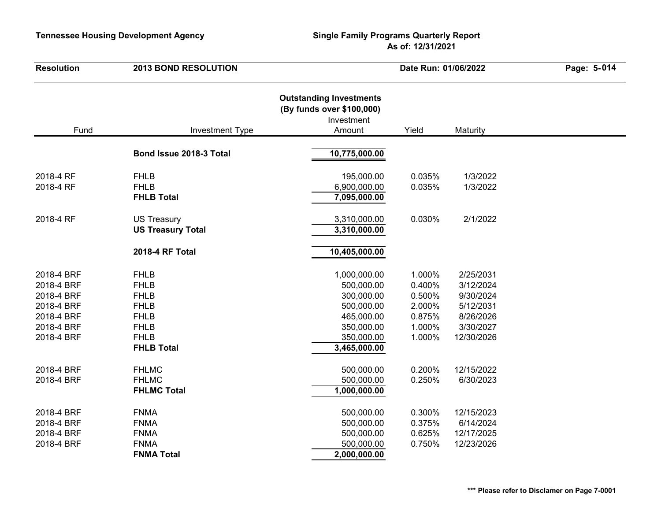| <b>Outstanding Investments</b><br>(By funds over \$100,000)<br>Investment<br>Fund<br>Amount<br>Yield<br><b>Investment Type</b><br>Maturity<br>Bond Issue 2018-3 Total<br>10,775,000.00<br>2018-4 RF<br>195,000.00<br>0.035%<br>1/3/2022<br><b>FHLB</b><br>2018-4 RF<br><b>FHLB</b><br>6,900,000.00<br>0.035%<br>1/3/2022<br><b>FHLB Total</b><br>7,095,000.00<br>0.030%<br>2/1/2022<br>2018-4 RF<br><b>US Treasury</b><br>3,310,000.00<br><b>US Treasury Total</b><br>3,310,000.00<br>10,405,000.00<br>2018-4 RF Total<br><b>FHLB</b><br>1.000%<br>2/25/2031<br>2018-4 BRF<br>1,000,000.00<br>3/12/2024<br>2018-4 BRF<br><b>FHLB</b><br>500,000.00<br>0.400%<br>9/30/2024<br>2018-4 BRF<br><b>FHLB</b><br>300,000.00<br>0.500%<br>2018-4 BRF<br><b>FHLB</b><br>500,000.00<br>2.000%<br>5/12/2031<br><b>FHLB</b><br>0.875%<br>8/26/2026<br>2018-4 BRF<br>465,000.00<br><b>FHLB</b><br>350,000.00<br>1.000%<br>3/30/2027<br>2018-4 BRF<br><b>FHLB</b><br>350,000.00<br>1.000%<br>2018-4 BRF<br>12/30/2026<br><b>FHLB Total</b><br>3,465,000.00<br><b>FHLMC</b><br>0.200%<br>12/15/2022<br>2018-4 BRF<br>500,000.00<br><b>FHLMC</b><br>500,000.00<br>0.250%<br>6/30/2023<br>2018-4 BRF<br><b>FHLMC Total</b><br>1,000,000.00<br><b>FNMA</b><br>500,000.00<br>0.300%<br>12/15/2023<br>2018-4 BRF<br>500,000.00<br>0.375%<br>6/14/2024<br>2018-4 BRF<br><b>FNMA</b><br>500,000.00<br>2018-4 BRF<br><b>FNMA</b><br>0.625%<br>12/17/2025<br><b>FNMA</b><br>500,000.00<br>0.750%<br>12/23/2026<br>2018-4 BRF<br><b>FNMA Total</b><br>2,000,000.00 | <b>Resolution</b> | <b>2013 BOND RESOLUTION</b> | Date Run: 01/06/2022 |  | Page: 5-014 |  |
|-------------------------------------------------------------------------------------------------------------------------------------------------------------------------------------------------------------------------------------------------------------------------------------------------------------------------------------------------------------------------------------------------------------------------------------------------------------------------------------------------------------------------------------------------------------------------------------------------------------------------------------------------------------------------------------------------------------------------------------------------------------------------------------------------------------------------------------------------------------------------------------------------------------------------------------------------------------------------------------------------------------------------------------------------------------------------------------------------------------------------------------------------------------------------------------------------------------------------------------------------------------------------------------------------------------------------------------------------------------------------------------------------------------------------------------------------------------------------------------------------------------------------------------------|-------------------|-----------------------------|----------------------|--|-------------|--|
|                                                                                                                                                                                                                                                                                                                                                                                                                                                                                                                                                                                                                                                                                                                                                                                                                                                                                                                                                                                                                                                                                                                                                                                                                                                                                                                                                                                                                                                                                                                                           |                   |                             |                      |  |             |  |
|                                                                                                                                                                                                                                                                                                                                                                                                                                                                                                                                                                                                                                                                                                                                                                                                                                                                                                                                                                                                                                                                                                                                                                                                                                                                                                                                                                                                                                                                                                                                           |                   |                             |                      |  |             |  |
|                                                                                                                                                                                                                                                                                                                                                                                                                                                                                                                                                                                                                                                                                                                                                                                                                                                                                                                                                                                                                                                                                                                                                                                                                                                                                                                                                                                                                                                                                                                                           |                   |                             |                      |  |             |  |
|                                                                                                                                                                                                                                                                                                                                                                                                                                                                                                                                                                                                                                                                                                                                                                                                                                                                                                                                                                                                                                                                                                                                                                                                                                                                                                                                                                                                                                                                                                                                           |                   |                             |                      |  |             |  |
|                                                                                                                                                                                                                                                                                                                                                                                                                                                                                                                                                                                                                                                                                                                                                                                                                                                                                                                                                                                                                                                                                                                                                                                                                                                                                                                                                                                                                                                                                                                                           |                   |                             |                      |  |             |  |
|                                                                                                                                                                                                                                                                                                                                                                                                                                                                                                                                                                                                                                                                                                                                                                                                                                                                                                                                                                                                                                                                                                                                                                                                                                                                                                                                                                                                                                                                                                                                           |                   |                             |                      |  |             |  |
|                                                                                                                                                                                                                                                                                                                                                                                                                                                                                                                                                                                                                                                                                                                                                                                                                                                                                                                                                                                                                                                                                                                                                                                                                                                                                                                                                                                                                                                                                                                                           |                   |                             |                      |  |             |  |
|                                                                                                                                                                                                                                                                                                                                                                                                                                                                                                                                                                                                                                                                                                                                                                                                                                                                                                                                                                                                                                                                                                                                                                                                                                                                                                                                                                                                                                                                                                                                           |                   |                             |                      |  |             |  |
|                                                                                                                                                                                                                                                                                                                                                                                                                                                                                                                                                                                                                                                                                                                                                                                                                                                                                                                                                                                                                                                                                                                                                                                                                                                                                                                                                                                                                                                                                                                                           |                   |                             |                      |  |             |  |
|                                                                                                                                                                                                                                                                                                                                                                                                                                                                                                                                                                                                                                                                                                                                                                                                                                                                                                                                                                                                                                                                                                                                                                                                                                                                                                                                                                                                                                                                                                                                           |                   |                             |                      |  |             |  |
|                                                                                                                                                                                                                                                                                                                                                                                                                                                                                                                                                                                                                                                                                                                                                                                                                                                                                                                                                                                                                                                                                                                                                                                                                                                                                                                                                                                                                                                                                                                                           |                   |                             |                      |  |             |  |
|                                                                                                                                                                                                                                                                                                                                                                                                                                                                                                                                                                                                                                                                                                                                                                                                                                                                                                                                                                                                                                                                                                                                                                                                                                                                                                                                                                                                                                                                                                                                           |                   |                             |                      |  |             |  |
|                                                                                                                                                                                                                                                                                                                                                                                                                                                                                                                                                                                                                                                                                                                                                                                                                                                                                                                                                                                                                                                                                                                                                                                                                                                                                                                                                                                                                                                                                                                                           |                   |                             |                      |  |             |  |
|                                                                                                                                                                                                                                                                                                                                                                                                                                                                                                                                                                                                                                                                                                                                                                                                                                                                                                                                                                                                                                                                                                                                                                                                                                                                                                                                                                                                                                                                                                                                           |                   |                             |                      |  |             |  |
|                                                                                                                                                                                                                                                                                                                                                                                                                                                                                                                                                                                                                                                                                                                                                                                                                                                                                                                                                                                                                                                                                                                                                                                                                                                                                                                                                                                                                                                                                                                                           |                   |                             |                      |  |             |  |
|                                                                                                                                                                                                                                                                                                                                                                                                                                                                                                                                                                                                                                                                                                                                                                                                                                                                                                                                                                                                                                                                                                                                                                                                                                                                                                                                                                                                                                                                                                                                           |                   |                             |                      |  |             |  |
|                                                                                                                                                                                                                                                                                                                                                                                                                                                                                                                                                                                                                                                                                                                                                                                                                                                                                                                                                                                                                                                                                                                                                                                                                                                                                                                                                                                                                                                                                                                                           |                   |                             |                      |  |             |  |
|                                                                                                                                                                                                                                                                                                                                                                                                                                                                                                                                                                                                                                                                                                                                                                                                                                                                                                                                                                                                                                                                                                                                                                                                                                                                                                                                                                                                                                                                                                                                           |                   |                             |                      |  |             |  |
|                                                                                                                                                                                                                                                                                                                                                                                                                                                                                                                                                                                                                                                                                                                                                                                                                                                                                                                                                                                                                                                                                                                                                                                                                                                                                                                                                                                                                                                                                                                                           |                   |                             |                      |  |             |  |
|                                                                                                                                                                                                                                                                                                                                                                                                                                                                                                                                                                                                                                                                                                                                                                                                                                                                                                                                                                                                                                                                                                                                                                                                                                                                                                                                                                                                                                                                                                                                           |                   |                             |                      |  |             |  |
|                                                                                                                                                                                                                                                                                                                                                                                                                                                                                                                                                                                                                                                                                                                                                                                                                                                                                                                                                                                                                                                                                                                                                                                                                                                                                                                                                                                                                                                                                                                                           |                   |                             |                      |  |             |  |
|                                                                                                                                                                                                                                                                                                                                                                                                                                                                                                                                                                                                                                                                                                                                                                                                                                                                                                                                                                                                                                                                                                                                                                                                                                                                                                                                                                                                                                                                                                                                           |                   |                             |                      |  |             |  |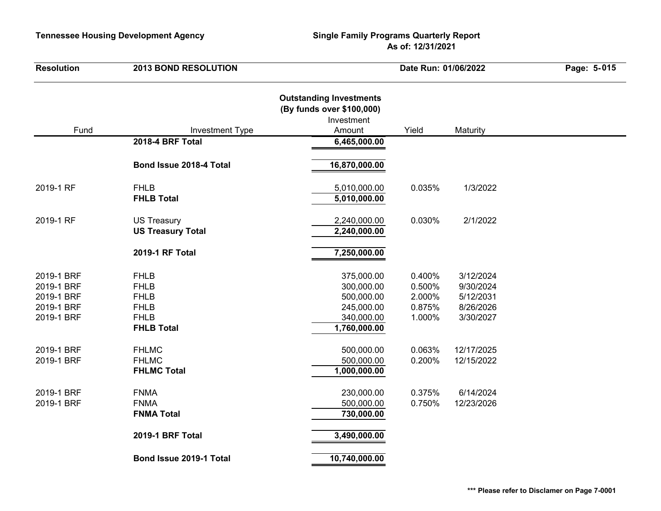| <b>Resolution</b>                                                  | <b>2013 BOND RESOLUTION</b>                                                                  |                                                                                     | Date Run: 01/06/2022                           |                                                               | Page: 5-015 |
|--------------------------------------------------------------------|----------------------------------------------------------------------------------------------|-------------------------------------------------------------------------------------|------------------------------------------------|---------------------------------------------------------------|-------------|
| Fund                                                               | <b>Investment Type</b>                                                                       | <b>Outstanding Investments</b><br>(By funds over \$100,000)<br>Investment<br>Amount | Yield                                          | Maturity                                                      |             |
|                                                                    | 2018-4 BRF Total                                                                             | 6,465,000.00                                                                        |                                                |                                                               |             |
|                                                                    | Bond Issue 2018-4 Total                                                                      | 16,870,000.00                                                                       |                                                |                                                               |             |
| 2019-1 RF                                                          | <b>FHLB</b><br><b>FHLB Total</b>                                                             | 5,010,000.00<br>5,010,000.00                                                        | 0.035%                                         | 1/3/2022                                                      |             |
| 2019-1 RF                                                          | <b>US Treasury</b><br><b>US Treasury Total</b>                                               | 2,240,000.00<br>2,240,000.00                                                        | 0.030%                                         | 2/1/2022                                                      |             |
|                                                                    | 2019-1 RF Total                                                                              | 7,250,000.00                                                                        |                                                |                                                               |             |
| 2019-1 BRF<br>2019-1 BRF<br>2019-1 BRF<br>2019-1 BRF<br>2019-1 BRF | <b>FHLB</b><br><b>FHLB</b><br><b>FHLB</b><br><b>FHLB</b><br><b>FHLB</b><br><b>FHLB Total</b> | 375,000.00<br>300,000.00<br>500,000.00<br>245,000.00<br>340,000.00<br>1,760,000.00  | 0.400%<br>0.500%<br>2.000%<br>0.875%<br>1.000% | 3/12/2024<br>9/30/2024<br>5/12/2031<br>8/26/2026<br>3/30/2027 |             |
| 2019-1 BRF<br>2019-1 BRF                                           | <b>FHLMC</b><br><b>FHLMC</b><br><b>FHLMC Total</b>                                           | 500,000.00<br>500,000.00<br>1,000,000.00                                            | 0.063%<br>0.200%                               | 12/17/2025<br>12/15/2022                                      |             |
| 2019-1 BRF<br>2019-1 BRF                                           | <b>FNMA</b><br><b>FNMA</b><br><b>FNMA Total</b>                                              | 230,000.00<br>500,000.00<br>730,000.00                                              | 0.375%<br>0.750%                               | 6/14/2024<br>12/23/2026                                       |             |
|                                                                    | 2019-1 BRF Total                                                                             | 3,490,000.00                                                                        |                                                |                                                               |             |
|                                                                    | Bond Issue 2019-1 Total                                                                      | 10,740,000.00                                                                       |                                                |                                                               |             |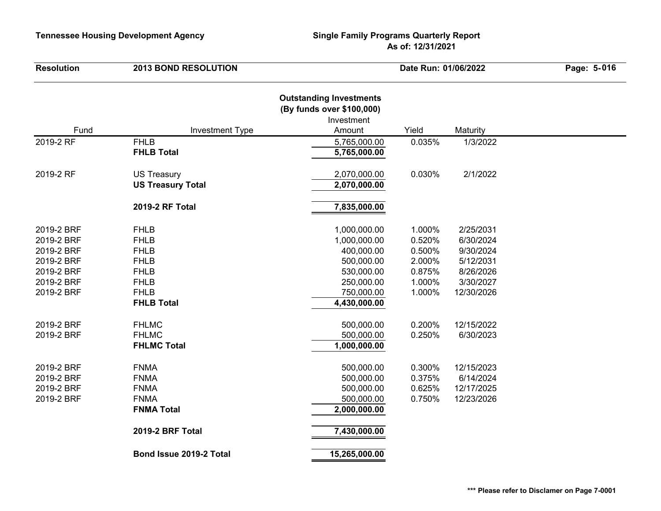| <b>Resolution</b>                                                                              | <b>2013 BOND RESOLUTION</b>                                                                                                |                                                                                                                    | Date Run: 01/06/2022                                               |                                                                                          | Page: 5-016 |
|------------------------------------------------------------------------------------------------|----------------------------------------------------------------------------------------------------------------------------|--------------------------------------------------------------------------------------------------------------------|--------------------------------------------------------------------|------------------------------------------------------------------------------------------|-------------|
| Fund                                                                                           | <b>Investment Type</b>                                                                                                     | <b>Outstanding Investments</b><br>(By funds over \$100,000)<br>Investment<br>Amount                                | Yield                                                              | Maturity                                                                                 |             |
| 2019-2 RF                                                                                      | <b>FHLB</b><br><b>FHLB Total</b>                                                                                           | 5,765,000.00<br>5,765,000.00                                                                                       | 0.035%                                                             | 1/3/2022                                                                                 |             |
| 2019-2 RF                                                                                      | <b>US Treasury</b><br><b>US Treasury Total</b>                                                                             | 2,070,000.00<br>2,070,000.00                                                                                       | 0.030%                                                             | 2/1/2022                                                                                 |             |
|                                                                                                | 2019-2 RF Total                                                                                                            | 7,835,000.00                                                                                                       |                                                                    |                                                                                          |             |
| 2019-2 BRF<br>2019-2 BRF<br>2019-2 BRF<br>2019-2 BRF<br>2019-2 BRF<br>2019-2 BRF<br>2019-2 BRF | <b>FHLB</b><br><b>FHLB</b><br><b>FHLB</b><br><b>FHLB</b><br><b>FHLB</b><br><b>FHLB</b><br><b>FHLB</b><br><b>FHLB Total</b> | 1,000,000.00<br>1,000,000.00<br>400,000.00<br>500,000.00<br>530,000.00<br>250,000.00<br>750,000.00<br>4,430,000.00 | 1.000%<br>0.520%<br>0.500%<br>2.000%<br>0.875%<br>1.000%<br>1.000% | 2/25/2031<br>6/30/2024<br>9/30/2024<br>5/12/2031<br>8/26/2026<br>3/30/2027<br>12/30/2026 |             |
| 2019-2 BRF<br>2019-2 BRF                                                                       | <b>FHLMC</b><br><b>FHLMC</b><br><b>FHLMC Total</b>                                                                         | 500,000.00<br>500,000.00<br>1,000,000.00                                                                           | 0.200%<br>0.250%                                                   | 12/15/2022<br>6/30/2023                                                                  |             |
| 2019-2 BRF<br>2019-2 BRF<br>2019-2 BRF<br>2019-2 BRF                                           | <b>FNMA</b><br><b>FNMA</b><br><b>FNMA</b><br><b>FNMA</b><br><b>FNMA Total</b>                                              | 500,000.00<br>500,000.00<br>500,000.00<br>500,000.00<br>2,000,000.00                                               | 0.300%<br>0.375%<br>0.625%<br>0.750%                               | 12/15/2023<br>6/14/2024<br>12/17/2025<br>12/23/2026                                      |             |
|                                                                                                | 2019-2 BRF Total                                                                                                           | 7,430,000.00                                                                                                       |                                                                    |                                                                                          |             |
|                                                                                                | Bond Issue 2019-2 Total                                                                                                    | 15,265,000.00                                                                                                      |                                                                    |                                                                                          |             |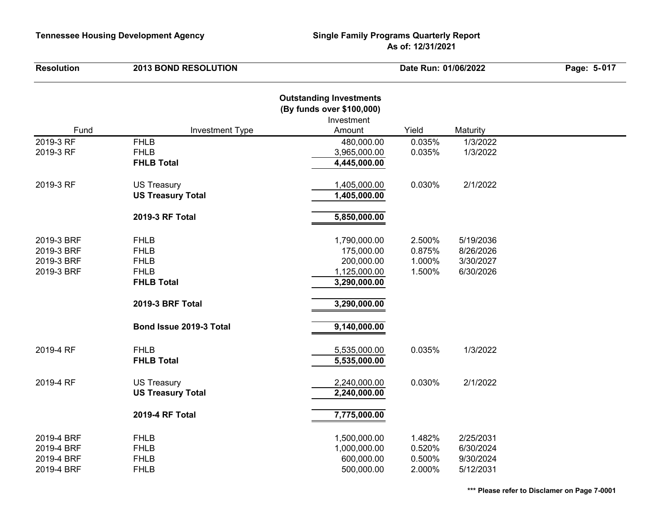| <b>Resolution</b>                                    | <b>2013 BOND RESOLUTION</b>                                                                                                  |                                                                                                                       | Date Run: 01/06/2022                 |                                                  | Page: 5-017 |
|------------------------------------------------------|------------------------------------------------------------------------------------------------------------------------------|-----------------------------------------------------------------------------------------------------------------------|--------------------------------------|--------------------------------------------------|-------------|
| Fund                                                 |                                                                                                                              | <b>Outstanding Investments</b><br>(By funds over \$100,000)<br>Investment                                             | Yield                                |                                                  |             |
|                                                      | <b>Investment Type</b>                                                                                                       | Amount                                                                                                                |                                      | Maturity                                         |             |
| 2019-3 RF<br>2019-3 RF                               | <b>FHLB</b><br><b>FHLB</b><br><b>FHLB Total</b>                                                                              | 480,000.00<br>3,965,000.00<br>4,445,000.00                                                                            | 0.035%<br>0.035%                     | 1/3/2022<br>1/3/2022                             |             |
| 2019-3 RF                                            | <b>US Treasury</b><br><b>US Treasury Total</b>                                                                               | 1,405,000.00<br>1,405,000.00                                                                                          | 0.030%                               | 2/1/2022                                         |             |
|                                                      | 2019-3 RF Total                                                                                                              | 5,850,000.00                                                                                                          |                                      |                                                  |             |
| 2019-3 BRF<br>2019-3 BRF<br>2019-3 BRF<br>2019-3 BRF | <b>FHLB</b><br><b>FHLB</b><br><b>FHLB</b><br><b>FHLB</b><br><b>FHLB Total</b><br>2019-3 BRF Total<br>Bond Issue 2019-3 Total | 1,790,000.00<br>175,000.00<br>200,000.00<br>1,125,000.00<br>3,290,000.00<br>3,290,000.00<br>$\overline{9,140,000.00}$ | 2.500%<br>0.875%<br>1.000%<br>1.500% | 5/19/2036<br>8/26/2026<br>3/30/2027<br>6/30/2026 |             |
| 2019-4 RF                                            | <b>FHLB</b><br><b>FHLB Total</b>                                                                                             | 5,535,000.00<br>5,535,000.00                                                                                          | 0.035%                               | 1/3/2022                                         |             |
| 2019-4 RF                                            | <b>US Treasury</b><br><b>US Treasury Total</b>                                                                               | 2,240,000.00<br>2,240,000.00                                                                                          | 0.030%                               | 2/1/2022                                         |             |
|                                                      | 2019-4 RF Total                                                                                                              | 7,775,000.00                                                                                                          |                                      |                                                  |             |
| 2019-4 BRF<br>2019-4 BRF<br>2019-4 BRF<br>2019-4 BRF | <b>FHLB</b><br><b>FHLB</b><br><b>FHLB</b><br><b>FHLB</b>                                                                     | 1,500,000.00<br>1,000,000.00<br>600,000.00<br>500,000.00                                                              | 1.482%<br>0.520%<br>0.500%<br>2.000% | 2/25/2031<br>6/30/2024<br>9/30/2024<br>5/12/2031 |             |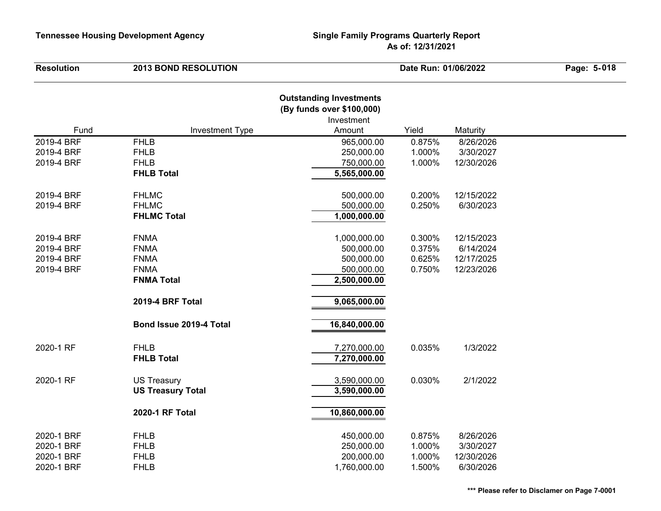| <b>Resolution</b> | <b>2013 BOND RESOLUTION</b> |                                                                                     | Date Run: 01/06/2022 |            | Page: 5-018 |
|-------------------|-----------------------------|-------------------------------------------------------------------------------------|----------------------|------------|-------------|
| Fund              | <b>Investment Type</b>      | <b>Outstanding Investments</b><br>(By funds over \$100,000)<br>Investment<br>Amount | Yield                | Maturity   |             |
| 2019-4 BRF        | <b>FHLB</b>                 | 965,000.00                                                                          | 0.875%               | 8/26/2026  |             |
| 2019-4 BRF        | <b>FHLB</b>                 | 250,000.00                                                                          | 1.000%               | 3/30/2027  |             |
| 2019-4 BRF        | <b>FHLB</b>                 | 750,000.00                                                                          | 1.000%               | 12/30/2026 |             |
|                   | <b>FHLB Total</b>           | 5,565,000.00                                                                        |                      |            |             |
|                   |                             |                                                                                     |                      |            |             |
| 2019-4 BRF        | <b>FHLMC</b>                | 500,000.00                                                                          | 0.200%               | 12/15/2022 |             |
| 2019-4 BRF        | <b>FHLMC</b>                | 500,000.00                                                                          | 0.250%               | 6/30/2023  |             |
|                   | <b>FHLMC Total</b>          | 1,000,000.00                                                                        |                      |            |             |
|                   |                             |                                                                                     |                      |            |             |
| 2019-4 BRF        | <b>FNMA</b>                 | 1,000,000.00                                                                        | 0.300%               | 12/15/2023 |             |
| 2019-4 BRF        | <b>FNMA</b>                 | 500,000.00                                                                          | 0.375%               | 6/14/2024  |             |
| 2019-4 BRF        | <b>FNMA</b>                 | 500,000.00                                                                          | 0.625%               | 12/17/2025 |             |
| 2019-4 BRF        | <b>FNMA</b>                 | 500,000.00                                                                          | 0.750%               | 12/23/2026 |             |
|                   | <b>FNMA Total</b>           | 2,500,000.00                                                                        |                      |            |             |
|                   | 2019-4 BRF Total            | 9,065,000.00                                                                        |                      |            |             |
|                   | Bond Issue 2019-4 Total     | 16,840,000.00                                                                       |                      |            |             |
| 2020-1 RF         | <b>FHLB</b>                 | 7,270,000.00                                                                        | 0.035%               | 1/3/2022   |             |
|                   | <b>FHLB Total</b>           | 7,270,000.00                                                                        |                      |            |             |
| 2020-1 RF         | <b>US Treasury</b>          | 3,590,000.00                                                                        | 0.030%               | 2/1/2022   |             |
|                   | <b>US Treasury Total</b>    | 3,590,000.00                                                                        |                      |            |             |
|                   | 2020-1 RF Total             | 10,860,000.00                                                                       |                      |            |             |
| 2020-1 BRF        | <b>FHLB</b>                 | 450,000.00                                                                          | 0.875%               | 8/26/2026  |             |
| 2020-1 BRF        | <b>FHLB</b>                 | 250,000.00                                                                          | 1.000%               | 3/30/2027  |             |
| 2020-1 BRF        | <b>FHLB</b>                 | 200,000.00                                                                          | 1.000%               | 12/30/2026 |             |
| 2020-1 BRF        | <b>FHLB</b>                 | 1,760,000.00                                                                        | 1.500%               | 6/30/2026  |             |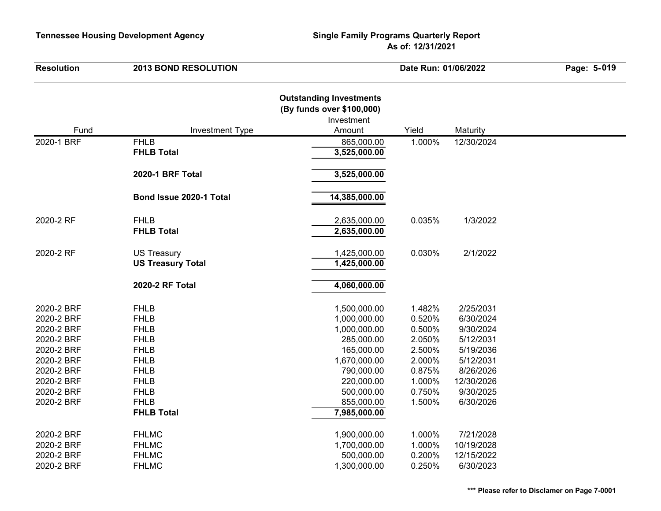| <b>Resolution</b>                                                                                                                        | <b>2013 BOND RESOLUTION</b>                                                                                                                                             | Date Run: 01/06/2022                                                                                                                                             |                                                                                                  | Page: 5-019                                                                                                                     |  |
|------------------------------------------------------------------------------------------------------------------------------------------|-------------------------------------------------------------------------------------------------------------------------------------------------------------------------|------------------------------------------------------------------------------------------------------------------------------------------------------------------|--------------------------------------------------------------------------------------------------|---------------------------------------------------------------------------------------------------------------------------------|--|
| Fund                                                                                                                                     | <b>Investment Type</b>                                                                                                                                                  | <b>Outstanding Investments</b><br>(By funds over \$100,000)<br>Investment<br>Amount                                                                              | Yield                                                                                            | Maturity                                                                                                                        |  |
| 2020-1 BRF                                                                                                                               | <b>FHLB</b>                                                                                                                                                             | 865,000.00                                                                                                                                                       | 1.000%                                                                                           | 12/30/2024                                                                                                                      |  |
|                                                                                                                                          | <b>FHLB Total</b>                                                                                                                                                       | 3,525,000.00                                                                                                                                                     |                                                                                                  |                                                                                                                                 |  |
|                                                                                                                                          | <b>2020-1 BRF Total</b>                                                                                                                                                 | 3,525,000.00                                                                                                                                                     |                                                                                                  |                                                                                                                                 |  |
|                                                                                                                                          | Bond Issue 2020-1 Total                                                                                                                                                 | 14,385,000.00                                                                                                                                                    |                                                                                                  |                                                                                                                                 |  |
| 2020-2 RF                                                                                                                                | <b>FHLB</b><br><b>FHLB Total</b>                                                                                                                                        | 2,635,000.00<br>2,635,000.00                                                                                                                                     | 0.035%                                                                                           | 1/3/2022                                                                                                                        |  |
| 2020-2 RF                                                                                                                                | <b>US Treasury</b><br><b>US Treasury Total</b>                                                                                                                          | 1,425,000.00<br>1,425,000.00                                                                                                                                     | 0.030%                                                                                           | 2/1/2022                                                                                                                        |  |
|                                                                                                                                          | 2020-2 RF Total                                                                                                                                                         | 4,060,000.00                                                                                                                                                     |                                                                                                  |                                                                                                                                 |  |
| 2020-2 BRF<br>2020-2 BRF<br>2020-2 BRF<br>2020-2 BRF<br>2020-2 BRF<br>2020-2 BRF<br>2020-2 BRF<br>2020-2 BRF<br>2020-2 BRF<br>2020-2 BRF | <b>FHLB</b><br><b>FHLB</b><br><b>FHLB</b><br><b>FHLB</b><br><b>FHLB</b><br><b>FHLB</b><br><b>FHLB</b><br><b>FHLB</b><br><b>FHLB</b><br><b>FHLB</b><br><b>FHLB Total</b> | 1,500,000.00<br>1,000,000.00<br>1,000,000.00<br>285,000.00<br>165,000.00<br>1,670,000.00<br>790,000.00<br>220,000.00<br>500,000.00<br>855,000.00<br>7,985,000.00 | 1.482%<br>0.520%<br>0.500%<br>2.050%<br>2.500%<br>2.000%<br>0.875%<br>1.000%<br>0.750%<br>1.500% | 2/25/2031<br>6/30/2024<br>9/30/2024<br>5/12/2031<br>5/19/2036<br>5/12/2031<br>8/26/2026<br>12/30/2026<br>9/30/2025<br>6/30/2026 |  |
| 2020-2 BRF<br>2020-2 BRF<br>2020-2 BRF<br>2020-2 BRF                                                                                     | <b>FHLMC</b><br><b>FHLMC</b><br><b>FHLMC</b><br><b>FHLMC</b>                                                                                                            | 1,900,000.00<br>1,700,000.00<br>500,000.00<br>1,300,000.00                                                                                                       | 1.000%<br>1.000%<br>0.200%<br>0.250%                                                             | 7/21/2028<br>10/19/2028<br>12/15/2022<br>6/30/2023                                                                              |  |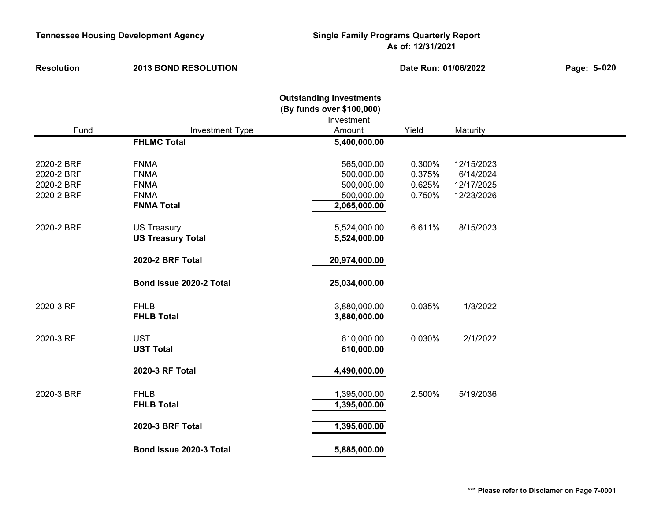| <b>Resolution</b>                                    | <b>2013 BOND RESOLUTION</b>                                                   |                                                                                     | Date Run: 01/06/2022                 |                                                     | Page: 5-020 |
|------------------------------------------------------|-------------------------------------------------------------------------------|-------------------------------------------------------------------------------------|--------------------------------------|-----------------------------------------------------|-------------|
| Fund                                                 | <b>Investment Type</b>                                                        | <b>Outstanding Investments</b><br>(By funds over \$100,000)<br>Investment<br>Amount | Yield                                | Maturity                                            |             |
|                                                      | <b>FHLMC Total</b>                                                            | 5,400,000.00                                                                        |                                      |                                                     |             |
| 2020-2 BRF<br>2020-2 BRF<br>2020-2 BRF<br>2020-2 BRF | <b>FNMA</b><br><b>FNMA</b><br><b>FNMA</b><br><b>FNMA</b><br><b>FNMA Total</b> | 565,000.00<br>500,000.00<br>500,000.00<br>500,000.00<br>2,065,000.00                | 0.300%<br>0.375%<br>0.625%<br>0.750% | 12/15/2023<br>6/14/2024<br>12/17/2025<br>12/23/2026 |             |
| 2020-2 BRF                                           | <b>US Treasury</b><br><b>US Treasury Total</b><br>2020-2 BRF Total            | 5,524,000.00<br>5,524,000.00<br>20,974,000.00                                       | 6.611%                               | 8/15/2023                                           |             |
|                                                      | Bond Issue 2020-2 Total                                                       | 25,034,000.00                                                                       |                                      |                                                     |             |
| 2020-3 RF                                            | <b>FHLB</b><br><b>FHLB Total</b>                                              | 3,880,000.00<br>3,880,000.00                                                        | 0.035%                               | 1/3/2022                                            |             |
| 2020-3 RF                                            | <b>UST</b><br><b>UST Total</b>                                                | 610,000.00<br>610,000.00                                                            | 0.030%                               | 2/1/2022                                            |             |
|                                                      | 2020-3 RF Total                                                               | 4,490,000.00                                                                        |                                      |                                                     |             |
| 2020-3 BRF                                           | <b>FHLB</b><br><b>FHLB Total</b>                                              | 1,395,000.00<br>1,395,000.00                                                        | 2.500%                               | 5/19/2036                                           |             |
|                                                      | 2020-3 BRF Total                                                              | 1,395,000.00                                                                        |                                      |                                                     |             |
|                                                      | Bond Issue 2020-3 Total                                                       | 5,885,000.00                                                                        |                                      |                                                     |             |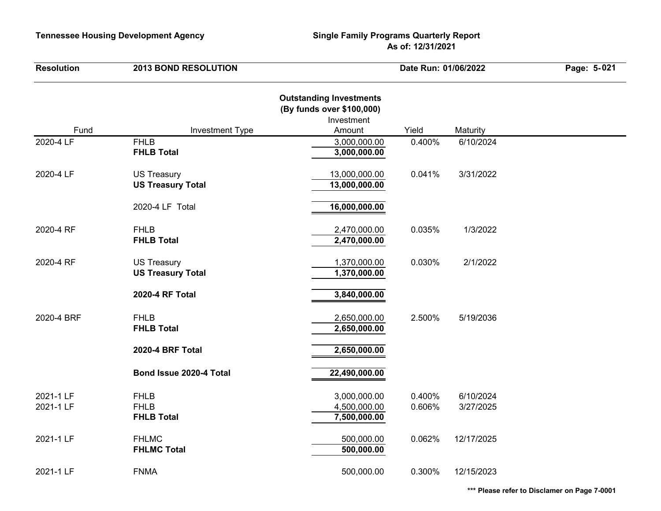| <b>Resolution</b> | <b>2013 BOND RESOLUTION</b>        |                                                                                     | Date Run: 01/06/2022 |            | Page: 5-021 |
|-------------------|------------------------------------|-------------------------------------------------------------------------------------|----------------------|------------|-------------|
| Fund              | <b>Investment Type</b>             | <b>Outstanding Investments</b><br>(By funds over \$100,000)<br>Investment<br>Amount | Yield                | Maturity   |             |
| 2020-4 LF         | <b>FHLB</b>                        | 3,000,000.00                                                                        | 0.400%               | 6/10/2024  |             |
|                   | <b>FHLB Total</b>                  | 3,000,000.00                                                                        |                      |            |             |
| 2020-4 LF         | <b>US Treasury</b>                 | 13,000,000.00                                                                       | 0.041%               | 3/31/2022  |             |
|                   | <b>US Treasury Total</b>           | 13,000,000.00                                                                       |                      |            |             |
|                   | 2020-4 LF Total                    | 16,000,000.00                                                                       |                      |            |             |
| 2020-4 RF         | <b>FHLB</b>                        | 2,470,000.00                                                                        | 0.035%               | 1/3/2022   |             |
|                   | <b>FHLB Total</b>                  | 2,470,000.00                                                                        |                      |            |             |
| 2020-4 RF         | <b>US Treasury</b>                 | 1,370,000.00                                                                        | 0.030%               | 2/1/2022   |             |
|                   | <b>US Treasury Total</b>           | 1,370,000.00                                                                        |                      |            |             |
|                   | 2020-4 RF Total                    | 3,840,000.00                                                                        |                      |            |             |
| 2020-4 BRF        | <b>FHLB</b>                        | 2,650,000.00                                                                        | 2.500%               | 5/19/2036  |             |
|                   | <b>FHLB Total</b>                  | 2,650,000.00                                                                        |                      |            |             |
|                   | 2020-4 BRF Total                   | 2,650,000.00                                                                        |                      |            |             |
|                   | Bond Issue 2020-4 Total            | 22,490,000.00                                                                       |                      |            |             |
|                   |                                    |                                                                                     |                      |            |             |
| 2021-1 LF         | <b>FHLB</b>                        | 3,000,000.00                                                                        | 0.400%               | 6/10/2024  |             |
| 2021-1 LF         | <b>FHLB</b><br><b>FHLB Total</b>   | 4,500,000.00<br>7,500,000.00                                                        | 0.606%               | 3/27/2025  |             |
|                   |                                    |                                                                                     |                      |            |             |
| 2021-1 LF         | <b>FHLMC</b><br><b>FHLMC Total</b> | 500,000.00<br>500,000.00                                                            | 0.062%               | 12/17/2025 |             |
|                   |                                    |                                                                                     |                      |            |             |
| 2021-1 LF         | <b>FNMA</b>                        | 500,000.00                                                                          | 0.300%               | 12/15/2023 |             |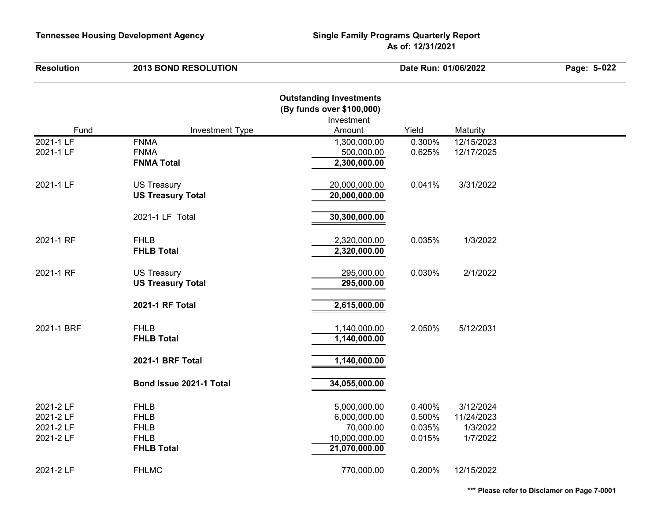| <b>Resolution</b>                                | <b>2013 BOND RESOLUTION</b>                                                   |                                                                                     | Date Run: 01/06/2022                 |                                                 | Page: 5-022 |
|--------------------------------------------------|-------------------------------------------------------------------------------|-------------------------------------------------------------------------------------|--------------------------------------|-------------------------------------------------|-------------|
| Fund                                             | <b>Investment Type</b>                                                        | <b>Outstanding Investments</b><br>(By funds over \$100,000)<br>Investment<br>Amount | Yield                                | Maturity                                        |             |
| 2021-1 LF                                        | <b>FNMA</b>                                                                   | 1,300,000.00                                                                        | 0.300%                               | 12/15/2023                                      |             |
| 2021-1 LF                                        | <b>FNMA</b><br><b>FNMA Total</b>                                              | 500,000.00<br>2,300,000.00                                                          | 0.625%                               | 12/17/2025                                      |             |
| 2021-1 LF                                        | <b>US Treasury</b><br><b>US Treasury Total</b>                                | 20,000,000.00<br>20,000,000.00                                                      | 0.041%                               | 3/31/2022                                       |             |
|                                                  | 2021-1 LF Total                                                               | 30,300,000.00                                                                       |                                      |                                                 |             |
| 2021-1 RF                                        | <b>FHLB</b><br><b>FHLB Total</b>                                              | 2,320,000.00<br>2,320,000.00                                                        | 0.035%                               | 1/3/2022                                        |             |
| 2021-1 RF                                        | <b>US Treasury</b><br><b>US Treasury Total</b>                                | 295,000.00<br>295,000.00                                                            | 0.030%                               | 2/1/2022                                        |             |
|                                                  | 2021-1 RF Total                                                               | 2,615,000.00                                                                        |                                      |                                                 |             |
| 2021-1 BRF                                       | <b>FHLB</b><br><b>FHLB Total</b>                                              | 1,140,000.00<br>1,140,000.00                                                        | 2.050%                               | 5/12/2031                                       |             |
|                                                  | 2021-1 BRF Total                                                              | 1,140,000.00                                                                        |                                      |                                                 |             |
|                                                  | Bond Issue 2021-1 Total                                                       | 34,055,000.00                                                                       |                                      |                                                 |             |
| 2021-2 LF<br>2021-2 LF<br>2021-2 LF<br>2021-2 LF | <b>FHLB</b><br><b>FHLB</b><br><b>FHLB</b><br><b>FHLB</b><br><b>FHLB Total</b> | 5,000,000.00<br>6,000,000.00<br>70,000.00<br>10,000,000.00<br>21,070,000.00         | 0.400%<br>0.500%<br>0.035%<br>0.015% | 3/12/2024<br>11/24/2023<br>1/3/2022<br>1/7/2022 |             |
| 2021-2 LF                                        | <b>FHLMC</b>                                                                  | 770,000.00                                                                          | 0.200%                               | 12/15/2022                                      |             |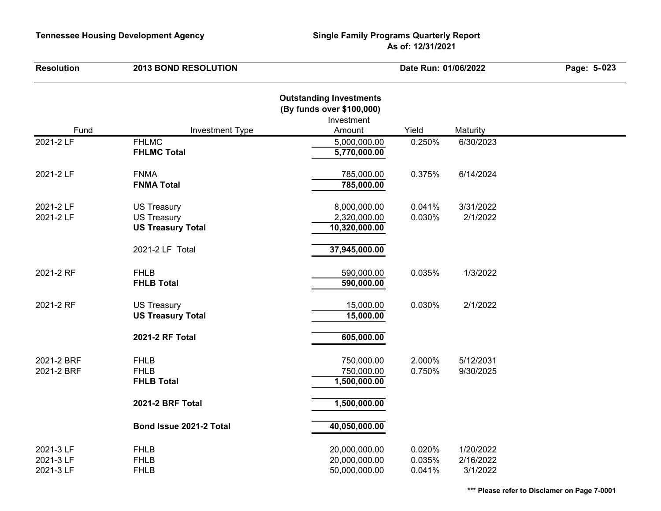| <b>Resolution</b>                   | <b>2013 BOND RESOLUTION</b>                     |                                                                           | Date Run: 01/06/2022       |                                    | Page: 5-023 |
|-------------------------------------|-------------------------------------------------|---------------------------------------------------------------------------|----------------------------|------------------------------------|-------------|
|                                     |                                                 | <b>Outstanding Investments</b><br>(By funds over \$100,000)<br>Investment |                            |                                    |             |
| Fund                                | <b>Investment Type</b>                          | Amount                                                                    | Yield                      | Maturity                           |             |
| 2021-2 LF                           | <b>FHLMC</b><br><b>FHLMC Total</b>              | 5,000,000.00<br>5,770,000.00                                              | 0.250%                     | 6/30/2023                          |             |
| 2021-2 LF                           | <b>FNMA</b><br><b>FNMA Total</b>                | 785,000.00<br>785,000.00                                                  | 0.375%                     | 6/14/2024                          |             |
| 2021-2 LF                           | <b>US Treasury</b>                              | 8,000,000.00                                                              | 0.041%                     | 3/31/2022                          |             |
| 2021-2 LF                           | <b>US Treasury</b>                              | 2,320,000.00                                                              | 0.030%                     | 2/1/2022                           |             |
|                                     | <b>US Treasury Total</b>                        | 10,320,000.00                                                             |                            |                                    |             |
|                                     | 2021-2 LF Total                                 | 37,945,000.00                                                             |                            |                                    |             |
| 2021-2 RF                           | <b>FHLB</b><br><b>FHLB Total</b>                | 590,000.00<br>590,000.00                                                  | 0.035%                     | 1/3/2022                           |             |
| 2021-2 RF                           | <b>US Treasury</b><br><b>US Treasury Total</b>  | 15,000.00<br>15,000.00                                                    | 0.030%                     | 2/1/2022                           |             |
|                                     | 2021-2 RF Total                                 | 605,000.00                                                                |                            |                                    |             |
| 2021-2 BRF<br>2021-2 BRF            | <b>FHLB</b><br><b>FHLB</b><br><b>FHLB Total</b> | 750,000.00<br>750,000.00<br>1,500,000.00                                  | 2.000%<br>0.750%           | 5/12/2031<br>9/30/2025             |             |
|                                     | 2021-2 BRF Total                                | 1,500,000.00                                                              |                            |                                    |             |
|                                     | Bond Issue 2021-2 Total                         | 40,050,000.00                                                             |                            |                                    |             |
| 2021-3 LF<br>2021-3 LF<br>2021-3 LF | <b>FHLB</b><br><b>FHLB</b><br><b>FHLB</b>       | 20,000,000.00<br>20,000,000.00<br>50,000,000.00                           | 0.020%<br>0.035%<br>0.041% | 1/20/2022<br>2/16/2022<br>3/1/2022 |             |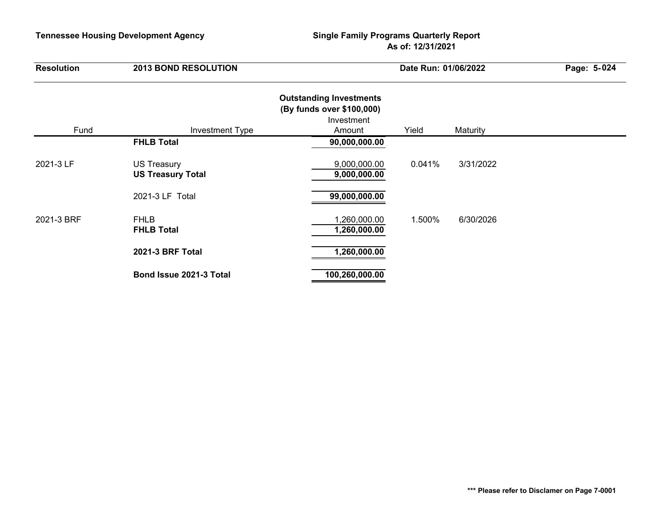| <b>Resolution</b> | <b>2013 BOND RESOLUTION</b>                    |                                                                                     | Date Run: 01/06/2022 |           |  |
|-------------------|------------------------------------------------|-------------------------------------------------------------------------------------|----------------------|-----------|--|
| Fund              | <b>Investment Type</b>                         | <b>Outstanding Investments</b><br>(By funds over \$100,000)<br>Investment<br>Amount | Yield                | Maturity  |  |
|                   | <b>FHLB Total</b>                              | 90,000,000.00                                                                       |                      |           |  |
| 2021-3 LF         | <b>US Treasury</b><br><b>US Treasury Total</b> | 9,000,000.00<br>9,000,000.00                                                        | 0.041%               | 3/31/2022 |  |
|                   | 2021-3 LF Total                                | 99,000,000.00                                                                       |                      |           |  |
| 2021-3 BRF        | <b>FHLB</b><br><b>FHLB Total</b>               | 1,260,000.00<br>1,260,000.00                                                        | 1.500%               | 6/30/2026 |  |
|                   | <b>2021-3 BRF Total</b>                        | 1,260,000.00                                                                        |                      |           |  |
|                   | Bond Issue 2021-3 Total                        | 100,260,000.00                                                                      |                      |           |  |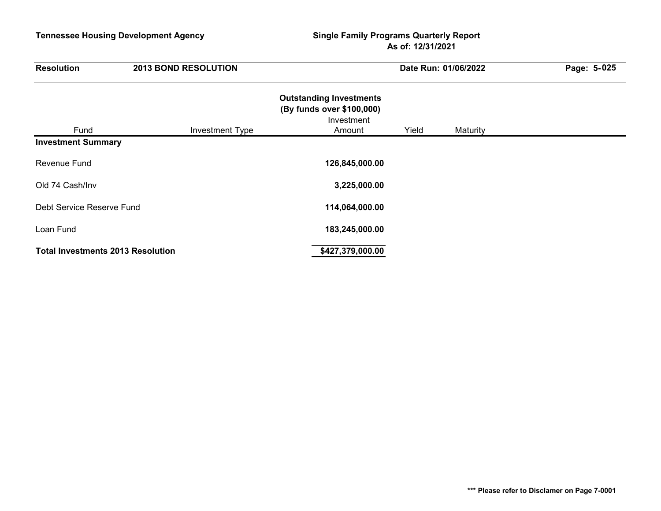| <b>Resolution</b>                        | <b>2013 BOND RESOLUTION</b> |                                                                                     | Date Run: 01/06/2022 |          | Page: 5-025 |
|------------------------------------------|-----------------------------|-------------------------------------------------------------------------------------|----------------------|----------|-------------|
| Fund                                     | <b>Investment Type</b>      | <b>Outstanding Investments</b><br>(By funds over \$100,000)<br>Investment<br>Amount | Yield                | Maturity |             |
| <b>Investment Summary</b>                |                             |                                                                                     |                      |          |             |
| Revenue Fund                             |                             | 126,845,000.00                                                                      |                      |          |             |
| Old 74 Cash/Inv                          |                             | 3,225,000.00                                                                        |                      |          |             |
| Debt Service Reserve Fund                |                             | 114,064,000.00                                                                      |                      |          |             |
| Loan Fund                                |                             | 183,245,000.00                                                                      |                      |          |             |
| <b>Total Investments 2013 Resolution</b> |                             | \$427,379,000.00                                                                    |                      |          |             |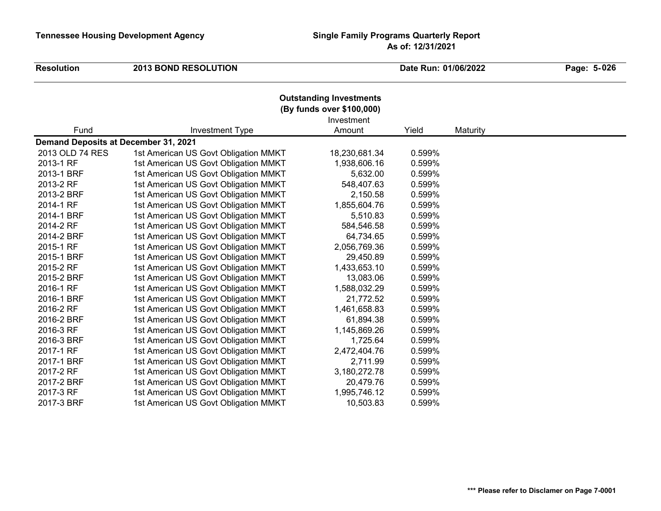| <b>Resolution</b>                    | <b>2013 BOND RESOLUTION</b>          |                      | Date Run: 01/06/2022 |          | Page: 5-026 |
|--------------------------------------|--------------------------------------|----------------------|----------------------|----------|-------------|
|                                      |                                      |                      |                      |          |             |
| Fund                                 | <b>Investment Type</b>               | Investment<br>Amount | Yield                | Maturity |             |
| Demand Deposits at December 31, 2021 |                                      |                      |                      |          |             |
| 2013 OLD 74 RES                      | 1st American US Govt Obligation MMKT | 18,230,681.34        | 0.599%               |          |             |
| 2013-1 RF                            | 1st American US Govt Obligation MMKT | 1,938,606.16         | 0.599%               |          |             |
| 2013-1 BRF                           | 1st American US Govt Obligation MMKT | 5,632.00             | 0.599%               |          |             |
| 2013-2 RF                            | 1st American US Govt Obligation MMKT | 548,407.63           | 0.599%               |          |             |
| 2013-2 BRF                           | 1st American US Govt Obligation MMKT | 2,150.58             | 0.599%               |          |             |
| 2014-1 RF                            | 1st American US Govt Obligation MMKT | 1,855,604.76         | 0.599%               |          |             |
| 2014-1 BRF                           | 1st American US Govt Obligation MMKT | 5,510.83             | 0.599%               |          |             |
| 2014-2 RF                            | 1st American US Govt Obligation MMKT | 584,546.58           | 0.599%               |          |             |
| 2014-2 BRF                           | 1st American US Govt Obligation MMKT | 64,734.65            | 0.599%               |          |             |
| 2015-1 RF                            | 1st American US Govt Obligation MMKT | 2,056,769.36         | 0.599%               |          |             |
| 2015-1 BRF                           | 1st American US Govt Obligation MMKT | 29,450.89            | 0.599%               |          |             |
| 2015-2 RF                            | 1st American US Govt Obligation MMKT | 1,433,653.10         | 0.599%               |          |             |
| 2015-2 BRF                           | 1st American US Govt Obligation MMKT | 13,083.06            | 0.599%               |          |             |
| 2016-1 RF                            | 1st American US Govt Obligation MMKT | 1,588,032.29         | 0.599%               |          |             |
| 2016-1 BRF                           | 1st American US Govt Obligation MMKT | 21,772.52            | 0.599%               |          |             |
| 2016-2 RF                            | 1st American US Govt Obligation MMKT | 1,461,658.83         | 0.599%               |          |             |
| 2016-2 BRF                           | 1st American US Govt Obligation MMKT | 61,894.38            | 0.599%               |          |             |
| 2016-3 RF                            | 1st American US Govt Obligation MMKT | 1,145,869.26         | 0.599%               |          |             |
| 2016-3 BRF                           | 1st American US Govt Obligation MMKT | 1,725.64             | 0.599%               |          |             |
| 2017-1 RF                            | 1st American US Govt Obligation MMKT | 2,472,404.76         | 0.599%               |          |             |
| 2017-1 BRF                           | 1st American US Govt Obligation MMKT | 2,711.99             | 0.599%               |          |             |
| 2017-2 RF                            | 1st American US Govt Obligation MMKT | 3,180,272.78         | 0.599%               |          |             |
| 2017-2 BRF                           | 1st American US Govt Obligation MMKT | 20,479.76            | 0.599%               |          |             |
| 2017-3 RF                            | 1st American US Govt Obligation MMKT | 1,995,746.12         | 0.599%               |          |             |
| 2017-3 BRF                           | 1st American US Govt Obligation MMKT | 10,503.83            | 0.599%               |          |             |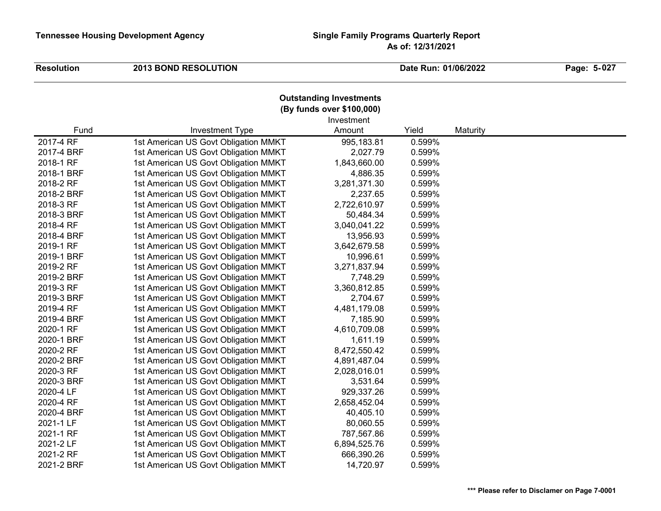$\overline{\phantom{a}}$ 

#### **Resolution**<br>**Resolution**<br>**Date Run:** 01/06/2022

 **027**

|            |                                      | <b>Outstanding Investments</b> |        |          |  |  |  |  |
|------------|--------------------------------------|--------------------------------|--------|----------|--|--|--|--|
|            | (By funds over \$100,000)            |                                |        |          |  |  |  |  |
|            |                                      | Investment                     |        |          |  |  |  |  |
| Fund       | Investment Type                      | Amount                         | Yield  | Maturity |  |  |  |  |
| 2017-4 RF  | 1st American US Govt Obligation MMKT | 995,183.81                     | 0.599% |          |  |  |  |  |
| 2017-4 BRF | 1st American US Govt Obligation MMKT | 2,027.79                       | 0.599% |          |  |  |  |  |
| 2018-1 RF  | 1st American US Govt Obligation MMKT | 1,843,660.00                   | 0.599% |          |  |  |  |  |
| 2018-1 BRF | 1st American US Govt Obligation MMKT | 4,886.35                       | 0.599% |          |  |  |  |  |
| 2018-2 RF  | 1st American US Govt Obligation MMKT | 3,281,371.30                   | 0.599% |          |  |  |  |  |
| 2018-2 BRF | 1st American US Govt Obligation MMKT | 2,237.65                       | 0.599% |          |  |  |  |  |
| 2018-3 RF  | 1st American US Govt Obligation MMKT | 2,722,610.97                   | 0.599% |          |  |  |  |  |
| 2018-3 BRF | 1st American US Govt Obligation MMKT | 50,484.34                      | 0.599% |          |  |  |  |  |
| 2018-4 RF  | 1st American US Govt Obligation MMKT | 3,040,041.22                   | 0.599% |          |  |  |  |  |
| 2018-4 BRF | 1st American US Govt Obligation MMKT | 13,956.93                      | 0.599% |          |  |  |  |  |
| 2019-1 RF  | 1st American US Govt Obligation MMKT | 3,642,679.58                   | 0.599% |          |  |  |  |  |
| 2019-1 BRF | 1st American US Govt Obligation MMKT | 10,996.61                      | 0.599% |          |  |  |  |  |
| 2019-2 RF  | 1st American US Govt Obligation MMKT | 3,271,837.94                   | 0.599% |          |  |  |  |  |
| 2019-2 BRF | 1st American US Govt Obligation MMKT | 7,748.29                       | 0.599% |          |  |  |  |  |
| 2019-3 RF  | 1st American US Govt Obligation MMKT | 3,360,812.85                   | 0.599% |          |  |  |  |  |
| 2019-3 BRF | 1st American US Govt Obligation MMKT | 2,704.67                       | 0.599% |          |  |  |  |  |
| 2019-4 RF  | 1st American US Govt Obligation MMKT | 4,481,179.08                   | 0.599% |          |  |  |  |  |
| 2019-4 BRF | 1st American US Govt Obligation MMKT | 7,185.90                       | 0.599% |          |  |  |  |  |
| 2020-1 RF  | 1st American US Govt Obligation MMKT | 4,610,709.08                   | 0.599% |          |  |  |  |  |
| 2020-1 BRF | 1st American US Govt Obligation MMKT | 1,611.19                       | 0.599% |          |  |  |  |  |
| 2020-2 RF  | 1st American US Govt Obligation MMKT | 8,472,550.42                   | 0.599% |          |  |  |  |  |
| 2020-2 BRF | 1st American US Govt Obligation MMKT | 4,891,487.04                   | 0.599% |          |  |  |  |  |
| 2020-3 RF  | 1st American US Govt Obligation MMKT | 2,028,016.01                   | 0.599% |          |  |  |  |  |
| 2020-3 BRF | 1st American US Govt Obligation MMKT | 3,531.64                       | 0.599% |          |  |  |  |  |
| 2020-4 LF  | 1st American US Govt Obligation MMKT | 929,337.26                     | 0.599% |          |  |  |  |  |
| 2020-4 RF  | 1st American US Govt Obligation MMKT | 2,658,452.04                   | 0.599% |          |  |  |  |  |
| 2020-4 BRF | 1st American US Govt Obligation MMKT | 40,405.10                      | 0.599% |          |  |  |  |  |
| 2021-1 LF  | 1st American US Govt Obligation MMKT | 80,060.55                      | 0.599% |          |  |  |  |  |
| 2021-1 RF  | 1st American US Govt Obligation MMKT | 787,567.86                     | 0.599% |          |  |  |  |  |
| 2021-2 LF  | 1st American US Govt Obligation MMKT | 6,894,525.76                   | 0.599% |          |  |  |  |  |
| 2021-2 RF  | 1st American US Govt Obligation MMKT | 666,390.26                     | 0.599% |          |  |  |  |  |
| 2021-2 BRF | 1st American US Govt Obligation MMKT | 14,720.97                      | 0.599% |          |  |  |  |  |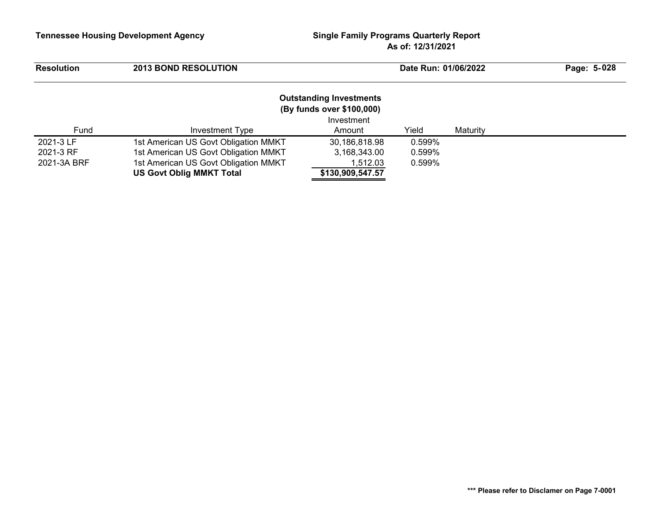| <b>Resolution</b> | <b>2013 BOND RESOLUTION</b>          |                                                                           | Date Run: 01/06/2022 |          | Page: 5-028 |
|-------------------|--------------------------------------|---------------------------------------------------------------------------|----------------------|----------|-------------|
|                   |                                      | <b>Outstanding Investments</b><br>(By funds over \$100,000)<br>Investment |                      |          |             |
| Fund              | Investment Type                      | Amount                                                                    | Yield                | Maturity |             |
| 2021-3 LF         | 1st American US Govt Obligation MMKT | 30,186,818.98                                                             | 0.599%               |          |             |
| 2021-3 RF         | 1st American US Govt Obligation MMKT | 3,168,343.00                                                              | 0.599%               |          |             |
| 2021-3A BRF       | 1st American US Govt Obligation MMKT | 1,512.03                                                                  | 0.599%               |          |             |
|                   | <b>US Govt Oblig MMKT Total</b>      | \$130,909,547.57                                                          |                      |          |             |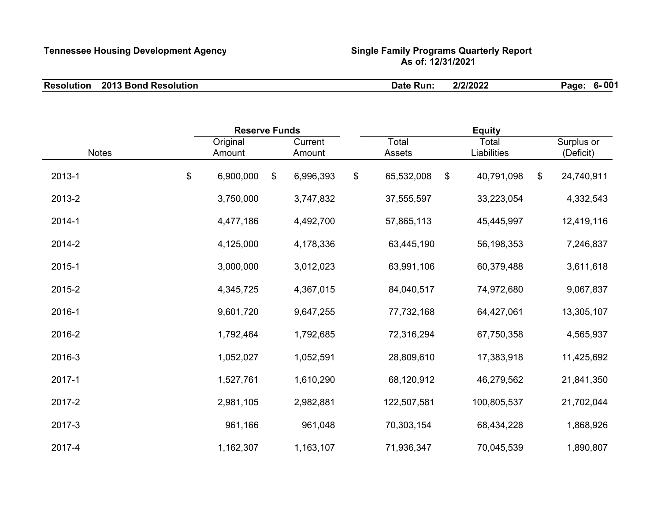| <b>Resolution</b> | <b>2013 Bond Resolution</b> | Run<br>Date | 2/2/2022 | 6-001<br>Page: |
|-------------------|-----------------------------|-------------|----------|----------------|
|-------------------|-----------------------------|-------------|----------|----------------|

|              |          | <b>Reserve Funds</b> |         |           |    | <b>Equity</b> |    |             |    |            |
|--------------|----------|----------------------|---------|-----------|----|---------------|----|-------------|----|------------|
|              | Original |                      | Current |           |    | Total         |    | Total       |    | Surplus or |
| <b>Notes</b> |          | Amount               |         | Amount    |    | Assets        |    | Liabilities |    | (Deficit)  |
| 2013-1       | $\$\$    | 6,900,000            | \$      | 6,996,393 | \$ | 65,532,008    | \$ | 40,791,098  | \$ | 24,740,911 |
| 2013-2       |          | 3,750,000            |         | 3,747,832 |    | 37,555,597    |    | 33,223,054  |    | 4,332,543  |
| 2014-1       |          | 4,477,186            |         | 4,492,700 |    | 57,865,113    |    | 45,445,997  |    | 12,419,116 |
| 2014-2       |          | 4,125,000            |         | 4,178,336 |    | 63,445,190    |    | 56,198,353  |    | 7,246,837  |
| 2015-1       |          | 3,000,000            |         | 3,012,023 |    | 63,991,106    |    | 60,379,488  |    | 3,611,618  |
| 2015-2       |          | 4,345,725            |         | 4,367,015 |    | 84,040,517    |    | 74,972,680  |    | 9,067,837  |
| 2016-1       |          | 9,601,720            |         | 9,647,255 |    | 77,732,168    |    | 64,427,061  |    | 13,305,107 |
| 2016-2       |          | 1,792,464            |         | 1,792,685 |    | 72,316,294    |    | 67,750,358  |    | 4,565,937  |
| 2016-3       |          | 1,052,027            |         | 1,052,591 |    | 28,809,610    |    | 17,383,918  |    | 11,425,692 |
| 2017-1       |          | 1,527,761            |         | 1,610,290 |    | 68,120,912    |    | 46,279,562  |    | 21,841,350 |
| 2017-2       |          | 2,981,105            |         | 2,982,881 |    | 122,507,581   |    | 100,805,537 |    | 21,702,044 |
| 2017-3       |          | 961,166              |         | 961,048   |    | 70,303,154    |    | 68,434,228  |    | 1,868,926  |
| 2017-4       |          | 1,162,307            |         | 1,163,107 |    | 71,936,347    |    | 70,045,539  |    | 1,890,807  |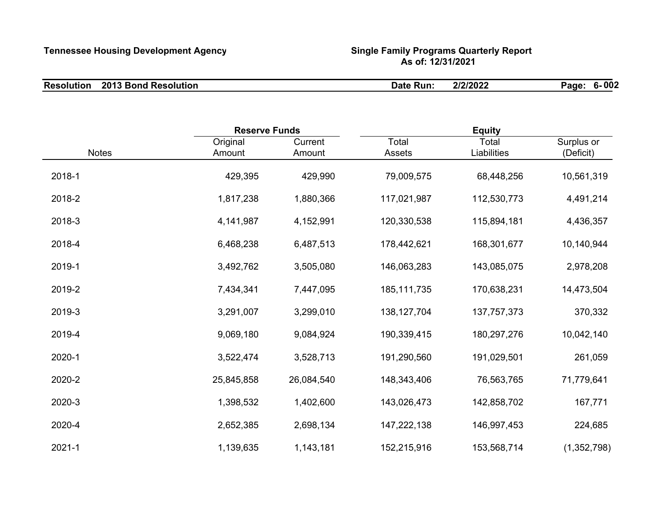| <b>Resolution</b> | 2013 Bond Resolution | :Run<br>Date | 2/2/2022 | $6 - 002$<br>Page: |
|-------------------|----------------------|--------------|----------|--------------------|
|                   |                      |              |          |                    |

|              | <b>Reserve Funds</b> |            | <b>Equity</b> |             |             |  |
|--------------|----------------------|------------|---------------|-------------|-------------|--|
|              | Original             | Current    | Total         | Total       | Surplus or  |  |
| <b>Notes</b> | Amount               | Amount     | Assets        | Liabilities | (Deficit)   |  |
| 2018-1       | 429,395              | 429,990    | 79,009,575    | 68,448,256  | 10,561,319  |  |
| 2018-2       | 1,817,238            | 1,880,366  | 117,021,987   | 112,530,773 | 4,491,214   |  |
| 2018-3       | 4,141,987            | 4,152,991  | 120,330,538   | 115,894,181 | 4,436,357   |  |
| 2018-4       | 6,468,238            | 6,487,513  | 178,442,621   | 168,301,677 | 10,140,944  |  |
| 2019-1       | 3,492,762            | 3,505,080  | 146,063,283   | 143,085,075 | 2,978,208   |  |
| 2019-2       | 7,434,341            | 7,447,095  | 185, 111, 735 | 170,638,231 | 14,473,504  |  |
| 2019-3       | 3,291,007            | 3,299,010  | 138, 127, 704 | 137,757,373 | 370,332     |  |
| 2019-4       | 9,069,180            | 9,084,924  | 190,339,415   | 180,297,276 | 10,042,140  |  |
| 2020-1       | 3,522,474            | 3,528,713  | 191,290,560   | 191,029,501 | 261,059     |  |
| 2020-2       | 25,845,858           | 26,084,540 | 148,343,406   | 76,563,765  | 71,779,641  |  |
| 2020-3       | 1,398,532            | 1,402,600  | 143,026,473   | 142,858,702 | 167,771     |  |
| 2020-4       | 2,652,385            | 2,698,134  | 147,222,138   | 146,997,453 | 224,685     |  |
| 2021-1       | 1,139,635            | 1,143,181  | 152,215,916   | 153,568,714 | (1,352,798) |  |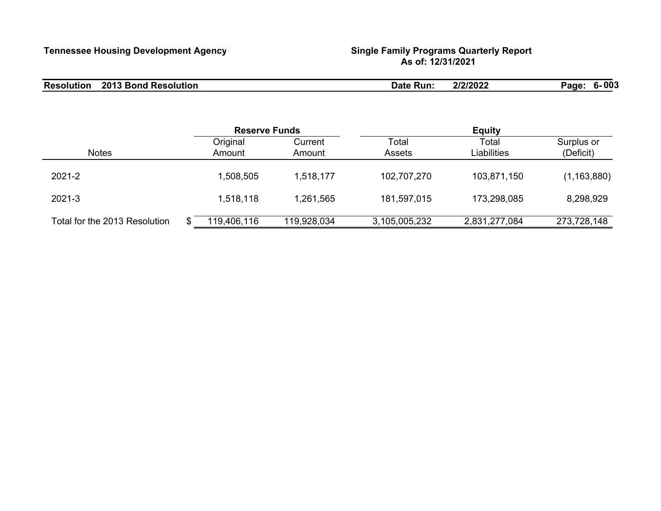| <b>Resolution</b> | <b>2013 Bond Resolution</b> | Date<br>∖ Run. | 2/2/2022 | - 003<br>Page <sup>®</sup><br>n. |
|-------------------|-----------------------------|----------------|----------|----------------------------------|
|                   |                             |                |          |                                  |

|                               | <b>Reserve Funds</b> |                    |                   | <b>Equity</b>          |                      |                         |  |  |
|-------------------------------|----------------------|--------------------|-------------------|------------------------|----------------------|-------------------------|--|--|
| <b>Notes</b>                  |                      | Original<br>Amount | Current<br>Amount | Total<br><b>Assets</b> | Total<br>Liabilities | Surplus or<br>(Deficit) |  |  |
| 2021-2                        |                      | 1,508,505          | 1,518,177         | 102,707,270            | 103,871,150          | (1, 163, 880)           |  |  |
| 2021-3                        |                      | 1,518,118          | 1,261,565         | 181,597,015            | 173,298,085          | 8,298,929               |  |  |
| Total for the 2013 Resolution |                      | 119,406,116        | 119,928,034       | 3,105,005,232          | 2,831,277,084        | 273,728,148             |  |  |